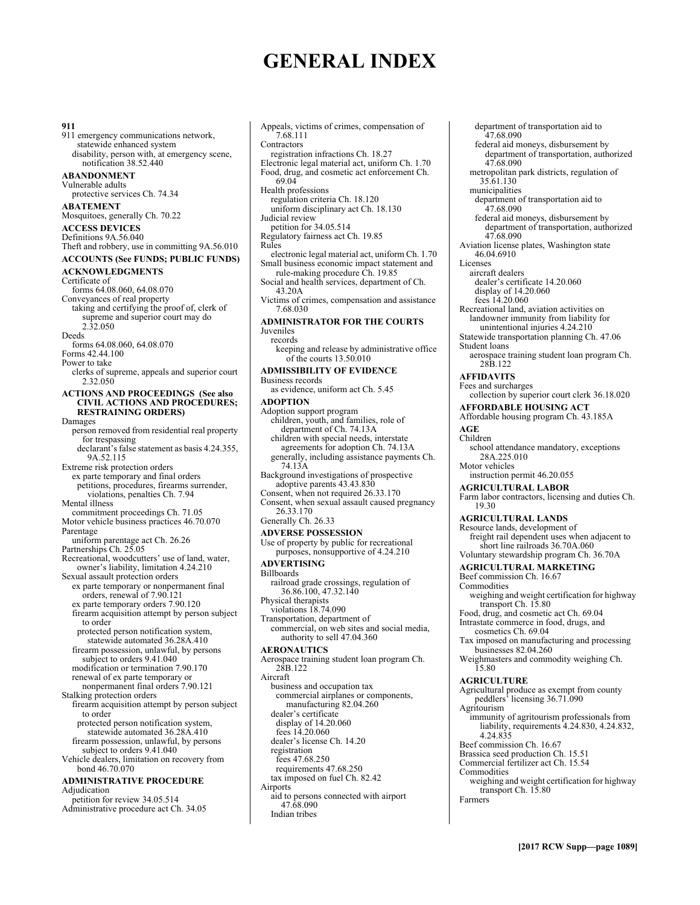# **GENERAL INDEX**

**911**  911 emergency communications network, statewide enhanced system disability, person with, at emergency scene, notification 38.52.440 **ABANDONMENT**  Vulnerable adults protective services Ch. 74.34 **ABATEMENT**  Mosquitoes, generally Ch. 70.22 **ACCESS DEVICES**  Definitions 9A.56.040 Theft and robbery, use in committing 9A.56.010 **ACCOUNTS (See FUNDS; PUBLIC FUNDS) ACKNOWLEDGMENTS**  Certificate of forms 64.08.060, 64.08.070 Conveyances of real property taking and certifying the proof of, clerk of supreme and superior court may do 2.32.050 Deeds forms 64.08.060, 64.08.070 Forms 42.44.100 Power to take clerks of supreme, appeals and superior court 2.32.050 **ACTIONS AND PROCEEDINGS (See also CIVIL ACTIONS AND PROCEDURES; RESTRAINING ORDERS)** Damages person removed from residential real property for trespassing declarant's false statement as basis 4.24.355, 9A.52.115 Extreme risk protection orders ex parte temporary and final orders petitions, procedures, firearms surrender, violations, penalties Ch. 7.94 Mental illness commitment proceedings Ch. 71.05 Motor vehicle business practices 46.70.070 Parentage uniform parentage act Ch. 26.26 Partnerships Ch. 25.05 Recreational, woodcutters' use of land, water, owner's liability, limitation 4.24.210 Sexual assault protection orders ex parte temporary or nonpermanent final orders, renewal of 7.90.121 ex parte temporary orders 7.90.120 firearm acquisition attempt by person subject to order protected person notification system, statewide automated 36.28A.410 firearm possession, unlawful, by persons subject to orders 9.41.040 modification or termination 7.90.170 renewal of ex parte temporary or nonpermanent final orders 7.90.121 Stalking protection orders firearm acquisition attempt by person subject to order protected person notification system, statewide automated 36.28A.410 firearm possession, unlawful, by persons subject to orders 9.41.040 Vehicle dealers, limitation on recovery from bond 46.70.070 **ADMINISTRATIVE PROCEDURE**  Adjudication petition for review 34.05.514 Administrative procedure act Ch. 34.05

Appeals, victims of crimes, compensation of 7.68.111 Contractors registration infractions Ch. 18.27 Electronic legal material act, uniform Ch. 1.70 Food, drug, and cosmetic act enforcement Ch. 69.04 Health professions regulation criteria Ch. 18.120 uniform disciplinary act Ch. 18.130 Judicial review petition for 34.05.514 Regulatory fairness act Ch. 19.85 Rules electronic legal material act, uniform Ch. 1.70 Small business economic impact statement and rule-making procedure Ch. 19.85 Social and health services, department of Ch. 43.20A Victims of crimes, compensation and assistance 7.68.030 **ADMINISTRATOR FOR THE COURTS**  Juveniles records keeping and release by administrative office of the courts 13.50.010 **ADMISSIBILITY OF EVIDENCE**  Business records as evidence, uniform act Ch. 5.45 **ADOPTION**  Adoption support program children, youth, and families, role of department of Ch. 74.13A children with special needs, interstate agreements for adoption Ch. 74.13A generally, including assistance payments Ch. 74.13A Background investigations of prospective adoptive parents 43.43.830 Consent, when not required 26.33.170 Consent, when sexual assault caused pregnancy 26.33.170 Generally Ch. 26.33 **ADVERSE POSSESSION**  Use of property by public for recreational purposes, nonsupportive of 4.24.210 **ADVERTISING**  Billboards railroad grade crossings, regulation of 36.86.100, 47.32.140 Physical therapists violations 18.74.090 Transportation, department of commercial, on web sites and social media, authority to sell 47.04.360 **AERONAUTICS**  Aerospace training student loan program Ch. 28B.122 Aircraft business and occupation tax commercial airplanes or components, manufacturing 82.04.260 dealer's certificate display of 14.20.060 fees 14.20.060 dealer's license Ch. 14.20 registration fees 47.68.250 requirements 47.68.250 tax imposed on fuel Ch. 82.42 Airports aid to persons connected with airport 47.68.090 Indian tribes

department of transportation aid to 47.68.090 federal aid moneys, disbursement by department of transportation, authorized 47.68.090 metropolitan park districts, regulation of 35.61.130 municipalities department of transportation aid to 47.68.090 federal aid moneys, disbursement by department of transportation, authorized 47.68.090 Aviation license plates, Washington state 46.04.6910 Licenses aircraft dealers dealer's certificate 14.20.060 display of 14.20.060 fees 14.20.060 Recreational land, aviation activities on landowner immunity from liability for unintentional injuries 4.24.210 Statewide transportation planning Ch. 47.06 Student loans aerospace training student loan program Ch. 28B.122 **AFFIDAVITS**  Fees and surcharges collection by superior court clerk 36.18.020 **AFFORDABLE HOUSING ACT**  Affordable housing program Ch. 43.185A **AGE**  Children school attendance mandatory, exceptions 28A.225.010 Motor vehicles instruction permit 46.20.055 **AGRICULTURAL LABOR**  Farm labor contractors, licensing and duties Ch. 19.30 **AGRICULTURAL LANDS**  Resource lands, development of freight rail dependent uses when adjacent to short line railroads 36.70A.060 Voluntary stewardship program Ch. 36.70A **AGRICULTURAL MARKETING**  Beef commission Ch. 16.67 Commodities weighing and weight certification for highway transport Ch. 15.80 Food, drug, and cosmetic act Ch. 69.04 Intrastate commerce in food, drugs, and cosmetics Ch. 69.04 Tax imposed on manufacturing and processing businesses 82.04.260 Weighmasters and commodity weighing Ch. 15.80 **AGRICULTURE**  Agricultural produce as exempt from county peddlers' licensing 36.71.090 Agritourism immunity of agritourism professionals from liability, requirements 4.24.830, 4.24.832, 4.24.835 Beef commission Ch. 16.67 Brassica seed production Ch. 15.51 Commercial fertilizer act Ch. 15.54 Commodities weighing and weight certification for highway transport Ch. 15.80 Farmers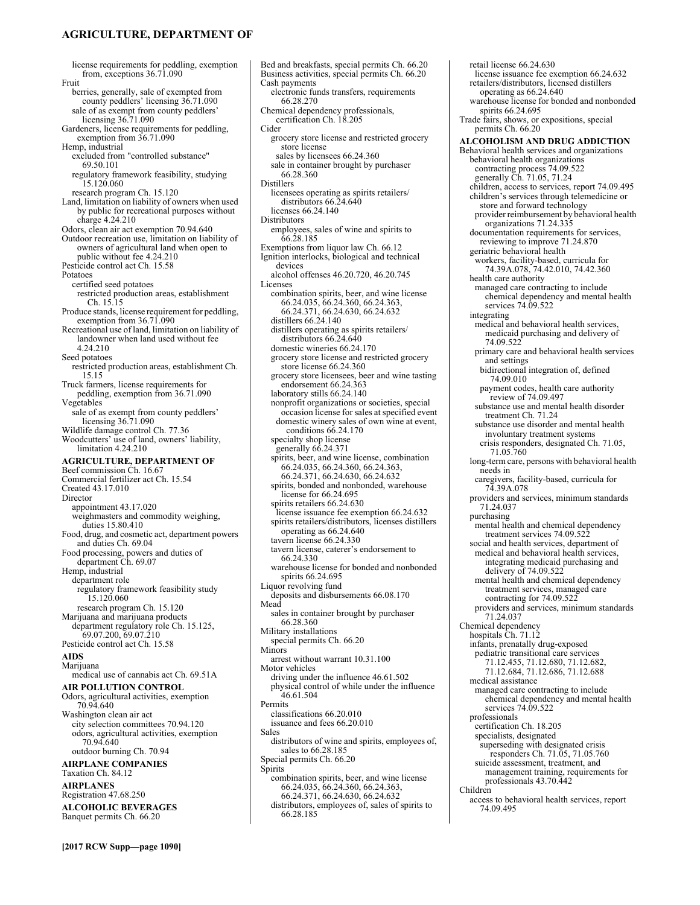# **AGRICULTURE, DEPARTMENT OF**

license requirements for peddling, exemption from, exceptions 36.71.090 Fruit berries, generally, sale of exempted from county peddlers' licensing 36.71.090 sale of as exempt from county peddlers' licensing 36.71.090 Gardeners, license requirements for peddling, exemption from 36.71.090 Hemp, industrial excluded from "controlled substance" 69.50.101 regulatory framework feasibility, studying 15.120.060 research program Ch. 15.120 Land, limitation on liability of owners when used by public for recreational purposes without charge 4.24.210 Odors, clean air act exemption 70.94.640 Outdoor recreation use, limitation on liability of owners of agricultural land when open to public without fee 4.24.210 Pesticide control act Ch. 15.58 Potatoes certified seed potatoes restricted production areas, establishment Ch. 15.15 Produce stands, license requirement for peddling, exemption from 36.71.090 Recreational use of land, limitation on liability of landowner when land used without fee 4.24.210 Seed potatoes restricted production areas, establishment Ch. 15.15 Truck farmers, license requirements for peddling, exemption from 36.71.090 Vegetables sale of as exempt from county peddlers' licensing 36.71.090 Wildlife damage control Ch. 77.36 Woodcutters' use of land, owners' liability, limitation 4.24.210 **AGRICULTURE, DEPARTMENT OF**  Beef commission Ch. 16.67 Commercial fertilizer act Ch. 15.54 Created 43.17.010 Director appointment 43.17.020 weighmasters and commodity weighing, duties 15.80.410 Food, drug, and cosmetic act, department powers and duties Ch. 69.04 Food processing, powers and duties of department Ch. 69.07 Hemp, industrial department role regulatory framework feasibility study 15.120.060 research program Ch. 15.120 Marijuana and marijuana products department regulatory role Ch. 15.125,  $69.07.200, 69.07.210$ Pesticide control act Ch. 15.58 **AIDS**  Marijuana medical use of cannabis act Ch. 69.51A **AIR POLLUTION CONTROL**  Odors, agricultural activities, exemption 70.94.640 Washington clean air act city selection committees 70.94.120 odors, agricultural activities, exemption 70.94.640 outdoor burning Ch. 70.94 **AIRPLANE COMPANIES**  Taxation Ch. 84.12 **AIRPLANES**  Registration 47.68.250

**ALCOHOLIC BEVERAGES**  Banquet permits Ch. 66.20

Bed and breakfasts, special permits Ch. 66.20 Business activities, special permits Ch. 66.20 Cash payments electronic funds transfers, requirements 66.28.270 Chemical dependency professionals, certification Ch. 18.205 Cider grocery store license and restricted grocery store license sales by licensees 66.24.360 sale in container brought by purchaser 66.28.360 Distillers licensees operating as spirits retailers/ distributors 66.24.640 licenses 66.24.140 **Distributors** employees, sales of wine and spirits to 66.28.185 Exemptions from liquor law Ch. 66.12 Ignition interlocks, biological and technical devices alcohol offenses 46.20.720, 46.20.745 Licenses combination spirits, beer, and wine license 66.24.035, 66.24.360, 66.24.363, 66.24.371, 66.24.630, 66.24.632 distillers 66.24.140 distillers operating as spirits retailers/ distributors 66.24.640 domestic wineries 66.24.170 grocery store license and restricted grocery store license 66.24.360 grocery store licensees, beer and wine tasting endorsement 66.24.363 laboratory stills 66.24.140 nonprofit organizations or societies, special occasion license for sales at specified event domestic winery sales of own wine at event, conditions 66.24.170 specialty shop license generally 66.24.371 spirits, beer, and wine license, combination 66.24.035, 66.24.360, 66.24.363, 66.24.371, 66.24.630, 66.24.632 spirits, bonded and nonbonded, warehouse license for 66.24.695 spirits retailers 66.24.630 license issuance fee exemption 66.24.632 spirits retailers/distributors, licenses distillers operating as 66.24.640 tavern license 66.24.330 tavern license, caterer's endorsement to 66.24.330 warehouse license for bonded and nonbonded spirits 66.24.695 Liquor revolving fund deposits and disbursements 66.08.170 Mead sales in container brought by purchaser 66.28.360 Military installations special permits Ch. 66.20 Minors arrest without warrant 10.31.100 Motor vehicles driving under the influence 46.61.502 physical control of while under the influence 46.61.504 Permits classifications 66.20.010 issuance and fees 66.20.010 Sales distributors of wine and spirits, employees of, sales to 66.28.185 Special permits Ch. 66.20 Spirits combination spirits, beer, and wine license 66.24.035, 66.24.360, 66.24.363, 66.24.371, 66.24.630, 66.24.632 distributors, employees of, sales of spirits to 66.28.185

retail license 66.24.630 license issuance fee exemption 66.24.632 retailers/distributors, licensed distillers operating as 66.24.640 warehouse license for bonded and nonbonded spirits 66.24.695 Trade fairs, shows, or expositions, special permits Ch. 66.20 **ALCOHOLISM AND DRUG ADDICTION**  Behavioral health services and organizations behavioral health organizations contracting process 74.09.522 generally Ch. 71.05, 71.24 children, access to services, report 74.09.495 children's services through telemedicine or store and forward technology provider reimbursement by behavioral health organizations 71.24.335 documentation requirements for services, reviewing to improve 71.24.870 geriatric behavioral health workers, facility-based, curricula for 74.39A.078, 74.42.010, 74.42.360 health care authority managed care contracting to include chemical dependency and mental health services 74.09.522 integrating medical and behavioral health services, medicaid purchasing and delivery of 74.09.522 primary care and behavioral health services and settings bidirectional integration of, defined 74.09.010 payment codes, health care authority review of 74.09.497 substance use and mental health disorder treatment Ch. 71.24 substance use disorder and mental health involuntary treatment systems crisis responders, designated Ch. 71.05, 71.05.760 long-term care, persons with behavioral health needs in caregivers, facility-based, curricula for 74.39A.078 providers and services, minimum standards 71.24.037 purchasing mental health and chemical dependency treatment services 74.09.522 social and health services, department of medical and behavioral health services, integrating medicaid purchasing and delivery of 74.09.522 mental health and chemical dependency treatment services, managed care contracting for 74.09.522 providers and services, minimum standards 71.24.037 Chemical dependency hospitals Ch. 71.12 infants, prenatally drug-exposed pediatric transitional care services 71.12.455, 71.12.680, 71.12.682, 71.12.684, 71.12.686, 71.12.688 medical assistance managed care contracting to include chemical dependency and mental health services 74.09.522 professionals certification Ch. 18.205 specialists, designated superseding with designated crisis responders Ch. 71.05, 71.05.760 suicide assessment, treatment, and management training, requirements for professionals 43.70.442 Children access to behavioral health services, report

74.09.495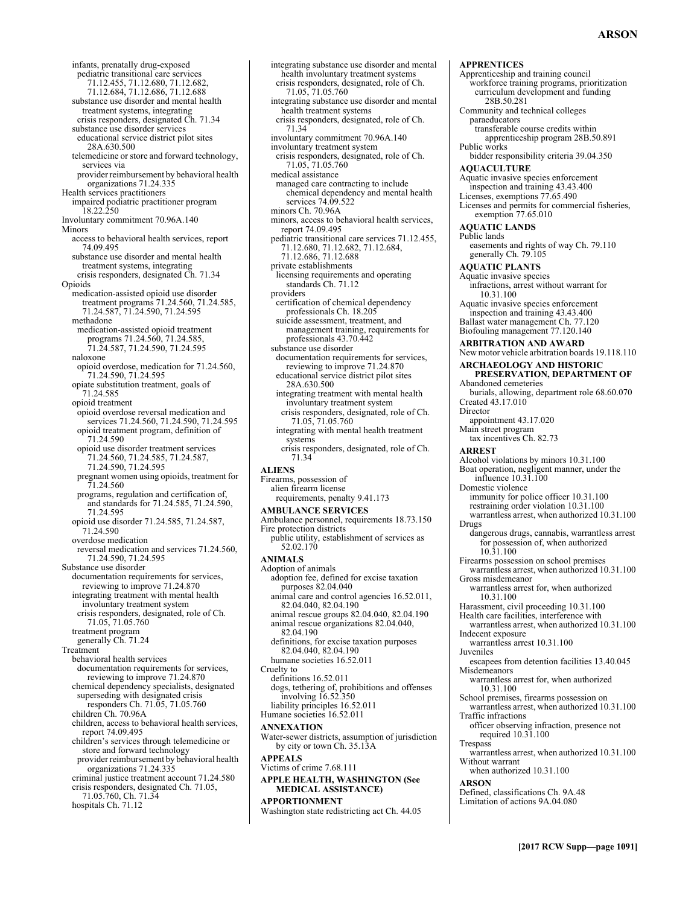- infants, prenatally drug-exposed pediatric transitional care services 71.12.455, 71.12.680, 71.12.682, 71.12.684, 71.12.686, 71.12.688 substance use disorder and mental health treatment systems, integrating crisis responders, designated Ch. 71.34 substance use disorder services educational service district pilot sites 28A.630.500 telemedicine or store and forward technology, services via provider reimbursement by behavioral health organizations 71.24.335 Health services practitioners impaired podiatric practitioner program 18.22.250 Involuntary commitment 70.96A.140 Minors access to behavioral health services, report 74.09.495 substance use disorder and mental health treatment systems, integrating crisis responders, designated Ch. 71.34 Opioids medication-assisted opioid use disorder treatment programs 71.24.560, 71.24.585, 71.24.587, 71.24.590, 71.24.595 methadone medication-assisted opioid treatment programs 71.24.560, 71.24.585, 71.24.587, 71.24.590, 71.24.595 naloxone opioid overdose, medication for 71.24.560, 71.24.590, 71.24.595 opiate substitution treatment, goals of 71.24.585 opioid treatment opioid overdose reversal medication and services 71.24.560, 71.24.590, 71.24.595 opioid treatment program, definition of 71.24.590 opioid use disorder treatment services 71.24.560, 71.24.585, 71.24.587, 71.24.590, 71.24.595 pregnant women using opioids, treatment for 71.24.560 programs, regulation and certification of, and standards for 71.24.585, 71.24.590, 71.24.595 opioid use disorder 71.24.585, 71.24.587, 71.24.590 overdose medication reversal medication and services 71.24.560, 71.24.590, 71.24.595 Substance use disorder documentation requirements for services, reviewing to improve 71.24.870 integrating treatment with mental health involuntary treatment system crisis responders, designated, role of Ch. 71.05, 71.05.760 treatment program generally Ch. 71.24 Treatment behavioral health services documentation requirements for services, reviewing to improve 71.24.870 chemical dependency specialists, designated superseding with designated crisis responders Ch. 71.05, 71.05.760 children Ch. 70.96A children, access to behavioral health services, report 74.09.495 children's services through telemedicine or store and forward technology provider reimbursement by behavioral health organizations 71.24.335 criminal justice treatment account 71.24.580 crisis responders, designated Ch. 71.05, 71.05.760, Ch. 71.34 hospitals Ch. 71.12
- integrating substance use disorder and mental health involuntary treatment systems crisis responders, designated, role of Ch. 71.05, 71.05.760 integrating substance use disorder and mental health treatment systems crisis responders, designated, role of Ch. 71.34 involuntary commitment 70.96A.140 involuntary treatment system crisis responders, designated, role of Ch. 71.05, 71.05.760 medical assistance managed care contracting to include chemical dependency and mental health services 74.09.522 minors Ch. 70.96A minors, access to behavioral health services, report 74.09.495 pediatric transitional care services 71.12.455, 71.12.680, 71.12.682, 71.12.684, 71.12.686, 71.12.688 private establishments licensing requirements and operating standards Ch. 71.12 providers certification of chemical dependency professionals Ch. 18.205 suicide assessment, treatment, and management training, requirements for professionals 43.70.442 substance use disorder documentation requirements for services, reviewing to improve 71.24.870 educational service district pilot sites 28A.630.500 integrating treatment with mental health involuntary treatment system crisis responders, designated, role of Ch. 71.05, 71.05.760 integrating with mental health treatment systems crisis responders, designated, role of Ch. 71.34 **ALIENS**  Firearms, possession of alien firearm license requirements, penalty 9.41.173 **AMBULANCE SERVICES**  Ambulance personnel, requirements 18.73.150 Fire protection districts public utility, establishment of services as 52.02.170 **ANIMALS**  Adoption of animals adoption fee, defined for excise taxation purposes 82.04.040 animal care and control agencies 16.52.011, 82.04.040, 82.04.190 animal rescue groups 82.04.040, 82.04.190 animal rescue organizations 82.04.040, 82.04.190 definitions, for excise taxation purposes 82.04.040, 82.04.190 humane societies 16.52.011 Cruelty to definitions 16.52.011 dogs, tethering of, prohibitions and offenses involving 16.52.350 liability principles 16.52.011 Humane societies 16.52.011 **ANNEXATION**  Water-sewer districts, assumption of jurisdiction by city or town Ch. 35.13A **APPEALS**  Victims of crime 7.68.111 **APPLE HEALTH, WASHINGTON (See MEDICAL ASSISTANCE) APPORTIONMENT**  Washington state redistricting act Ch. 44.05

Apprenticeship and training council workforce training programs, prioritization curriculum development and funding 28B.50.281 Community and technical colleges paraeducators transferable course credits within apprenticeship program 28B.50.891 Public works bidder responsibility criteria 39.04.350 **AQUACULTURE**  Aquatic invasive species enforcement inspection and training 43.43.400 Licenses, exemptions 77.65.490 Licenses and permits for commercial fisheries, exemption 77.65.010 **AQUATIC LANDS**  Public lands easements and rights of way Ch. 79.110 generally Ch. 79.105 **AQUATIC PLANTS**  Aquatic invasive species infractions, arrest without warrant for 10.31.100 Aquatic invasive species enforcement inspection and training 43.43.400 Ballast water management Ch. 77.120 Biofouling management 77.120.140 **ARBITRATION AND AWARD**  New motor vehicle arbitration boards 19.118.110 **ARCHAEOLOGY AND HISTORIC PRESERVATION, DEPARTMENT OF**  Abandoned cemeteries burials, allowing, department role 68.60.070 Created 43.17.010 Director appointment 43.17.020 Main street program tax incentives Ch. 82.73 **ARREST**  Alcohol violations by minors 10.31.100 Boat operation, negligent manner, under the influence 10.31.100 Domestic violence immunity for police officer 10.31.100 restraining order violation 10.31.100 warrantless arrest, when authorized 10.31.100 Drugs dangerous drugs, cannabis, warrantless arrest for possession of, when authorized 10.31.100 Firearms possession on school premises warrantless arrest, when authorized 10.31.100 Gross misdemeanor warrantless arrest for, when authorized 10.31.100 Harassment, civil proceeding 10.31.100 Health care facilities, interference with warrantless arrest, when authorized 10.31.100 Indecent exposure warrantless arrest 10.31.100 Juveniles escapees from detention facilities 13.40.045 **Misdemeanors** warrantless arrest for, when authorized 10.31.100 School premises, firearms possession on warrantless arrest, when authorized 10.31.100 Traffic infractions officer observing infraction, presence not required 10.31.100 Trespass warrantless arrest, when authorized 10.31.100 Without warrant when authorized 10.31.100 **ARSON**  Defined, classifications Ch. 9A.48 Limitation of actions 9A.04.080

**APPRENTICES**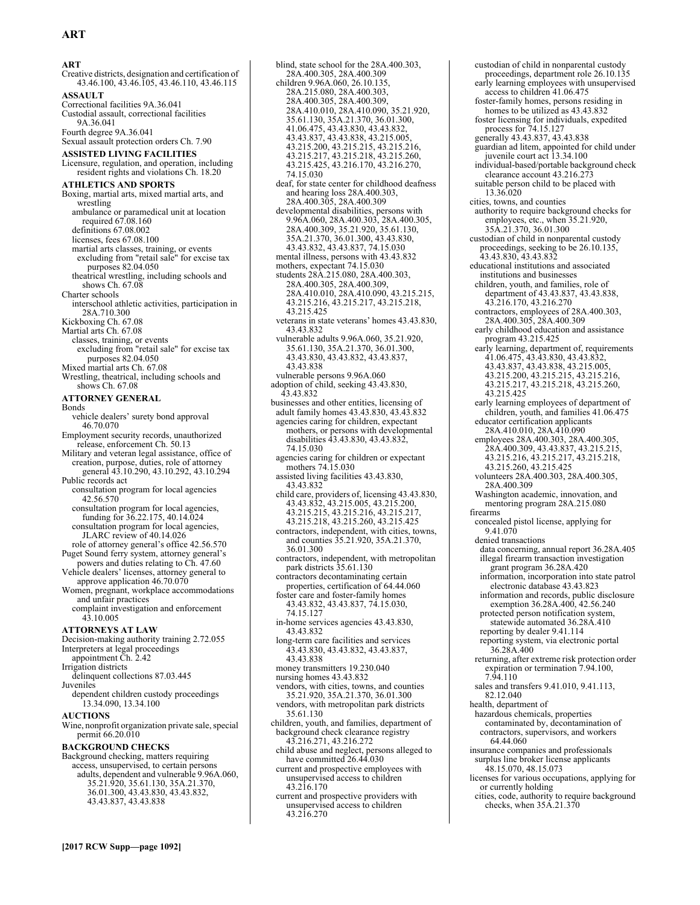**ART** 

Creative districts, designation and certification of 43.46.100, 43.46.105, 43.46.110, 43.46.115 **ASSAULT**  Correctional facilities 9A.36.041 Custodial assault, correctional facilities 9A.36.041 Fourth degree 9A.36.041 Sexual assault protection orders Ch. 7.90 **ASSISTED LIVING FACILITIES**  Licensure, regulation, and operation, including resident rights and violations Ch. 18.20 **ATHLETICS AND SPORTS**  Boxing, martial arts, mixed martial arts, and wrestling ambulance or paramedical unit at location required 67.08.160 definitions 67.08.002 licenses, fees 67.08.100 martial arts classes, training, or events excluding from "retail sale" for excise tax purposes 82.04.050 theatrical wrestling, including schools and shows Ch. 67.08 Charter schools interschool athletic activities, participation in 28A.710.300 Kickboxing Ch. 67.08 Martial arts Ch. 67.08 classes, training, or events excluding from "retail sale" for excise tax purposes 82.04.050 Mixed martial arts Ch. 67.08 Wrestling, theatrical, including schools and shows Ch. 67.08 **ATTORNEY GENERAL**  Bonds vehicle dealers' surety bond approval 46.70.070 Employment security records, unauthorized release, enforcement Ch. 50.13 Military and veteran legal assistance, office of creation, purpose, duties, role of attorney general 43.10.290, 43.10.292, 43.10.294 Public records act consultation program for local agencies 42.56.570 consultation program for local agencies, funding for 36.22.175, 40.14.024 consultation program for local agencies, JLARC review of 40.14.026 role of attorney general's office 42.56.570 Puget Sound ferry system, attorney general's powers and duties relating to Ch. 47.60 Vehicle dealers' licenses, attorney general to approve application 46.70.070 Women, pregnant, workplace accommodations and unfair practices complaint investigation and enforcement 43.10.005 **ATTORNEYS AT LAW**  Decision-making authority training 2.72.055 Interpreters at legal proceedings appointment Ch. 2.42 Irrigation districts delinquent collections 87.03.445 **Juveniles** dependent children custody proceedings 13.34.090, 13.34.100 **AUCTIONS**  Wine, nonprofit organization private sale, special permit 66.20.010 **BACKGROUND CHECKS**  Background checking, matters requiring access, unsupervised, to certain persons adults, dependent and vulnerable 9.96A.060, 35.21.920, 35.61.130, 35A.21.370, 36.01.300, 43.43.830, 43.43.832, 43.43.837, 43.43.838

**[2017 RCW Supp—page 1092]**

blind, state school for the 28A.400.303, 28A.400.305, 28A.400.309 children 9.96A.060, 26.10.135, 28A.215.080, 28A.400.303, 28A.400.305, 28A.400.309, 28A.410.010, 28A.410.090, 35.21.920, 35.61.130, 35A.21.370, 36.01.300, 41.06.475, 43.43.830, 43.43.832, 43.43.837, 43.43.838, 43.215.005, 43.215.200, 43.215.215, 43.215.216, 43.215.217, 43.215.218, 43.215.260, 43.215.425, 43.216.170, 43.216.270, 74.15.030 deaf, for state center for childhood deafness and hearing loss 28A.400.303, 28A.400.305, 28A.400.309 developmental disabilities, persons with 9.96A.060, 28A.400.303, 28A.400.305, 28A.400.309, 35.21.920, 35.61.130, 35A.21.370, 36.01.300, 43.43.830, 43.43.832, 43.43.837, 74.15.030 mental illness, persons with 43.43.832 mothers, expectant 74.15.030 students 28A.215.080, 28A.400.303, 28A.400.305, 28A.400.309, 28A.410.010, 28A.410.090, 43.215.215, 43.215.216, 43.215.217, 43.215.218, 43.215.425 veterans in state veterans' homes 43.43.830, 43.43.832 vulnerable adults 9.96A.060, 35.21.920, 35.61.130, 35A.21.370, 36.01.300, 43.43.830, 43.43.832, 43.43.837, 43.43.838 vulnerable persons 9.96A.060 adoption of child, seeking 43.43.830, 43.43.832 businesses and other entities, licensing of adult family homes 43.43.830, 43.43.832 agencies caring for children, expectant mothers, or persons with developmental disabilities 43.43.830, 43.43.832, 74.15.030 agencies caring for children or expectant mothers 74.15.030 assisted living facilities 43.43.830, 43.43.832 child care, providers of, licensing 43.43.830, 43.43.832, 43.215.005, 43.215.200, 43.215.215, 43.215.216, 43.215.217, 43.215.218, 43.215.260, 43.215.425 contractors, independent, with cities, towns, and counties 35.21.920, 35A.21.370, 36.01.300 contractors, independent, with metropolitan park districts 35.61.130 contractors decontaminating certain properties, certification of 64.44.060 foster care and foster-family homes 43.43.832, 43.43.837, 74.15.030, 74.15.127 in-home services agencies 43.43.830, 43.43.832 long-term care facilities and services 43.43.830, 43.43.832, 43.43.837, 43.43.838 money transmitters 19.230.040 nursing homes 43.43.832 vendors, with cities, towns, and counties 35.21.920, 35A.21.370, 36.01.300 vendors, with metropolitan park districts 35.61.130 children, youth, and families, department of background check clearance registry 43.216.271, 43.216.272 child abuse and neglect, persons alleged to have committed 26.44.030 current and prospective employees with unsupervised access to children 43.216.170 current and prospective providers with

unsupervised access to children 43.216.270

custodian of child in nonparental custody proceedings, department role 26.10.135 early learning employees with unsupervised access to children 41.06.475 foster-family homes, persons residing in homes to be utilized as 43.43.832 foster licensing for individuals, expedited process for 74.15.127 generally 43.43.837, 43.43.838 guardian ad litem, appointed for child under juvenile court act 13.34.100 individual-based/portable background check clearance account 43.216.273 suitable person child to be placed with 13.36.020 cities, towns, and counties authority to require background checks for employees, etc., when 35.21.920, 35A.21.370, 36.01.300 custodian of child in nonparental custody proceedings, seeking to be 26.10.135, 43.43.830, 43.43.832 educational institutions and associated institutions and businesses children, youth, and families, role of department of 43.43.837, 43.43.838, 43.216.170, 43.216.270 contractors, employees of 28A.400.303, 28A.400.305, 28A.400.309 early childhood education and assistance program 43.215.425 early learning, department of, requirements 41.06.475, 43.43.830, 43.43.832, 43.43.837, 43.43.838, 43.215.005, 43.215.200, 43.215.215, 43.215.216, 43.215.217, 43.215.218, 43.215.260, 43.215.425 early learning employees of department of children, youth, and families 41.06.475 educator certification applicants 28A.410.010, 28A.410.090 employees 28A.400.303, 28A.400.305,<br>28A.400.309, 43.43.837, 43.215.215, 43.215.216, 43.215.217, 43.215.218, 43.215.260, 43.215.425 volunteers 28A.400.303, 28A.400.305, 28A.400.309 Washington academic, innovation, and mentoring program 28A.215.080 firearms concealed pistol license, applying for 9.41.070 denied transactions data concerning, annual report 36.28A.405 illegal firearm transaction investigation grant program 36.28A.420 information, incorporation into state patrol electronic database 43.43.823 information and records, public disclosure exemption 36.28A.400, 42.56.240 protected person notification system, statewide automated 36.28A.410 reporting by dealer 9.41.114 reporting system, via electronic portal 36.28A.400 returning, after extreme risk protection order expiration or termination 7.94.100, 7.94.110 sales and transfers 9.41.010, 9.41.113, 82.12.040 health, department of hazardous chemicals, properties contaminated by, decontamination of contractors, supervisors, and workers 64.44.060 insurance companies and professionals surplus line broker license applicants 48.15.070, 48.15.073 licenses for various occupations, applying for or currently holding cities, code, authority to require background checks, when 35A.21.370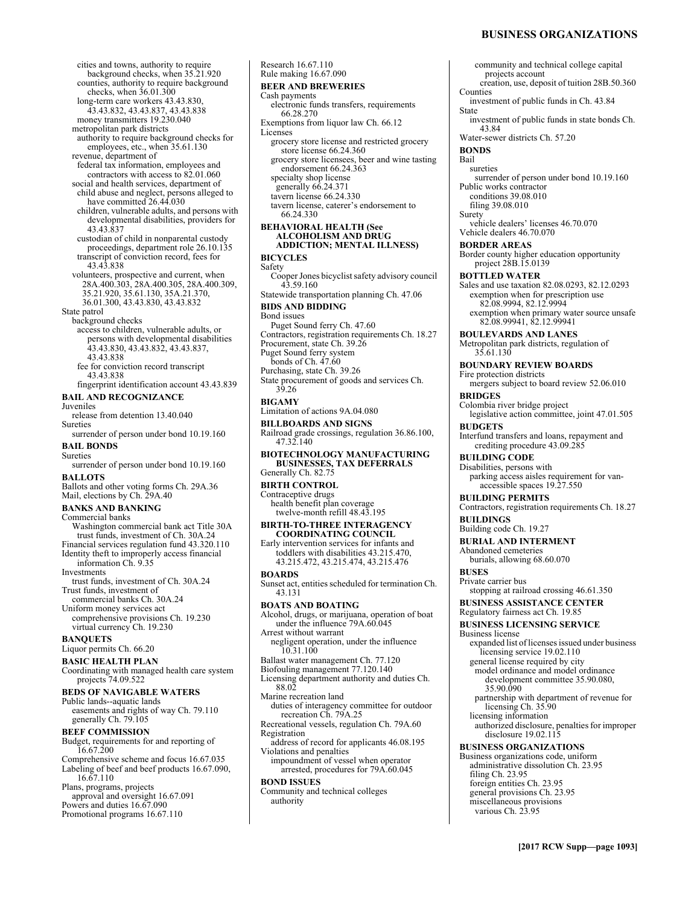# **BUSINESS ORGANIZATIONS**

cities and towns, authority to require background checks, when 35.21.920 counties, authority to require background checks, when 36.01.300 long-term care workers 43.43.830, 43.43.832, 43.43.837, 43.43.838 money transmitters 19.230.040 metropolitan park districts authority to require background checks for employees, etc., when 35.61.130 revenue, department of federal tax information, employees and contractors with access to 82.01.060 social and health services, department of child abuse and neglect, persons alleged to have committed 26.44.030 children, vulnerable adults, and persons with developmental disabilities, providers for 43.43.837 custodian of child in nonparental custody proceedings, department role 26.10.135 transcript of conviction record, fees for 43.43.838 volunteers, prospective and current, when 28A.400.303, 28A.400.305, 28A.400.309, 35.21.920, 35.61.130, 35A.21.370, 36.01.300, 43.43.830, 43.43.832 State patrol background checks access to children, vulnerable adults, or persons with developmental disabilities 43.43.830, 43.43.832, 43.43.837, 43.43.838 fee for conviction record transcript 43.43.838 fingerprint identification account 43.43.839 **BAIL AND RECOGNIZANCE**  Juveniles release from detention 13.40.040 Sureties surrender of person under bond 10.19.160 **BAIL BONDS**  Sureties surrender of person under bond 10.19.160 **BALLOTS**  Ballots and other voting forms Ch. 29A.36 Mail, elections by Ch. 29A.40 **BANKS AND BANKING**  Commercial banks Washington commercial bank act Title 30A trust funds, investment of Ch. 30A.24 Financial services regulation fund 43.320.110 Identity theft to improperly access financial information Ch. 9.35 Investments trust funds, investment of Ch. 30A.24 Trust funds, investment of commercial banks Ch. 30A.24 Uniform money services act comprehensive provisions Ch. 19.230 virtual currency Ch. 19.230 **BANQUETS**  Liquor permits Ch. 66.20 **BASIC HEALTH PLAN**  Coordinating with managed health care system projects 74.09.522 **BEDS OF NAVIGABLE WATERS**  Public lands--aquatic lands easements and rights of way Ch. 79.110 generally Ch. 79.105 **BEEF COMMISSION**  Budget, requirements for and reporting of 16.67.200 Comprehensive scheme and focus 16.67.035 Labeling of beef and beef products 16.67.090, 16.67.110 Plans, programs, projects approval and oversight 16.67.091 Powers and duties 16.67.090 Promotional programs 16.67.110

Rule making 16.67.090 **BEER AND BREWERIES**  Cash payments electronic funds transfers, requirements 66.28.270 Exemptions from liquor law Ch. 66.12 Licenses grocery store license and restricted grocery store license 66.24.360 grocery store licensees, beer and wine tasting endorsement 66.24.363 specialty shop license generally 66.24.371 tavern license 66.24.330 tavern license, caterer's endorsement to 66.24.330 **BEHAVIORAL HEALTH (See ALCOHOLISM AND DRUG ADDICTION; MENTAL ILLNESS) BICYCLES**  Safety Cooper Jones bicyclist safety advisory council 43.59.160 Statewide transportation planning Ch. 47.06 **BIDS AND BIDDING**  Bond issues Puget Sound ferry Ch. 47.60 Contractors, registration requirements Ch. 18.27 Procurement, state Ch. 39.26 Puget Sound ferry system bonds of Ch.  $47.60$ Purchasing, state Ch. 39.26 State procurement of goods and services Ch. 39.26 **BIGAMY**  Limitation of actions 9A.04.080 **BILLBOARDS AND SIGNS**  Railroad grade crossings, regulation 36.86.100, 47.32.140 **BIOTECHNOLOGY MANUFACTURING BUSINESSES, TAX DEFERRALS**  Generally Ch. 82.75 **BIRTH CONTROL**  Contraceptive drugs health benefit plan coverage twelve-month refill 48.43.195 **BIRTH-TO-THREE INTERAGENCY COORDINATING COUNCIL**  Early intervention services for infants and toddlers with disabilities 43.215.470, 43.215.472, 43.215.474, 43.215.476 **BOARDS**  Sunset act, entities scheduled for termination Ch. 43.131 **BOATS AND BOATING**  Alcohol, drugs, or marijuana, operation of boat under the influence 79A.60.045 Arrest without warrant negligent operation, under the influence 10.31.100 Ballast water management Ch. 77.120 Biofouling management 77.120.140 Licensing department authority and duties Ch. 88.02 Marine recreation land duties of interagency committee for outdoor recreation Ch. 79A.25 Recreational vessels, regulation Ch. 79A.60 Registration address of record for applicants 46.08.195 Violations and penalties impoundment of vessel when operator arrested, procedures for 79A.60.045 **BOND ISSUES**  Community and technical colleges authority

Research 16.67.110

community and technical college capital projects account creation, use, deposit of tuition 28B.50.360 Counties investment of public funds in Ch. 43.84 State investment of public funds in state bonds Ch. 43.84 Water-sewer districts Ch. 57.20 **BONDS**  Bail sureties surrender of person under bond 10.19.160 Public works contractor conditions 39.08.010 filing 39.08.010 Surety vehicle dealers' licenses 46.70.070 Vehicle dealers 46.70.070 **BORDER AREAS**  Border county higher education opportunity project 28B.15.0139 **BOTTLED WATER**  Sales and use taxation 82.08.0293, 82.12.0293 exemption when for prescription use 82.08.9994, 82.12.9994 exemption when primary water source unsafe 82.08.99941, 82.12.99941 **BOULEVARDS AND LANES**  Metropolitan park districts, regulation of 35.61.130 **BOUNDARY REVIEW BOARDS**  Fire protection districts mergers subject to board review 52.06.010 **BRIDGES**  Colombia river bridge project legislative action committee, joint 47.01.505 **BUDGETS**  Interfund transfers and loans, repayment and crediting procedure 43.09.285 **BUILDING CODE**  Disabilities, persons with parking access aisles requirement for vanaccessible spaces 19.27.550 **BUILDING PERMITS**  Contractors, registration requirements Ch. 18.27 **BUILDINGS**  Building code Ch. 19.27 **BURIAL AND INTERMENT**  Abandoned cemeteries burials, allowing 68.60.070 **BUSES**  Private carrier bus stopping at railroad crossing 46.61.350 **BUSINESS ASSISTANCE CENTER**  Regulatory fairness act Ch. 19.85 **BUSINESS LICENSING SERVICE**  Business license expanded list of licenses issued under business licensing service 19.02.110 general license required by city model ordinance and model ordinance development committee 35.90.080, 35.90.090 partnership with department of revenue for licensing Ch. 35.90 licensing information authorized disclosure, penalties for improper disclosure 19.02.115 **BUSINESS ORGANIZATIONS**  Business organizations code, uniform administrative dissolution Ch. 23.95 filing Ch. 23.95 foreign entities Ch. 23.95 general provisions Ch. 23.95 miscellaneous provisions various Ch. 23.95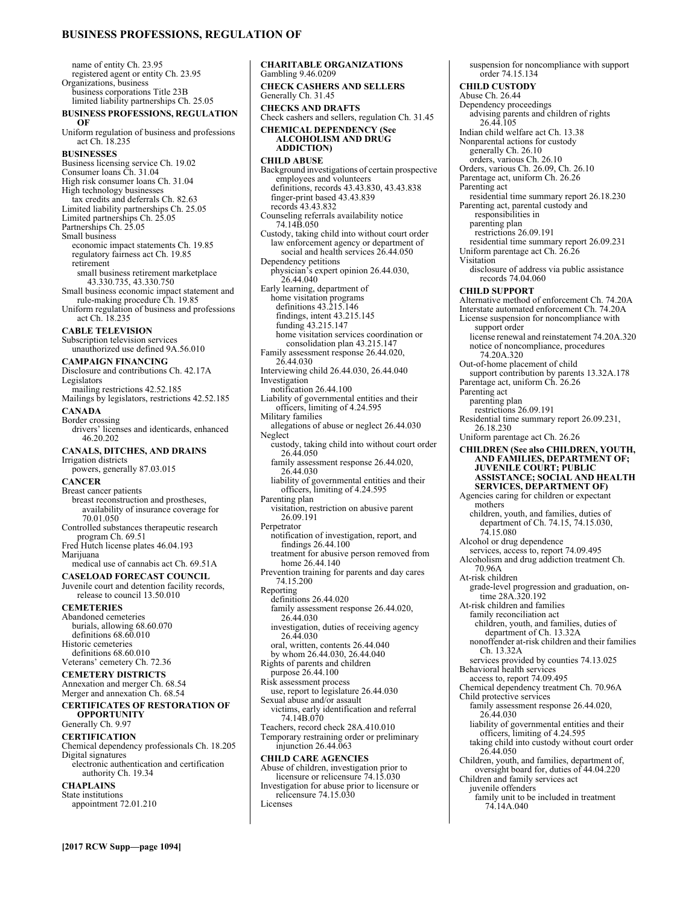# **BUSINESS PROFESSIONS, REGULATION OF**

name of entity Ch. 23.95 registered agent or entity Ch. 23.95 Organizations, business business corporations Title 23B limited liability partnerships Ch. 25.05 **BUSINESS PROFESSIONS, REGULATION OF**  Uniform regulation of business and professions act Ch. 18.235 **BUSINESSES**  Business licensing service Ch. 19.02 Consumer loans Ch. 31.04 High risk consumer loans Ch. 31.04 High technology businesses tax credits and deferrals Ch. 82.63 Limited liability partnerships Ch. 25.05 Limited partnerships Ch. 25.05 Partnerships Ch. 25.05 Small business economic impact statements Ch. 19.85 regulatory fairness act Ch. 19.85 retirement small business retirement marketplace 43.330.735, 43.330.750 Small business economic impact statement and rule-making procedure Ch. 19.85 Uniform regulation of business and professions act Ch. 18.235 **CABLE TELEVISION**  Subscription television services unauthorized use defined 9A.56.010 **CAMPAIGN FINANCING**  Disclosure and contributions Ch. 42.17A Legislators mailing restrictions 42.52.185 Mailings by legislators, restrictions 42.52.185 **CANADA**  Border crossing drivers' licenses and identicards, enhanced 46.20.202 **CANALS, DITCHES, AND DRAINS**  Irrigation districts powers, generally 87.03.015 **CANCER**  Breast cancer patients breast reconstruction and prostheses, availability of insurance coverage for 70.01.050 Controlled substances therapeutic research program Ch. 69.51 Fred Hutch license plates 46.04.193 Marijuana medical use of cannabis act Ch. 69.51A **CASELOAD FORECAST COUNCIL**  Juvenile court and detention facility records, release to council 13.50.010 **CEMETERIES**  Abandoned cemeteries burials, allowing 68.60.070 definitions 68.60.010 Historic cemeteries definitions 68.60.010 Veterans' cemetery Ch. 72.36 **CEMETERY DISTRICTS**  Annexation and merger Ch. 68.54 Merger and annexation Ch. 68.54 **CERTIFICATES OF RESTORATION OF OPPORTUNITY**  Generally Ch. 9.97 **CERTIFICATION**  Chemical dependency professionals Ch. 18.205 Digital signatures electronic authentication and certification authority Ch. 19.34 **CHAPLAINS** 

State institutions appointment 72.01.210 **CHARITABLE ORGANIZATIONS**  Gambling 9.46.0209 **CHECK CASHERS AND SELLERS**  Generally Ch. 31.45 **CHECKS AND DRAFTS**  Check cashers and sellers, regulation Ch. 31.45 **CHEMICAL DEPENDENCY (See ALCOHOLISM AND DRUG ADDICTION) CHILD ABUSE**  Background investigations of certain prospective employees and volunteers definitions, records 43.43.830, 43.43.838 finger-print based 43.43.839 records 43.43.832 Counseling referrals availability notice 74.14B.050 Custody, taking child into without court order law enforcement agency or department of social and health services 26.44.050 Dependency petitions physician's expert opinion 26.44.030, 26.44.040 Early learning, department of home visitation programs definitions 43.215.146 findings, intent 43.215.145 funding 43.215.147 home visitation services coordination or consolidation plan 43.215.147 Family assessment response 26.44.020, 26.44.030 Interviewing child 26.44.030, 26.44.040 Investigation notification 26.44.100 Liability of governmental entities and their officers, limiting of 4.24.595 Military families allegations of abuse or neglect 26.44.030 Neglect custody, taking child into without court order 26.44.050 family assessment response 26.44.020, 26.44.030 liability of governmental entities and their officers, limiting of 4.24.595 Parenting plan visitation, restriction on abusive parent 26.09.191 Perpetrator notification of investigation, report, and findings 26.44.100 treatment for abusive person removed from home 26.44.140 Prevention training for parents and day cares 74.15.200 Reporting definitions 26.44.020 family assessment response 26.44.020, 26.44.030 investigation, duties of receiving agency 26.44.030 oral, written, contents 26.44.040 by whom 26.44.030, 26.44.040 Rights of parents and children purpose 26.44.100 Risk assessment process use, report to legislature 26.44.030 Sexual abuse and/or assault victims, early identification and referral 74.14B.070 Teachers, record check 28A.410.010 Temporary restraining order or preliminary injunction 26.44.063 **CHILD CARE AGENCIES**  Abuse of children, investigation prior to licensure or relicensure 74.15.030 Investigation for abuse prior to licensure or relicensure 74.15.030

Licenses

suspension for noncompliance with support order 74.15.134 **CHILD CUSTODY**  Abuse Ch. 26.44 Dependency proceedings advising parents and children of rights 26.44.105 Indian child welfare act Ch. 13.38 Nonparental actions for custody generally Ch. 26.10 orders, various Ch. 26.10 Orders, various Ch. 26.09, Ch. 26.10 Parentage act, uniform Ch. 26.26 Parenting act residential time summary report 26.18.230 Parenting act, parental custody and responsibilities in parenting plan restrictions 26.09.191 residential time summary report 26.09.231 Uniform parentage act Ch. 26.26 Visitation disclosure of address via public assistance records 74.04.060 **CHILD SUPPORT**  Alternative method of enforcement Ch. 74.20A Interstate automated enforcement Ch. 74.20A License suspension for noncompliance with support order license renewal and reinstatement 74.20A.320 notice of noncompliance, procedures 74.20A.320 Out-of-home placement of child support contribution by parents 13.32A.178 Parentage act, uniform Ch. 26.26 Parenting act parenting plan restrictions 26.09.191 Residential time summary report 26.09.231, 26.18.230 Uniform parentage act Ch. 26.26 **CHILDREN (See also CHILDREN, YOUTH, AND FAMILIES, DEPARTMENT OF; JUVENILE COURT; PUBLIC ASSISTANCE; SOCIAL AND HEALTH SERVICES, DEPARTMENT OF)** Agencies caring for children or expectant mothers children, youth, and families, duties of department of Ch. 74.15, 74.15.030, 74.15.080 Alcohol or drug dependence services, access to, report 74.09.495 Alcoholism and drug addiction treatment Ch. 70.96A At-risk children grade-level progression and graduation, on-time 28A.320.192 At-risk children and families family reconciliation act children, youth, and families, duties of department of Ch. 13.32A nonoffender at-risk children and their families Ch. 13.32A services provided by counties 74.13.025 Behavioral health services access to, report 74.09.495 Chemical dependency treatment Ch. 70.96A Child protective services family assessment response 26.44.020, 26.44.030 liability of governmental entities and their officers, limiting of 4.24.595 taking child into custody without court order 26.44.050 Children, youth, and families, department of, oversight board for, duties of 44.04.220 Children and family services act juvenile offenders family unit to be included in treatment 74.14A.040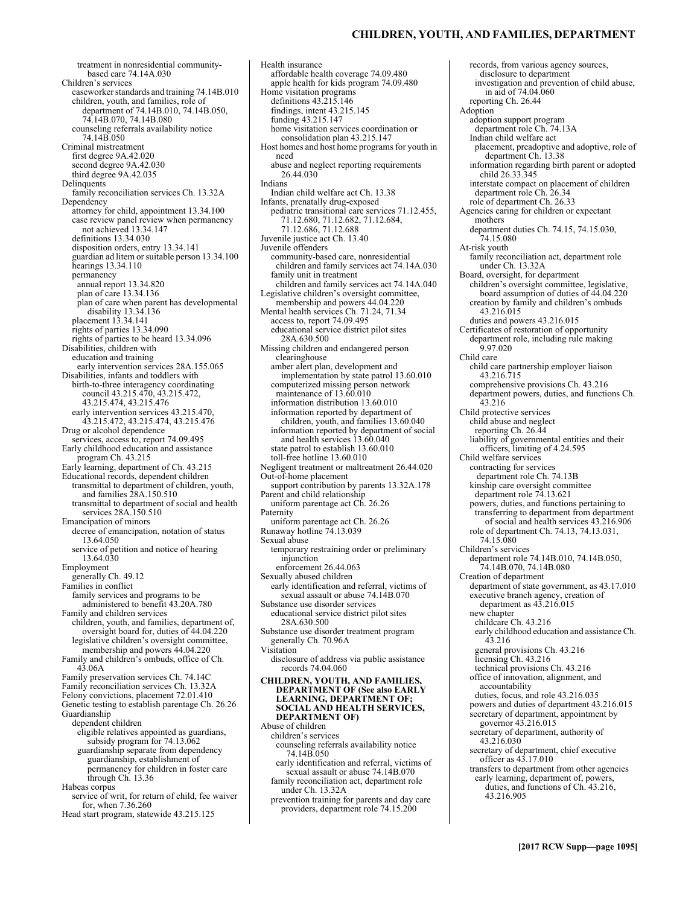# **CHILDREN, YOUTH, AND FAMILIES, DEPARTMENT**

treatment in nonresidential communitybased care 74.14A.030 Children's services caseworker standards and training 74.14B.010 children, youth, and families, role of department of 74.14B.010, 74.14B.050, 74.14B.070, 74.14B.080 counseling referrals availability notice 74.14B.050 Criminal mistreatment first degree 9A.42.020 second degree 9A.42.030 third degree 9A.42.035 **Delinquents** family reconciliation services Ch. 13.32A **Dependency** attorney for child, appointment 13.34.100 case review panel review when permanency not achieved 13.34.147 definitions 13.34.030 disposition orders, entry 13.34.141 guardian ad litem or suitable person 13.34.100 hearings 13.34.110 permanency annual report 13.34.820 plan of care 13.34.136 plan of care when parent has developmental disability 13.34.136 placement 13.34.141 rights of parties 13.34.090 rights of parties to be heard 13.34.096 Disabilities, children with education and training early intervention services 28A.155.065 Disabilities, infants and toddlers with birth-to-three interagency coordinating council 43.215.470, 43.215.472, 43.215.474, 43.215.476 early intervention services 43.215.470, 43.215.472, 43.215.474, 43.215.476 Drug or alcohol dependence services, access to, report 74.09.495 Early childhood education and assistance program Ch. 43.215 Early learning, department of Ch. 43.215 Educational records, dependent children transmittal to department of children, youth, and families 28A.150.510 transmittal to department of social and health services 28A.150.510 Emancipation of minors decree of emancipation, notation of status 13.64.050 service of petition and notice of hearing 13.64.030 Employment generally Ch. 49.12 Families in conflict family services and programs to be administered to benefit 43.20A.780 Family and children services children, youth, and families, department of, oversight board for, duties of 44.04.220 legislative children's oversight committee, membership and powers 44.04.220 Family and children's ombuds, office of Ch. 43.06A Family preservation services Ch. 74.14C Family reconciliation services Ch. 13.32A Felony convictions, placement 72.01.410 Genetic testing to establish parentage Ch. 26.26 Guardianship dependent children eligible relatives appointed as guardians, subsidy program for 74.13.062 guardianship separate from dependency guardianship, establishment of permanency for children in foster care through Ch. 13.36 Habeas corpus service of writ, for return of child, fee waiver for, when 7.36.260 Head start program, statewide 43.215.125

Health insurance affordable health coverage 74.09.480 apple health for kids program 74.09.480 Home visitation programs definitions 43.215.146 findings, intent 43.215.145 funding 43.215.147 home visitation services coordination or consolidation plan 43.215.147 Host homes and host home programs for youth in need abuse and neglect reporting requirements 26.44.030 Indians Indian child welfare act Ch. 13.38 Infants, prenatally drug-exposed pediatric transitional care services 71.12.455, 71.12.680, 71.12.682, 71.12.684, 71.12.686, 71.12.688 Juvenile justice act Ch. 13.40 Juvenile offenders community-based care, nonresidential children and family services act 74.14A.030 family unit in treatment children and family services act 74.14A.040 Legislative children's oversight committee, membership and powers 44.04.220 Mental health services Ch. 71.24, 71.34 access to, report 74.09.495 educational service district pilot sites 28A.630.500 Missing children and endangered person clearinghouse amber alert plan, development and implementation by state patrol 13.60.010 computerized missing person network maintenance of 13.60.010 information distribution 13.60.010 information reported by department of children, youth, and families 13.60.040 information reported by department of social and health services 13.60.040 state patrol to establish 13.60.010 toll-free hotline 13.60.010 Negligent treatment or maltreatment 26.44.020 Out-of-home placement support contribution by parents 13.32A.178 Parent and child relationship uniform parentage act Ch. 26.26 Paternity uniform parentage act Ch. 26.26 Runaway hotline 74.13.039 Sexual abuse temporary restraining order or preliminary injunction enforcement 26.44.063 Sexually abused children early identification and referral, victims of sexual assault or abuse 74.14B.070 Substance use disorder services educational service district pilot sites 28A.630.500 Substance use disorder treatment program generally Ch. 70.96A Visitation disclosure of address via public assistance records 74.04.060 **CHILDREN, YOUTH, AND FAMILIES, DEPARTMENT OF (See also EARLY LEARNING, DEPARTMENT OF; SOCIAL AND HEALTH SERVICES, DEPARTMENT OF)** Abuse of children children's services counseling referrals availability notice 74.14B.050 early identification and referral, victims of sexual assault or abuse 74.14B.070 family reconciliation act, department role under Ch. 13.32A

prevention training for parents and day care providers, department role 74.15.200

records, from various agency sources, disclosure to department investigation and prevention of child abuse, in aid of 74.04.060 reporting Ch. 26.44 Adoption adoption support program department role Ch. 74.13A Indian child welfare act placement, preadoptive and adoptive, role of department Ch. 13.38 information regarding birth parent or adopted child 26.33.345 interstate compact on placement of children department role Ch. 26.34 role of department Ch. 26.33 Agencies caring for children or expectant mothers department duties Ch. 74.15, 74.15.030, 74.15.080 At-risk youth family reconciliation act, department role under Ch. 13.32A Board, oversight, for department children's oversight committee, legislative, board assumption of duties of 44.04.220 creation by family and children's ombuds 43.216.015 duties and powers 43.216.015 Certificates of restoration of opportunity department role, including rule making 9.97.020 Child care child care partnership employer liaison 43.216.715 comprehensive provisions Ch. 43.216 department powers, duties, and functions Ch. 43.216 Child protective services child abuse and neglect reporting Ch. 26.44 liability of governmental entities and their officers, limiting of 4.24.595 Child welfare services contracting for services department role Ch. 74.13B kinship care oversight committee department role 74.13.621 powers, duties, and functions pertaining to transferring to department from department of social and health services 43.216.906 role of department Ch. 74.13, 74.13.031, 74.15.080 Children's services department role 74.14B.010, 74.14B.050, 74.14B.070, 74.14B.080 Creation of department department of state government, as 43.17.010 executive branch agency, creation of department as 43.216.015 new chapter childcare Ch. 43.216 early childhood education and assistance Ch. 43.216 general provisions Ch. 43.216 licensing Ch. 43.216 technical provisions Ch. 43.216 office of innovation, alignment, and accountability duties, focus, and role 43.216.035 powers and duties of department 43.216.015 secretary of department, appointment by governor 43.216.015 secretary of department, authority of 43.216.030 secretary of department, chief executive officer as 43.17.010 transfers to department from other agencies early learning, department of, powers, duties, and functions of Ch. 43.216, 43.216.905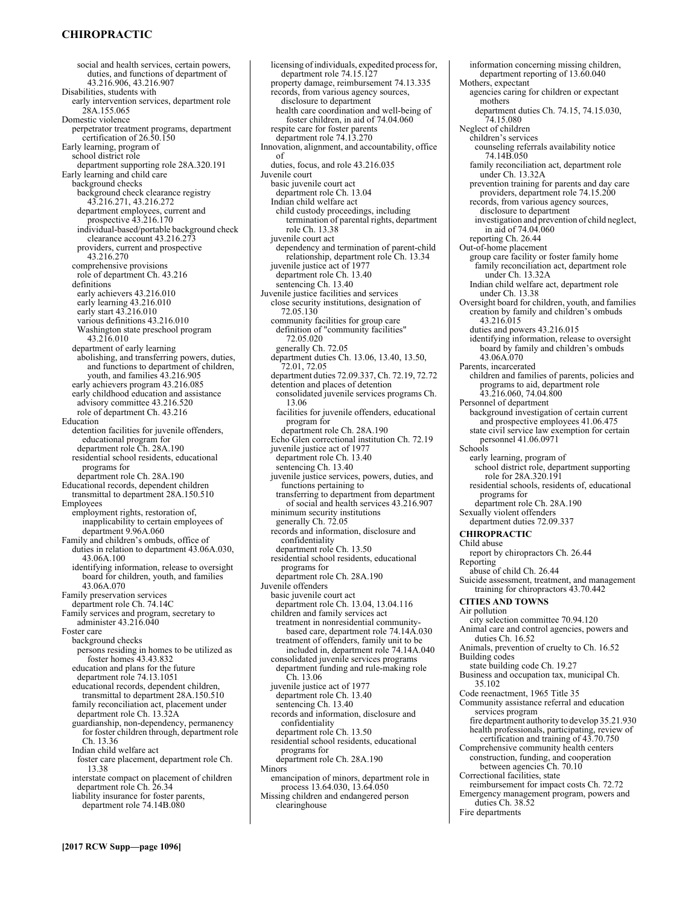# **CHIROPRACTIC**

social and health services, certain powers, duties, and functions of department of 43.216.906, 43.216.907 Disabilities, students with early intervention services, department role 28A.155.065 Domestic violence perpetrator treatment programs, department certification of 26.50.150 Early learning, program of school district role department supporting role 28A.320.191 Early learning and child care background checks background check clearance registry 43.216.271, 43.216.272 department employees, current and prospective 43.216.170 individual-based/portable background check clearance account 43.216.273 providers, current and prospective 43.216.270 comprehensive provisions role of department Ch. 43.216 definitions early achievers 43.216.010 early learning 43.216.010 early start 43.216.010 various definitions 43.216.010 Washington state preschool program 43.216.010 department of early learning abolishing, and transferring powers, duties, and functions to department of children, youth, and families 43.216.905 early achievers program 43.216.085 early childhood education and assistance advisory committee 43.216.520 role of department Ch. 43.216 Education detention facilities for juvenile offenders, educational program for department role Ch. 28A.190 residential school residents, educational programs for department role Ch. 28A.190 Educational records, dependent children transmittal to department 28A.150.510 Employees employment rights, restoration of, inapplicability to certain employees of department 9.96A.060 Family and children's ombuds, office of duties in relation to department 43.06A.030, 43.06A.100 identifying information, release to oversight board for children, youth, and families 43.06A.070 Family preservation services department role Ch. 74.14C Family services and program, secretary to administer 43.216.040 Foster care background checks persons residing in homes to be utilized as foster homes 43.43.832 education and plans for the future department role 74.13.1051 educational records, dependent children, transmittal to department 28A.150.510 family reconciliation act, placement under department role Ch. 13.32A guardianship, non-dependency, permanency for foster children through, department role Ch. 13.36 Indian child welfare act foster care placement, department role Ch. 13.38 interstate compact on placement of children department role Ch. 26.34 liability insurance for foster parents, department role 74.14B.080

licensing of individuals, expedited process for, department role 74.15.127 property damage, reimbursement 74.13.335 records, from various agency sources, disclosure to department health care coordination and well-being of foster children, in aid of 74.04.060 respite care for foster parents department role 74.13.270 Innovation, alignment, and accountability, office of duties, focus, and role 43.216.035 Juvenile court basic juvenile court act department role Ch. 13.04 Indian child welfare act child custody proceedings, including termination of parental rights, department role Ch. 13.38 juvenile court act dependency and termination of parent-child relationship, department role Ch. 13.34 juvenile justice act of 1977 department role Ch. 13.40 sentencing Ch. 13.40 Juvenile justice facilities and services close security institutions, designation of 72.05.130 community facilities for group care definition of "community facilities" 72.05.020 generally Ch. 72.05 department duties Ch. 13.06, 13.40, 13.50, 72.01, 72.05 department duties 72.09.337, Ch. 72.19, 72.72 detention and places of detention consolidated juvenile services programs Ch. 13.06 facilities for juvenile offenders, educational program for department role Ch. 28A.190 Echo Glen correctional institution Ch. 72.19 juvenile justice act of 1977 department role Ch. 13.40 sentencing Ch. 13.40 juvenile justice services, powers, duties, and functions pertaining to transferring to department from department of social and health services 43.216.907 minimum security institutions generally Ch. 72.05 records and information, disclosure and confidentiality department role Ch. 13.50 residential school residents, educational programs for department role Ch. 28A.190 Juvenile offenders basic juvenile court act department role Ch. 13.04, 13.04.116 children and family services act treatment in nonresidential communitybased care, department role 74.14A.030 treatment of offenders, family unit to be included in, department role 74.14A.040 consolidated juvenile services programs department funding and rule-making role Ch. 13.06 juvenile justice act of 1977 department role Ch. 13.40 sentencing Ch. 13.40 records and information, disclosure and confidentiality department role Ch. 13.50 residential school residents, educational programs for department role Ch. 28A.190 Minors emancipation of minors, department role in process 13.64.030, 13.64.050 Missing children and endangered person clearinghouse

information concerning missing children, department reporting of 13.60.040 Mothers, expectant agencies caring for children or expectant mothers department duties Ch. 74.15, 74.15.030, 74.15.080 Neglect of children children's services counseling referrals availability notice 74.14B.050 family reconciliation act, department role under Ch. 13.32A prevention training for parents and day care providers, department role 74.15.200 records, from various agency sources, disclosure to department investigation and prevention of child neglect, in aid of 74.04.060 reporting Ch. 26.44 Out-of-home placement group care facility or foster family home family reconciliation act, department role under Ch. 13.32A Indian child welfare act, department role under Ch. 13.38 Oversight board for children, youth, and families creation by family and children's ombuds 43.216.015 duties and powers 43.216.015 identifying information, release to oversight board by family and children's ombuds 43.06A.070 Parents, incarcerated children and families of parents, policies and programs to aid, department role 43.216.060, 74.04.800 Personnel of department background investigation of certain current and prospective employees 41.06.475 state civil service law exemption for certain personnel 41.06.0971 Schools early learning, program of school district role, department supporting role for 28A.320.191 residential schools, residents of, educational programs for department role Ch. 28A.190 Sexually violent offenders department duties 72.09.337 **CHIROPRACTIC**  Child abuse report by chiropractors Ch. 26.44 Reporting abuse of child Ch. 26.44 Suicide assessment, treatment, and management training for chiropractors 43.70.442 **CITIES AND TOWNS**  Air pollution city selection committee 70.94.120 Animal care and control agencies, powers and duties Ch. 16.52 Animals, prevention of cruelty to Ch. 16.52 Building codes state building code Ch. 19.27 Business and occupation tax, municipal Ch. 35.102 Code reenactment, 1965 Title 35 Community assistance referral and education services program fire department authority to develop 35.21.930 health professionals, participating, review of certification and training of 43.70.750 Comprehensive community health centers construction, funding, and cooperation between agencies Ch. 70.10 Correctional facilities, state reimbursement for impact costs Ch. 72.72 Emergency management program, powers and duties Ch. 38.52 Fire departments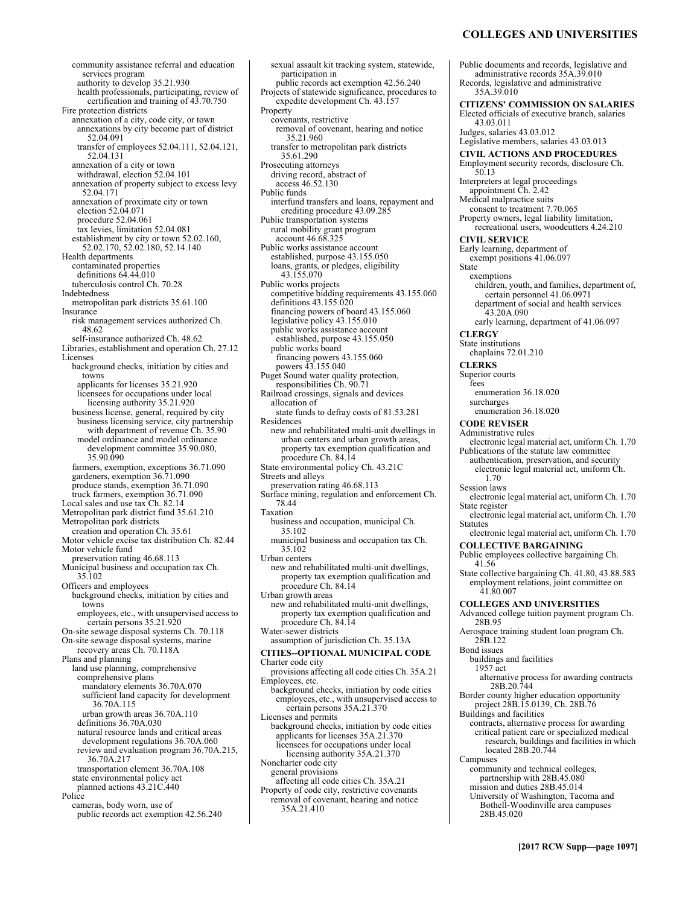# **COLLEGES AND UNIVERSITIES**

community assistance referral and education services program authority to develop 35.21.930 health professionals, participating, review of certification and training of 43.70.750 Fire protection districts annexation of a city, code city, or town annexations by city become part of district 52.04.091 transfer of employees 52.04.111, 52.04.121, 52.04.131 annexation of a city or town withdrawal, election 52.04.101 annexation of property subject to excess levy 52.04.171 annexation of proximate city or town election 52.04.071 procedure 52.04.061 tax levies, limitation 52.04.081 establishment by city or town 52.02.160, 52.02.170, 52.02.180, 52.14.140 Health departments contaminated properties definitions 64.44.010 tuberculosis control Ch. 70.28 Indebtedness metropolitan park districts 35.61.100 **Insurance** risk management services authorized Ch. 48.62 self-insurance authorized Ch. 48.62 Libraries, establishment and operation Ch. 27.12 Licenses background checks, initiation by cities and towns applicants for licenses 35.21.920 licensees for occupations under local licensing authority 35.21.920 business license, general, required by city business licensing service, city partnership with department of revenue Ch. 35.90 model ordinance and model ordinance development committee 35.90.080, 35.90.090 farmers, exemption, exceptions 36.71.090 gardeners, exemption 36.71.090 produce stands, exemption 36.71.090 truck farmers, exemption 36.71.090 Local sales and use tax Ch. 82.14 Metropolitan park district fund 35.61.210 Metropolitan park districts creation and operation Ch. 35.61 Motor vehicle excise tax distribution Ch. 82.44 Motor vehicle fund preservation rating 46.68.113 Municipal business and occupation tax Ch. 35.102 Officers and employees background checks, initiation by cities and towns employees, etc., with unsupervised access to certain persons 35.21.920 On-site sewage disposal systems Ch. 70.118 On-site sewage disposal systems, marine recovery areas Ch. 70.118A Plans and planning land use planning, comprehensive comprehensive plans mandatory elements 36.70A.070 sufficient land capacity for development 36.70A.115 urban growth areas 36.70A.110 definitions 36.70A.030 natural resource lands and critical areas development regulations 36.70A.060 review and evaluation program 36.70A.215, 36.70A.217 transportation element 36.70A.108 state environmental policy act planned actions 43.21C.440 Police cameras, body worn, use of public records act exemption 42.56.240

sexual assault kit tracking system, statewide, participation in public records act exemption 42.56.240 Projects of statewide significance, procedures to expedite development Ch. 43.157 Property covenants, restrictive removal of covenant, hearing and notice 35.21.960 transfer to metropolitan park districts 35.61.290 Prosecuting attorneys driving record, abstract of access 46.52.130 Public funds interfund transfers and loans, repayment and crediting procedure 43.09.285 Public transportation systems rural mobility grant program account 46.68.325 Public works assistance account established, purpose 43.155.050 loans, grants, or pledges, eligibility 43.155.070 Public works projects competitive bidding requirements 43.155.060 definitions 43.155.020 financing powers of board 43.155.060 legislative policy 43.155.010 public works assistance account established, purpose 43.155.050 public works board financing powers 43.155.060 powers 43.155.040 Puget Sound water quality protection, responsibilities Ch. 90.71 Railroad crossings, signals and devices allocation of state funds to defray costs of 81.53.281 Residences new and rehabilitated multi-unit dwellings in urban centers and urban growth areas, property tax exemption qualification and procedure Ch. 84.14 State environmental policy Ch. 43.21C Streets and alleys preservation rating 46.68.113 Surface mining, regulation and enforcement Ch. 78.44 Taxation business and occupation, municipal Ch. 35.102 municipal business and occupation tax Ch. 35.102 Urban centers new and rehabilitated multi-unit dwellings, property tax exemption qualification and procedure Ch. 84.14 Urban growth areas new and rehabilitated multi-unit dwellings, property tax exemption qualification and procedure Ch. 84.14 Water-sewer districts assumption of jurisdiction Ch. 35.13A **CITIES--OPTIONAL MUNICIPAL CODE**  Charter code city provisions affecting all code cities Ch. 35A.21 Employees, etc. background checks, initiation by code cities employees, etc., with unsupervised access to certain persons 35A.21.370 Licenses and permits background checks, initiation by code cities applicants for licenses 35A.21.370 licensees for occupations under local licensing authority 35A.21.370 Noncharter code city general provisions affecting all code cities Ch. 35A.21 Property of code city, restrictive covenants removal of covenant, hearing and notice 35A.21.410

Public documents and records, legislative and administrative records 35A.39.010 Records, legislative and administrative 35A.39.010 **CITIZENS' COMMISSION ON SALARIES**  Elected officials of executive branch, salaries 43.03.011 Judges, salaries 43.03.012 Legislative members, salaries 43.03.013 **CIVIL ACTIONS AND PROCEDURES**  Employment security records, disclosure Ch. 50.13 Interpreters at legal proceedings appointment Ch. 2.42 Medical malpractice suits consent to treatment 7.70.065 Property owners, legal liability limitation, recreational users, woodcutters 4.24.210 **CIVIL SERVICE**  Early learning, department of exempt positions 41.06.097 State exemptions children, youth, and families, department of, certain personnel 41.06.0971 department of social and health services  $43.20A.090$ early learning, department of 41.06.097 **CLERGY**  State institutions chaplains 72.01.210 **CLERKS**  Superior courts fees enumeration 36.18.020 surcharges enumeration 36.18.020 **CODE REVISER**  Administrative rules electronic legal material act, uniform Ch. 1.70 Publications of the statute law committee authentication, preservation, and security electronic legal material act, uniform Ch. 1.70 Session laws electronic legal material act, uniform Ch. 1.70 State register electronic legal material act, uniform Ch. 1.70 Statutes electronic legal material act, uniform Ch. 1.70 **COLLECTIVE BARGAINING**  Public employees collective bargaining Ch. 41.56 State collective bargaining Ch. 41.80, 43.88.583 employment relations, joint committee on 41.80.007 **COLLEGES AND UNIVERSITIES**  Advanced college tuition payment program Ch. 28B.95 Aerospace training student loan program Ch. 28B.122 Bond issues buildings and facilities 1957 act alternative process for awarding contracts 28B.20.744 Border county higher education opportunity project 28B.15.0139, Ch. 28B.76 Buildings and facilities contracts, alternative process for awarding critical patient care or specialized medical research, buildings and facilities in which located 28B.20.744 Campuses community and technical colleges, partnership with 28B.45.080 mission and duties 28B.45.014 University of Washington, Tacoma and Bothell-Woodinville area campuses 28B.45.020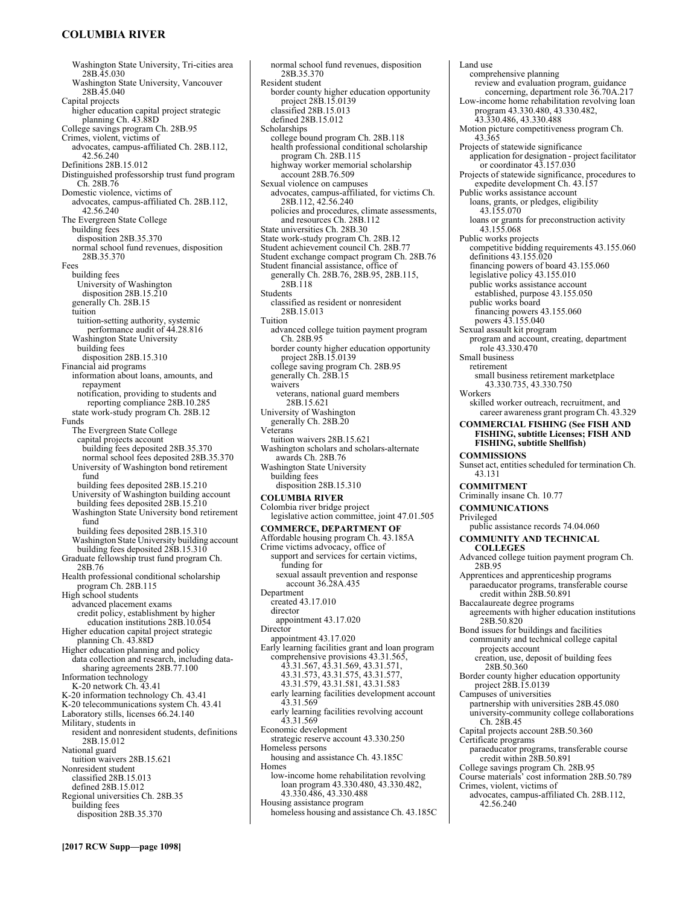# **COLUMBIA RIVER**

Washington State University, Tri-cities area 28B.45.030 Washington State University, Vancouver 28B.45.040 Capital projects higher education capital project strategic planning Ch. 43.88D College savings program Ch. 28B.95 Crimes, violent, victims of advocates, campus-affiliated Ch. 28B.112, 42.56.240 Definitions 28B.15.012 Distinguished professorship trust fund program Ch. 28B.76 Domestic violence, victims of advocates, campus-affiliated Ch. 28B.112, 42.56.240 The Evergreen State College building fees disposition 28B.35.370 normal school fund revenues, disposition 28B.35.370 Fees building fees University of Washington disposition 28B.15.210 generally Ch. 28B.15 tuition tuition-setting authority, systemic performance audit of 44.28.816 Washington State University building fees disposition 28B.15.310 Financial aid programs information about loans, amounts, and repayment notification, providing to students and reporting compliance 28B.10.285 state work-study program Ch. 28B.12 Funds The Evergreen State College capital projects account building fees deposited 28B.35.370 normal school fees deposited 28B.35.370 University of Washington bond retirement fund building fees deposited 28B.15.210 University of Washington building account building fees deposited 28B.15.210 Washington State University bond retirement fund building fees deposited 28B.15.310 Washington State University building account building fees deposited  $28B.15.310$ Graduate fellowship trust fund program Ch. 28B.76 Health professional conditional scholarship program Ch. 28B.115 High school students advanced placement exams credit policy, establishment by higher education institutions 28B.10.054 Higher education capital project strategic planning Ch. 43.88D Higher education planning and policy data collection and research, including datasharing agreements 28B.77.100 Information technology K-20 network Ch. 43.41 K-20 information technology Ch. 43.41 K-20 telecommunications system Ch. 43.41 Laboratory stills, licenses 66.24.140 Military, students in resident and nonresident students, definitions 28B.15.012 National guard tuition waivers 28B.15.621 Nonresident student classified 28B.15.013 defined 28B.15.012 Regional universities Ch. 28B.35 building fees disposition 28B.35.370

normal school fund revenues, disposition 28B.35.370 Resident student border county higher education opportunity project 28B.15.0139 classified 28B.15.013 defined 28B.15.012 Scholarships college bound program Ch. 28B.118 health professional conditional scholarship program Ch. 28B.115 highway worker memorial scholarship account 28B.76.509 Sexual violence on campuses advocates, campus-affiliated, for victims Ch. 28B.112, 42.56.240 policies and procedures, climate assessments, and resources Ch. 28B.112 State universities Ch. 28B.30 State work-study program Ch. 28B.12 Student achievement council Ch. 28B.77 Student exchange compact program Ch. 28B.76 Student financial assistance, office of generally Ch. 28B.76, 28B.95, 28B.115, 28B.118 **Students** classified as resident or nonresident 28B.15.013 Tuition advanced college tuition payment program Ch. 28B.95 border county higher education opportunity project 28B.15.0139 college saving program Ch. 28B.95 generally Ch. 28B.15 waivers veterans, national guard members 28B.15.621 University of Washington generally Ch. 28B.20 Veterans tuition waivers 28B.15.621 Washington scholars and scholars-alternate awards Ch. 28B.76 Washington State University building fees disposition 28B.15.310 **COLUMBIA RIVER**  Colombia river bridge project legislative action committee, joint 47.01.505 **COMMERCE, DEPARTMENT OF**  Affordable housing program Ch. 43.185A Crime victims advocacy, office of support and services for certain victims, funding for sexual assault prevention and response account 36.28A.435 Department created  $43.17.010$ director appointment 43.17.020 Director appointment 43.17.020 Early learning facilities grant and loan program comprehensive provisions 43.31.565, 43.31.567, 43.31.569, 43.31.571, 43.31.573, 43.31.575, 43.31.577, 43.31.579, 43.31.581, 43.31.583 early learning facilities development account 43.31.569 early learning facilities revolving account 43.31.569 Economic development strategic reserve account 43.330.250 Homeless persons housing and assistance Ch. 43.185C Homes low-income home rehabilitation revolving loan program 43.330.480, 43.330.482, 43.330.486, 43.330.488 Housing assistance program homeless housing and assistance Ch. 43.185C

comprehensive planning review and evaluation program, guidance concerning, department role 36.70A.217 Low-income home rehabilitation revolving loan program 43.330.480, 43.330.482, 43.330.486, 43.330.488 Motion picture competitiveness program Ch. 43.365 Projects of statewide significance application for designation - project facilitator or coordinator 43.157.030 Projects of statewide significance, procedures to expedite development Ch. 43.157 Public works assistance account loans, grants, or pledges, eligibility 43.155.070 loans or grants for preconstruction activity 43.155.068 Public works projects competitive bidding requirements 43.155.060 definitions 43.155.020 financing powers of board 43.155.060 legislative policy 43.155.010 public works assistance account established, purpose 43.155.050 public works board financing powers 43.155.060 powers 43.155.040 Sexual assault kit program program and account, creating, department role 43.330.470 Small business retirement small business retirement marketplace 43.330.735, 43.330.750 Workers skilled worker outreach, recruitment, and career awareness grant program Ch. 43.329 **COMMERCIAL FISHING (See FISH AND FISHING, subtitle Licenses; FISH AND FISHING, subtitle Shellfish) COMMISSIONS**  Sunset act, entities scheduled for termination Ch. 43.131 **COMMITMENT**  Criminally insane Ch. 10.77 **COMMUNICATIONS**  Privileged public assistance records 74.04.060 **COMMUNITY AND TECHNICAL COLLEGES**  Advanced college tuition payment program Ch. 28B.95 Apprentices and apprenticeship programs paraeducator programs, transferable course credit within 28B.50.891 Baccalaureate degree programs agreements with higher education institutions 28B.50.820 Bond issues for buildings and facilities community and technical college capital projects account creation, use, deposit of building fees 28B.50.360 Border county higher education opportunity project 28B.15.0139 Campuses of universities partnership with universities 28B.45.080 university-community college collaborations Ch. 28B.45 Capital projects account 28B.50.360 Certificate programs paraeducator programs, transferable course credit within 28B.50.891 College savings program Ch. 28B.95 Course materials' cost information 28B.50.789 Crimes, violent, victims of advocates, campus-affiliated Ch. 28B.112, 42.56.240

Land use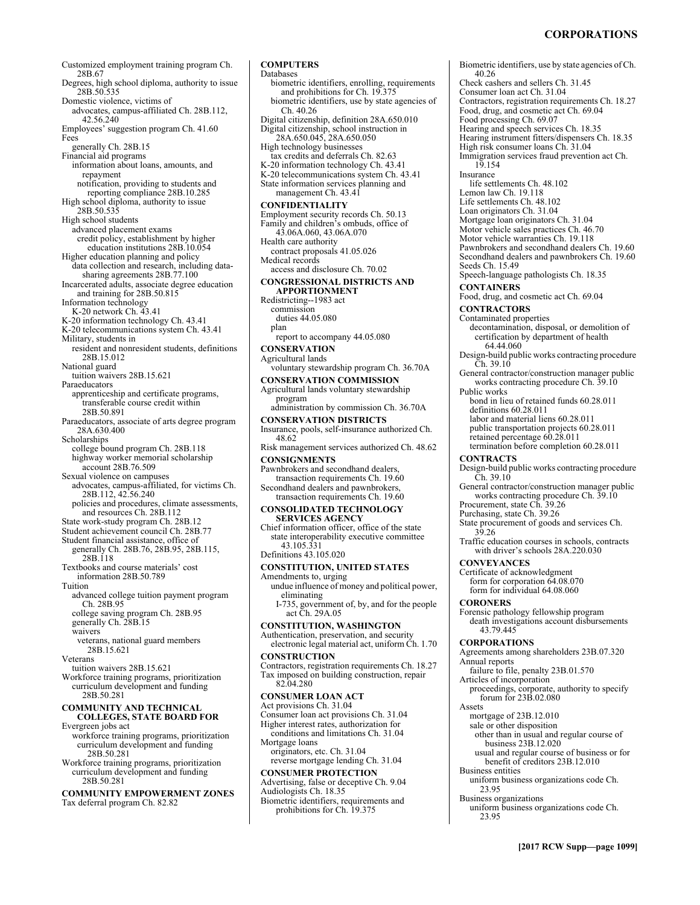# **CORPORATIONS**

Customized employment training program Ch. 28B.67 Degrees, high school diploma, authority to issue 28B.50.535 Domestic violence, victims of advocates, campus-affiliated Ch. 28B.112, 42.56.240 Employees' suggestion program Ch. 41.60 Fees generally Ch. 28B.15 Financial aid programs information about loans, amounts, and repayment notification, providing to students and reporting compliance 28B.10.285 High school diploma, authority to issue 28B.50.535 High school students advanced placement exams credit policy, establishment by higher education institutions 28B.10.054 Higher education planning and policy data collection and research, including data-sharing agreements 28B.77.100 Incarcerated adults, associate degree education and training for 28B.50.815 Information technology K-20 network Ch. 43.41 K-20 information technology Ch. 43.41 K-20 telecommunications system Ch. 43.41 Military, students in resident and nonresident students, definitions 28B.15.012 National guard tuition waivers 28B.15.621 Paraeducators apprenticeship and certificate programs, transferable course credit within 28B.50.891 Paraeducators, associate of arts degree program 28A.630.400 **Scholarships** college bound program Ch. 28B.118 highway worker memorial scholarship account 28B.76.509 Sexual violence on campuses advocates, campus-affiliated, for victims Ch. 28B.112, 42.56.240 policies and procedures, climate assessments, and resources Ch. 28B.112 State work-study program Ch. 28B.12 Student achievement council Ch. 28B.77 Student financial assistance, office of generally Ch. 28B.76, 28B.95, 28B.115, 28B.118 Textbooks and course materials' cost information 28B.50.789 Tuition advanced college tuition payment program Ch. 28B.95 college saving program Ch. 28B.95 generally Ch. 28B.15 waivers veterans, national guard members 28B.15.621 Veterans tuition waivers 28B.15.621 Workforce training programs, prioritization curriculum development and funding 28B.50.281 **COMMUNITY AND TECHNICAL COLLEGES, STATE BOARD FOR**  Evergreen jobs act workforce training programs, prioritization curriculum development and funding 28B.50.281 Workforce training programs, prioritization curriculum development and funding 28B.50.281 **COMMUNITY EMPOWERMENT ZONES**  Tax deferral program Ch. 82.82

**COMPUTERS**  Databases biometric identifiers, enrolling, requirements and prohibitions for Ch. 19.375 biometric identifiers, use by state agencies of Ch. 40.26 Digital citizenship, definition 28A.650.010 Digital citizenship, school instruction in 28A.650.045, 28A.650.050 High technology businesses tax credits and deferrals Ch. 82.63 K-20 information technology Ch. 43.41 K-20 telecommunications system Ch. 43.41 State information services planning and management Ch. 43.41 **CONFIDENTIALITY**  Employment security records Ch. 50.13 Family and children's ombuds, office of 43.06A.060, 43.06A.070 Health care authority contract proposals 41.05.026 Medical records access and disclosure Ch. 70.02 **CONGRESSIONAL DISTRICTS AND APPORTIONMENT**  Redistricting--1983 act commission duties 44.05.080 plan report to accompany 44.05.080 **CONSERVATION**  Agricultural lands voluntary stewardship program Ch. 36.70A **CONSERVATION COMMISSION**  Agricultural lands voluntary stewardship program administration by commission Ch. 36.70A **CONSERVATION DISTRICTS**  Insurance, pools, self-insurance authorized Ch. 48.62 Risk management services authorized Ch. 48.62 **CONSIGNMENTS**  Pawnbrokers and secondhand dealers, transaction requirements Ch. 19.60 Secondhand dealers and pawnbrokers, transaction requirements Ch. 19.60 **CONSOLIDATED TECHNOLOGY SERVICES AGENCY**  Chief information officer, office of the state state interoperability executive committee 43.105.331 Definitions 43.105.020 **CONSTITUTION, UNITED STATES**  Amendments to, urging undue influence of money and political power, eliminating I-735, government of, by, and for the people act Ch. 29A.05 **CONSTITUTION, WASHINGTON**  Authentication, preservation, and security electronic legal material act, uniform Ch. 1.70 **CONSTRUCTION**  Contractors, registration requirements Ch. 18.27 Tax imposed on building construction, repair 82.04.280 **CONSUMER LOAN ACT**  Act provisions Ch. 31.04 Consumer loan act provisions Ch. 31.04 Higher interest rates, authorization for conditions and limitations Ch. 31.04 Mortgage loans originators, etc. Ch. 31.04 reverse mortgage lending Ch. 31.04 **CONSUMER PROTECTION**  Advertising, false or deceptive Ch. 9.04 Audiologists Ch. 18.35 Biometric identifiers, requirements and prohibitions for Ch. 19.375

Biometric identifiers, use by state agencies of Ch. 40.26 Check cashers and sellers Ch. 31.45 Consumer loan act Ch. 31.04 Contractors, registration requirements Ch. 18.27 Food, drug, and cosmetic act Ch. 69.04 Food processing Ch. 69.07 Hearing and speech services Ch. 18.35 Hearing instrument fitters/dispensers Ch. 18.35 High risk consumer loans Ch. 31.04 Immigration services fraud prevention act Ch. 19.154 Insurance life settlements Ch. 48.102 Lemon law Ch. 19.118 Life settlements Ch. 48.102 Loan originators Ch. 31.04 Mortgage loan originators Ch. 31.04 Motor vehicle sales practices Ch. 46.70 Motor vehicle warranties Ch. 19.118 Pawnbrokers and secondhand dealers Ch. 19.60 Secondhand dealers and pawnbrokers Ch. 19.60 Seeds Ch. 15.49 Speech-language pathologists Ch. 18.35 **CONTAINERS**  Food, drug, and cosmetic act Ch. 69.04 **CONTRACTORS**  Contaminated properties decontamination, disposal, or demolition of certification by department of health 64.44.060 Design-build public works contracting procedure Ch. 39.10 General contractor/construction manager public works contracting procedure Ch. 39.10 Public works bond in lieu of retained funds 60.28.011 definitions 60.28.011 labor and material liens 60.28.011 public transportation projects 60.28.011 retained percentage 60.28.011 termination before completion 60.28.011 **CONTRACTS**  Design-build public works contracting procedure  $\tilde{C}h. 39.10$ General contractor/construction manager public works contracting procedure Ch. 39.10 Procurement, state Ch. 39.26 Purchasing, state Ch. 39.26 State procurement of goods and services Ch. 39.26 Traffic education courses in schools, contracts with driver's schools 28A.220.030 **CONVEYANCES**  Certificate of acknowledgment form for corporation 64.08.070 form for individual 64.08.060 **CORONERS**  Forensic pathology fellowship program death investigations account disbursements 43.79.445 **CORPORATIONS**  Agreements among shareholders 23B.07.320 Annual reports failure to file, penalty 23B.01.570 Articles of incorporation proceedings, corporate, authority to specify forum for 23B.02.080 Assets mortgage of 23B.12.010 sale or other disposition other than in usual and regular course of business 23B.12.020 usual and regular course of business or for benefit of creditors 23B.12.010 Business entities uniform business organizations code Ch. 23.95 Business organizations uniform business organizations code Ch. 23.95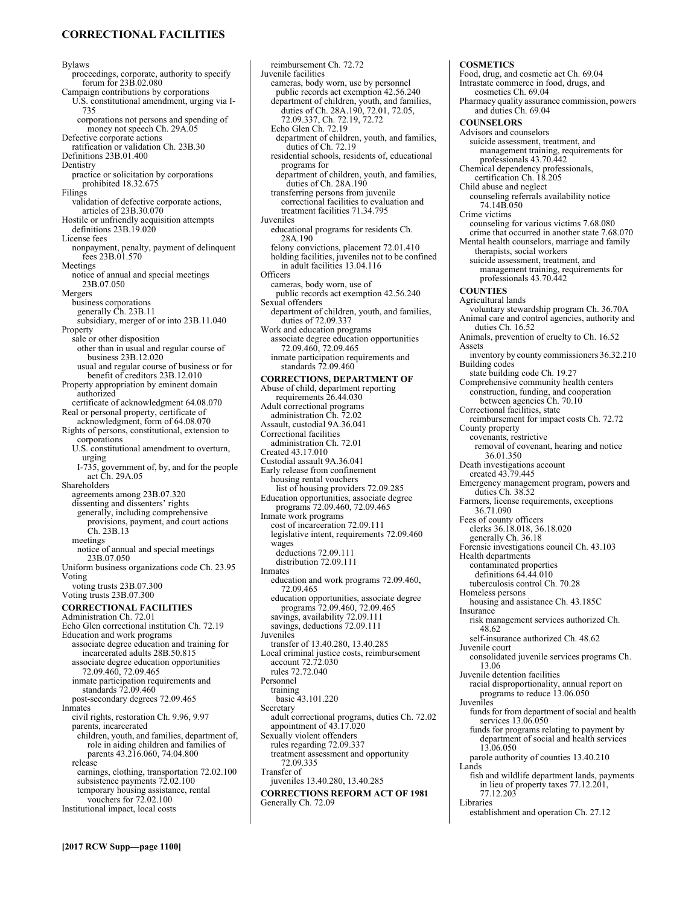# **CORRECTIONAL FACILITIES**

Bylaws

proceedings, corporate, authority to specify forum for 23B.02.080 Campaign contributions by corporations U.S. constitutional amendment, urging via I-735 corporations not persons and spending of money not speech Ch. 29A.05 Defective corporate actions ratification or validation Ch. 23B.30 Definitions 23B.01.400 **Dentistry** practice or solicitation by corporations prohibited 18.32.675 Filings validation of defective corporate actions, articles of 23B.30.070 Hostile or unfriendly acquisition attempts definitions 23B.19.020 License fees nonpayment, penalty, payment of delinquent fees 23B.01.570 Meetings notice of annual and special meetings 23B.07.050 Mergers business corporations generally Ch. 23B.11 subsidiary, merger of or into 23B.11.040 Property sale or other disposition other than in usual and regular course of business 23B.12.020 usual and regular course of business or for benefit of creditors 23B.12.010 Property appropriation by eminent domain authorized certificate of acknowledgment 64.08.070 Real or personal property, certificate of acknowledgment, form of 64.08.070 Rights of persons, constitutional, extension to corporations U.S. constitutional amendment to overturn, urging I-735, government of, by, and for the people act Ch. 29A.05 Shareholders agreements among 23B.07.320 dissenting and dissenters' rights generally, including comprehensive provisions, payment, and court actions Ch. 23B.13 meetings notice of annual and special meetings 23B.07.050 Uniform business organizations code Ch. 23.95 Voting voting trusts 23B.07.300 Voting trusts 23B.07.300 **CORRECTIONAL FACILITIES**  Administration Ch. 72.01 Echo Glen correctional institution Ch. 72.19 Education and work programs associate degree education and training for incarcerated adults 28B.50.815 associate degree education opportunities 72.09.460, 72.09.465 inmate participation requirements and standards 72.09.460 post-secondary degrees 72.09.465 Inmates civil rights, restoration Ch. 9.96, 9.97 parents, incarcerated children, youth, and families, department of, role in aiding children and families of parents 43.216.060, 74.04.800 release earnings, clothing, transportation 72.02.100 subsistence payments  $72.02.100$ temporary housing assistance, rental vouchers for  $72.02.100$ Institutional impact, local costs

reimbursement Ch. 72.72 Juvenile facilities cameras, body worn, use by personnel public records act exemption 42.56.240 department of children, youth, and families, duties of Ch. 28A.190, 72.01, 72.05, 72.09.337, Ch. 72.19, 72.72 Echo Glen Ch. 72.19 department of children, youth, and families, duties of Ch. 72.19 residential schools, residents of, educational programs for department of children, youth, and families, duties of Ch. 28A.190 transferring persons from juvenile correctional facilities to evaluation and treatment facilities 71.34.795 Juveniles educational programs for residents Ch. 28A.190 felony convictions, placement 72.01.410 holding facilities, juveniles not to be confined in adult facilities 13.04.116 Officers cameras, body worn, use of public records act exemption 42.56.240 Sexual offenders department of children, youth, and families, duties of 72.09.337 Work and education programs associate degree education opportunities 72.09.460, 72.09.465 inmate participation requirements and standards 72.09.460 **CORRECTIONS, DEPARTMENT OF**  Abuse of child, department reporting requirements 26.44.030 Adult correctional programs administration Ch. 72.02 Assault, custodial 9A.36.041 Correctional facilities administration Ch. 72.01 Created 43.17.010 Custodial assault 9A.36.041 Early release from confinement housing rental vouchers list of housing providers 72.09.285 Education opportunities, associate degree programs 72.09.460, 72.09.465 Inmate work programs cost of incarceration 72.09.111 legislative intent, requirements 72.09.460 wages deductions 72.09.111 distribution 72.09.111 Inmates education and work programs 72.09.460, 72.09.465 education opportunities, associate degree programs 72.09.460, 72.09.465 savings, availability 72.09.111 savings, deductions 72.09.111 Juveniles transfer of 13.40.280, 13.40.285 Local criminal justice costs, reimbursement account 72.72.030 rules 72.72.040 Personnel training basic 43.101.220 Secretary adult correctional programs, duties Ch. 72.02 appointment of 43.17.020 Sexually violent offenders rules regarding 72.09.337 treatment assessment and opportunity 72.09.335 Transfer of juveniles 13.40.280, 13.40.285 **CORRECTIONS REFORM ACT OF 1981**  Generally Ch. 72.09

#### **COSMETICS**  Food, drug, and cosmetic act Ch. 69.04 Intrastate commerce in food, drugs, and cosmetics Ch. 69.04 Pharmacy quality assurance commission, powers and duties Ch. 69.04 **COUNSELORS**  Advisors and counselors suicide assessment, treatment, and management training, requirements for professionals 43.70.442 Chemical dependency professionals, certification Ch. 18.205 Child abuse and neglect counseling referrals availability notice 74.14B.050 Crime victims counseling for various victims 7.68.080 crime that occurred in another state 7.68.070 Mental health counselors, marriage and family therapists, social workers suicide assessment, treatment, and management training, requirements for professionals 43.70.442 **COUNTIES**  Agricultural lands voluntary stewardship program Ch. 36.70A Animal care and control agencies, authority and duties Ch. 16.52 Animals, prevention of cruelty to Ch. 16.52 Assets inventory by county commissioners 36.32.210 Building codes state building code Ch. 19.27 Comprehensive community health centers construction, funding, and cooperation between agencies Ch. 70.10 Correctional facilities, state reimbursement for impact costs Ch. 72.72 County property covenants, restrictive removal of covenant, hearing and notice 36.01.350 Death investigations account created 43.79.445 Emergency management program, powers and duties Ch. 38.52 Farmers, license requirements, exceptions 36.71.090 Fees of county officers clerks 36.18.018, 36.18.020 generally Ch. 36.18 Forensic investigations council Ch. 43.103 Health departments contaminated properties definitions 64.44.010 tuberculosis control Ch. 70.28 Homeless persons housing and assistance Ch. 43.185C **Insurance** risk management services authorized Ch. 48.62 self-insurance authorized Ch. 48.62 Juvenile court consolidated juvenile services programs Ch. 13.06 Juvenile detention facilities racial disproportionality, annual report on programs to reduce 13.06.050 **Juveniles** funds for from department of social and health services 13.06.050 funds for programs relating to payment by department of social and health services 13.06.050 parole authority of counties 13.40.210 Lands fish and wildlife department lands, payments in lieu of property taxes 77.12.201, 77.12.203 Libraries establishment and operation Ch. 27.12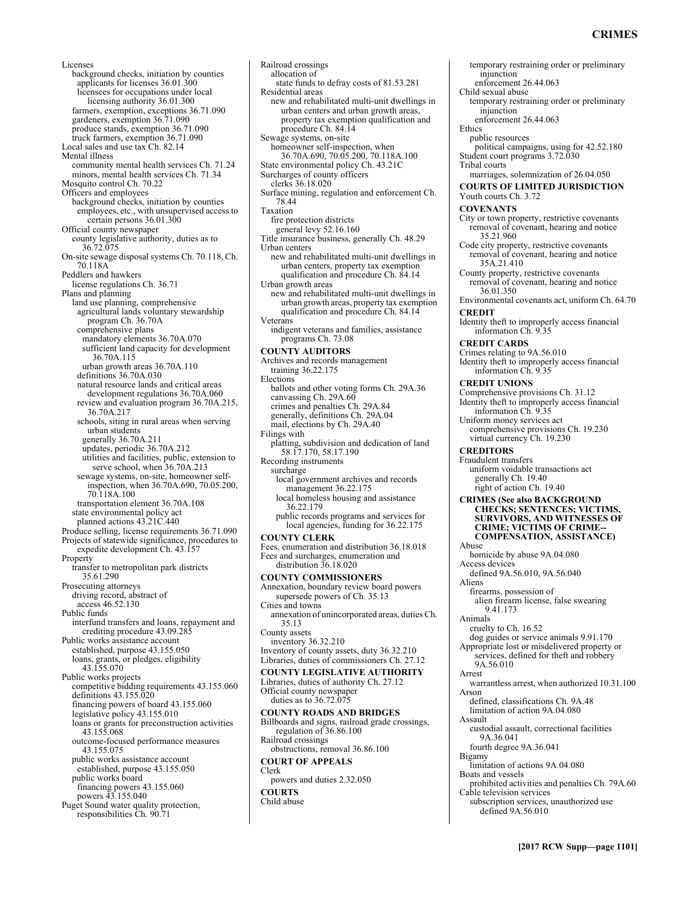# **CRIMES**

temporary restraining order or preliminary

injunction

Licenses background checks, initiation by counties applicants for licenses 36.01.300 licensees for occupations under local licensing authority 36.01.300 farmers, exemption, exceptions 36.71.090 gardeners, exemption 36.71.090 produce stands, exemption 36.71.090 truck farmers, exemption 36.71.090 Local sales and use tax Ch. 82.14 Mental illness community mental health services Ch. 71.24 minors, mental health services Ch. 71.34 Mosquito control Ch. 70.22 Officers and employees background checks, initiation by counties employees, etc., with unsupervised access to certain persons 36.01.300 Official county newspaper county legislative authority, duties as to 36.72.075 On-site sewage disposal systems Ch. 70.118, Ch. 70.118A Peddlers and hawkers license regulations Ch. 36.71 Plans and planning land use planning, comprehensive agricultural lands voluntary stewardship program Ch. 36.70A comprehensive plans mandatory elements 36.70A.070 sufficient land capacity for development 36.70A.115 urban growth areas 36.70A.110 definitions 36.70A.030 natural resource lands and critical areas development regulations 36.70A.060 review and evaluation program 36.70A.215, 36.70A.217 schools, siting in rural areas when serving urban students generally 36.70A.211 updates, periodic 36.70A.212 utilities and facilities, public, extension to serve school, when 36.70A.213 sewage systems, on-site, homeowner selfinspection, when 36.70A.690, 70.05.200, 70.118A.100 transportation element 36.70A.108 state environmental policy act planned actions 43.21C.440 Produce selling, license requirements 36.71.090 Projects of statewide significance, procedures to expedite development Ch. 43.157 **Property** transfer to metropolitan park districts 35.61.290 Prosecuting attorneys driving record, abstract of access 46.52.130 Public funds interfund transfers and loans, repayment and crediting procedure 43.09.285 Public works assistance account established, purpose 43.155.050 loans, grants, or pledges, eligibility 43.155.070 Public works projects competitive bidding requirements 43.155.060 definitions 43.155.020 financing powers of board 43.155.060 legislative policy 43.155.010 loans or grants for preconstruction activities 43.155.068 outcome-focused performance measures 43.155.075 public works assistance account established, purpose 43.155.050 public works board financing powers 43.155.060 powers 43.155.040 Puget Sound water quality protection, responsibilities Ch. 90.71

Railroad crossings allocation of state funds to defray costs of 81.53.281 Residential areas new and rehabilitated multi-unit dwellings in urban centers and urban growth areas, property tax exemption qualification and procedure Ch. 84.14 Sewage systems, on-site homeowner self-inspection, when 36.70A.690, 70.05.200, 70.118A.100 State environmental policy Ch. 43.21C Surcharges of county officers clerks 36.18.020 Surface mining, regulation and enforcement Ch. 78.44 Taxation fire protection districts general levy 52.16.160 Title insurance business, generally Ch. 48.29 Urban centers new and rehabilitated multi-unit dwellings in urban centers, property tax exemption qualification and procedure Ch. 84.14 Urban growth areas new and rehabilitated multi-unit dwellings in urban growth areas, property tax exemption qualification and procedure Ch. 84.14 Veterans indigent veterans and families, assistance programs Ch. 73.08 **COUNTY AUDITORS**  Archives and records management training 36.22.175 Elections ballots and other voting forms Ch. 29A.36 canvassing Ch. 29A.60 crimes and penalties Ch. 29A.84 generally, definitions Ch. 29A.04 mail, elections by Ch. 29A.40 Filings with platting, subdivision and dedication of land 58.17.170, 58.17.190 Recording instruments surcharge local government archives and records management 36.22.175 local homeless housing and assistance 36.22.179 public records programs and services for local agencies, funding for 36.22.175 **COUNTY CLERK**  Fees, enumeration and distribution 36.18.018 Fees and surcharges, enumeration and distribution 36.18.020 **COUNTY COMMISSIONERS**  Annexation, boundary review board powers supersede powers of Ch. 35.13 Cities and towns annexation of unincorporated areas, duties Ch. 35.13 County assets inventory 36.32.210 Inventory of county assets, duty 36.32.210 Libraries, duties of commissioners Ch. 27.12 **COUNTY LEGISLATIVE AUTHORITY**  Libraries, duties of authority Ch. 27.12 Official county newspaper duties as to 36.72.075 **COUNTY ROADS AND BRIDGES**  Billboards and signs, railroad grade crossings, regulation of 36.86.100 Railroad crossings obstructions, removal 36.86.100 **COURT OF APPEALS**  Clerk powers and duties 2.32.050 **COURTS**  Child abuse

enforcement 26.44.063 Child sexual abuse temporary restraining order or preliminary iniunction enforcement 26.44.063 Ethics public resources political campaigns, using for 42.52.180 Student court programs 3.72.030 Tribal courts marriages, solemnization of 26.04.050 **COURTS OF LIMITED JURISDICTION**  Youth courts Ch. 3.72 **COVENANTS**  City or town property, restrictive covenants removal of covenant, hearing and notice 35.21.960 Code city property, restrictive covenants removal of covenant, hearing and notice 35A.21.410 County property, restrictive covenants removal of covenant, hearing and notice 36.01.350 Environmental covenants act, uniform Ch. 64.70 **CREDIT**  Identity theft to improperly access financial information Ch. 9.35 **CREDIT CARDS**  Crimes relating to 9A.56.010 Identity theft to improperly access financial information Ch. 9.35 **CREDIT UNIONS**  Comprehensive provisions Ch. 31.12 Identity theft to improperly access financial information Ch. 9.35 Uniform money services act comprehensive provisions Ch. 19.230 virtual currency Ch. 19.230 **CREDITORS**  Fraudulent transfers uniform voidable transactions act generally Ch. 19.40 right of action Ch. 19.40 **CRIMES (See also BACKGROUND CHECKS; SENTENCES; VICTIMS, SURVIVORS, AND WITNESSES OF CRIME; VICTIMS OF CRIME-- COMPENSATION, ASSISTANCE)** Abuse homicide by abuse 9A.04.080 Access devices defined 9A.56.010, 9A.56.040 Aliens firearms, possession of alien firearm license, false swearing 9.41.173 Animals cruelty to Ch. 16.52 dog guides or service animals 9.91.170 Appropriate lost or misdelivered property or services, defined for theft and robbery 9A.56.010 Arrest warrantless arrest, when authorized 10.31.100 Arson defined, classifications Ch. 9A.48 limitation of action 9A.04.080 Assault custodial assault, correctional facilities 9A.36.041 fourth degree 9A.36.041 Bigamy limitation of actions 9A.04.080 Boats and vessels prohibited activities and penalties Ch. 79A.60 Cable television services subscription services, unauthorized use defined 9A.56.010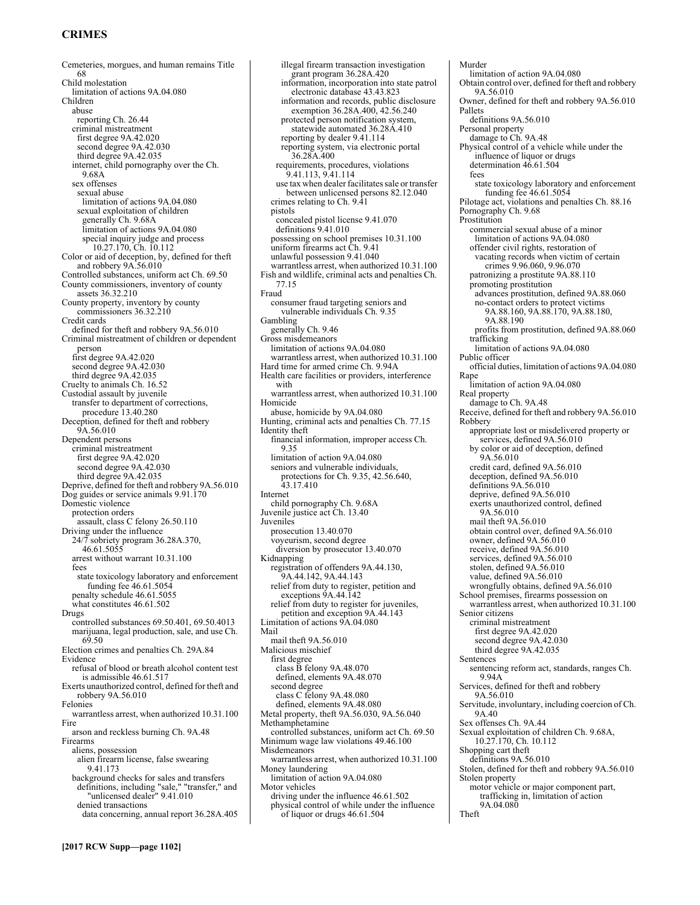# **CRIMES**

Cemeteries, morgues, and human remains Title 68 Child molestation limitation of actions 9A.04.080 Children abuse reporting Ch. 26.44 criminal mistreatment first degree 9A.42.020 second degree 9A.42.030 third degree 9A.42.035 internet, child pornography over the Ch. 9.68A sex offenses sexual abuse limitation of actions 9A.04.080 sexual exploitation of children generally Ch. 9.68A limitation of actions 9A.04.080 special inquiry judge and process 10.27.170, Ch. 10.112 Color or aid of deception, by, defined for theft and robbery 9A.56.010 Controlled substances, uniform act Ch. 69.50 County commissioners, inventory of county assets 36.32.210 County property, inventory by county commissioners 36.32.210 Credit cards defined for theft and robbery 9A.56.010 Criminal mistreatment of children or dependent person first degree 9A.42.020 second degree 9A.42.030 third degree 9A.42.035 Cruelty to animals Ch. 16.52 Custodial assault by juvenile transfer to department of corrections, procedure 13.40.280 Deception, defined for theft and robbery 9A.56.010 Dependent persons criminal mistreatment first degree 9A.42.020 second degree 9A.42.030 third degree 9A.42.035 Deprive, defined for theft and robbery 9A.56.010 Dog guides or service animals 9.91.170 Domestic violence protection orders assault, class C felony 26.50.110 Driving under the influence 24/7 sobriety program 36.28A.370, 46.61.5055 arrest without warrant 10.31.100 fees state toxicology laboratory and enforcement funding fee 46.61.5054 penalty schedule 46.61.5055 what constitutes 46.61.502 Drugs controlled substances 69.50.401, 69.50.4013 marijuana, legal production, sale, and use Ch. 69.50 Election crimes and penalties Ch. 29A.84 Evidence refusal of blood or breath alcohol content test is admissible 46.61.517 Exerts unauthorized control, defined for theft and robbery 9A.56.010 Felonies warrantless arrest, when authorized 10.31.100 Fire arson and reckless burning Ch. 9A.48 Firearms aliens, possession alien firearm license, false swearing 9.41.173 background checks for sales and transfers definitions, including "sale," "transfer," and "unlicensed dealer" 9.41.010 denied transactions data concerning, annual report 36.28A.405

illegal firearm transaction investigation grant program 36.28A.420 information, incorporation into state patrol electronic database 43.43.823 information and records, public disclosure exemption 36.28A.400, 42.56.240 protected person notification system, statewide automated 36.28A.410 reporting by dealer 9.41.114 reporting system, via electronic portal 36.28A.400 requirements, procedures, violations 9.41.113, 9.41.114 use tax when dealer facilitates sale or transfer between unlicensed persons 82.12.040 crimes relating to Ch. 9.41 pistols concealed pistol license 9.41.070 definitions 9.41.010 possessing on school premises 10.31.100 uniform firearms act Ch. 9.41 unlawful possession 9.41.040 warrantless arrest, when authorized 10.31.100 Fish and wildlife, criminal acts and penalties Ch. 77.15 Fraud consumer fraud targeting seniors and vulnerable individuals Ch. 9.35 Gambling generally Ch. 9.46 Gross misdemeanors limitation of actions 9A.04.080 warrantless arrest, when authorized 10.31.100 Hard time for armed crime Ch. 9.94A Health care facilities or providers, interference with warrantless arrest, when authorized 10.31.100 Homicide abuse, homicide by 9A.04.080 Hunting, criminal acts and penalties Ch. 77.15 Identity theft financial information, improper access Ch. 9.35 limitation of action 9A.04.080 seniors and vulnerable individuals, protections for Ch. 9.35, 42.56.640, 43.17.410 Internet child pornography Ch. 9.68A Juvenile justice act Ch. 13.40 Juveniles prosecution 13.40.070 voyeurism, second degree diversion by prosecutor 13.40.070 Kidnapping registration of offenders 9A.44.130, 9A.44.142, 9A.44.143 relief from duty to register, petition and exceptions 9A.44.142 relief from duty to register for juveniles, petition and exception 9A.44.143 Limitation of actions 9A.04.080 Mail mail theft 9A.56.010 Malicious mischief first degree class B felony 9A.48.070 defined, elements 9A.48.070 second degree class C felony 9A.48.080 defined, elements 9A.48.080 Metal property, theft 9A.56.030, 9A.56.040 Methamphetamine controlled substances, uniform act Ch. 69.50 Minimum wage law violations 49.46.100 Misdemeanors warrantless arrest, when authorized 10.31.100 Money laundering limitation of action 9A.04.080 Motor vehicles driving under the influence 46.61.502 physical control of while under the influence

of liquor or drugs 46.61.504

Theft

Murder limitation of action 9A.04.080 Obtain control over, defined for theft and robbery 9A.56.010 Owner, defined for theft and robbery 9A.56.010 Pallets definitions 9A.56.010 Personal property damage to Ch. 9A.48 Physical control of a vehicle while under the influence of liquor or drugs determination 46.61.504 fees state toxicology laboratory and enforcement funding fee 46.61.5054 Pilotage act, violations and penalties Ch. 88.16 Pornography Ch. 9.68 Prostitution<sup>1</sup> commercial sexual abuse of a minor limitation of actions 9A.04.080 offender civil rights, restoration of vacating records when victim of certain crimes 9.96.060, 9.96.070 patronizing a prostitute 9A.88.110 promoting prostitution advances prostitution, defined 9A.88.060 no-contact orders to protect victims 9A.88.160, 9A.88.170, 9A.88.180, 9A.88.190 profits from prostitution, defined 9A.88.060 trafficking limitation of actions 9A.04.080 Public officer official duties, limitation of actions 9A.04.080 Rape limitation of action 9A.04.080 Real property damage to Ch. 9A.48 Receive, defined for theft and robbery 9A.56.010 Robbery appropriate lost or misdelivered property or services, defined 9A.56.010 by color or aid of deception, defined 9A.56.010 credit card, defined 9A.56.010 deception, defined 9A.56.010 definitions 9A.56.010 deprive, defined 9A.56.010 exerts unauthorized control, defined 9A.56.010 mail theft 9A.56.010 obtain control over, defined 9A.56.010 owner, defined 9A.56.010 receive, defined 9A.56.010 services, defined 9A.56.010 stolen, defined 9A.56.010 value, defined 9A.56.010 wrongfully obtains, defined 9A.56.010 School premises, firearms possession on warrantless arrest, when authorized 10.31.100 Senior citizens criminal mistreatment first degree 9A.42.020 second degree 9A.42.030 third degree 9A.42.035 Sentences sentencing reform act, standards, ranges Ch. 9.94A Services, defined for theft and robbery 9A.56.010 Servitude, involuntary, including coercion of Ch. 9A.40 Sex offenses Ch. 9A.44 Sexual exploitation of children Ch. 9.68A, 10.27.170, Ch. 10.112 Shopping cart theft definitions 9A.56.010 Stolen, defined for theft and robbery 9A.56.010 Stolen property motor vehicle or major component part, trafficking in, limitation of action 9A.04.080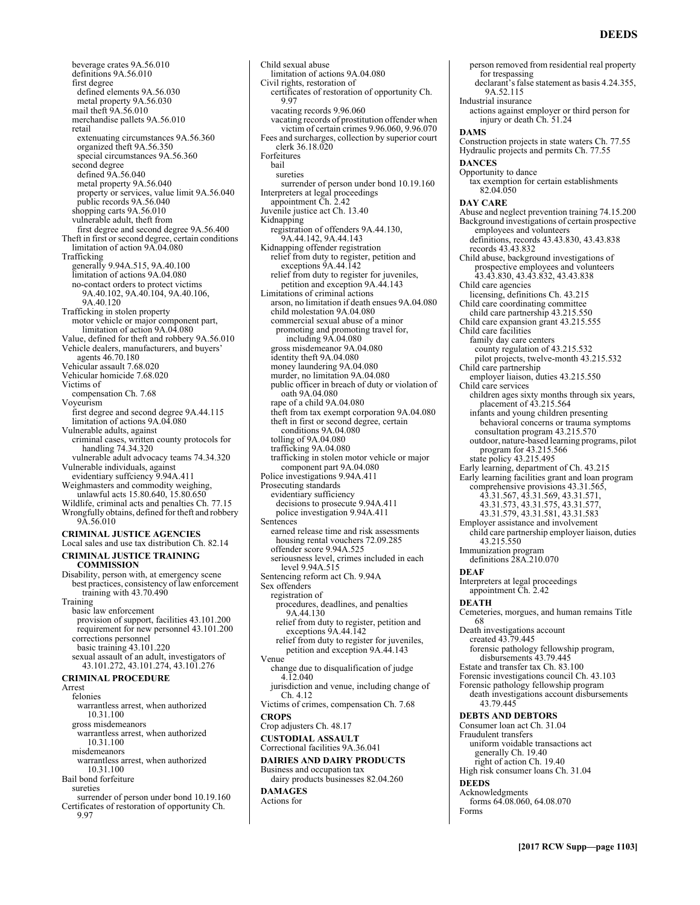person removed from residential real property

beverage crates 9A.56.010 definitions 9A.56.010 first degree defined elements 9A.56.030 metal property 9A.56.030 mail theft 9A.56.010 merchandise pallets 9A.56.010 retail extenuating circumstances 9A.56.360 organized theft 9A.56.350 special circumstances 9A.56.360 second degree defined 9A.56.040 metal property 9A.56.040 property or services, value limit 9A.56.040 public records 9A.56.040 shopping carts 9A.56.010 vulnerable adult, theft from first degree and second degree 9A.56.400 Theft in first or second degree, certain conditions limitation of action 9A.04.080 Trafficking generally 9.94A.515, 9A.40.100 limitation of actions 9A.04.080 no-contact orders to protect victims 9A.40.102, 9A.40.104, 9A.40.106, 9A.40.120 Trafficking in stolen property motor vehicle or major component part, limitation of action 9A.04.080 Value, defined for theft and robbery 9A.56.010 Vehicle dealers, manufacturers, and buyers' agents 46.70.180 Vehicular assault 7.68.020 Vehicular homicide 7.68.020 Victims of compensation Ch. 7.68 Voyeurism first degree and second degree 9A.44.115 limitation of actions 9A.04.080 Vulnerable adults, against criminal cases, written county protocols for handling 74.34.320 vulnerable adult advocacy teams 74.34.320 Vulnerable individuals, against evidentiary suffciency 9.94A.411 Weighmasters and commodity weighing, unlawful acts 15.80.640, 15.80.650 Wildlife, criminal acts and penalties Ch. 77.15 Wrongfully obtains, defined for theft and robbery 9A.56.010 **CRIMINAL JUSTICE AGENCIES**  Local sales and use tax distribution Ch. 82.14 **CRIMINAL JUSTICE TRAINING COMMISSION**  Disability, person with, at emergency scene best practices, consistency of law enforcement training with 43.70.490 Training basic law enforcement provision of support, facilities 43.101.200 requirement for new personnel 43.101.200 corrections personnel basic training 43.101.220 sexual assault of an adult, investigators of 43.101.272, 43.101.274, 43.101.276 **CRIMINAL PROCEDURE**  Arrest felonies warrantless arrest, when authorized 10.31.100 gross misdemeanors warrantless arrest, when authorized 10.31.100 misdemeanors warrantless arrest, when authorized 10.31.100 Bail bond forfeiture sureties surrender of person under bond 10.19.160 Certificates of restoration of opportunity Ch. 9.97

limitation of actions 9A.04.080 Civil rights, restoration of certificates of restoration of opportunity Ch. 9.97 vacating records 9.96.060 vacating records of prostitution offender when victim of certain crimes 9.96.060, 9.96.070 Fees and surcharges, collection by superior court clerk 36.18.020 Forfeitures bail sureties surrender of person under bond 10.19.160 Interpreters at legal proceedings appointment Ch. 2.42 Juvenile justice act Ch. 13.40 Kidnapping registration of offenders 9A.44.130, 9A.44.142, 9A.44.143 Kidnapping offender registration relief from duty to register, petition and exceptions  $9A.44.142$ relief from duty to register for juveniles, petition and exception 9A.44.143 Limitations of criminal actions arson, no limitation if death ensues 9A.04.080 child molestation 9A.04.080 commercial sexual abuse of a minor promoting and promoting travel for, including 9A.04.080 gross misdemeanor 9A.04.080 identity theft 9A.04.080 money laundering 9A.04.080 murder, no limitation 9A.04.080 public officer in breach of duty or violation of oath 9A.04.080 rape of a child 9A.04.080 theft from tax exempt corporation 9A.04.080 theft in first or second degree, certain conditions 9A.04.080 tolling of 9A.04.080 trafficking 9A.04.080 trafficking in stolen motor vehicle or major component part 9A.04.080 Police investigations 9.94A.411 Prosecuting standards evidentiary sufficiency decisions to prosecute 9.94A.411 police investigation 9.94A.411 Sentences earned release time and risk assessments housing rental vouchers 72.09.285 offender score 9.94A.525 seriousness level, crimes included in each level 9.94A.515 Sentencing reform act Ch. 9.94A Sex offenders registration of procedures, deadlines, and penalties 9A.44.130 relief from duty to register, petition and exceptions 9A.44.142 relief from duty to register for juveniles, petition and exception 9A.44.143 Venue change due to disqualification of judge 4.12.040 jurisdiction and venue, including change of Ch. 4.12 Victims of crimes, compensation Ch. 7.68 **CROPS**  Crop adjusters Ch. 48.17 **CUSTODIAL ASSAULT**  Correctional facilities 9A.36.041 **DAIRIES AND DAIRY PRODUCTS**  Business and occupation tax dairy products businesses 82.04.260 **DAMAGES**  Actions for

Child sexual abuse

for trespassing declarant's false statement as basis 4.24.355, 9A.52.115 Industrial insurance actions against employer or third person for injury or death Ch. 51.24 **DAMS**  Construction projects in state waters Ch. 77.55 Hydraulic projects and permits Ch. 77.55 **DANCES**  Opportunity to dance tax exemption for certain establishments 82.04.050 **DAY CARE**  Abuse and neglect prevention training 74.15.200 Background investigations of certain prospective employees and volunteers definitions, records 43.43.830, 43.43.838 records 43.43.832 Child abuse, background investigations of prospective employees and volunteers 43.43.830, 43.43.832, 43.43.838 Child care agencies licensing, definitions Ch. 43.215 Child care coordinating committee child care partnership 43.215.550 Child care expansion grant 43.215.555 Child care facilities family day care centers county regulation of 43.215.532 pilot projects, twelve-month 43.215.532 Child care partnership employer liaison, duties 43.215.550 Child care services children ages sixty months through six years, placement of 43.215.564 infants and young children presenting behavioral concerns or trauma symptoms consultation program 43.215.570 outdoor, nature-based learning programs, pilot program for 43.215.566 state policy 43.215.495 Early learning, department of Ch. 43.215 Early learning facilities grant and loan program comprehensive provisions 43.31.565, 43.31.567, 43.31.569, 43.31.571, 43.31.573, 43.31.575, 43.31.577, 43.31.579, 43.31.581, 43.31.583 Employer assistance and involvement child care partnership employer liaison, duties 43.215.550 Immunization program definitions 28A.210.070 **DEAF**  Interpreters at legal proceedings appointment Ch. 2.42 **DEATH**  Cemeteries, morgues, and human remains Title 68 Death investigations account created 43.79.445 forensic pathology fellowship program, disbursements 43.79.445 Estate and transfer tax Ch. 83.100 Forensic investigations council Ch. 43.103 Forensic pathology fellowship program death investigations account disbursements 43.79.445 **DEBTS AND DEBTORS**  Consumer loan act Ch. 31.04 Fraudulent transfers uniform voidable transactions act generally Ch. 19.40 right of action Ch. 19.40 High risk consumer loans Ch. 31.04 **DEEDS**  Acknowledgments forms 64.08.060, 64.08.070 Forms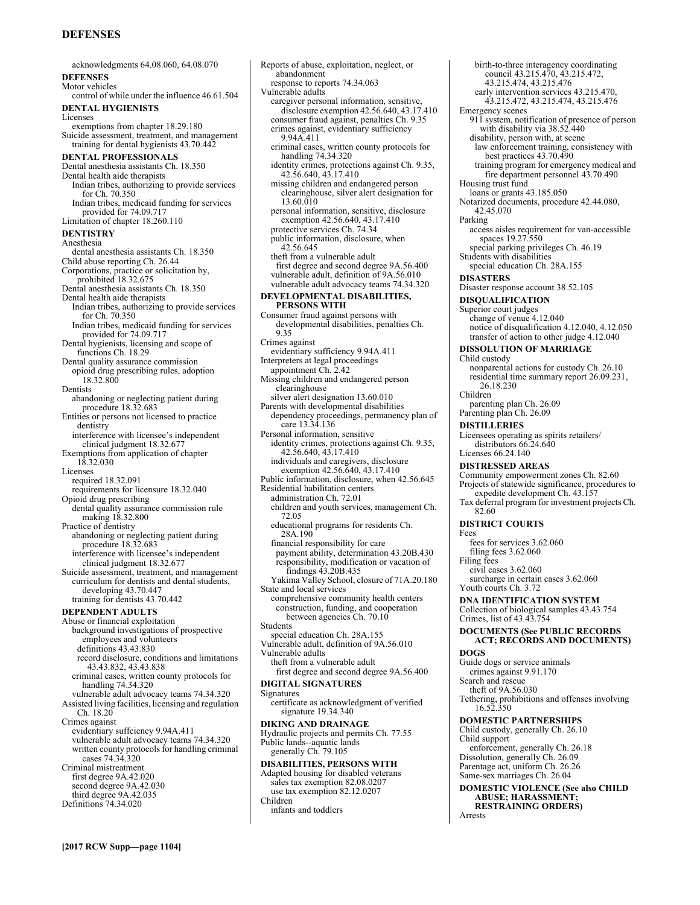# **DEFENSES**

acknowledgments 64.08.060, 64.08.070 **DEFENSES**  Motor vehicles control of while under the influence 46.61.504 **DENTAL HYGIENISTS**  Licenses exemptions from chapter 18.29.180 Suicide assessment, treatment, and management training for dental hygienists 43.70.442 **DENTAL PROFESSIONALS**  Dental anesthesia assistants Ch. 18.350 Dental health aide therapists Indian tribes, authorizing to provide services for Ch. 70.350 Indian tribes, medicaid funding for services provided for 74.09.717 Limitation of chapter 18.260.110 **DENTISTRY**  Anesthesia dental anesthesia assistants Ch. 18.350 Child abuse reporting Ch. 26.44 Corporations, practice or solicitation by, prohibited 18.32.675 Dental anesthesia assistants Ch. 18.350 Dental health aide therapists Indian tribes, authorizing to provide services for Ch. 70.350 Indian tribes, medicaid funding for services provided for 74.09.717 Dental hygienists, licensing and scope of functions Ch. 18.29 Dental quality assurance commission opioid drug prescribing rules, adoption 18.32.800 Dentists abandoning or neglecting patient during procedure 18.32.683 Entities or persons not licensed to practice dentistry interference with licensee's independent clinical judgment 18.32.677 Exemptions from application of chapter 18.32.030 Licenses required 18.32.091 requirements for licensure 18.32.040 Opioid drug prescribing dental quality assurance commission rule making 18.32.800 Practice of dentistry abandoning or neglecting patient during procedure 18.32.683 interference with licensee's independent clinical judgment 18.32.677 Suicide assessment, treatment, and management curriculum for dentists and dental students, developing 43.70.447 training for dentists 43.70.442 **DEPENDENT ADULTS**  Abuse or financial exploitation background investigations of prospective employees and volunteers definitions 43.43.830 record disclosure, conditions and limitations 43.43.832, 43.43.838 criminal cases, written county protocols for handling 74.34.320 vulnerable adult advocacy teams 74.34.320 Assisted living facilities, licensing and regulation Ch. 18.20 Crimes against evidentiary suffciency 9.94A.411 vulnerable adult advocacy teams 74.34.320 written county protocols for handling criminal cases 74.34.320 Criminal mistreatment first degree 9A.42.020 second degree 9A.42.030 third degree 9A.42.035 Definitions 74.34.020

Reports of abuse, exploitation, neglect, or abandonment response to reports 74.34.063 Vulnerable adults caregiver personal information, sensitive, disclosure exemption 42.56.640, 43.17.410 consumer fraud against, penalties Ch. 9.35 crimes against, evidentiary sufficiency 9.94A.411 criminal cases, written county protocols for handling 74.34.320 identity crimes, protections against Ch. 9.35, 42.56.640, 43.17.410 missing children and endangered person clearinghouse, silver alert designation for 13.60.010 personal information, sensitive, disclosure exemption 42.56.640, 43.17.410 protective services Ch. 74.34 public information, disclosure, when 42.56.645 theft from a vulnerable adult first degree and second degree 9A.56.400 vulnerable adult, definition of 9A.56.010 vulnerable adult advocacy teams 74.34.320 **DEVELOPMENTAL DISABILITIES, PERSONS WITH**  Consumer fraud against persons with developmental disabilities, penalties Ch. 9.35 Crimes against evidentiary sufficiency 9.94A.411 Interpreters at legal proceedings appointment Ch. 2.42 Missing children and endangered person clearinghouse silver alert designation 13.60.010 Parents with developmental disabilities dependency proceedings, permanency plan of care 13.34.136 Personal information, sensitive identity crimes, protections against Ch. 9.35, 42.56.640, 43.17.410 individuals and caregivers, disclosure exemption 42.56.640, 43.17.410 Public information, disclosure, when 42.56.645 Residential habilitation centers administration Ch. 72.01 children and youth services, management Ch. 72.05 educational programs for residents Ch. 28A.190 financial responsibility for care payment ability, determination 43.20B.430 responsibility, modification or vacation of findings 43.20B.435 Yakima Valley School, closure of 71A.20.180 State and local services comprehensive community health centers construction, funding, and cooperation between agencies Ch. 70.10 **Students** special education Ch. 28A.155 Vulnerable adult, definition of 9A.56.010 Vulnerable adults theft from a vulnerable adult first degree and second degree 9A.56.400 **DIGITAL SIGNATURES**  Signatures certificate as acknowledgment of verified signature 19.34.340 **DIKING AND DRAINAGE**  Hydraulic projects and permits Ch. 77.55 Public lands--aquatic lands generally Ch. 79.105 **DISABILITIES, PERSONS WITH**  Adapted housing for disabled veterans sales tax exemption 82.08.0207 use tax exemption 82.12.0207 Children infants and toddlers

birth-to-three interagency coordinating council 43.215.470, 43.215.472, 43.215.474, 43.215.476 early intervention services 43.215.470, 43.215.472, 43.215.474, 43.215.476 Emergency scenes 911 system, notification of presence of person with disability via 38.52.440 disability, person with, at scene law enforcement training, consistency with best practices 43.70.490 training program for emergency medical and fire department personnel 43.70.490 Housing trust fund loans or grants 43.185.050 Notarized documents, procedure 42.44.080, 42.45.070 Parking access aisles requirement for van-accessible spaces 19.27.550 special parking privileges Ch. 46.19 Students with disabilities special education Ch. 28A.155 **DISASTERS**  Disaster response account 38.52.105 **DISQUALIFICATION**  Superior court judges change of venue 4.12.040 notice of disqualification 4.12.040, 4.12.050 transfer of action to other judge 4.12.040 **DISSOLUTION OF MARRIAGE**  Child custody nonparental actions for custody Ch. 26.10 residential time summary report 26.09.231, 26.18.230 Children parenting plan Ch. 26.09 Parenting plan Ch. 26.09 **DISTILLERIES**  Licensees operating as spirits retailers/ distributors 66.24.640 Licenses 66.24.140 **DISTRESSED AREAS**  Community empowerment zones Ch. 82.60 Projects of statewide significance, procedures to expedite development Ch. 43.157 Tax deferral program for investment projects Ch. 82.60 **DISTRICT COURTS**  Fees fees for services 3.62.060 filing fees 3.62.060 Filing fees civil cases 3.62.060 surcharge in certain cases 3.62.060 Youth courts Ch. 3.72 **DNA IDENTIFICATION SYSTEM**  Collection of biological samples 43.43.754 Crimes, list of 43.43.754 **DOCUMENTS (See PUBLIC RECORDS ACT; RECORDS AND DOCUMENTS) DOGS**  Guide dogs or service animals crimes against 9.91.170 Search and rescue theft of 9A.56.030 Tethering, prohibitions and offenses involving 16.52.350 **DOMESTIC PARTNERSHIPS**  Child custody, generally Ch. 26.10 Child support enforcement, generally Ch. 26.18 Dissolution, generally Ch. 26.09 Parentage act, uniform Ch. 26.26 Same-sex marriages Ch. 26.04 **DOMESTIC VIOLENCE (See also CHILD ABUSE; HARASSMENT; RESTRAINING ORDERS)** Arrests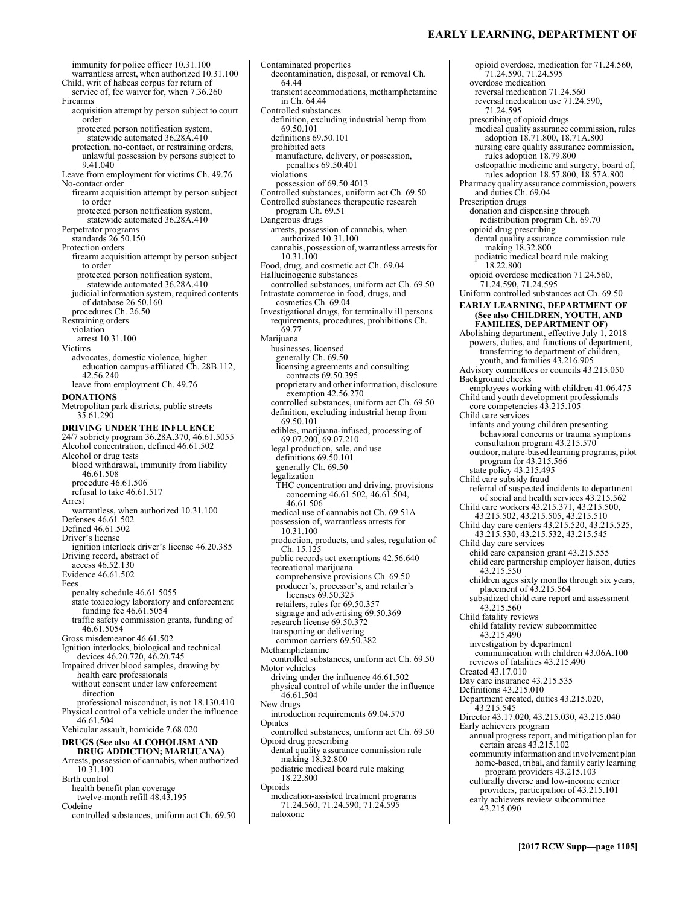# **EARLY LEARNING, DEPARTMENT OF**

immunity for police officer 10.31.100 warrantless arrest, when authorized 10.31.100 Child, writ of habeas corpus for return of service of, fee waiver for, when 7.36.260 Firearms acquisition attempt by person subject to court order protected person notification system, statewide automated 36.28A.410 protection, no-contact, or restraining orders, unlawful possession by persons subject to 9.41.040 Leave from employment for victims Ch. 49.76 No-contact order firearm acquisition attempt by person subject to order protected person notification system, statewide automated 36.28A.410 Perpetrator programs standards 26.50.150 Protection orders firearm acquisition attempt by person subject to order protected person notification system, statewide automated 36.28A.410 judicial information system, required contents of database 26.50.160 procedures Ch. 26.50 Restraining orders violation arrest 10.31.100 Victims advocates, domestic violence, higher education campus-affiliated Ch. 28B.112, 42.56.240 leave from employment Ch. 49.76 **DONATIONS**  Metropolitan park districts, public streets 35.61.290 **DRIVING UNDER THE INFLUENCE**  24/7 sobriety program 36.28A.370, 46.61.5055 Alcohol concentration, defined 46.61.502 Alcohol or drug tests blood withdrawal, immunity from liability 46.61.508 procedure 46.61.506 refusal to take 46.61.517 Arrest warrantless, when authorized 10.31.100 Defenses 46.61.502 Defined 46.61.502 Driver's license ignition interlock driver's license 46.20.385 Driving record, abstract of access 46.52.130 Evidence 46.61.502 Fees penalty schedule 46.61.5055 state toxicology laboratory and enforcement funding fee 46.61.5054 traffic safety commission grants, funding of 46.61.5054 Gross misdemeanor 46.61.502 Ignition interlocks, biological and technical devices 46.20.720, 46.20.745 Impaired driver blood samples, drawing by health care professionals without consent under law enforcement direction professional misconduct, is not 18.130.410 Physical control of a vehicle under the influence 46.61.504 Vehicular assault, homicide 7.68.020 **DRUGS (See also ALCOHOLISM AND DRUG ADDICTION; MARIJUANA)** Arrests, possession of cannabis, when authorized 10.31.100 Birth control health benefit plan coverage twelve-month refill 48.43.195 Codeine controlled substances, uniform act Ch. 69.50

decontamination, disposal, or removal Ch. 64.44 transient accommodations, methamphetamine in Ch. 64.44 Controlled substances definition, excluding industrial hemp from 69.50.101 definitions 69.50.101 prohibited acts manufacture, delivery, or possession, penalties 69.50.401 violations possession of 69.50.4013 Controlled substances, uniform act Ch. 69.50 Controlled substances therapeutic research program Ch. 69.51 Dangerous drugs arrests, possession of cannabis, when authorized 10.31.100 cannabis, possession of, warrantless arrests for 10.31.100 Food, drug, and cosmetic act Ch. 69.04 Hallucinogenic substances controlled substances, uniform act Ch. 69.50 Intrastate commerce in food, drugs, and cosmetics Ch. 69.04 Investigational drugs, for terminally ill persons requirements, procedures, prohibitions Ch. 69.77 Marijuana businesses, licensed generally Ch. 69.50 licensing agreements and consulting contracts 69.50.395 proprietary and other information, disclosure exemption 42.56.270 controlled substances, uniform act Ch. 69.50 definition, excluding industrial hemp from 69.50.101 edibles, marijuana-infused, processing of 69.07.200, 69.07.210 legal production, sale, and use definitions 69.50.101 generally Ch. 69.50 legalization THC concentration and driving, provisions concerning 46.61.502, 46.61.504, 46.61.506 medical use of cannabis act Ch. 69.51A possession of, warrantless arrests for 10.31.100 production, products, and sales, regulation of Ch. 15.125 public records act exemptions 42.56.640 recreational marijuana comprehensive provisions Ch. 69.50 producer's, processor's, and retailer's licenses 69.50.325 retailers, rules for 69.50.357 signage and advertising 69.50.369 research license 69.50.372 transporting or delivering common carriers 69.50.382 Methamphetamine controlled substances, uniform act Ch. 69.50 Motor vehicles driving under the influence 46.61.502 physical control of while under the influence 46.61.504 New drugs introduction requirements 69.04.570 Opiates controlled substances, uniform act Ch. 69.50 Opioid drug prescribing dental quality assurance commission rule making 18.32.800 podiatric medical board rule making 18.22.800 Opioids medication-assisted treatment programs 71.24.560, 71.24.590, 71.24.595 naloxone

Contaminated properties

opioid overdose, medication for 71.24.560, 71.24.590, 71.24.595 overdose medication reversal medication 71.24.560 reversal medication use 71.24.590, 71.24.595 prescribing of opioid drugs medical quality assurance commission, rules adoption 18.71.800, 18.71A.800 nursing care quality assurance commission, rules adoption 18.79.800 osteopathic medicine and surgery, board of, rules adoption 18.57.800, 18.57A.800 Pharmacy quality assurance commission, powers and duties Ch. 69.04 Prescription drugs donation and dispensing through redistribution program Ch. 69.70 opioid drug prescribing dental quality assurance commission rule making 18.32.800 podiatric medical board rule making 18.22.800 opioid overdose medication 71.24.560, 71.24.590, 71.24.595 Uniform controlled substances act Ch. 69.50 **EARLY LEARNING, DEPARTMENT OF (See also CHILDREN, YOUTH, AND FAMILIES, DEPARTMENT OF)** Abolishing department, effective July 1, 2018 powers, duties, and functions of department, transferring to department of children, youth, and families 43.216.905 Advisory committees or councils 43.215.050 Background checks employees working with children 41.06.475 Child and youth development professionals core competencies 43.215.105 Child care services infants and young children presenting behavioral concerns or trauma symptoms consultation program 43.215.570 outdoor, nature-based learning programs, pilot program for 43.215.566 state policy 43.215.495 Child care subsidy fraud referral of suspected incidents to department of social and health services 43.215.562 Child care workers 43.215.371, 43.215.500, 43.215.502, 43.215.505, 43.215.510 Child day care centers 43.215.520, 43.215.525, 43.215.530, 43.215.532, 43.215.545 Child day care services child care expansion grant 43.215.555 child care partnership employer liaison, duties 43.215.550 children ages sixty months through six years, placement of 43.215.564 subsidized child care report and assessment 43.215.560 Child fatality reviews child fatality review subcommittee 43.215.490 investigation by department communication with children 43.06A.100 reviews of fatalities 43.215.490 Created 43.17.010 Day care insurance 43.215.535 Definitions 43.215.010 Department created, duties 43.215.020, 43.215.545 Director 43.17.020, 43.215.030, 43.215.040 Early achievers program annual progress report, and mitigation plan for certain areas 43.215.102 community information and involvement plan home-based, tribal, and family early learning program providers 43.215.103 culturally diverse and low-income center providers, participation of 43.215.101 early achievers review subcommittee 43.215.090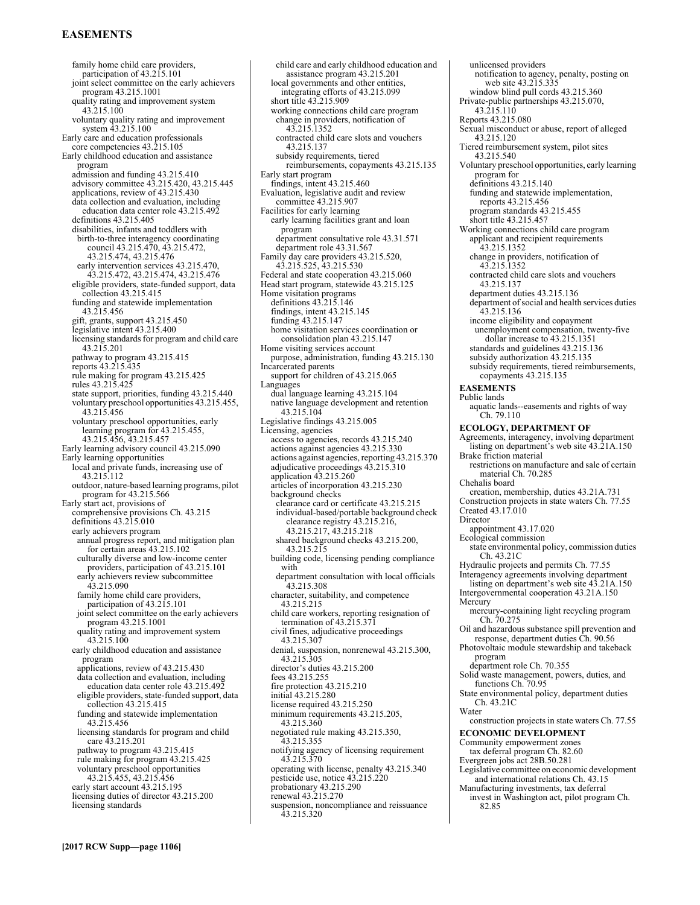# **EASEMENTS**

family home child care providers, participation of 43.215.101 joint select committee on the early achievers program 43.215.1001 quality rating and improvement system 43.215.100 voluntary quality rating and improvement system 43.215.100 Early care and education professionals core competencies 43.215.105 Early childhood education and assistance program admission and funding 43.215.410 advisory committee 43.215.420, 43.215.445 applications, review of 43.215.430 data collection and evaluation, including education data center role 43.215.492 definitions 43.215.405 disabilities, infants and toddlers with birth-to-three interagency coordinating council 43.215.470, 43.215.472, 43.215.474, 43.215.476 early intervention services 43.215.470, 43.215.472, 43.215.474, 43.215.476 eligible providers, state-funded support, data  $\text{collection}$  43.215.415 funding and statewide implementation 43.215.456 gift, grants, support 43.215.450 legislative intent 43.215.400 licensing standards for program and child care 43.215.201 pathway to program 43.215.415 reports 43.215.435 rule making for program 43.215.425 rules 43.215.425 state support, priorities, funding 43.215.440 voluntary preschool opportunities 43.215.455, 43.215.456 voluntary preschool opportunities, early learning program for 43.215.455, 43.215.456, 43.215.457 Early learning advisory council 43.215.090 Early learning opportunities local and private funds, increasing use of 43.215.112 outdoor, nature-based learning programs, pilot program for 43.215.566 Early start act, provisions of comprehensive provisions Ch. 43.215 definitions 43.215.010 early achievers program annual progress report, and mitigation plan for certain areas 43.215.102 culturally diverse and low-income center providers, participation of 43.215.101 early achievers review subcommittee 43.215.090 family home child care providers, participation of 43.215.101 joint select committee on the early achievers program 43.215.1001 quality rating and improvement system 43.215.100 early childhood education and assistance program applications, review of 43.215.430 data collection and evaluation, including education data center role 43.215.492 eligible providers, state-funded support, data collection 43.215.415 funding and statewide implementation 43.215.456 licensing standards for program and child care 43.215.201 pathway to program 43.215.415 rule making for program 43.215.425 voluntary preschool opportunities 43.215.455, 43.215.456 early start account 43.215.195 licensing duties of director 43.215.200 licensing standards

child care and early childhood education and assistance program 43.215.201 local governments and other entities, integrating efforts of 43.215.099 short title 43.215.909 working connections child care program change in providers, notification of 43.215.1352 contracted child care slots and vouchers 43.215.137 subsidy requirements, tiered reimbursements, copayments 43.215.135 Early start program findings, intent 43.215.460 Evaluation, legislative audit and review committee 43.215.907 Facilities for early learning early learning facilities grant and loan program department consultative role 43.31.571 department role 43.31.567 Family day care providers 43.215.520, 43.215.525, 43.215.530 Federal and state cooperation 43.215.060 Head start program, statewide 43.215.125 Home visitation programs definitions 43.215.146 findings, intent 43.215.145 funding 43.215.147 home visitation services coordination or consolidation plan 43.215.147 Home visiting services account purpose, administration, funding 43.215.130 Incarcerated parents support for children of 43.215.065 Languages dual language learning 43.215.104 native language development and retention 43.215.104 Legislative findings 43.215.005 Licensing, agencies access to agencies, records 43.215.240 actions against agencies 43.215.330 actions against agencies, reporting 43.215.370 adjudicative proceedings 43.215.310 application 43.215.260 articles of incorporation 43.215.230 background checks clearance card or certificate 43.215.215 individual-based/portable background check clearance registry 43.215.216, 43.215.217, 43.215.218 shared background checks 43.215.200, 43.215.215 building code, licensing pending compliance with department consultation with local officials 43.215.308 character, suitability, and competence 43.215.215 child care workers, reporting resignation of termination of 43.215.371 civil fines, adjudicative proceedings 43.215.307 denial, suspension, nonrenewal 43.215.300, 43.215.305 director's duties 43.215.200 fees 43.215.255 fire protection 43.215.210 initial 43.215.280 license required 43.215.250 minimum requirements 43.215.205, 43.215.360 negotiated rule making 43.215.350, 43.215.355 notifying agency of licensing requirement 43.215.370 operating with license, penalty 43.215.340 pesticide use, notice 43.215.220 probationary 43.215.290 renewal 43.215.270 suspension, noncompliance and reissuance 43.215.320

unlicensed providers notification to agency, penalty, posting on web site 43.215.335 window blind pull cords 43.215.360 Private-public partnerships 43.215.070, 43.215.110 Reports 43.215.080 Sexual misconduct or abuse, report of alleged 43.215.120 Tiered reimbursement system, pilot sites 43.215.540 Voluntary preschool opportunities, early learning program for definitions 43.215.140 funding and statewide implementation, reports 43.215.456 program standards 43.215.455 short title  $43.215.457$ Working connections child care program applicant and recipient requirements 43.215.1352 change in providers, notification of 43.215.1352 contracted child care slots and vouchers 43.215.137 department duties 43.215.136 department of social and health services duties 43.215.136 income eligibility and copayment unemployment compensation, twenty-five dollar increase to 43.215.1351 standards and guidelines 43.215.136 subsidy authorization 43.215.135 subsidy requirements, tiered reimbursements, copayments 43.215.135 **EASEMENTS**  Public lands aquatic lands--easements and rights of way Ch. 79.110 **ECOLOGY, DEPARTMENT OF**  Agreements, interagency, involving department listing on department's web site 43.21A.150 Brake friction material restrictions on manufacture and sale of certain material Ch. 70.285 Chehalis board creation, membership, duties 43.21A.731 Construction projects in state waters Ch. 77.55 Created 43.17.010 **Director** appointment 43.17.020 Ecological commission state environmental policy, commission duties Ch. 43.21C Hydraulic projects and permits Ch. 77.55 Interagency agreements involving department listing on department's web site 43.21A.150 Intergovernmental cooperation 43.21A.150 Mercury mercury-containing light recycling program Ch. 70.275 Oil and hazardous substance spill prevention and response, department duties Ch. 90.56 Photovoltaic module stewardship and takeback program department role Ch. 70.355 Solid waste management, powers, duties, and functions Ch. 70.95 State environmental policy, department duties Ch. 43.21C Water construction projects in state waters Ch. 77.55 **ECONOMIC DEVELOPMENT**  Community empowerment zones tax deferral program Ch. 82.60 Evergreen jobs act 28B.50.281 Legislative committee on economic development and international relations Ch. 43.15 Manufacturing investments, tax deferral invest in Washington act, pilot program Ch. 82.85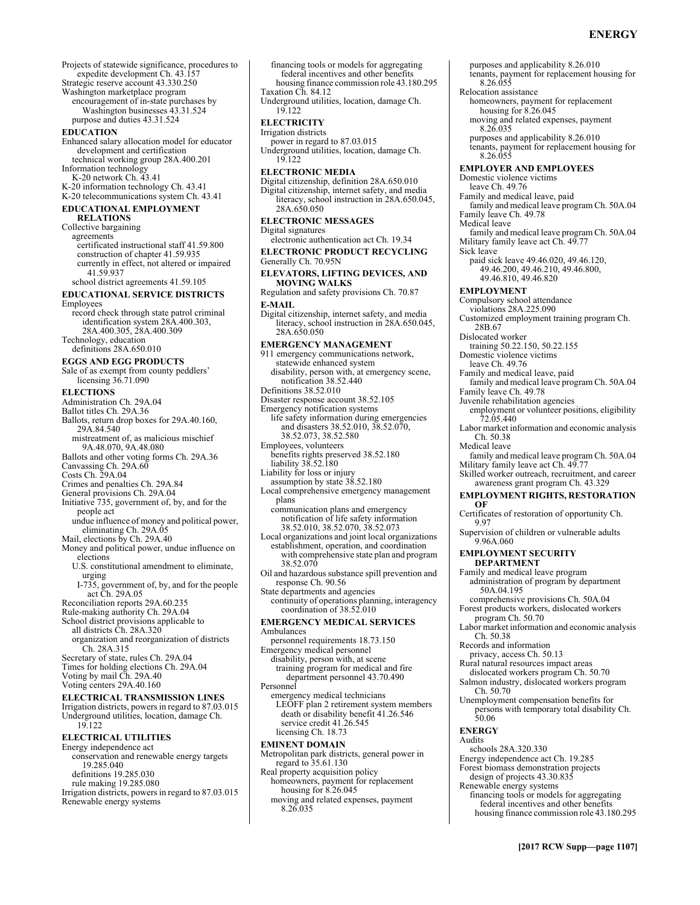purposes and applicability 8.26.010

tenants, payment for replacement housing for 8.26.055

Projects of statewide significance, procedures to expedite development Ch. 43.157 Strategic reserve account 43.330.250

Washington marketplace program

encouragement of in-state purchases by Washington businesses 43.31.524 purpose and duties 43.31.524

#### **EDUCATION**

Enhanced salary allocation model for educator development and certification technical working group 28A.400.201 Information technology

K-20 network Ch. 43.41 K-20 information technology Ch. 43.41

K-20 telecommunications system Ch. 43.41 **EDUCATIONAL EMPLOYMENT** 

### **RELATIONS**

Collective bargaining agreements certificated instructional staff 41.59.800 construction of chapter 41.59.935 currently in effect, not altered or impaired 41.59.937 school district agreements 41.59.105

# **EDUCATIONAL SERVICE DISTRICTS**

Employees record check through state patrol criminal identification system 28A.400.303, 28A.400.305, 28A.400.309 Technology, education definitions 28A.650.010

### **EGGS AND EGG PRODUCTS**

Sale of as exempt from county peddlers' licensing  $36.71.090$ 

#### **ELECTIONS**

Administration Ch. 29A.04

- Ballot titles Ch. 29A.36
- Ballots, return drop boxes for 29A.40.160, 29A.84.540

mistreatment of, as malicious mischief

- 9A.48.070, 9A.48.080
- Ballots and other voting forms Ch. 29A.36
- Canvassing Ch. 29A.60 Costs Ch. 29A.04

Crimes and penalties Ch. 29A.84

- General provisions Ch. 29A.04
- Initiative 735, government of, by, and for the
- people act undue influence of money and political power, eliminating Ch. 29A.05

Mail, elections by Ch. 29A.40

- Money and political power, undue influence on elections
	- U.S. constitutional amendment to eliminate, urging
	- I-735, government of, by, and for the people act Ch. 29A.05
- Reconciliation reports 29A.60.235

Rule-making authority Ch. 29A.04

- School district provisions applicable to all districts Ch. 28A.320
- organization and reorganization of districts
- Ch. 28A.315

Secretary of state, rules Ch. 29A.04

- Times for holding elections Ch. 29A.04
- Voting by mail Ch. 29A.40
- Voting centers 29A.40.160

### **ELECTRICAL TRANSMISSION LINES**

Irrigation districts, powers in regard to 87.03.015 Underground utilities, location, damage Ch. 19.122

### **ELECTRICAL UTILITIES**

- Energy independence act
- conservation and renewable energy targets 19.285.040
- definitions 19.285.030
- rule making 19.285.080

Irrigation districts, powers in regard to 87.03.015 Renewable energy systems

financing tools or models for aggregating federal incentives and other benefits housing finance commission role 43.180.295 Taxation Ch. 84.12 Underground utilities, location, damage Ch. 19.122 **ELECTRICITY**  Irrigation districts power in regard to 87.03.015 Underground utilities, location, damage Ch. 19.122 **ELECTRONIC MEDIA**  Digital citizenship, definition 28A.650.010 Digital citizenship, internet safety, and media literacy, school instruction in 28A.650.045, 28A.650.050 **ELECTRONIC MESSAGES**  Digital signatures electronic authentication act Ch. 19.34 **ELECTRONIC PRODUCT RECYCLING**  Generally Ch. 70.95N **ELEVATORS, LIFTING DEVICES, AND MOVING WALKS**  Regulation and safety provisions Ch. 70.87 **E-MAIL**  Digital citizenship, internet safety, and media literacy, school instruction in 28A.650.045, 28A.650.050 **EMERGENCY MANAGEMENT**  911 emergency communications network, statewide enhanced system disability, person with, at emergency scene, notification 38.52.440 Definitions 38.52.010 Disaster response account 38.52.105 Emergency notification systems life safety information during emergencies and disasters 38.52.010, 38.52.070, 38.52.073, 38.52.580 Employees, volunteers benefits rights preserved 38.52.180 liability 38.52.180 Liability for loss or injury assumption by state 38.52.180 Local comprehensive emergency management plans communication plans and emergency notification of life safety information 38.52.010, 38.52.070, 38.52.073 Local organizations and joint local organizations establishment, operation, and coordination with comprehensive state plan and program 38.52.070 Oil and hazardous substance spill prevention and response Ch. 90.56 State departments and agencies continuity of operations planning, interagency coordination of 38.52.010 **EMERGENCY MEDICAL SERVICES**  Ambulances personnel requirements 18.73.150 Emergency medical personnel disability, person with, at scene training program for medical and fire department personnel 43.70.490 Personnel emergency medical technicians LEOFF plan 2 retirement system members death or disability benefit 41.26.546 service credit 41.26.545 licensing Ch. 18.73 **EMINENT DOMAIN**  Metropolitan park districts, general power in regard to 35.61.130 Real property acquisition policy homeowners, payment for replacement housing for 8.26.045 Relocation assistance

moving and related expenses, payment

8.26.035

homeowners, payment for replacement housing for 8.26.045 moving and related expenses, payment 8.26.035 purposes and applicability 8.26.010 tenants, payment for replacement housing for 8.26.055 **EMPLOYER AND EMPLOYEES**  Domestic violence victims leave Ch. 49.76 Family and medical leave, paid family and medical leave program Ch. 50A.04 Family leave Ch. 49.78 Medical leave family and medical leave program Ch. 50A.04 Military family leave act Ch. 49.77 Sick leave paid sick leave 49.46.020, 49.46.120, 49.46.200, 49.46.210, 49.46.800, 49.46.810, 49.46.820 **EMPLOYMENT**  Compulsory school attendance violations 28A.225.090 Customized employment training program Ch. 28B.67 Dislocated worker training 50.22.150, 50.22.155 Domestic violence victims leave Ch. 49.76 Family and medical leave, paid family and medical leave program Ch. 50A.04 Family leave Ch. 49.78 Juvenile rehabilitation agencies employment or volunteer positions, eligibility 72.05.440 Labor market information and economic analysis Ch. 50.38 Medical leave family and medical leave program Ch. 50A.04 Military family leave act Ch. 49.77 Skilled worker outreach, recruitment, and career awareness grant program Ch. 43.329 **EMPLOYMENT RIGHTS, RESTORATION OF**  Certificates of restoration of opportunity Ch. 9.97 Supervision of children or vulnerable adults 9.96A.060 **EMPLOYMENT SECURITY DEPARTMENT**  Family and medical leave program administration of program by department 50A.04.195 comprehensive provisions Ch. 50A.04 Forest products workers, dislocated workers program Ch. 50.70 Labor market information and economic analysis Ch. 50.38 Records and information privacy, access Ch. 50.13 Rural natural resources impact areas dislocated workers program Ch. 50.70 Salmon industry, dislocated workers program Ch. 50.70 Unemployment compensation benefits for persons with temporary total disability Ch. 50.06 **ENERGY**  Audits schools 28A.320.330 Energy independence act Ch. 19.285 Forest biomass demonstration projects design of projects 43.30.835 Renewable energy systems financing tools or models for aggregating federal incentives and other benefits housing finance commission role 43.180.295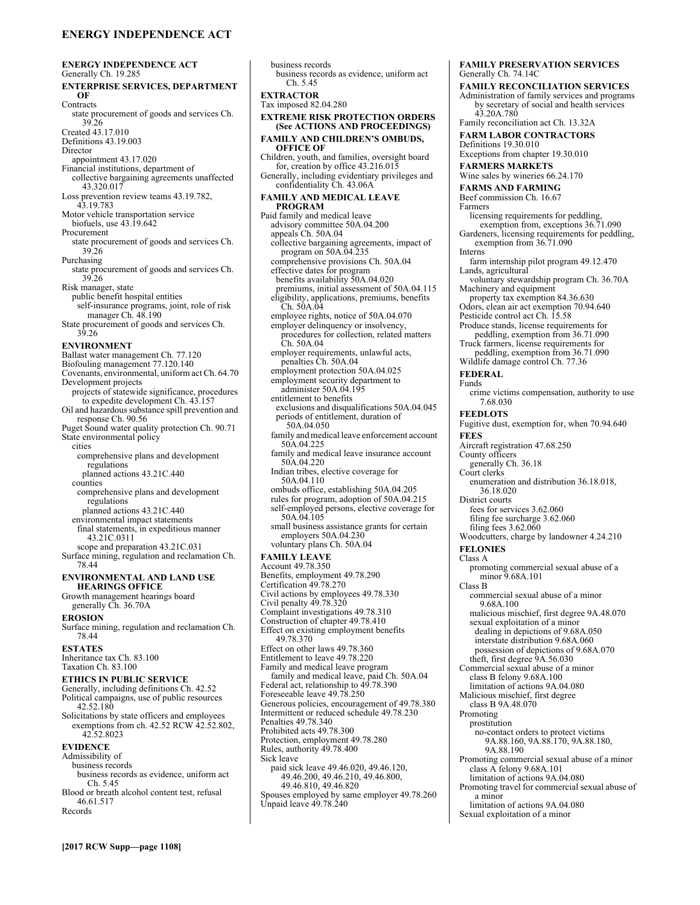# **ENERGY INDEPENDENCE ACT**

**ENERGY INDEPENDENCE ACT**  Generally Ch. 19.285 **ENTERPRISE SERVICES, DEPARTMENT OF Contracts** state procurement of goods and services Ch. 39.26 Created 43.17.010 Definitions 43.19.003 Director appointment 43.17.020 Financial institutions, department of collective bargaining agreements unaffected 43.320.017 Loss prevention review teams 43.19.782, 43.19.783 Motor vehicle transportation service biofuels, use 43.19.642 Procurement state procurement of goods and services Ch. 39.26 Purchasing state procurement of goods and services Ch. 39.26 Risk manager, state public benefit hospital entities self-insurance programs, joint, role of risk manager Ch. 48.190 State procurement of goods and services Ch. 39.26 **ENVIRONMENT**  Ballast water management Ch. 77.120 Biofouling management 77.120.140 Covenants, environmental, uniform act Ch. 64.70 Development projects projects of statewide significance, procedures to expedite development Ch. 43.157 Oil and hazardous substance spill prevention and response Ch. 90.56 Puget Sound water quality protection Ch. 90.71 State environmental policy cities comprehensive plans and development regulations planned actions 43.21C.440 counties comprehensive plans and development regulations planned actions 43.21C.440 environmental impact statements final statements, in expeditious manner 43.21C.0311 scope and preparation 43.21C.031 Surface mining, regulation and reclamation Ch. 78.44 **ENVIRONMENTAL AND LAND USE HEARINGS OFFICE**  Growth management hearings board generally Ch. 36.70A **EROSION**  Surface mining, regulation and reclamation Ch. 78.44 **ESTATES**  Inheritance tax Ch. 83.100 Taxation Ch. 83.100 **ETHICS IN PUBLIC SERVICE**  Generally, including definitions Ch. 42.52 Political campaigns, use of public resources 42.52.180 Solicitations by state officers and employees exemptions from ch. 42.52 RCW 42.52.802, 42.52.8023 **EVIDENCE**  Admissibility of business records business records as evidence, uniform act Ch. 5.45 Blood or breath alcohol content test, refusal 46.61.517

**[2017 RCW Supp—page 1108]**

business records business records as evidence, uniform act Ch. 5.45 **EXTRACTOR**  Tax imposed 82.04.280 **EXTREME RISK PROTECTION ORDERS (See ACTIONS AND PROCEEDINGS) FAMILY AND CHILDREN'S OMBUDS, OFFICE OF**  Children, youth, and families, oversight board for, creation by office 43.216.015 Generally, including evidentiary privileges and confidentiality Ch. 43.06A **FAMILY AND MEDICAL LEAVE PROGRAM**  Paid family and medical leave advisory committee 50A.04.200 appeals Ch. 50A.04 collective bargaining agreements, impact of program on 50A.04.235 comprehensive provisions Ch. 50A.04 effective dates for program benefits availability 50A.04.020 premiums, initial assessment of 50A.04.115 eligibility, applications, premiums, benefits  $\rm \check{C}$ h. 50A.04 employee rights, notice of 50A.04.070 employer delinquency or insolvency, procedures for collection, related matters Ch. 50A.04 employer requirements, unlawful acts, penalties Ch. 50A.04 employment protection 50A.04.025 employment security department to administer 50A.04.195 entitlement to benefits exclusions and disqualifications 50A.04.045 periods of entitlement, duration of 50A.04.050 family and medical leave enforcement account 50A.04.225 family and medical leave insurance account 50A.04.220 Indian tribes, elective coverage for 50A.04.110 ombuds office, establishing 50A.04.205 rules for program, adoption of 50A.04.215 self-employed persons, elective coverage for 50A.04.105 small business assistance grants for certain employers 50A.04.230 voluntary plans Ch. 50A.04 **FAMILY LEAVE**  Account 49.78.350 Benefits, employment 49.78.290 Certification 49.78.270 Civil actions by employees 49.78.330 Civil penalty 49.78.320 Complaint investigations 49.78.310 Construction of chapter 49.78.410 Effect on existing employment benefits 49.78.370 Effect on other laws 49.78.360 Entitlement to leave 49.78.220 Family and medical leave program family and medical leave, paid Ch. 50A.04 Federal act, relationship to 49.78.390 Foreseeable leave 49.78.250 Generous policies, encouragement of 49.78.380 Intermittent or reduced schedule 49.78.230 Penalties 49.78.340 Prohibited acts 49.78.300 Protection, employment 49.78.280 Rules, authority 49.78.400 Sick leave paid sick leave 49.46.020, 49.46.120, 49.46.200, 49.46.210, 49.46.800, 49.46.810, 49.46.820 Spouses employed by same employer 49.78.260 Unpaid leave 49.78.240

**FAMILY PRESERVATION SERVICES**  Generally Ch. 74.14C **FAMILY RECONCILIATION SERVICES**  Administration of family services and programs by secretary of social and health services 43.20A.780 Family reconciliation act Ch. 13.32A **FARM LABOR CONTRACTORS**  Definitions 19.30.010 Exceptions from chapter 19.30.010 **FARMERS MARKETS**  Wine sales by wineries 66.24.170 **FARMS AND FARMING**  Beef commission Ch. 16.67 Farmers licensing requirements for peddling, exemption from, exceptions 36.71.090 Gardeners, licensing requirements for peddling, exemption from 36.71.090 Interns farm internship pilot program 49.12.470 Lands, agricultural voluntary stewardship program Ch. 36.70A Machinery and equipment property tax exemption 84.36.630 Odors, clean air act exemption 70.94.640 Pesticide control act Ch. 15.58 Produce stands, license requirements for peddling, exemption from 36.71.090 Truck farmers, license requirements for peddling, exemption from 36.71.090 Wildlife damage control Ch. 77.36 **FEDERAL**  Funds crime victims compensation, authority to use 7.68.030 **FEEDLOTS**  Fugitive dust, exemption for, when 70.94.640 **FEES**  Aircraft registration 47.68.250 County officers generally Ch. 36.18 Court clerks enumeration and distribution 36.18.018, 36.18.020 District courts fees for services 3.62.060 filing fee surcharge 3.62.060 filing fees 3.62.060 Woodcutters, charge by landowner 4.24.210 **FELONIES**  Class A promoting commercial sexual abuse of a minor 9.68A.101 Class B commercial sexual abuse of a minor 9.68A.100 malicious mischief, first degree 9A.48.070 sexual exploitation of a minor dealing in depictions of 9.68A.050 interstate distribution 9.68A.060 possession of depictions of 9.68A.070 theft, first degree 9A.56.030 Commercial sexual abuse of a minor class B felony 9.68A.100 limitation of actions 9A.04.080 Malicious mischief, first degree class B 9A.48.070 Promoting prostitution no-contact orders to protect victims 9A.88.160, 9A.88.170, 9A.88.180, 9A.88.190 Promoting commercial sexual abuse of a minor class A felony 9.68A.101 limitation of actions 9A.04.080 Promoting travel for commercial sexual abuse of a minor

limitation of actions 9A.04.080 Sexual exploitation of a minor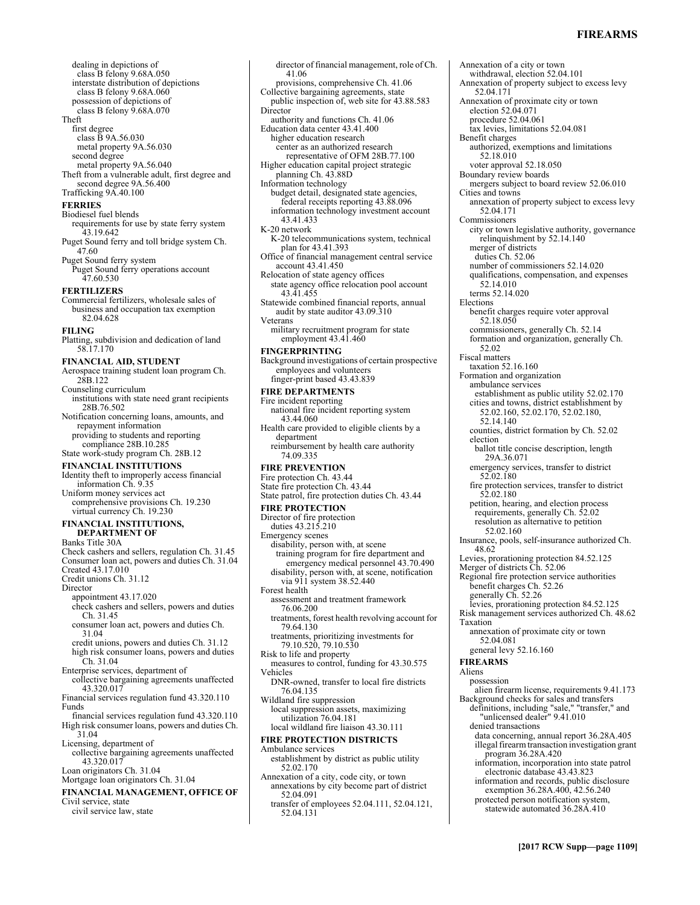### **FIREARMS**

Annexation of a city or town

dealing in depictions of class B felony 9.68A.050 interstate distribution of depictions class B felony 9.68A.060 possession of depictions of class B felony 9.68A.070 Theft first degree class B 9A.56.030 metal property 9A.56.030 second degree metal property 9A.56.040 Theft from a vulnerable adult, first degree and second degree 9A.56.400 Trafficking 9A.40.100

### **FERRIES**

- Biodiesel fuel blends requirements for use by state ferry system 43.19.642
- Puget Sound ferry and toll bridge system Ch. 47.60 Puget Sound ferry system
- Puget Sound ferry operations account 47.60.530

## **FERTILIZERS**

Commercial fertilizers, wholesale sales of business and occupation tax exemption 82.04.628

### **FILING**

Platting, subdivision and dedication of land 58.17.170

### **FINANCIAL AID, STUDENT**

Aerospace training student loan program Ch. 28B.122

Counseling curriculum institutions with state need grant recipients 28B.76.502 Notification concerning loans, amounts, and

repayment information providing to students and reporting compliance 28B.10.285 State work-study program Ch. 28B.12

- **FINANCIAL INSTITUTIONS**  Identity theft to improperly access financial information Ch. 9.35 Uniform money services act comprehensive provisions Ch. 19.230 virtual currency Ch. 19.230
- **FINANCIAL INSTITUTIONS, DEPARTMENT OF**  Banks Title 30A Check cashers and sellers, regulation Ch. 31.45 Consumer loan act, powers and duties Ch. 31.04 Created 43.17.010 Credit unions Ch. 31.12 Director appointment 43.17.020 check cashers and sellers, powers and duties Ch. 31.45 consumer loan act, powers and duties Ch. 31.04 credit unions, powers and duties Ch. 31.12 high risk consumer loans, powers and duties Ch. 31.04 Enterprise services, department of collective bargaining agreements unaffected 43.320.017 Financial services regulation fund 43.320.110 Funds financial services regulation fund 43.320.110 High risk consumer loans, powers and duties Ch. 31.04 Licensing, department of collective bargaining agreements unaffected 43.320.017 Loan originators Ch. 31.04 Mortgage loan originators Ch. 31.04

# **FINANCIAL MANAGEMENT, OFFICE OF**

Civil service, state

civil service law, state

director of financial management, role of Ch. 41.06 provisions, comprehensive Ch. 41.06 Collective bargaining agreements, state public inspection of, web site for 43.88.583 Director authority and functions Ch. 41.06 Education data center 43.41.400 higher education research center as an authorized research representative of OFM 28B.77.100 Higher education capital project strategic planning Ch. 43.88D Information technology budget detail, designated state agencies, federal receipts reporting 43.88.096 information technology investment account 43.41.433 K-20 network K-20 telecommunications system, technical plan for 43.41.393 Office of financial management central service account 43.41.450 Relocation of state agency offices state agency office relocation pool account 43.41.455 Statewide combined financial reports, annual audit by state auditor 43.09.310 Veterans military recruitment program for state employment 43.41.460 **FINGERPRINTING**  Background investigations of certain prospective employees and volunteers finger-print based 43.43.839 **FIRE DEPARTMENTS**  Fire incident reporting national fire incident reporting system 43.44.060 Health care provided to eligible clients by a department reimbursement by health care authority 74.09.335 **FIRE PREVENTION**  Fire protection Ch. 43.44 State fire protection Ch. 43.44 State patrol, fire protection duties Ch. 43.44 **FIRE PROTECTION**  Director of fire protection duties 43.215.210 Emergency scenes disability, person with, at scene training program for fire department and emergency medical personnel 43.70.490 disability, person with, at scene, notification via 911 system 38.52.440 Forest health assessment and treatment framework 76.06.200 treatments, forest health revolving account for 79.64.130 treatments, prioritizing investments for 79.10.520, 79.10.530 Risk to life and property measures to control, funding for 43.30.575 Vehicles DNR-owned, transfer to local fire districts 76.04.135 Wildland fire suppression local suppression assets, maximizing utilization 76.04.181 local wildland fire liaison 43.30.111 **FIRE PROTECTION DISTRICTS**  Ambulance services establishment by district as public utility 52.02.170 Annexation of a city, code city, or town annexations by city become part of district 52.04.091

transfer of employees 52.04.111, 52.04.121, 52.04.131

withdrawal, election 52.04.101 Annexation of property subject to excess levy 52.04.171 Annexation of proximate city or town election 52.04.071 procedure 52.04.061 tax levies, limitations 52.04.081 Benefit charges authorized, exemptions and limitations 52.18.010 voter approval 52.18.050 Boundary review boards mergers subject to board review 52.06.010 Cities and towns annexation of property subject to excess levy 52.04.171 Commissioners city or town legislative authority, governance relinquishment by 52.14.140 merger of districts duties Ch. 52.06 number of commissioners 52.14.020 qualifications, compensation, and expenses 52.14.010 terms 52.14.020 Elections benefit charges require voter approval 52.18.050 commissioners, generally Ch. 52.14 formation and organization, generally Ch. 52.02 Fiscal matters taxation 52.16.160 Formation and organization ambulance services establishment as public utility 52.02.170 cities and towns, district establishment by 52.02.160, 52.02.170, 52.02.180, 52.14.140 counties, district formation by Ch. 52.02 election ballot title concise description, length 29A.36.071 emergency services, transfer to district 52.02.180 fire protection services, transfer to district 52.02.180 petition, hearing, and election process requirements, generally Ch. 52.02 resolution as alternative to petition 52.02.160 Insurance, pools, self-insurance authorized Ch. 48.62 Levies, prorationing protection 84.52.125 Merger of districts Ch. 52.06 Regional fire protection service authorities benefit charges Ch. 52.26 generally Ch. 52.26 levies, prorationing protection 84.52.125 Risk management services authorized Ch. 48.62 Taxation annexation of proximate city or town 52.04.081 general levy 52.16.160 **FIREARMS**  Aliens possession alien firearm license, requirements 9.41.173 Background checks for sales and transfers definitions, including "sale," "transfer," and "unlicensed dealer" 9.41.010 denied transactions data concerning, annual report 36.28A.405 illegal firearm transaction investigation grant program 36.28A.420 information, incorporation into state patrol electronic database 43.43.823 information and records, public disclosure exemption 36.28A.400, 42.56.240

protected person notification system, statewide automated 36.28A.410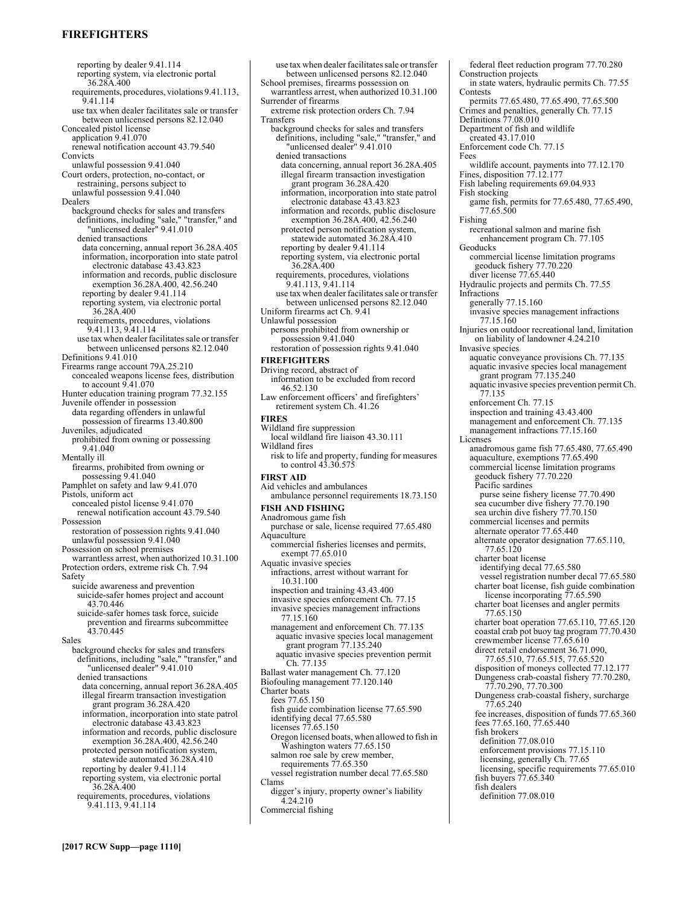# **FIREFIGHTERS**

reporting by dealer 9.41.114 reporting system, via electronic portal 36.28A.400 requirements, procedures, violations 9.41.113, 9.41.114 use tax when dealer facilitates sale or transfer between unlicensed persons 82.12.040 Concealed pistol license application 9.41.070 renewal notification account 43.79.540 Convicts unlawful possession 9.41.040 Court orders, protection, no-contact, or restraining, persons subject to unlawful possession 9.41.040 Dealers background checks for sales and transfers definitions, including "sale," "transfer," and "unlicensed dealer" 9.41.010 denied transactions data concerning, annual report 36.28A.405 information, incorporation into state patrol electronic database 43.43.823 information and records, public disclosure exemption 36.28A.400, 42.56.240 reporting by dealer 9.41.114 reporting system, via electronic portal 36.28A.400 requirements, procedures, violations 9.41.113, 9.41.114 use tax when dealer facilitates sale or transfer between unlicensed persons 82.12.040 Definitions 9.41.010 Firearms range account 79A.25.210 concealed weapons license fees, distribution to account 9.41.070 Hunter education training program 77.32.155 Juvenile offender in possession data regarding offenders in unlawful possession of firearms 13.40.800 Juveniles, adjudicated prohibited from owning or possessing 9.41.040 Mentally ill firearms, prohibited from owning or possessing 9.41.040 Pamphlet on safety and law 9.41.070 Pistols, uniform act concealed pistol license 9.41.070 renewal notification account 43.79.540 Possession restoration of possession rights 9.41.040 unlawful possession 9.41.040 Possession on school premises warrantless arrest, when authorized 10.31.100 Protection orders, extreme risk Ch. 7.94 Safety suicide awareness and prevention suicide-safer homes project and account 43.70.446 suicide-safer homes task force, suicide prevention and firearms subcommittee 43.70.445 Sales background checks for sales and transfers definitions, including "sale," "transfer," and "unlicensed dealer" 9.41.010 denied transactions data concerning, annual report 36.28A.405 illegal firearm transaction investigation grant program 36.28A.420 information, incorporation into state patrol electronic database 43.43.823 information and records, public disclosure exemption 36.28A.400, 42.56.240 protected person notification system, statewide automated 36.28A.410 reporting by dealer 9.41.114 reporting system, via electronic portal 36.28A.400 requirements, procedures, violations 9.41.113, 9.41.114

School premises, firearms possession on warrantless arrest, when authorized 10.31.100 Surrender of firearms extreme risk protection orders Ch. 7.94 Transfers background checks for sales and transfers definitions, including "sale," "transfer," and "unlicensed dealer" 9.41.010 denied transactions data concerning, annual report 36.28A.405 illegal firearm transaction investigation grant program 36.28A.420 information, incorporation into state patrol electronic database 43.43.823 information and records, public disclosure exemption 36.28A.400, 42.56.240 protected person notification system, statewide automated 36.28A.410 reporting by dealer 9.41.114 reporting system, via electronic portal 36.28A.400 requirements, procedures, violations 9.41.113, 9.41.114 use tax when dealer facilitates sale or transfer between unlicensed persons 82.12.040 Uniform firearms act Ch. 9.41 Unlawful possession persons prohibited from ownership or possession 9.41.040 restoration of possession rights 9.41.040 **FIREFIGHTERS**  Driving record, abstract of information to be excluded from record 46.52.130 Law enforcement officers' and firefighters' retirement system Ch. 41.26 **FIRES**  Wildland fire suppression local wildland fire liaison 43.30.111 Wildland fires risk to life and property, funding for measures to control 43.30.575 **FIRST AID**  Aid vehicles and ambulances ambulance personnel requirements 18.73.150 **FISH AND FISHING**  Anadromous game fish purchase or sale, license required 77.65.480 **Aquaculture** commercial fisheries licenses and permits, exempt 77.65.010 Aquatic invasive species infractions, arrest without warrant for 10.31.100 inspection and training 43.43.400 invasive species enforcement Ch. 77.15 invasive species management infractions 77.15.160 management and enforcement Ch. 77.135 aquatic invasive species local management grant program 77.135.240 aquatic invasive species prevention permit Ch. 77.135 Ballast water management Ch. 77.120 Biofouling management 77.120.140 Charter boats fees 77.65.150 fish guide combination license 77.65.590 identifying decal 77.65.580 licenses 77.65.150 Oregon licensed boats, when allowed to fish in Washington waters 77.65.150 salmon roe sale by crew member, requirements 77.65.350 vessel registration number decal 77.65.580 Clams digger's injury, property owner's liability 4.24.210 Commercial fishing

use tax when dealer facilitates sale or transfer between unlicensed persons 82.12.040

federal fleet reduction program 77.70.280 Construction projects in state waters, hydraulic permits Ch. 77.55 Contests permits 77.65.480, 77.65.490, 77.65.500 Crimes and penalties, generally Ch. 77.15 Definitions 77.08.010 Department of fish and wildlife created 43.17.010 Enforcement code Ch. 77.15 Fees wildlife account, payments into 77.12.170 Fines, disposition  $77.12.177$ Fish labeling requirements 69.04.933 Fish stocking game fish, permits for 77.65.480, 77.65.490, 77.65.500 Fishing recreational salmon and marine fish enhancement program Ch. 77.105 **Geoducks** commercial license limitation programs geoduck fishery 77.70.220 diver license 77.65.440 Hydraulic projects and permits Ch. 77.55 Infractions generally 77.15.160 invasive species management infractions 77.15.160 Injuries on outdoor recreational land, limitation on liability of landowner 4.24.210 Invasive species aquatic conveyance provisions Ch. 77.135 aquatic invasive species local management grant program 77.135.240 aquatic invasive species prevention permit Ch. 77.135 enforcement Ch. 77.15 inspection and training 43.43.400 management and enforcement Ch. 77.135 management infractions 77.15.160 Licenses anadromous game fish 77.65.480, 77.65.490 aquaculture, exemptions 77.65.490 commercial license limitation programs geoduck fishery 77.70.220 Pacific sardines purse seine fishery license 77.70.490 sea cucumber dive fishery 77.70.190 sea urchin dive fishery  $77.70.150$ commercial licenses and permits alternate operator 77.65.440 alternate operator designation 77.65.110, 77.65.120 charter boat license identifying decal 77.65.580 vessel registration number decal 77.65.580 charter boat license, fish guide combination license incorporating 77.65.590 charter boat licenses and angler permits 77.65.150 charter boat operation 77.65.110, 77.65.120 coastal crab pot buoy tag program 77.70.430 crewmember license 77.65.610 direct retail endorsement 36.71.090, 77.65.510, 77.65.515, 77.65.520 disposition of moneys collected 77.12.177 Dungeness crab-coastal fishery 77.70.280, 77.70.290, 77.70.300 Dungeness crab-coastal fishery, surcharge 77.65.240 fee increases, disposition of funds 77.65.360 fees 77.65.160, 77.65.440 fish brokers definition 77.08.010 enforcement provisions 77.15.110 licensing, generally Ch. 77.65 licensing, specific requirements 77.65.010 fish buyers 77.65.340 fish dealers

definition 77.08.010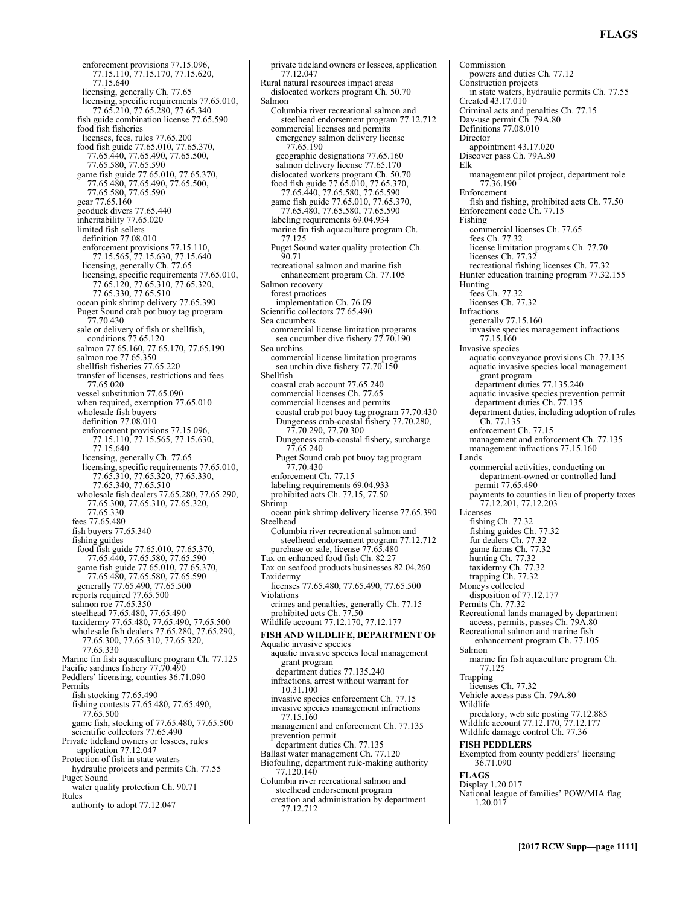# **FLAGS**

enforcement provisions 77.15.096, 77.15.110, 77.15.170, 77.15.620, 77.15.640 licensing, generally Ch. 77.65 licensing, specific requirements 77.65.010, 77.65.210, 77.65.280, 77.65.340 fish guide combination license 77.65.590 food fish fisheries licenses, fees, rules 77.65.200 food fish guide 77.65.010, 77.65.370, 77.65.440, 77.65.490, 77.65.500, 77.65.580, 77.65.590 game fish guide 77.65.010, 77.65.370, 77.65.480, 77.65.490, 77.65.500, 77.65.580, 77.65.590 gear 77.65.160 geoduck divers 77.65.440 inheritability 77.65.020 limited fish sellers definition 77.08.010 enforcement provisions 77.15.110, 77.15.565, 77.15.630, 77.15.640 licensing, generally Ch. 77.65 licensing, specific requirements 77.65.010, 77.65.120, 77.65.310, 77.65.320, 77.65.330, 77.65.510 ocean pink shrimp delivery 77.65.390 Puget Sound crab pot buoy tag program 77.70.430 sale or delivery of fish or shellfish, conditions 77.65.120 salmon 77.65.160, 77.65.170, 77.65.190 salmon roe 77.65.350 shellfish fisheries 77.65.220 transfer of licenses, restrictions and fees 77.65.020 vessel substitution 77.65.090 when required, exemption 77.65.010 wholesale fish buyers definition 77.08.010 enforcement provisions 77.15.096, 77.15.110, 77.15.565, 77.15.630, 77.15.640 licensing, generally Ch. 77.65 licensing, specific requirements 77.65.010, 77.65.310, 77.65.320, 77.65.330, 77.65.340, 77.65.510 wholesale fish dealers 77.65.280, 77.65.290, 77.65.300, 77.65.310, 77.65.320, 77.65.330 fees 77.65.480 fish buyers 77.65.340 fishing guides food fish guide 77.65.010, 77.65.370, 77.65.440, 77.65.580, 77.65.590 game fish guide 77.65.010, 77.65.370, 77.65.480, 77.65.580, 77.65.590 generally 77.65.490, 77.65.500 reports required 77.65.500 salmon roe 77.65.350 steelhead 77.65.480, 77.65.490 taxidermy 77.65.480, 77.65.490, 77.65.500 wholesale fish dealers 77.65.280, 77.65.290, 77.65.300, 77.65.310, 77.65.320, 77.65.330 Marine fin fish aquaculture program Ch. 77.125 Pacific sardines fishery 77.70.490 Peddlers' licensing, counties 36.71.090 Permits fish stocking 77.65.490 fishing contests 77.65.480, 77.65.490, 77.65.500 game fish, stocking of 77.65.480, 77.65.500 scientific collectors 77.65.490 Private tideland owners or lessees, rules application 77.12.047 Protection of fish in state waters hydraulic projects and permits Ch. 77.55 Puget Sound water quality protection Ch. 90.71 Rules authority to adopt 77.12.047

private tideland owners or lessees, application 77.12.047 Rural natural resources impact areas dislocated workers program Ch. 50.70 Salmon Columbia river recreational salmon and steelhead endorsement program 77.12.712 commercial licenses and permits emergency salmon delivery license 77.65.190 geographic designations 77.65.160 salmon delivery license 77.65.170 dislocated workers program Ch. 50.70 food fish guide 77.65.010, 77.65.370, 77.65.440, 77.65.580, 77.65.590 game fish guide 77.65.010, 77.65.370, 77.65.480, 77.65.580, 77.65.590 labeling requirements 69.04.934 marine fin fish aquaculture program Ch. 77.125 Puget Sound water quality protection Ch. 90.71 recreational salmon and marine fish enhancement program Ch. 77.105 Salmon recovery forest practices implementation Ch. 76.09 Scientific collectors 77.65.490 Sea cucumbers commercial license limitation programs sea cucumber dive fishery 77.70.190 Sea urchins commercial license limitation programs sea urchin dive fishery 77.70.150 Shellfish coastal crab account 77.65.240 commercial licenses Ch. 77.65 commercial licenses and permits coastal crab pot buoy tag program 77.70.430 Dungeness crab-coastal fishery 77.70.280, 77.70.290, 77.70.300 Dungeness crab-coastal fishery, surcharge 77.65.240 Puget Sound crab pot buoy tag program 77.70.430 enforcement Ch. 77.15 labeling requirements 69.04.933 prohibited acts Ch. 77.15, 77.50 Shrimp ocean pink shrimp delivery license 77.65.390 Steelhead Columbia river recreational salmon and steelhead endorsement program 77.12.712 purchase or sale, license 77.65.480 Tax on enhanced food fish Ch. 82.27 Tax on seafood products businesses 82.04.260 Taxidermy licenses 77.65.480, 77.65.490, 77.65.500 Violations crimes and penalties, generally Ch. 77.15 prohibited acts Ch. 77.50 Wildlife account 77.12.170, 77.12.177 **FISH AND WILDLIFE, DEPARTMENT OF**  Aquatic invasive species aquatic invasive species local management grant program department duties 77.135.240 infractions, arrest without warrant for 10.31.100 invasive species enforcement Ch. 77.15 invasive species management infractions 77.15.160 management and enforcement Ch. 77.135 prevention permit department duties Ch. 77.135 Ballast water management Ch. 77.120 Biofouling, department rule-making authority 77.120.140 Columbia river recreational salmon and steelhead endorsement program

creation and administration by department 77.12.712

Commission powers and duties Ch. 77.12 Construction projects in state waters, hydraulic permits Ch. 77.55 Created 43.17.010 Criminal acts and penalties Ch. 77.15 Day-use permit Ch. 79A.80 Definitions 77.08.010 Director appointment 43.17.020 Discover pass Ch. 79A.80 Elk management pilot project, department role 77.36.190 Enforcement fish and fishing, prohibited acts Ch. 77.50 Enforcement code Ch. 77.15 Fishing commercial licenses Ch. 77.65 fees Ch. 77.32 license limitation programs Ch. 77.70 licenses Ch. 77.32 recreational fishing licenses Ch. 77.32 Hunter education training program 77.32.155 Hunting  $fees$  Ch.  $77.32$ licenses Ch. 77.32 Infractions generally 77.15.160 invasive species management infractions 77.15.160 Invasive species aquatic conveyance provisions Ch. 77.135 aquatic invasive species local management grant program department duties 77.135.240 aquatic invasive species prevention permit department duties Ch. 77.135 department duties, including adoption of rules Ch. 77.135 enforcement Ch. 77.15 management and enforcement Ch. 77.135 management infractions 77.15.160 Lands commercial activities, conducting on department-owned or controlled land permit 77.65.490 payments to counties in lieu of property taxes 77.12.201, 77.12.203 Licenses fishing Ch. 77.32 fishing guides Ch. 77.32 fur dealers Ch. 77.32 game farms Ch. 77.32 hunting Ch. 77.32 taxidermy Ch. 77.32 trapping Ch. 77.32 Moneys collected disposition of 77.12.177 Permits Ch. 77.32 Recreational lands managed by department access, permits, passes Ch. 79A.80 Recreational salmon and marine fish enhancement program Ch. 77.105 Salmon marine fin fish aquaculture program Ch. 77.125 Trapping licenses Ch. 77.32 Vehicle access pass Ch. 79A.80 Wildlife predatory, web site posting 77.12.885 Wildlife account 77.12.170, 77.12.177 Wildlife damage control Ch. 77.36 **FISH PEDDLERS**  Exempted from county peddlers' licensing 36.71.090 **FLAGS**  Display 1.20.017 National league of families' POW/MIA flag 1.20.017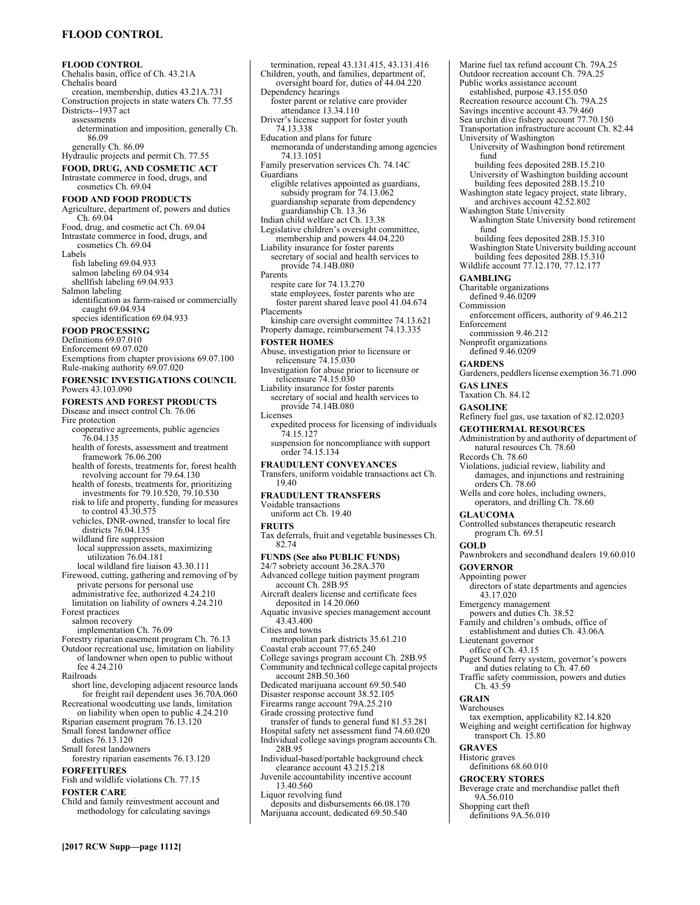# **FLOOD CONTROL**

**FLOOD CONTROL**  Chehalis basin, office of Ch. 43.21A Chehalis board creation, membership, duties 43.21A.731 Construction projects in state waters Ch. 77.55 Districts--1937 act assessments determination and imposition, generally Ch. 86.09 generally Ch. 86.09 Hydraulic projects and permit Ch. 77.55 **FOOD, DRUG, AND COSMETIC ACT**  Intrastate commerce in food, drugs, and cosmetics Ch. 69.04 **FOOD AND FOOD PRODUCTS**  Agriculture, department of, powers and duties Ch. 69.04 Food, drug, and cosmetic act Ch. 69.04 Intrastate commerce in food, drugs, and cosmetics Ch. 69.04 Labels fish labeling 69.04.933 salmon labeling 69.04.934 shellfish labeling 69.04.933 Salmon labeling identification as farm-raised or commercially caught 69.04.934 species identification 69.04.933 **FOOD PROCESSING**  Definitions 69.07.010 Enforcement 69.07.020 Exemptions from chapter provisions 69.07.100 Rule-making authority 69.07.020 **FORENSIC INVESTIGATIONS COUNCIL**  Powers 43.103.090 **FORESTS AND FOREST PRODUCTS**  Disease and insect control Ch. 76.06 Fire protection cooperative agreements, public agencies 76.04.135 health of forests, assessment and treatment framework 76.06.200 health of forests, treatments for, forest health revolving account for 79.64.130 health of forests, treatments for, prioritizing investments for 79.10.520, 79.10.530 risk to life and property, funding for measures to control 43.30.575 vehicles, DNR-owned, transfer to local fire districts 76.04.135 wildland fire suppression local suppression assets, maximizing utilization 76.04.181 local wildland fire liaison 43.30.111 Firewood, cutting, gathering and removing of by private persons for personal use administrative fee, authorized 4.24.210 limitation on liability of owners 4.24.210 Forest practices salmon recovery implementation Ch. 76.09 Forestry riparian easement program Ch. 76.13 Outdoor recreational use, limitation on liability of landowner when open to public without fee 4.24.210 Railroads short line, developing adjacent resource lands for freight rail dependent uses 36.70A.060 Recreational woodcutting use lands, limitation on liability when open to public 4.24.210 Riparian easement program 76.13.120 Small forest landowner office duties 76.13.120 Small forest landowners forestry riparian easements 76.13.120 **FORFEITURES**  Fish and wildlife violations Ch. 77.15 **FOSTER CARE**  Child and family reinvestment account and methodology for calculating savings

termination, repeal 43.131.415, 43.131.416 Children, youth, and families, department of, oversight board for, duties of 44.04.220 Dependency hearings foster parent or relative care provider attendance 13.34.110 Driver's license support for foster youth 74.13.338 Education and plans for future memoranda of understanding among agencies 74.13.1051 Family preservation services Ch. 74.14C **Guardians** eligible relatives appointed as guardians, subsidy program for 74.13.062 guardianship separate from dependency guardianship Ch. 13.36 Indian child welfare act Ch. 13.38 Legislative children's oversight committee, membership and powers 44.04.220 Liability insurance for foster parents secretary of social and health services to provide 74.14B.080 Parents respite care for 74.13.270 state employees, foster parents who are foster parent shared leave pool 41.04.674 **Placements** kinship care oversight committee 74.13.621 Property damage, reimbursement 74.13.335 **FOSTER HOMES**  Abuse, investigation prior to licensure or relicensure 74.15.030 Investigation for abuse prior to licensure or relicensure 74.15.030 Liability insurance for foster parents secretary of social and health services to provide 74.14B.080 **Licenses** expedited process for licensing of individuals 74.15.127 suspension for noncompliance with support order 74.15.134 **FRAUDULENT CONVEYANCES**  Transfers, uniform voidable transactions act Ch. 19.40 **FRAUDULENT TRANSFERS**  Voidable transactions uniform act Ch. 19.40 **FRUITS**  Tax deferrals, fruit and vegetable businesses Ch. 82.74 **FUNDS (See also PUBLIC FUNDS)** 24/7 sobriety account 36.28A.370 Advanced college tuition payment program account Ch. 28B.95 Aircraft dealers license and certificate fees deposited in 14.20.060 Aquatic invasive species management account 43.43.400 Cities and towns metropolitan park districts 35.61.210 Coastal crab account 77.65.240 College savings program account Ch. 28B.95 Community and technical college capital projects account 28B.50.360 Dedicated marijuana account 69.50.540 Disaster response account 38.52.105 Firearms range account 79A.25.210 Grade crossing protective fund transfer of funds to general fund 81.53.281 Hospital safety net assessment fund 74.60.020 Individual college savings program accounts Ch. 28B.95 Individual-based/portable background check clearance account 43.215.218 Juvenile accountability incentive account 13.40.560 Liquor revolving fund deposits and disbursements 66.08.170 Marijuana account, dedicated 69.50.540

Marine fuel tax refund account Ch. 79A.25 Outdoor recreation account Ch. 79A.25 Public works assistance account established, purpose 43.155.050 Recreation resource account Ch. 79A.25 Savings incentive account 43.79.460 Sea urchin dive fishery account 77.70.150 Transportation infrastructure account Ch. 82.44 University of Washington University of Washington bond retirement fund building fees deposited 28B.15.210 University of Washington building account building fees deposited 28B.15.210 Washington state legacy project, state library, and archives account 42.52.802 Washington State University Washington State University bond retirement fund building fees deposited 28B.15.310 Washington State University building account building fees deposited  $28B.15.310$ Wildlife account 77.12.170, 77.12.177 **GAMBLING**  Charitable organizations defined 9.46.0209 Commission enforcement officers, authority of 9.46.212 Enforcement commission 9.46.212 Nonprofit organizations defined 9.46.0209 **GARDENS**  Gardeners, peddlers license exemption 36.71.090 **GAS LINES**  Taxation Ch. 84.12 **GASOLINE**  Refinery fuel gas, use taxation of 82.12.0203 **GEOTHERMAL RESOURCES**  Administration by and authority of department of natural resources Ch. 78.60 Records Ch. 78.60 Violations, judicial review, liability and damages, and injunctions and restraining orders Ch. 78.60 Wells and core holes, including owners, operators, and drilling Ch. 78.60 **GLAUCOMA**  Controlled substances therapeutic research program Ch. 69.51 **GOLD**  Pawnbrokers and secondhand dealers 19.60.010 **GOVERNOR**  Appointing power directors of state departments and agencies 43.17.020 Emergency management powers and duties Ch. 38.52 Family and children's ombuds, office of establishment and duties Ch. 43.06A Lieutenant governor office of Ch. 43.15 Puget Sound ferry system, governor's powers and duties relating to Ch. 47.60 Traffic safety commission, powers and duties Ch. 43.59 **GRAIN**  Warehouses tax exemption, applicability 82.14.820 Weighing and weight certification for highway transport Ch. 15.80 **GRAVES**  Historic graves definitions 68.60.010 **GROCERY STORES**  Beverage crate and merchandise pallet theft 9A.56.010 Shopping cart theft

definitions 9A.56.010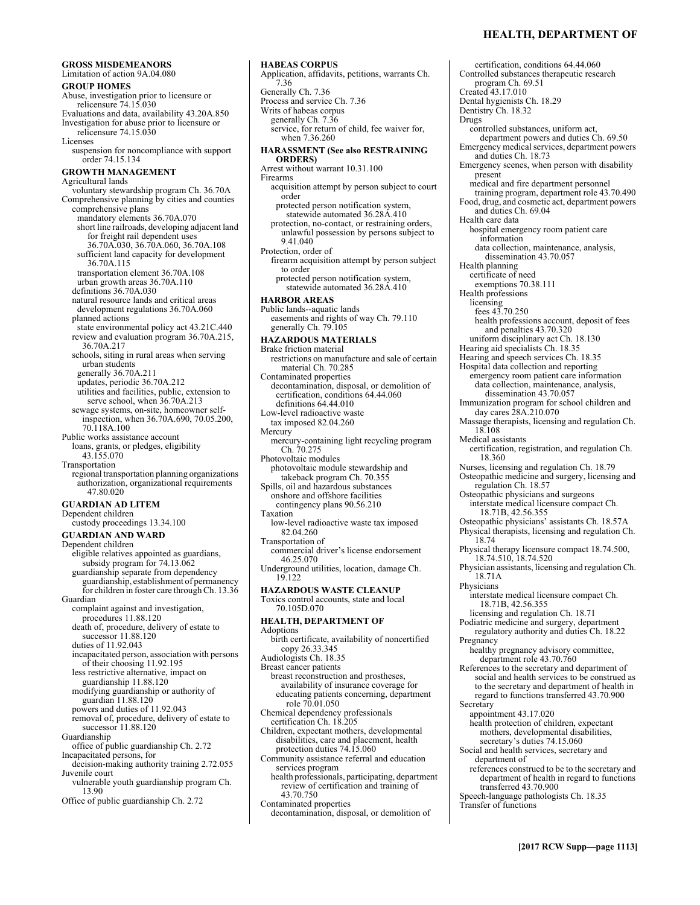**GROSS MISDEMEANORS**  Limitation of action 9A.04.080 **GROUP HOMES**  Abuse, investigation prior to licensure or relicensure 74.15.030 Evaluations and data, availability 43.20A.850 Investigation for abuse prior to licensure or relicensure 74.15.030 Licenses suspension for noncompliance with support order 74.15.134 **GROWTH MANAGEMENT**  Agricultural lands voluntary stewardship program Ch. 36.70A Comprehensive planning by cities and counties comprehensive plans mandatory elements 36.70A.070 short line railroads, developing adjacent land for freight rail dependent uses 36.70A.030, 36.70A.060, 36.70A.108 sufficient land capacity for development 36.70A.115 transportation element 36.70A.108 urban growth areas 36.70A.110 definitions 36.70A.030 natural resource lands and critical areas development regulations 36.70A.060 planned actions state environmental policy act 43.21C.440 review and evaluation program 36.70A.215, 36.70A.217 schools, siting in rural areas when serving urban students generally 36.70A.211 updates, periodic 36.70A.212 utilities and facilities, public, extension to serve school, when  $36.70$ A.213 sewage systems, on-site, homeowner selfinspection, when 36.70A.690, 70.05.200, 70.118A.100 Public works assistance account loans, grants, or pledges, eligibility 43.155.070 Transportation regional transportation planning organizations authorization, organizational requirements 47.80.020 **GUARDIAN AD LITEM**  Dependent children custody proceedings 13.34.100 **GUARDIAN AND WARD**  Dependent children eligible relatives appointed as guardians, subsidy program for 74.13.062 guardianship separate from dependency guardianship, establishment of permanency for children in foster care through Ch. 13.36 Guardian complaint against and investigation, procedures 11.88.120 death of, procedure, delivery of estate to successor 11.88.120 duties of 11.92.043 incapacitated person, association with persons of their choosing 11.92.195 less restrictive alternative, impact on guardianship 11.88.120 modifying guardianship or authority of guardian 11.88.120 powers and duties of 11.92.043 removal of, procedure, delivery of estate to successor 11.88.120 Guardianship office of public guardianship Ch. 2.72 Incapacitated persons, for decision-making authority training 2.72.055 Juvenile court vulnerable youth guardianship program Ch. 13.90

Office of public guardianship Ch. 2.72

### **HABEAS CORPUS**

Application, affidavits, petitions, warrants Ch. 7.36 Generally Ch. 7.36 Process and service Ch. 7.36 Writs of habeas corpus generally Ch. 7.36 service, for return of child, fee waiver for, when 7.36.260 **HARASSMENT (See also RESTRAINING ORDERS)** Arrest without warrant 10.31.100 Firearms acquisition attempt by person subject to court order protected person notification system, statewide automated 36.28A.410 protection, no-contact, or restraining orders, unlawful possession by persons subject to 9.41.040 Protection, order of firearm acquisition attempt by person subject to order protected person notification system, statewide automated 36.28A.410 **HARBOR AREAS**  Public lands--aquatic lands easements and rights of way Ch. 79.110 generally Ch. 79.105 **HAZARDOUS MATERIALS**  Brake friction material restrictions on manufacture and sale of certain material Ch. 70.285 Contaminated properties decontamination, disposal, or demolition of certification, conditions 64.44.060 definitions 64.44.010 Low-level radioactive waste tax imposed 82.04.260 Mercury mercury-containing light recycling program Ch. 70.275 Photovoltaic modules photovoltaic module stewardship and takeback program Ch. 70.355 Spills, oil and hazardous substances onshore and offshore facilities contingency plans 90.56.210 Taxation low-level radioactive waste tax imposed 82.04.260 Transportation of commercial driver's license endorsement 46.25.070 Underground utilities, location, damage Ch. 19.122 **HAZARDOUS WASTE CLEANUP**  Toxics control accounts, state and local 70.105D.070 **HEALTH, DEPARTMENT OF**  Adoptions birth certificate, availability of noncertified copy 26.33.345 Audiologists Ch. 18.35 Breast cancer patients breast reconstruction and prostheses, availability of insurance coverage for educating patients concerning, department role 70.01.050 Chemical dependency professionals certification Ch. 18.205 Children, expectant mothers, developmental disabilities, care and placement, health protection duties 74.15.060 Community assistance referral and education services program health professionals, participating, department review of certification and training of 43.70.750

Contaminated properties decontamination, disposal, or demolition of

certification, conditions 64.44.060 Controlled substances therapeutic research program Ch. 69.51 Created 43.17.010 Dental hygienists Ch. 18.29 Dentistry Ch. 18.32 Drugs controlled substances, uniform act, department powers and duties Ch. 69.50 Emergency medical services, department powers and duties Ch. 18.73 Emergency scenes, when person with disability present medical and fire department personnel training program, department role 43.70.490 Food, drug, and cosmetic act, department powers and duties Ch. 69.04 Health care data hospital emergency room patient care information data collection, maintenance, analysis, dissemination 43.70.057 Health planning certificate of need exemptions 70.38.111 Health professions licensing fees 43.70.250 health professions account, deposit of fees and penalties 43.70.320 uniform disciplinary act Ch. 18.130 Hearing aid specialists Ch. 18.35 Hearing and speech services Ch. 18.35 Hospital data collection and reporting emergency room patient care information data collection, maintenance, analysis, dissemination 43.70.057 Immunization program for school children and day cares 28A.210.070 Massage therapists, licensing and regulation Ch. 18.108 Medical assistants certification, registration, and regulation Ch. 18.360 Nurses, licensing and regulation Ch. 18.79 Osteopathic medicine and surgery, licensing and regulation Ch. 18.57 Osteopathic physicians and surgeons interstate medical licensure compact Ch. 18.71B, 42.56.355 Osteopathic physicians' assistants Ch. 18.57A Physical therapists, licensing and regulation Ch. 18.74 Physical therapy licensure compact 18.74.500, 18.74.510, 18.74.520 Physician assistants, licensing and regulation Ch. 18.71A Physicians interstate medical licensure compact Ch. 18.71B, 42.56.355 licensing and regulation Ch. 18.71 Podiatric medicine and surgery, department regulatory authority and duties Ch. 18.22 Pregnancy healthy pregnancy advisory committee, department role 43.70.760 References to the secretary and department of social and health services to be construed as to the secretary and department of health in regard to functions transferred 43.70.900 **Secretary** appointment 43.17.020 health protection of children, expectant mothers, developmental disabilities, secretary's duties 74.15.060 Social and health services, secretary and department of references construed to be to the secretary and department of health in regard to functions transferred 43.70.900

Speech-language pathologists Ch. 18.35 Transfer of functions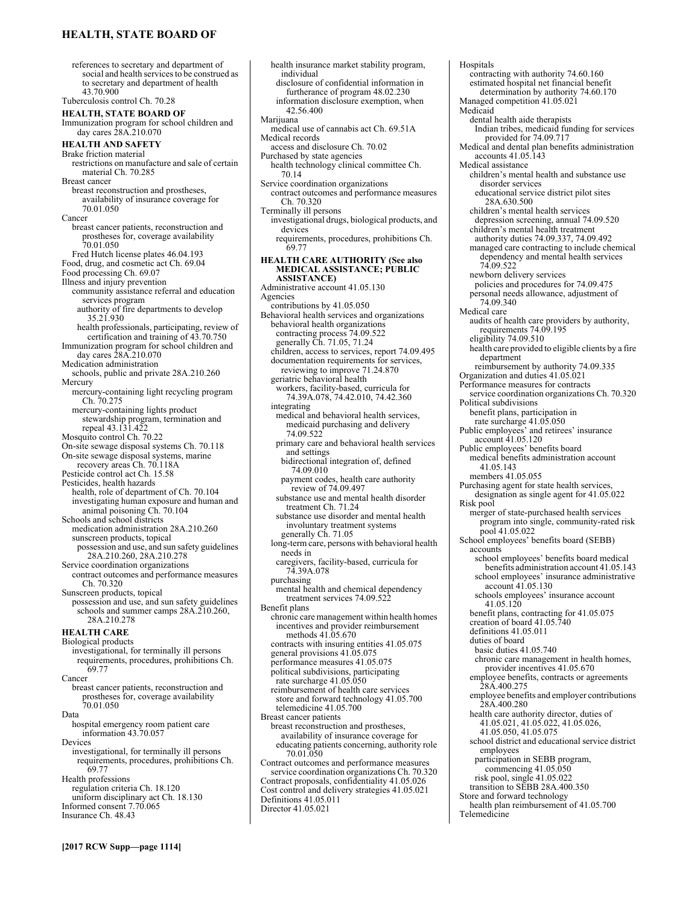# **HEALTH, STATE BOARD OF**

references to secretary and department of social and health services to be construed as to secretary and department of health 43.70.900 Tuberculosis control Ch. 70.28 **HEALTH, STATE BOARD OF**  Immunization program for school children and day cares 28A.210.070 **HEALTH AND SAFETY**  Brake friction material restrictions on manufacture and sale of certain material Ch. 70.285 Breast cancer breast reconstruction and prostheses, availability of insurance coverage for 70.01.050 Cancer breast cancer patients, reconstruction and prostheses for, coverage availability 70.01.050 Fred Hutch license plates 46.04.193 Food, drug, and cosmetic act Ch. 69.04 Food processing Ch. 69.07 Illness and injury prevention community assistance referral and education services program authority of fire departments to develop 35.21.930 health professionals, participating, review of certification and training of 43.70.750 Immunization program for school children and day cares 28A.210.070 Medication administration schools, public and private 28A.210.260 Mercury mercury-containing light recycling program Ch. 70.275 mercury-containing lights product stewardship program, termination and repeal 43.131.422 Mosquito control Ch. 70.22 On-site sewage disposal systems Ch. 70.118 On-site sewage disposal systems, marine recovery areas Ch. 70.118A Pesticide control act Ch. 15.58 Pesticides, health hazards health, role of department of Ch. 70.104 investigating human exposure and human and animal poisoning Ch. 70.104 Schools and school districts medication administration 28A.210.260 sunscreen products, topical possession and use, and sun safety guidelines 28A.210.260, 28A.210.278 Service coordination organizations contract outcomes and performance measures Ch. 70.320 Sunscreen products, topical possession and use, and sun safety guidelines schools and summer camps 28A.210.260, 28A.210.278 **HEALTH CARE**  Biological products investigational, for terminally ill persons requirements, procedures, prohibitions Ch. 69.77 Cancer breast cancer patients, reconstruction and prostheses for, coverage availability 70.01.050 Data hospital emergency room patient care information 43.70.057 Devices investigational, for terminally ill persons requirements, procedures, prohibitions Ch. 69.77 Health professions regulation criteria Ch. 18.120 uniform disciplinary act Ch. 18.130 Informed consent 7.70.065 Insurance Ch. 48.43

health insurance market stability program, individual disclosure of confidential information in furtherance of program 48.02.230 information disclosure exemption, when 42.56.400 Marijuana medical use of cannabis act Ch. 69.51A Medical records access and disclosure Ch. 70.02 Purchased by state agencies health technology clinical committee Ch. 70.14 Service coordination organizations contract outcomes and performance measures Ch. 70.320 Terminally ill persons investigational drugs, biological products, and devices requirements, procedures, prohibitions Ch. 69.77 **HEALTH CARE AUTHORITY (See also MEDICAL ASSISTANCE; PUBLIC ASSISTANCE)** Administrative account 41.05.130 Agencies contributions by 41.05.050 Behavioral health services and organizations behavioral health organizations contracting process 74.09.522 generally Ch. 71.05, 71.24 children, access to services, report 74.09.495 documentation requirements for services, reviewing to improve 71.24.870 geriatric behavioral health workers, facility-based, curricula for 74.39A.078, 74.42.010, 74.42.360 integrating medical and behavioral health services, medicaid purchasing and delivery 74.09.522 primary care and behavioral health services and settings bidirectional integration of, defined 74.09.010 payment codes, health care authority review of 74.09.497 substance use and mental health disorder treatment Ch. 71.24 substance use disorder and mental health involuntary treatment systems generally Ch. 71.05 long-term care, persons with behavioral health needs in caregivers, facility-based, curricula for 74.39A.078 purchasing mental health and chemical dependency treatment services 74.09.522 Benefit plans chronic care management within health homes incentives and provider reimbursement methods 41.05.670 contracts with insuring entities 41.05.075 general provisions 41.05.075 performance measures 41.05.075 political subdivisions, participating rate surcharge 41.05.050 reimbursement of health care services store and forward technology 41.05.700 telemedicine 41.05.700 Breast cancer patients breast reconstruction and prostheses, availability of insurance coverage for educating patients concerning, authority role 70.01.050 Contract outcomes and performance measures service coordination organizations Ch. 70.320 Contract proposals, confidentiality 41.05.026 Cost control and delivery strategies 41.05.021 Definitions 41.05.011 Director 41.05.021

Hospitals contracting with authority 74.60.160 estimated hospital net financial benefit determination by authority 74.60.170 Managed competition 41.05.021 Medicaid dental health aide therapists Indian tribes, medicaid funding for services provided for 74.09.717 Medical and dental plan benefits administration accounts 41.05.143 Medical assistance children's mental health and substance use disorder services educational service district pilot sites 28A.630.500 children's mental health services depression screening, annual 74.09.520 children's mental health treatment authority duties 74.09.337, 74.09.492 managed care contracting to include chemical dependency and mental health services 74.09.522 newborn delivery services policies and procedures for 74.09.475 personal needs allowance, adjustment of 74.09.340 Medical care audits of health care providers by authority, requirements 74.09.195 eligibility 74.09.510 health care provided to eligible clients by a fire department reimbursement by authority 74.09.335 Organization and duties 41.05.021 Performance measures for contracts service coordination organizations Ch. 70.320 Political subdivisions benefit plans, participation in rate surcharge 41.05.050 Public employees' and retirees' insurance account 41.05.120 Public employees' benefits board medical benefits administration account 41.05.143 members 41.05.055 Purchasing agent for state health services, designation as single agent for 41.05.022 Risk pool merger of state-purchased health services program into single, community-rated risk pool 41.05.022 School employees' benefits board (SEBB) accounts school employees' benefits board medical benefits administration account 41.05.143 school employees' insurance administrative account 41.05.130 schools employees' insurance account 41.05.120 benefit plans, contracting for 41.05.075 creation of board 41.05.740 definitions 41.05.011 duties of board basic duties 41.05.740 chronic care management in health homes, provider incentives 41.05.670 employee benefits, contracts or agreements 28A.400.275 employee benefits and employer contributions 28A.400.280 health care authority director, duties of 41.05.021, 41.05.022, 41.05.026, 41.05.050, 41.05.075 school district and educational service district employees participation in SEBB program, commencing 41.05.050 risk pool, single 41.05.022 transition to SEBB 28A.400.350 Store and forward technology health plan reimbursement of 41.05.700 Telemedicine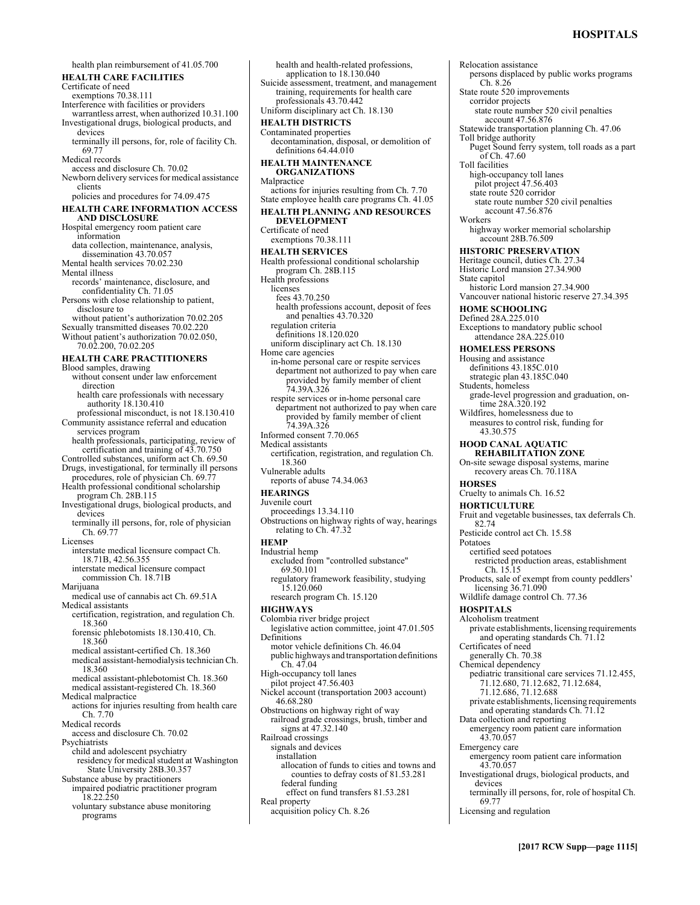# **HOSPITALS**

Relocation assistance

health plan reimbursement of 41.05.700 **HEALTH CARE FACILITIES**  Certificate of need exemptions 70.38.111 Interference with facilities or providers warrantless arrest, when authorized 10.31.100 Investigational drugs, biological products, and devices terminally ill persons, for, role of facility Ch. 69.77 Medical records access and disclosure Ch. 70.02 Newborn delivery services for medical assistance clients policies and procedures for 74.09.475 **HEALTH CARE INFORMATION ACCESS AND DISCLOSURE**  Hospital emergency room patient care information data collection, maintenance, analysis, dissemination 43.70.057 Mental health services 70.02.230 Mental illness records' maintenance, disclosure, and confidentiality Ch. 71.05 Persons with close relationship to patient, disclosure to without patient's authorization 70.02.205 Sexually transmitted diseases 70.02.220 Without patient's authorization 70.02.050, 70.02.200, 70.02.205 **HEALTH CARE PRACTITIONERS**  Blood samples, drawing without consent under law enforcement direction health care professionals with necessary authority 18.130.410 professional misconduct, is not 18.130.410 Community assistance referral and education services program health professionals, participating, review of certification and training of 43.70.750 Controlled substances, uniform act Ch. 69.50 Drugs, investigational, for terminally ill persons procedures, role of physician Ch. 69.77 Health professional conditional scholarship program Ch. 28B.115 Investigational drugs, biological products, and devices terminally ill persons, for, role of physician Ch. 69.77 Licenses interstate medical licensure compact Ch. 18.71B, 42.56.355 interstate medical licensure compact commission Ch. 18.71B Marijuana medical use of cannabis act Ch. 69.51A Medical assistants certification, registration, and regulation Ch. 18.360 forensic phlebotomists 18.130.410, Ch. 18.360 medical assistant-certified Ch. 18.360 medical assistant-hemodialysis technician Ch. 18.360 medical assistant-phlebotomist Ch. 18.360 medical assistant-registered Ch. 18.360 Medical malpractice actions for injuries resulting from health care Ch. 7.70 Medical records access and disclosure Ch. 70.02 Psychiatrists child and adolescent psychiatry residency for medical student at Washington State University 28B.30.357 Substance abuse by practitioners impaired podiatric practitioner program 18.22.250 voluntary substance abuse monitoring programs

application to 18.130.040 Suicide assessment, treatment, and management training, requirements for health care professionals 43.70.442 Uniform disciplinary act Ch. 18.130 **HEALTH DISTRICTS**  Contaminated properties decontamination, disposal, or demolition of definitions 64.44.010 **HEALTH MAINTENANCE ORGANIZATIONS**  Malpractice actions for injuries resulting from Ch. 7.70 State employee health care programs Ch. 41.05 **HEALTH PLANNING AND RESOURCES DEVELOPMENT**  Certificate of need exemptions 70.38.111 **HEALTH SERVICES**  Health professional conditional scholarship program Ch. 28B.115 Health professions licenses fees 43.70.250 health professions account, deposit of fees and penalties 43.70.320 regulation criteria definitions 18.120.020 uniform disciplinary act Ch. 18.130 Home care agencies in-home personal care or respite services department not authorized to pay when care provided by family member of client 74.39A.326 respite services or in-home personal care department not authorized to pay when care provided by family member of client 74.39A.326 Informed consent 7.70.065 Medical assistants certification, registration, and regulation Ch. 18.360 Vulnerable adults reports of abuse 74.34.063 **HEARINGS**  Juvenile court proceedings 13.34.110 Obstructions on highway rights of way, hearings relating to Ch. 47.32 **HEMP**  Industrial hemp excluded from "controlled substance" 69.50.101 regulatory framework feasibility, studying 15.120.060 research program Ch. 15.120 **HIGHWAYS**  Colombia river bridge project legislative action committee, joint 47.01.505 Definitions motor vehicle definitions Ch. 46.04 public highways and transportation definitions  $Ch. 47.04$ High-occupancy toll lanes pilot project 47.56.403 Nickel account (transportation 2003 account) 46.68.280 Obstructions on highway right of way railroad grade crossings, brush, timber and signs at 47.32.140 Railroad crossings signals and devices installation allocation of funds to cities and towns and counties to defray costs of 81.53.281 federal funding effect on fund transfers 81.53.281 Real property acquisition policy Ch. 8.26

health and health-related professions,

persons displaced by public works programs Ch. 8.26 State route 520 improvements corridor projects state route number 520 civil penalties account 47.56.876 Statewide transportation planning Ch. 47.06 Toll bridge authority Puget Sound ferry system, toll roads as a part of Ch. 47.60 Toll facilities high-occupancy toll lanes pilot project 47.56.403 state route 520 corridor state route number 520 civil penalties account 47.56.876 Workers highway worker memorial scholarship account 28B.76.509 **HISTORIC PRESERVATION**  Heritage council, duties Ch. 27.34 Historic Lord mansion 27.34.900 State capitol historic Lord mansion 27.34.900 Vancouver national historic reserve 27.34.395 **HOME SCHOOLING**  Defined 28A.225.010 Exceptions to mandatory public school attendance 28A.225.010 **HOMELESS PERSONS**  Housing and assistance definitions 43.185C.010 strategic plan 43.185C.040 Students, homeless grade-level progression and graduation, ontime 28A.320.192 Wildfires, homelessness due to measures to control risk, funding for 43.30.575 **HOOD CANAL AQUATIC REHABILITATION ZONE**  On-site sewage disposal systems, marine recovery areas Ch. 70.118A **HORSES**  Cruelty to animals Ch. 16.52 **HORTICULTURE**  Fruit and vegetable businesses, tax deferrals Ch. 82.74 Pesticide control act Ch. 15.58 Potatoes certified seed potatoes restricted production areas, establishment Ch. 15.15 Products, sale of exempt from county peddlers' licensing 36.71.090 Wildlife damage control Ch. 77.36 **HOSPITALS**  Alcoholism treatment private establishments, licensing requirements and operating standards Ch. 71.12 Certificates of need generally Ch. 70.38 Chemical dependency pediatric transitional care services 71.12.455, 71.12.680, 71.12.682, 71.12.684, 71.12.686, 71.12.688 private establishments, licensing requirements and operating standards Ch. 71.12 Data collection and reporting emergency room patient care information 43.70.057 Emergency care emergency room patient care information 43.70.057 Investigational drugs, biological products, and devices terminally ill persons, for, role of hospital Ch. 69.77 Licensing and regulation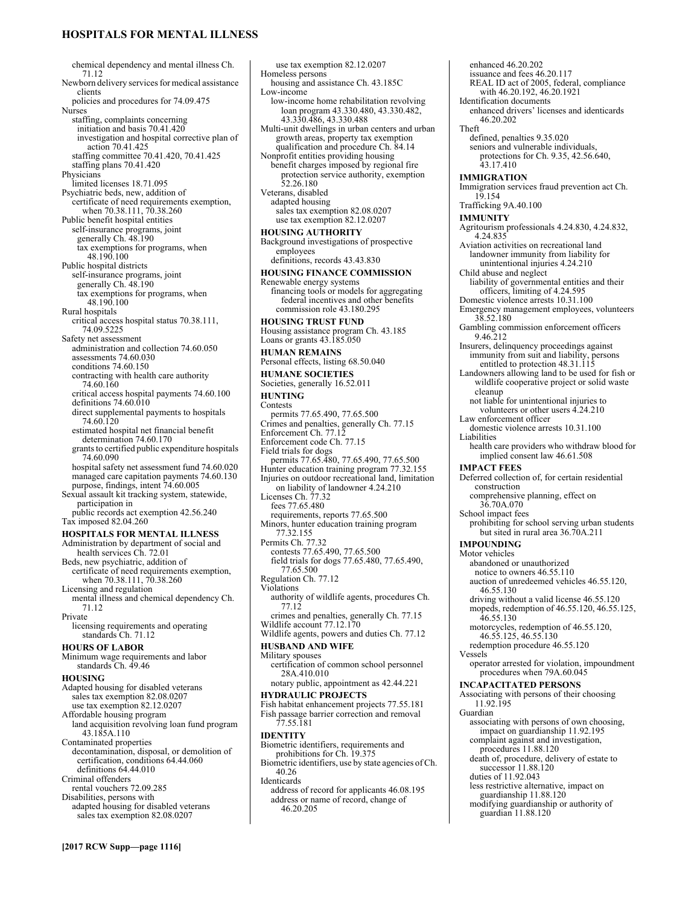# **HOSPITALS FOR MENTAL ILLNESS**

**[2017 RCW Supp—page 1116]** chemical dependency and mental illness Ch. 71.12 Newborn delivery services for medical assistance clients policies and procedures for 74.09.475 Nurses staffing, complaints concerning initiation and basis 70.41.420 investigation and hospital corrective plan of action 70.41.425 staffing committee 70.41.420, 70.41.425 staffing plans 70.41.420 Physicians limited licenses 18.71.095 Psychiatric beds, new, addition of certificate of need requirements exemption, when 70.38.111, 70.38.260 Public benefit hospital entities self-insurance programs, joint generally Ch. 48.190 tax exemptions for programs, when 48.190.100 Public hospital districts self-insurance programs, joint generally Ch. 48.190 tax exemptions for programs, when 48.190.100 Rural hospitals critical access hospital status 70.38.111, 74.09.5225 Safety net assessment administration and collection 74.60.050 assessments 74.60.030 conditions 74.60.150 contracting with health care authority 74.60.160 critical access hospital payments 74.60.100 definitions 74.60.010 direct supplemental payments to hospitals 74.60.120 estimated hospital net financial benefit determination 74.60.170 grants to certified public expenditure hospitals 74.60.090 hospital safety net assessment fund 74.60.020 managed care capitation payments 74.60.130 purpose, findings, intent 74.60.005 Sexual assault kit tracking system, statewide, participation in public records act exemption 42.56.240 Tax imposed 82.04.260 **HOSPITALS FOR MENTAL ILLNESS**  Administration by department of social and health services Ch. 72.01 Beds, new psychiatric, addition of certificate of need requirements exemption, when 70.38.111, 70.38.260 Licensing and regulation mental illness and chemical dependency Ch. 71.12 Private licensing requirements and operating standards Ch. 71.12 **HOURS OF LABOR**  Minimum wage requirements and labor standards Ch. 49.46 **HOUSING**  Adapted housing for disabled veterans sales tax exemption 82.08.0207 use tax exemption 82.12.0207 Affordable housing program land acquisition revolving loan fund program 43.185A.110 Contaminated properties decontamination, disposal, or demolition of certification, conditions 64.44.060 definitions 64.44.010 Criminal offenders rental vouchers 72.09.285 Disabilities, persons with adapted housing for disabled veterans sales tax exemption 82.08.0207

use tax exemption 82.12.0207 Homeless persons housing and assistance Ch. 43.185C Low-income low-income home rehabilitation revolving loan program 43.330.480, 43.330.482, 43.330.486, 43.330.488 Multi-unit dwellings in urban centers and urban growth areas, property tax exemption qualification and procedure Ch. 84.14 Nonprofit entities providing housing benefit charges imposed by regional fire protection service authority, exemption 52.26.180 Veterans, disabled adapted housing sales tax exemption 82.08.0207 use tax exemption 82.12.0207 **HOUSING AUTHORITY**  Background investigations of prospective employees definitions, records 43.43.830 **HOUSING FINANCE COMMISSION**  Renewable energy systems financing tools or models for aggregating federal incentives and other benefits commission role 43.180.295 **HOUSING TRUST FUND**  Housing assistance program Ch. 43.185 Loans or grants 43.185.050 **HUMAN REMAINS**  Personal effects, listing 68.50.040 **HUMANE SOCIETIES**  Societies, generally 16.52.011 **HUNTING Contests** permits 77.65.490, 77.65.500 Crimes and penalties, generally Ch. 77.15 Enforcement Ch. 77.12 Enforcement code Ch. 77.15 Field trials for dogs permits 77.65.480, 77.65.490, 77.65.500 Hunter education training program 77.32.155 Injuries on outdoor recreational land, limitation on liability of landowner 4.24.210 Licenses Ch. 77.32 fees 77.65.480 requirements, reports 77.65.500 Minors, hunter education training program 77.32.155 Permits Ch. 77.32 contests 77.65.490, 77.65.500 field trials for dogs 77.65.480, 77.65.490, 77.65.500 Regulation Ch. 77.12 Violations authority of wildlife agents, procedures Ch. 77.12 crimes and penalties, generally Ch. 77.15 Wildlife account 77.12.170 Wildlife agents, powers and duties Ch. 77.12 **HUSBAND AND WIFE**  Military spouses certification of common school personnel 28A.410.010 notary public, appointment as 42.44.221 **HYDRAULIC PROJECTS**  Fish habitat enhancement projects 77.55.181 Fish passage barrier correction and removal 77.55.181 **IDENTITY**  Biometric identifiers, requirements and prohibitions for Ch. 19.375 Biometric identifiers, use by state agencies of Ch. 40.26 Identicards address of record for applicants 46.08.195 address or name of record, change of 46.20.205

enhanced 46.20.202 issuance and fees 46.20.117 REAL ID act of 2005, federal, compliance with 46.20.192, 46.20.1921 Identification documents enhanced drivers' licenses and identicards 46.20.202 Theft defined, penalties 9.35.020 seniors and vulnerable individuals, protections for Ch. 9.35, 42.56.640, 43.17.410 **IMMIGRATION**  Immigration services fraud prevention act Ch. 19.154 Trafficking 9A.40.100 **IMMUNITY**  Agritourism professionals 4.24.830, 4.24.832, 4.24.835 Aviation activities on recreational land landowner immunity from liability for unintentional injuries 4.24.210 Child abuse and neglect liability of governmental entities and their officers, limiting of 4.24.595 Domestic violence arrests 10.31.100 Emergency management employees, volunteers 38.52.180 Gambling commission enforcement officers 9.46.212 Insurers, delinquency proceedings against immunity from suit and liability, persons entitled to protection 48.31.115 Landowners allowing land to be used for fish or wildlife cooperative project or solid waste cleanup not liable for unintentional injuries to volunteers or other users 4.24.210 Law enforcement officer domestic violence arrests 10.31.100 Liabilities health care providers who withdraw blood for implied consent law 46.61.508 **IMPACT FEES**  Deferred collection of, for certain residential construction comprehensive planning, effect on 36.70A.070 School impact fees prohibiting for school serving urban students but sited in rural area 36.70A.211 **IMPOUNDING**  Motor vehicles abandoned or unauthorized notice to owners 46.55.110 auction of unredeemed vehicles 46.55.120, 46.55.130 driving without a valid license 46.55.120 mopeds, redemption of 46.55.120, 46.55.125, 46.55.130 motorcycles, redemption of 46.55.120, 46.55.125, 46.55.130 redemption procedure 46.55.120 Vessels operator arrested for violation, impoundment procedures when 79A.60.045 **INCAPACITATED PERSONS**  Associating with persons of their choosing 11.92.195 Guardian associating with persons of own choosing, impact on guardianship 11.92.195 complaint against and investigation, procedures 11.88.120 death of, procedure, delivery of estate to successor 11.88.120 duties of 11.92.043 less restrictive alternative, impact on guardianship 11.88.120 modifying guardianship or authority of guardian 11.88.120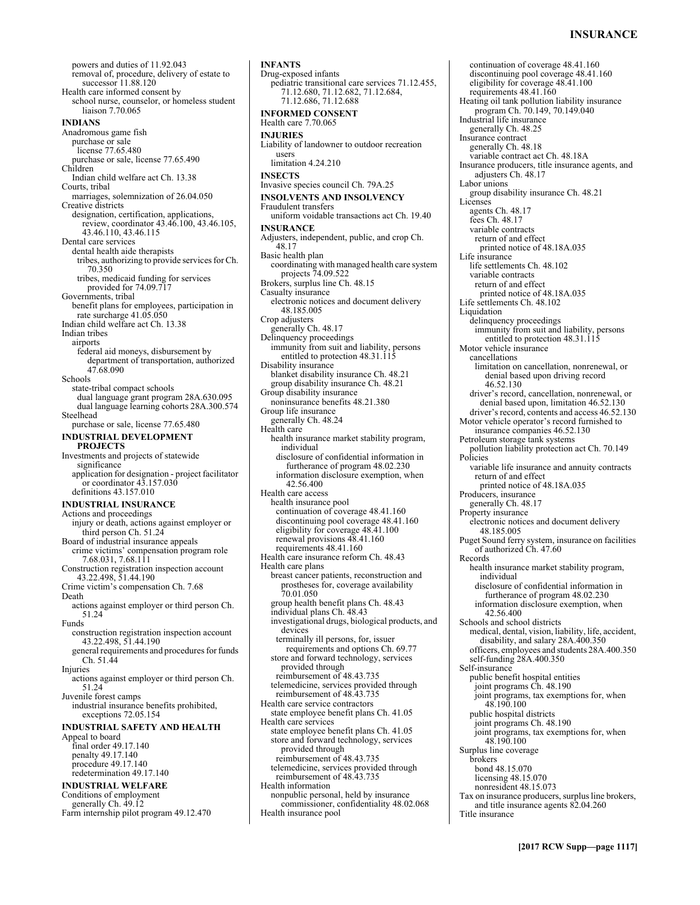powers and duties of 11.92.043 removal of, procedure, delivery of estate to successor 11.88.120 Health care informed consent by school nurse, counselor, or homeless student liaison 7.70.065 **INDIANS**  Anadromous game fish purchase or sale license 77.65.480 purchase or sale, license 77.65.490 Children Indian child welfare act Ch. 13.38 Courts, tribal marriages, solemnization of 26.04.050 Creative districts designation, certification, applications, review, coordinator 43.46.100, 43.46.105, 43.46.110, 43.46.115 Dental care services dental health aide therapists tribes, authorizing to provide services for Ch. 70.350 tribes, medicaid funding for services provided for 74.09.717 Governments, tribal benefit plans for employees, participation in rate surcharge 41.05.050 Indian child welfare act Ch. 13.38 Indian tribes airports federal aid moneys, disbursement by department of transportation, authorized 47.68.090 Schools state-tribal compact schools dual language grant program 28A.630.095 dual language learning cohorts 28A.300.574 Steelhead purchase or sale, license 77.65.480 **INDUSTRIAL DEVELOPMENT PROJECTS**  Investments and projects of statewide significance application for designation - project facilitator or coordinator 43.157.030 definitions 43.157.010 **INDUSTRIAL INSURANCE**  Actions and proceedings injury or death, actions against employer or third person Ch. 51.24 Board of industrial insurance appeals crime victims' compensation program role 7.68.031, 7.68.111 Construction registration inspection account 43.22.498, 51.44.190 Crime victim's compensation Ch. 7.68 Death actions against employer or third person Ch. 51.24 Funds construction registration inspection account 43.22.498, 51.44.190 general requirements and procedures for funds Ch. 51.44 Injuries actions against employer or third person Ch. 51.24 Juvenile forest camps industrial insurance benefits prohibited, exceptions 72.05.154 **INDUSTRIAL SAFETY AND HEALTH**  Appeal to board final order 49.17.140 penalty 49.17.140 procedure 49.17.140 redetermination 49.17.140 **INDUSTRIAL WELFARE**  Conditions of employment generally Ch. 49.12 Farm internship pilot program 49.12.470

**INFANTS**  Drug-exposed infants pediatric transitional care services 71.12.455, 71.12.680, 71.12.682, 71.12.684, 71.12.686, 71.12.688 **INFORMED CONSENT**  Health care 7.70.065 **INJURIES**  Liability of landowner to outdoor recreation users limitation 4.24.210 **INSECTS**  Invasive species council Ch. 79A.25 **INSOLVENTS AND INSOLVENCY**  Fraudulent transfers uniform voidable transactions act Ch. 19.40 **INSURANCE**  Adjusters, independent, public, and crop Ch. 48.17 Basic health plan coordinating with managed health care system projects 74.09.522 Brokers, surplus line Ch. 48.15 Casualty insurance electronic notices and document delivery 48.185.005 Crop adjusters generally Ch. 48.17 Delinquency proceedings immunity from suit and liability, persons entitled to protection  $48.31.\dot{115}$ Disability insurance blanket disability insurance Ch. 48.21 group disability insurance Ch. 48.21 Group disability insurance noninsurance benefits 48.21.380 Group life insurance generally Ch. 48.24 Health care health insurance market stability program, individual disclosure of confidential information in furtherance of program 48.02.230 information disclosure exemption, when 42.56.400 Health care access health insurance pool continuation of coverage 48.41.160 discontinuing pool coverage 48.41.160 eligibility for coverage 48.41.100 renewal provisions 48.41.160 requirements 48.41.160 Health care insurance reform Ch. 48.43 Health care plans breast cancer patients, reconstruction and prostheses for, coverage availability 70.01.050 group health benefit plans Ch. 48.43 individual plans Ch. 48.43 investigational drugs, biological products, and devices terminally ill persons, for, issuer requirements and options Ch. 69.77 store and forward technology, services provided through reimbursement of 48.43.735 telemedicine, services provided through reimbursement of 48.43.735 Health care service contractors state employee benefit plans Ch. 41.05 Health care services state employee benefit plans Ch. 41.05 store and forward technology, services provided through reimbursement of 48.43.735 telemedicine, services provided through reimbursement of 48.43.735 Health information nonpublic personal, held by insurance commissioner, confidentiality 48.02.068 Health insurance pool

continuation of coverage 48.41.160 discontinuing pool coverage 48.41.160 eligibility for coverage 48.41.100 requirements 48.41.160 Heating oil tank pollution liability insurance program Ch. 70.149, 70.149.040 Industrial life insurance generally Ch. 48.25 Insurance contract generally Ch. 48.18 variable contract act Ch. 48.18A Insurance producers, title insurance agents, and adjusters Ch. 48.17 Labor unions group disability insurance Ch. 48.21 Licenses agents Ch. 48.17 fees Ch. 48.17 variable contracts return of and effect printed notice of 48.18A.035 Life insurance life settlements Ch. 48.102 variable contracts return of and effect printed notice of 48.18A.035 Life settlements Ch. 48.102 Liquidation delinquency proceedings immunity from suit and liability, persons entitled to protection 48.31.115 Motor vehicle insurance cancellations limitation on cancellation, nonrenewal, or denial based upon driving record 46.52.130 driver's record, cancellation, nonrenewal, or denial based upon, limitation 46.52.130 driver's record, contents and access 46.52.130 Motor vehicle operator's record furnished to insurance companies 46.52.130 Petroleum storage tank systems pollution liability protection act Ch. 70.149 Policies variable life insurance and annuity contracts return of and effect printed notice of 48.18A.035 Producers, insurance generally Ch. 48.17 Property insurance electronic notices and document delivery 48.185.005 Puget Sound ferry system, insurance on facilities of authorized Ch. 47.60 Records health insurance market stability program, individual disclosure of confidential information in furtherance of program 48.02.230 information disclosure exemption, when 42.56.400 Schools and school districts medical, dental, vision, liability, life, accident, disability, and salary 28A.400.350 officers, employees and students 28A.400.350 self-funding 28A.400.350 Self-insurance public benefit hospital entities joint programs Ch. 48.190 joint programs, tax exemptions for, when 48.190.100 public hospital districts joint programs Ch. 48.190 joint programs, tax exemptions for, when 48.190.100 Surplus line coverage brokers bond 48.15.070 licensing 48.15.070 nonresident 48.15.073 Tax on insurance producers, surplus line brokers, and title insurance agents 82.04.260 Title insurance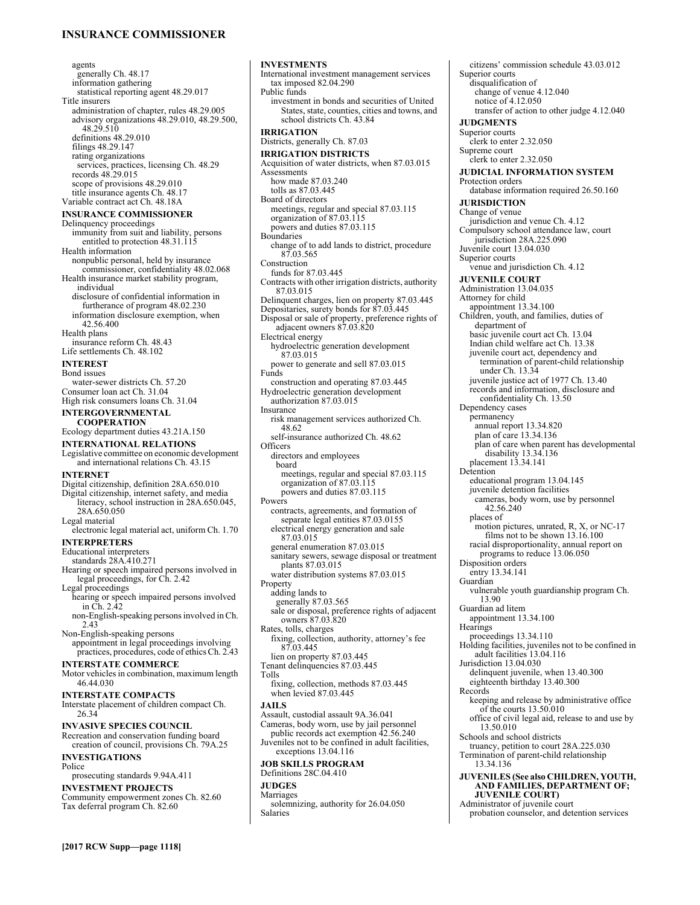# **INSURANCE COMMISSIONER**

agents generally Ch. 48.17 information gathering statistical reporting agent 48.29.017 Title insurers administration of chapter, rules 48.29.005 advisory organizations 48.29.010, 48.29.500, 48.29.510 definitions 48.29.010 filings 48.29.147 rating organizations services, practices, licensing Ch. 48.29 records 48.29.015 scope of provisions 48.29.010 title insurance agents Ch. 48.17 Variable contract act Ch. 48.18A **INSURANCE COMMISSIONER**  Delinquency proceedings immunity from suit and liability, persons entitled to protection 48.31.115 Health information nonpublic personal, held by insurance commissioner, confidentiality 48.02.068 Health insurance market stability program, individual disclosure of confidential information in furtherance of program 48.02.230 information disclosure exemption, when 42.56.400 Health plans insurance reform Ch. 48.43 Life settlements Ch. 48.102 **INTEREST**  Bond issues water-sewer districts Ch. 57.20 Consumer loan act Ch. 31.04 High risk consumers loans Ch. 31.04 **INTERGOVERNMENTAL COOPERATION**  Ecology department duties 43.21A.150 **INTERNATIONAL RELATIONS**  Legislative committee on economic development and international relations Ch. 43.15 **INTERNET** Digital citizenship, definition 28A.650.010 Digital citizenship, internet safety, and media literacy, school instruction in 28A.650.045, 28A.650.050 Legal material electronic legal material act, uniform Ch. 1.70 **INTERPRETERS**  Educational interpreters standards 28A.410.271 Hearing or speech impaired persons involved in legal proceedings, for Ch. 2.42 Legal proceedings hearing or speech impaired persons involved in Ch. 2.42 non-English-speaking persons involved in Ch. 2.43 Non-English-speaking persons appointment in legal proceedings involving practices, procedures, code of ethics Ch. 2.43 **INTERSTATE COMMERCE**  Motor vehicles in combination, maximum length 46.44.030 **INTERSTATE COMPACTS**  Interstate placement of children compact Ch. 26.34 **INVASIVE SPECIES COUNCIL**  Recreation and conservation funding board creation of council, provisions Ch. 79A.25 **INVESTIGATIONS**  Police prosecuting standards 9.94A.411 **INVESTMENT PROJECTS**  Community empowerment zones Ch. 82.60 Tax deferral program Ch. 82.60

**INVESTMENTS** 

International investment management services tax imposed 82.04.290 Public funds investment in bonds and securities of United States, state, counties, cities and towns, and school districts Ch. 43.84 **IRRIGATION**  Districts, generally Ch. 87.03 **IRRIGATION DISTRICTS**  Acquisition of water districts, when 87.03.015 **Assessments** how made 87.03.240 tolls as 87.03.445 Board of directors meetings, regular and special 87.03.115 organization of 87.03.115 powers and duties 87.03.115 **Boundaries** change of to add lands to district, procedure 87.03.565 Construction funds for 87.03.445 Contracts with other irrigation districts, authority 87.03.015 Delinquent charges, lien on property 87.03.445 Depositaries, surety bonds for 87.03.445 Disposal or sale of property, preference rights of adjacent owners 87.03.820 Electrical energy hydroelectric generation development 87.03.015 power to generate and sell 87.03.015 Funds construction and operating 87.03.445 Hydroelectric generation development authorization 87.03.015 Insurance risk management services authorized Ch. 48.62 self-insurance authorized Ch. 48.62 **Officers** directors and employees board meetings, regular and special 87.03.115 organization of 87.03.115 powers and duties 87.03.115 Powers contracts, agreements, and formation of separate legal entities 87.03.0155 electrical energy generation and sale 87.03.015 general enumeration 87.03.015 sanitary sewers, sewage disposal or treatment plants 87.03.015 water distribution systems 87.03.015 Property adding lands to generally 87.03.565 sale or disposal, preference rights of adjacent owners 87.03.820 Rates, tolls, charges fixing, collection, authority, attorney's fee 87.03.445 lien on property 87.03.445 Tenant delinquencies 87.03.445 Tolls fixing, collection, methods 87.03.445 when levied 87.03.445 **JAILS**  Assault, custodial assault 9A.36.041 Cameras, body worn, use by jail personnel public records act exemption 42.56.240 Juveniles not to be confined in adult facilities, exceptions 13.04.116 **JOB SKILLS PROGRAM**  Definitions 28C.04.410 **JUDGES**  Marriages solemnizing, authority for 26.04.050 Salaries

citizens' commission schedule 43.03.012 Superior courts disqualification of change of venue 4.12.040 notice of 4.12.050 transfer of action to other judge 4.12.040 **JUDGMENTS**  Superior courts clerk to enter 2.32.050 Supreme court clerk to enter 2.32.050 **JUDICIAL INFORMATION SYSTEM**  Protection orders database information required 26.50.160 **JURISDICTION**  Change of venue jurisdiction and venue Ch. 4.12 Compulsory school attendance law, court jurisdiction 28A.225.090 Juvenile court 13.04.030 Superior courts venue and jurisdiction Ch. 4.12 **JUVENILE COURT**  Administration 13.04.035 Attorney for child appointment 13.34.100 Children, youth, and families, duties of department of basic juvenile court act Ch. 13.04 Indian child welfare act Ch. 13.38 juvenile court act, dependency and termination of parent-child relationship under Ch. 13.34 juvenile justice act of 1977 Ch. 13.40 records and information, disclosure and confidentiality Ch. 13.50 Dependency cases permanency annual report 13.34.820 plan of care 13.34.136 plan of care when parent has developmental disability 13.34.136 placement 13.34.141 Detention educational program 13.04.145 juvenile detention facilities cameras, body worn, use by personnel 42.56.240 places of motion pictures, unrated, R, X, or NC-17 films not to be shown 13.16.100 racial disproportionality, annual report on programs to reduce 13.06.050 Disposition orders entry 13.34.141 Guardian vulnerable youth guardianship program Ch. 13.90 Guardian ad litem appointment 13.34.100 **Hearings** proceedings 13.34.110 Holding facilities, juveniles not to be confined in adult facilities 13.04.116 Jurisdiction 13.04.030 delinquent juvenile, when 13.40.300 eighteenth birthday 13.40.300 Records keeping and release by administrative office of the courts 13.50.010 office of civil legal aid, release to and use by 13.50.010 Schools and school districts truancy, petition to court 28A.225.030 Termination of parent-child relationship 13.34.136 **JUVENILES (See also CHILDREN, YOUTH, AND FAMILIES, DEPARTMENT OF; JUVENILE COURT)**

Administrator of juvenile court probation counselor, and detention services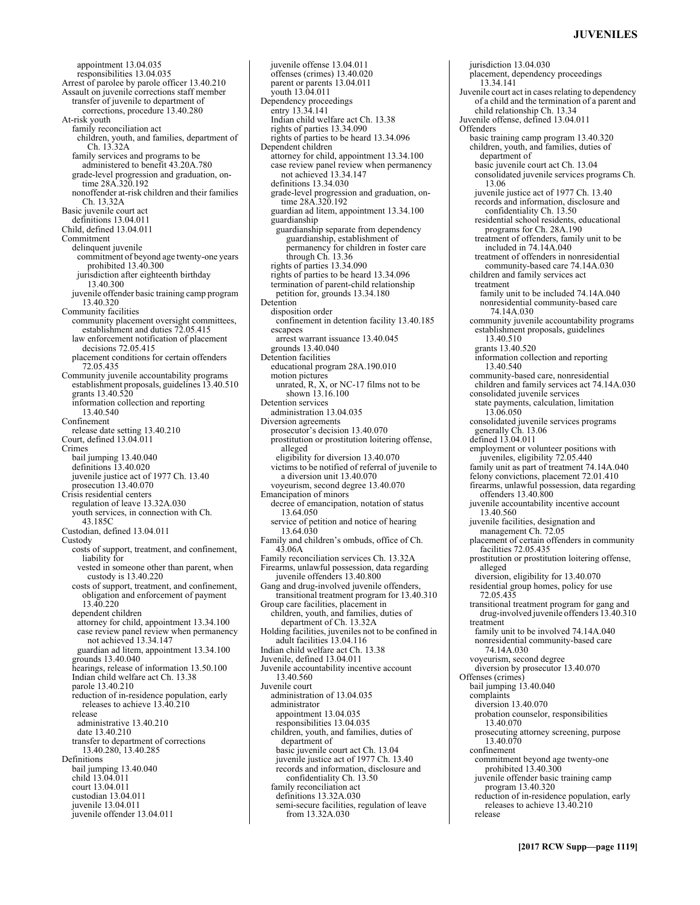# **JUVENILES**

jurisdiction 13.04.030

appointment 13.04.035 responsibilities 13.04.035 Arrest of parolee by parole officer 13.40.210 Assault on juvenile corrections staff member transfer of juvenile to department of corrections, procedure 13.40.280 At-risk youth family reconciliation act children, youth, and families, department of Ch. 13.32A family services and programs to be administered to benefit 43.20A.780 grade-level progression and graduation, ontime 28A.320.192 nonoffender at-risk children and their families Ch. 13.32A Basic juvenile court act definitions 13.04.011 Child, defined 13.04.011 Commitment delinquent juvenile commitment of beyond age twenty-one years prohibited 13.40.300 jurisdiction after eighteenth birthday 13.40.300 juvenile offender basic training camp program 13.40.320 Community facilities community placement oversight committees, establishment and duties 72.05.415 law enforcement notification of placement decisions 72.05.415 placement conditions for certain offenders 72.05.435 Community juvenile accountability programs establishment proposals, guidelines 13.40.510 grants 13.40.520 information collection and reporting 13.40.540 Confinement release date setting 13.40.210 Court, defined 13.04.011 Crimes bail jumping 13.40.040 definitions 13.40.020 juvenile justice act of 1977 Ch. 13.40 prosecution 13.40.070 Crisis residential centers regulation of leave 13.32A.030 youth services, in connection with Ch. 43.185C Custodian, defined 13.04.011 Custody costs of support, treatment, and confinement, liability for vested in someone other than parent, when custody is 13.40.220 costs of support, treatment, and confinement, obligation and enforcement of payment 13.40.220 dependent children attorney for child, appointment 13.34.100 case review panel review when permanency not achieved 13.34.147 guardian ad litem, appointment 13.34.100 grounds 13.40.040 hearings, release of information 13.50.100 Indian child welfare act Ch. 13.38 parole 13.40.210 reduction of in-residence population, early releases to achieve 13.40.210 release administrative 13.40.210 date 13.40.210 transfer to department of corrections 13.40.280, 13.40.285 Definitions bail jumping 13.40.040 child 13.04.011 court 13.04.011 custodian 13.04.011 juvenile 13.04.011 juvenile offender 13.04.011

offenses (crimes) 13.40.020 parent or parents 13.04.011 youth 13.04.011 Dependency proceedings entry 13.34.141 Indian child welfare act Ch. 13.38 rights of parties 13.34.090 rights of parties to be heard 13.34.096 Dependent children attorney for child, appointment 13.34.100 case review panel review when permanency not achieved 13.34.147 definitions 13.34.030 grade-level progression and graduation, ontime 28A.320.192 guardian ad litem, appointment 13.34.100 guardianship guardianship separate from dependency guardianship, establishment of permanency for children in foster care through Ch. 13.36 rights of parties 13.34.090 rights of parties to be heard 13.34.096 termination of parent-child relationship petition for, grounds 13.34.180 Detention disposition order confinement in detention facility 13.40.185 escapees arrest warrant issuance 13.40.045 grounds 13.40.040 Detention facilities educational program 28A.190.010 motion pictures<br>unrated, R, X, or NC-17 films not to be shown 13.16.100 Detention services administration 13.04.035 Diversion agreements prosecutor's decision 13.40.070 prostitution or prostitution loitering offense, alleged eligibility for diversion 13.40.070 victims to be notified of referral of juvenile to a diversion unit 13.40.070 voyeurism, second degree 13.40.070 Emancipation of minors decree of emancipation, notation of status 13.64.050 service of petition and notice of hearing 13.64.030 Family and children's ombuds, office of Ch. 43.06A Family reconciliation services Ch. 13.32A Firearms, unlawful possession, data regarding juvenile offenders 13.40.800 Gang and drug-involved juvenile offenders, transitional treatment program for 13.40.310 Group care facilities, placement in children, youth, and families, duties of department of Ch. 13.32A Holding facilities, juveniles not to be confined in adult facilities 13.04.116 Indian child welfare act Ch. 13.38 Juvenile, defined 13.04.011 Juvenile accountability incentive account 13.40.560 Juvenile court administration of 13.04.035 administrator appointment 13.04.035 responsibilities 13.04.035 children, youth, and families, duties of department of basic juvenile court act Ch. 13.04 juvenile justice act of 1977 Ch. 13.40 records and information, disclosure and confidentiality Ch. 13.50 family reconciliation act definitions 13.32A.030 semi-secure facilities, regulation of leave from 13.32A.030

juvenile offense 13.04.011

placement, dependency proceedings 13.34.141 Juvenile court act in cases relating to dependency of a child and the termination of a parent and child relationship Ch. 13.34 Juvenile offense, defined 13.04.011 Offenders basic training camp program 13.40.320 children, youth, and families, duties of department of basic juvenile court act Ch. 13.04 consolidated juvenile services programs Ch. 13.06 juvenile justice act of 1977 Ch. 13.40 records and information, disclosure and confidentiality Ch. 13.50 residential school residents, educational programs for Ch. 28A.190 treatment of offenders, family unit to be included in 74.14A.040 treatment of offenders in nonresidential community-based care 74.14A.030 children and family services act treatment family unit to be included 74.14A.040 nonresidential community-based care 74.14A.030 community juvenile accountability programs establishment proposals, guidelines 13.40.510 grants 13.40.520 information collection and reporting 13.40.540 community-based care, nonresidential children and family services act 74.14A.030 consolidated juvenile services state payments, calculation, limitation 13.06.050 consolidated juvenile services programs generally Ch. 13.06 defined 13.04.011 employment or volunteer positions with juveniles, eligibility 72.05.440 family unit as part of treatment 74.14A.040 felony convictions, placement 72.01.410 firearms, unlawful possession, data regarding offenders 13.40.800 juvenile accountability incentive account 13.40.560 juvenile facilities, designation and management Ch. 72.05 placement of certain offenders in community facilities 72.05.435 prostitution or prostitution loitering offense, alleged diversion, eligibility for 13.40.070 residential group homes, policy for use 72.05.435 transitional treatment program for gang and drug-involved juvenile offenders 13.40.310 treatment family unit to be involved 74.14A.040 nonresidential community-based care 74.14A.030 voyeurism, second degree diversion by prosecutor 13.40.070 Offenses (crimes) bail jumping 13.40.040 complaints diversion 13.40.070 probation counselor, responsibilities 13.40.070 prosecuting attorney screening, purpose 13.40.070 confinement commitment beyond age twenty-one prohibited 13.40.300 juvenile offender basic training camp program 13.40.320 reduction of in-residence population, early releases to achieve 13.40.210 release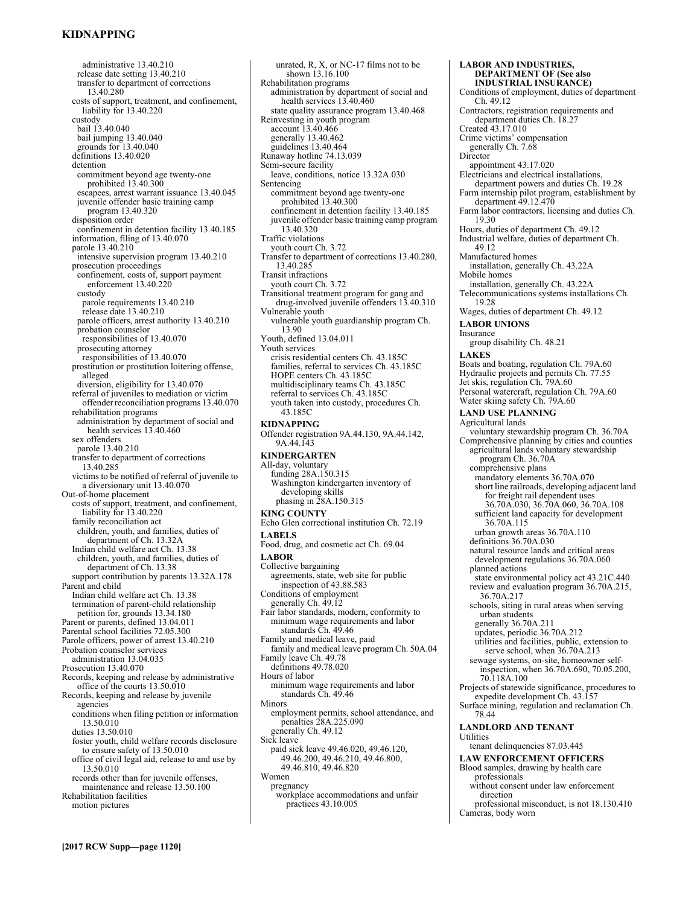# **KIDNAPPING**

administrative 13.40.210 release date setting 13.40.210 transfer to department of corrections 13.40.280 costs of support, treatment, and confinement, liability for 13.40.220 custody bail 13.40.040 bail jumping 13.40.040 grounds for 13.40.040 definitions 13.40.020 detention commitment beyond age twenty-one prohibited 13.40.300 escapees, arrest warrant issuance 13.40.045 juvenile offender basic training camp program 13.40.320 disposition order confinement in detention facility 13.40.185 information, filing of 13.40.070 parole 13.40.210 intensive supervision program 13.40.210 prosecution proceedings confinement, costs of, support payment enforcement 13.40.220 custody parole requirements 13.40.210 release date 13.40.210 parole officers, arrest authority 13.40.210 probation counselor responsibilities of 13.40.070 prosecuting attorney responsibilities of 13.40.070 prostitution or prostitution loitering offense, alleged diversion, eligibility for 13.40.070 referral of juveniles to mediation or victim offender reconciliation programs 13.40.070 rehabilitation programs administration by department of social and health services 13.40.460 sex offenders parole 13.40.210 transfer to department of corrections 13.40.285 victims to be notified of referral of juvenile to a diversionary unit 13.40.070 Out-of-home placement costs of support, treatment, and confinement, liability for 13.40.220 family reconciliation act children, youth, and families, duties of department of Ch. 13.32A Indian child welfare act Ch. 13.38 children, youth, and families, duties of department of Ch. 13.38 support contribution by parents 13.32A.178 Parent and child Indian child welfare act Ch. 13.38 termination of parent-child relationship petition for, grounds 13.34.180 Parent or parents, defined 13.04.011 Parental school facilities 72.05.300 Parole officers, power of arrest 13.40.210 Probation counselor services administration 13.04.035 Prosecution 13.40.070 Records, keeping and release by administrative office of the courts 13.50.010 Records, keeping and release by juvenile agencies conditions when filing petition or information 13.50.010 duties 13.50.010 foster youth, child welfare records disclosure to ensure safety of 13.50.010 office of civil legal aid, release to and use by 13.50.010 records other than for juvenile offenses, maintenance and release 13.50.100 Rehabilitation facilities motion pictures

unrated, R, X, or NC-17 films not to be shown 13.16.100 Rehabilitation programs administration by department of social and health services 13.40.460 state quality assurance program 13.40.468 Reinvesting in youth program account 13.40.466 generally 13.40.462 guidelines 13.40.464 Runaway hotline 74.13.039 Semi-secure facility leave, conditions, notice 13.32A.030 Sentencing commitment beyond age twenty-one prohibited 13.40.300 confinement in detention facility 13.40.185 juvenile offender basic training camp program 13.40.320 Traffic violations youth court Ch. 3.72 Transfer to department of corrections 13.40.280, 13.40.285 Transit infractions youth court Ch. 3.72 Transitional treatment program for gang and drug-involved juvenile offenders 13.40.310 Vulnerable youth vulnerable youth guardianship program Ch. 13.90 Youth, defined 13.04.011 Youth services crisis residential centers Ch. 43.185C families, referral to services Ch. 43.185C HOPE centers Ch. 43.185C multidisciplinary teams Ch. 43.185C referral to services Ch. 43.185C youth taken into custody, procedures Ch. 43.185C **KIDNAPPING**  Offender registration 9A.44.130, 9A.44.142, 9A.44.143 **KINDERGARTEN**  All-day, voluntary funding 28A.150.315 Washington kindergarten inventory of developing skills phasing in 28A.150.315 **KING COUNTY**  Echo Glen correctional institution Ch. 72.19 **LABELS**  Food, drug, and cosmetic act Ch. 69.04 **LABOR**  Collective bargaining agreements, state, web site for public inspection of 43.88.583 Conditions of employment generally Ch. 49.12 Fair labor standards, modern, conformity to minimum wage requirements and labor standards Ch. 49.46 Family and medical leave, paid family and medical leave program Ch. 50A.04 Family leave Ch. 49.78 definitions 49.78.020 Hours of labor minimum wage requirements and labor standards Ch. 49.46 Minors employment permits, school attendance, and penalties 28A.225.090 generally Ch. 49.12 Sick leave paid sick leave 49.46.020, 49.46.120, 49.46.200, 49.46.210, 49.46.800, 49.46.810, 49.46.820 Women pregnancy

workplace accommodations and unfair

practices 43.10.005

**DEPARTMENT OF (See also INDUSTRIAL INSURANCE)** Conditions of employment, duties of department Ch. 49.12 Contractors, registration requirements and department duties Ch. 18.27 Created 43.17.010 Crime victims' compensation generally Ch. 7.68 Director appointment 43.17.020 Electricians and electrical installations, department powers and duties Ch. 19.28 Farm internship pilot program, establishment by department 49.12.470 Farm labor contractors, licensing and duties Ch. 19.30 Hours, duties of department Ch. 49.12 Industrial welfare, duties of department Ch. 49.12 Manufactured homes installation, generally Ch. 43.22A Mobile homes installation, generally Ch. 43.22A Telecommunications systems installations Ch. 19.28 Wages, duties of department Ch. 49.12 **LABOR UNIONS**  Insurance group disability Ch. 48.21 **LAKES**  Boats and boating, regulation Ch. 79A.60 Hydraulic projects and permits Ch. 77.55 Jet skis, regulation Ch. 79A.60 Personal watercraft, regulation Ch. 79A.60 Water skiing safety Ch. 79A.60 **LAND USE PLANNING**  Agricultural lands voluntary stewardship program Ch. 36.70A Comprehensive planning by cities and counties agricultural lands voluntary stewardship program Ch. 36.70A comprehensive plans mandatory elements 36.70A.070 short line railroads, developing adjacent land for freight rail dependent uses 36.70A.030, 36.70A.060, 36.70A.108 sufficient land capacity for development 36.70A.115 urban growth areas 36.70A.110 definitions 36.70A.030 natural resource lands and critical areas development regulations 36.70A.060 planned actions state environmental policy act 43.21C.440 review and evaluation program 36.70A.215, 36.70A.217 schools, siting in rural areas when serving urban students generally 36.70A.211 updates, periodic 36.70A.212 utilities and facilities, public, extension to serve school, when 36.70A.213 sewage systems, on-site, homeowner selfinspection, when 36.70A.690, 70.05.200, 70.118A.100 Projects of statewide significance, procedures to expedite development Ch. 43.157 Surface mining, regulation and reclamation Ch. 78.44 **LANDLORD AND TENANT**  Utilities tenant delinquencies 87.03.445 **LAW ENFORCEMENT OFFICERS**  Blood samples, drawing by health care professionals without consent under law enforcement direction professional misconduct, is not 18.130.410 Cameras, body worn

**LABOR AND INDUSTRIES,**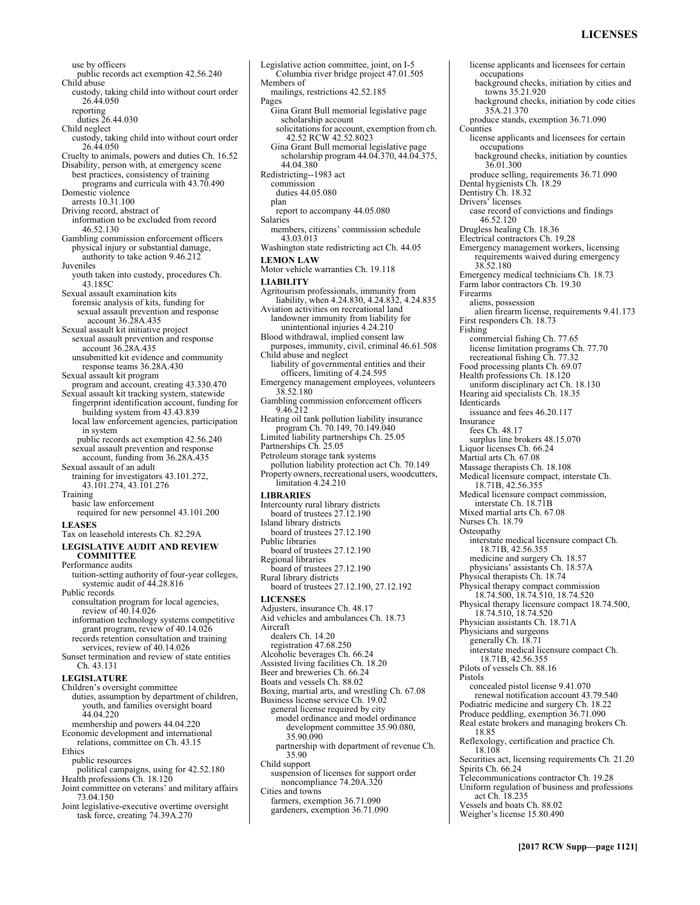# **LICENSES**

use by officers public records act exemption 42.56.240 Child abuse custody, taking child into without court order 26.44.050 reporting duties 26.44.030 Child neglect custody, taking child into without court order 26.44.050 Cruelty to animals, powers and duties Ch. 16.52 Disability, person with, at emergency scene best practices, consistency of training programs and curricula with 43.70.490 Domestic violence arrests 10.31.100 Driving record, abstract of information to be excluded from record 46.52.130 Gambling commission enforcement officers physical injury or substantial damage, authority to take action 9.46.212 Juveniles youth taken into custody, procedures Ch. 43.185C Sexual assault examination kits forensic analysis of kits, funding for sexual assault prevention and response account 36.28A.435 Sexual assault kit initiative project sexual assault prevention and response account 36.28A.435 unsubmitted kit evidence and community response teams 36.28A.430 Sexual assault kit program program and account, creating 43.330.470 Sexual assault kit tracking system, statewide fingerprint identification account, funding for building system from 43.43.839 local law enforcement agencies, participation in system public records act exemption 42.56.240 sexual assault prevention and response account, funding from 36.28A.435 Sexual assault of an adult training for investigators 43.101.272, 43.101.274, 43.101.276 Training basic law enforcement required for new personnel 43.101.200 **LEASES**  Tax on leasehold interests Ch. 82.29A **LEGISLATIVE AUDIT AND REVIEW COMMITTEE**  Performance audits tuition-setting authority of four-year colleges, systemic audit of 44.28.816 Public records consultation program for local agencies, review of 40.14.026 information technology systems competitive grant program, review of 40.14.026 records retention consultation and training services, review of 40.14.026 Sunset termination and review of state entities Ch. 43.131 **LEGISLATURE**  Children's oversight committee duties, assumption by department of children, youth, and families oversight board 44.04.220 membership and powers 44.04.220 Economic development and international relations, committee on Ch. 43.15 Ethics public resources political campaigns, using for 42.52.180 Health professions Ch. 18.120 Joint committee on veterans' and military affairs 73.04.150 Joint legislative-executive overtime oversight

task force, creating 74.39A.270

Legislative action committee, joint, on I-5 Columbia river bridge project 47.01.505 Members of mailings, restrictions 42.52.185 Pages Gina Grant Bull memorial legislative page scholarship account solicitations for account, exemption from ch. 42.52 RCW 42.52.8023 Gina Grant Bull memorial legislative page scholarship program 44.04.370, 44.04.375, 44.04.380 Redistricting--1983 act commission duties 44.05.080 plan report to accompany 44.05.080 **Salaries** members, citizens' commission schedule 43.03.013 Washington state redistricting act Ch. 44.05 **LEMON LAW**  Motor vehicle warranties Ch. 19.118 **LIABILITY**  Agritourism professionals, immunity from liability, when 4.24.830, 4.24.832, 4.24.835 Aviation activities on recreational land landowner immunity from liability for unintentional injuries 4.24.210 Blood withdrawal, implied consent law purposes, immunity, civil, criminal 46.61.508 Child abuse and neglect liability of governmental entities and their officers, limiting of 4.24.595 Emergency management employees, volunteers 38.52.180 Gambling commission enforcement officers 9.46.212 Heating oil tank pollution liability insurance program Ch. 70.149, 70.149.040 Limited liability partnerships Ch. 25.05 Partnerships Ch. 25.05 Petroleum storage tank systems pollution liability protection act Ch. 70.149 Property owners, recreational users, woodcutters, limitation 4.24.210 **LIBRARIES**  Intercounty rural library districts board of trustees 27.12.190 Island library districts board of trustees 27.12.190 Public libraries board of trustees 27.12.190 Regional libraries board of trustees 27.12.190 Rural library districts board of trustees 27.12.190, 27.12.192 **LICENSES**  Adjusters, insurance Ch. 48.17 Aid vehicles and ambulances Ch. 18.73 Aircraft dealers Ch. 14.20 registration 47.68.250 Alcoholic beverages Ch. 66.24 Assisted living facilities Ch. 18.20 Beer and breweries Ch. 66.24 Boats and vessels Ch. 88.02 Boxing, martial arts, and wrestling Ch. 67.08 Business license service Ch. 19.02 general license required by city model ordinance and model ordinance development committee 35.90.080, 35.90.090 partnership with department of revenue Ch. 35.90 Child support suspension of licenses for support order noncompliance 74.20A.320 Cities and towns farmers, exemption 36.71.090 gardeners, exemption 36.71.090

license applicants and licensees for certain occupations background checks, initiation by cities and towns 35.21.920 background checks, initiation by code cities 35A.21.370 produce stands, exemption 36.71.090 **Counties** license applicants and licensees for certain occupations background checks, initiation by counties 36.01.300 produce selling, requirements 36.71.090 Dental hygienists Ch. 18.29 Dentistry Ch. 18.32 Drivers' licenses case record of convictions and findings 46.52.120 Drugless healing Ch. 18.36 Electrical contractors Ch. 19.28 Emergency management workers, licensing requirements waived during emergency 38.52.180 Emergency medical technicians Ch. 18.73 Farm labor contractors Ch. 19.30 Firearms aliens, possession alien firearm license, requirements 9.41.173 First responders Ch. 18.73 Fishing commercial fishing Ch. 77.65 license limitation programs Ch. 77.70 recreational fishing Ch. 77.32 Food processing plants Ch. 69.07 Health professions Ch. 18.120 uniform disciplinary act Ch. 18.130 Hearing aid specialists Ch. 18.35 Identicards issuance and fees 46.20.117 Insurance fees Ch. 48.17 surplus line brokers 48.15.070 Liquor licenses Ch. 66.24 Martial arts Ch. 67.08 Massage therapists Ch. 18.108 Medical licensure compact, interstate Ch. 18.71B, 42.56.355 Medical licensure compact commission, interstate Ch. 18.71B Mixed martial arts Ch. 67.08 Nurses Ch. 18.79 **Osteopathy** interstate medical licensure compact Ch. 18.71B, 42.56.355 medicine and surgery Ch. 18.57 physicians' assistants Ch. 18.57A Physical therapists Ch. 18.74 Physical therapy compact commission 18.74.500, 18.74.510, 18.74.520 Physical therapy licensure compact 18.74.500, 18.74.510, 18.74.520 Physician assistants Ch. 18.71A Physicians and surgeons generally Ch. 18.71 interstate medical licensure compact Ch. 18.71B, 42.56.355 Pilots of vessels Ch. 88.16 Pistols concealed pistol license 9.41.070 renewal notification account 43.79.540 Podiatric medicine and surgery Ch. 18.22 Produce peddling, exemption 36.71.090 Real estate brokers and managing brokers Ch. 18.85 Reflexology, certification and practice Ch. 18.108 Securities act, licensing requirements Ch. 21.20 Spirits Ch. 66.24 Telecommunications contractor Ch. 19.28 Uniform regulation of business and professions act Ch. 18.235 Vessels and boats Ch. 88.02 Weigher's license 15.80.490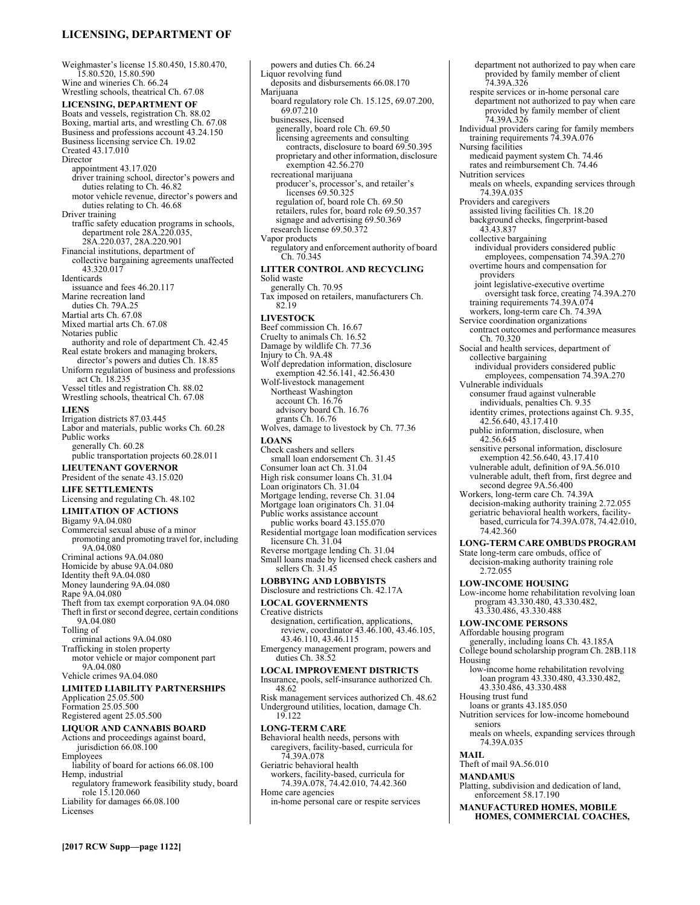# **LICENSING, DEPARTMENT OF**

Weighmaster's license 15.80.450, 15.80.470, 15.80.520, 15.80.590 Wine and wineries Ch. 66.24 Wrestling schools, theatrical Ch. 67.08 **LICENSING, DEPARTMENT OF**  Boats and vessels, registration Ch. 88.02 Boxing, martial arts, and wrestling Ch. 67.08 Business and professions account 43.24.150 Business licensing service Ch. 19.02 Created 43.17.010 Director appointment 43.17.020 driver training school, director's powers and duties relating to Ch. 46.82 motor vehicle revenue, director's powers and duties relating to Ch. 46.68 Driver training traffic safety education programs in schools, department role 28A.220.035, 28A.220.037, 28A.220.901 Financial institutions, department of collective bargaining agreements unaffected 43.320.017 Identicards issuance and fees 46.20.117 Marine recreation land duties Ch. 79A.25 Martial arts Ch. 67.08 Mixed martial arts Ch. 67.08 Notaries public authority and role of department Ch. 42.45 Real estate brokers and managing brokers, director's powers and duties Ch. 18.85 Uniform regulation of business and professions act Ch. 18.235 Vessel titles and registration Ch. 88.02 Wrestling schools, theatrical Ch. 67.08 **LIENS**  Irrigation districts 87.03.445 Labor and materials, public works Ch. 60.28 Public works generally Ch. 60.28 public transportation projects 60.28.011 **LIEUTENANT GOVERNOR**  President of the senate 43.15.020 **LIFE SETTLEMENTS**  Licensing and regulating Ch. 48.102 **LIMITATION OF ACTIONS**  Bigamy 9A.04.080 Commercial sexual abuse of a minor promoting and promoting travel for, including 9A.04.080 Criminal actions 9A.04.080 Homicide by abuse 9A.04.080 Identity theft 9A.04.080 Money laundering 9A.04.080 Rape 9A.04.080 Theft from tax exempt corporation 9A.04.080 Theft in first or second degree, certain conditions 9A.04.080 Tolling of criminal actions 9A.04.080 Trafficking in stolen property motor vehicle or major component part 9A.04.080 Vehicle crimes 9A.04.080 **LIMITED LIABILITY PARTNERSHIPS**  Application 25.05.500 Formation 25.05.500 Registered agent 25.05.500 **LIQUOR AND CANNABIS BOARD**  Actions and proceedings against board, jurisdiction 66.08.100 Employees liability of board for actions 66.08.100 Hemp, industrial regulatory framework feasibility study, board role 15.120.060 Liability for damages 66.08.100 Licenses

powers and duties Ch. 66.24 Liquor revolving fund deposits and disbursements 66.08.170 Marijuana board regulatory role Ch. 15.125, 69.07.200, 69.07.210 businesses, licensed generally, board role Ch. 69.50 licensing agreements and consulting contracts, disclosure to board 69.50.395 proprietary and other information, disclosure exemption 42.56.270 recreational marijuana producer's, processor's, and retailer's licenses 69.50.325 regulation of, board role Ch. 69.50 retailers, rules for, board role 69.50.357 signage and advertising 69.50.369 research license 69.50.372 Vapor products regulatory and enforcement authority of board Ch. 70.345 **LITTER CONTROL AND RECYCLING**  Solid waste generally Ch. 70.95 Tax imposed on retailers, manufacturers Ch. 82.19 **LIVESTOCK**  Beef commission Ch. 16.67 Cruelty to animals Ch. 16.52 Damage by wildlife Ch. 77.36 Injury to Ch. 9A.48 Wolf depredation information, disclosure exemption 42.56.141, 42.56.430 Wolf-livestock management Northeast Washington account Ch. 16.76 advisory board Ch. 16.76 grants Ch. 16.76 Wolves, damage to livestock by Ch. 77.36 **LOANS**  Check cashers and sellers small loan endorsement Ch. 31.45 Consumer loan act Ch. 31.04 High risk consumer loans Ch. 31.04 Loan originators Ch. 31.04 Mortgage lending, reverse Ch. 31.04 Mortgage loan originators Ch. 31.04 Public works assistance account public works board 43.155.070 Residential mortgage loan modification services licensure Ch.  $\frac{31.04}{31.04}$ Reverse mortgage lending Ch. 31.04 Small loans made by licensed check cashers and sellers Ch. 31.45 **LOBBYING AND LOBBYISTS**  Disclosure and restrictions Ch. 42.17A **LOCAL GOVERNMENTS**  Creative districts designation, certification, applications, review, coordinator 43.46.100, 43.46.105, 43.46.110, 43.46.115 Emergency management program, powers and duties Ch. 38.52 **LOCAL IMPROVEMENT DISTRICTS**  Insurance, pools, self-insurance authorized Ch. 48.62 Risk management services authorized Ch. 48.62 Underground utilities, location, damage Ch. 19.122 **LONG-TERM CARE**  Behavioral health needs, persons with caregivers, facility-based, curricula for 74.39A.078 Geriatric behavioral health workers, facility-based, curricula for 74.39A.078, 74.42.010, 74.42.360 Home care agencies in-home personal care or respite services

department not authorized to pay when care provided by family member of client 74.39A.326 respite services or in-home personal care department not authorized to pay when care provided by family member of client 74.39A.326 Individual providers caring for family members training requirements 74.39A.076 Nursing facilities medicaid payment system Ch. 74.46 rates and reimbursement Ch. 74.46 Nutrition services meals on wheels, expanding services through 74.39A.035 Providers and caregivers assisted living facilities Ch. 18.20 background checks, fingerprint-based 43.43.837 collective bargaining individual providers considered public employees, compensation 74.39A.270 overtime hours and compensation for providers joint legislative-executive overtime oversight task force, creating 74.39A.270 training requirements 74.39A.074 workers, long-term care Ch. 74.39A Service coordination organizations contract outcomes and performance measures Ch. 70.320 Social and health services, department of collective bargaining individual providers considered public employees, compensation 74.39A.270 Vulnerable individuals consumer fraud against vulnerable individuals, penalties Ch. 9.35 identity crimes, protections against Ch. 9.35, 42.56.640, 43.17.410 public information, disclosure, when 42.56.645 sensitive personal information, disclosure exemption 42.56.640, 43.17.410 vulnerable adult, definition of 9A.56.010 vulnerable adult, theft from, first degree and second degree 9A.56.400 Workers, long-term care Ch. 74.39A decision-making authority training 2.72.055 geriatric behavioral health workers, facilitybased, curricula for 74.39A.078, 74.42.010, 74.42.360 **LONG-TERM CARE OMBUDS PROGRAM**  State long-term care ombuds, office of decision-making authority training role 2.72.055 **LOW-INCOME HOUSING**  Low-income home rehabilitation revolving loan program 43.330.480, 43.330.482, 43.330.486, 43.330.488 **LOW-INCOME PERSONS**  Affordable housing program generally, including loans Ch. 43.185A College bound scholarship program Ch. 28B.118 Housing low-income home rehabilitation revolving loan program 43.330.480, 43.330.482, 43.330.486, 43.330.488 Housing trust fund loans or grants 43.185.050 Nutrition services for low-income homebound seniors meals on wheels, expanding services through 74.39A.035 **MAIL**  Theft of mail 9A.56.010 **MANDAMUS**  Platting, subdivision and dedication of land, enforcement 58.17.190 **MANUFACTURED HOMES, MOBILE HOMES, COMMERCIAL COACHES,**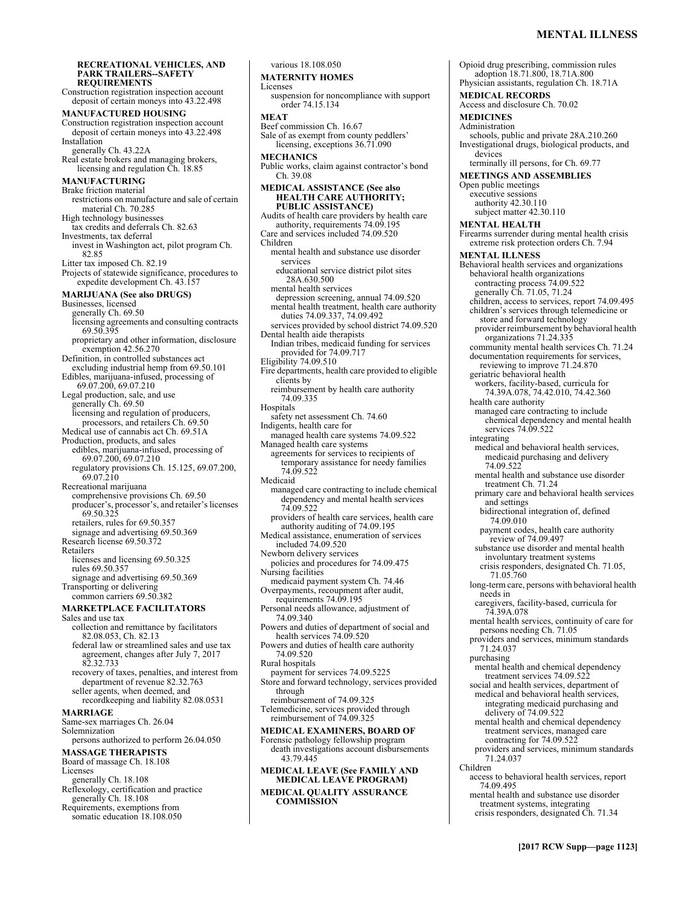**RECREATIONAL VEHICLES, AND PARK TRAILERS--SAFETY REQUIREMENTS**  Construction registration inspection account deposit of certain moneys into 43.22.498 **MANUFACTURED HOUSING**  Construction registration inspection account deposit of certain moneys into 43.22.498 Installation generally Ch. 43.22A Real estate brokers and managing brokers, licensing and regulation Ch. 18.85 **MANUFACTURING**  Brake friction material restrictions on manufacture and sale of certain material Ch. 70.285 High technology businesses tax credits and deferrals Ch. 82.63 Investments, tax deferral invest in Washington act, pilot program Ch. 82.85 Litter tax imposed Ch. 82.19 Projects of statewide significance, procedures to expedite development Ch. 43.157 **MARIJUANA (See also DRUGS)** Businesses, licensed generally Ch. 69.50 licensing agreements and consulting contracts 69.50.395 proprietary and other information, disclosure exemption 42.56.270 Definition, in controlled substances act excluding industrial hemp from 69.50.101 Edibles, marijuana-infused, processing of 69.07.200, 69.07.210 Legal production, sale, and use generally Ch. 69.50 licensing and regulation of producers, processors, and retailers Ch. 69.50 Medical use of cannabis act Ch. 69.51A Production, products, and sales edibles, marijuana-infused, processing of 69.07.200, 69.07.210 regulatory provisions Ch. 15.125, 69.07.200, 69.07.210 Recreational marijuana comprehensive provisions Ch. 69.50 producer's, processor's, and retailer's licenses 69.50.325 retailers, rules for 69.50.357 signage and advertising 69.50.369 Research license 69.50.372 Retailers licenses and licensing 69.50.325 rules 69.50.357 signage and advertising 69.50.369 Transporting or delivering common carriers 69.50.382 **MARKETPLACE FACILITATORS**  Sales and use tax collection and remittance by facilitators 82.08.053, Ch. 82.13 federal law or streamlined sales and use tax agreement, changes after July 7, 2017 82.32.733 recovery of taxes, penalties, and interest from department of revenue 82.32.763 seller agents, when deemed, and recordkeeping and liability 82.08.0531 **MARRIAGE**  Same-sex marriages Ch. 26.04 Solemnization persons authorized to perform 26.04.050 **MASSAGE THERAPISTS**  Board of massage Ch. 18.108 Licenses generally Ch. 18.108 Reflexology, certification and practice generally Ch. 18.108 Requirements, exemptions from somatic education 18.108.050

various 18.108.050 **MATERNITY HOMES**  Licenses suspension for noncompliance with support order 74.15.134 **MEAT**  Beef commission Ch. 16.67 Sale of as exempt from county peddlers' licensing, exceptions 36.71.090 **MECHANICS**  Public works, claim against contractor's bond Ch. 39.08 **MEDICAL ASSISTANCE (See also HEALTH CARE AUTHORITY; PUBLIC ASSISTANCE)** Audits of health care providers by health care authority, requirements 74.09.195 Care and services included 74.09.520 Children mental health and substance use disorder services educational service district pilot sites 28A.630.500 mental health services depression screening, annual 74.09.520 mental health treatment, health care authority duties 74.09.337, 74.09.492 services provided by school district 74.09.520 Dental health aide therapists Indian tribes, medicaid funding for services provided for 74.09.717 Eligibility 74.09.510 Fire departments, health care provided to eligible clients by reimbursement by health care authority 74.09.335 Hospitals safety net assessment Ch. 74.60 Indigents, health care for managed health care systems 74.09.522 Managed health care systems agreements for services to recipients of temporary assistance for needy families 74.09.522 Medicaid managed care contracting to include chemical dependency and mental health services 74.09.522 providers of health care services, health care authority auditing of 74.09.195 Medical assistance, enumeration of services included 74.09.520 Newborn delivery services policies and procedures for 74.09.475 Nursing facilities medicaid payment system Ch. 74.46 Overpayments, recoupment after audit, requirements 74.09.195 Personal needs allowance, adjustment of 74.09.340 Powers and duties of department of social and health services 74.09.520 Powers and duties of health care authority 74.09.520 Rural hospitals payment for services 74.09.5225 Store and forward technology, services provided through reimbursement of 74.09.325 Telemedicine, services provided through reimbursement of 74.09.325 **MEDICAL EXAMINERS, BOARD OF**  Forensic pathology fellowship program death investigations account disbursements 43.79.445 **MEDICAL LEAVE (See FAMILY AND MEDICAL LEAVE PROGRAM) MEDICAL QUALITY ASSURANCE** 

**COMMISSION** 

Opioid drug prescribing, commission rules adoption 18.71.800, 18.71A.800 Physician assistants, regulation Ch. 18.71A **MEDICAL RECORDS**  Access and disclosure Ch. 70.02 **MEDICINES**  Administration schools, public and private 28A.210.260 Investigational drugs, biological products, and devices terminally ill persons, for Ch. 69.77 **MEETINGS AND ASSEMBLIES**  Open public meetings executive sessions authority 42.30.110 subject matter 42.30.110 **MENTAL HEALTH**  Firearms surrender during mental health crisis extreme risk protection orders Ch. 7.94 **MENTAL ILLNESS**  Behavioral health services and organizations behavioral health organizations contracting process 74.09.522 generally Ch. 71.05, 71.24 children, access to services, report 74.09.495 children's services through telemedicine or store and forward technology provider reimbursement by behavioral health organizations 71.24.335 community mental health services Ch. 71.24 documentation requirements for services, reviewing to improve 71.24.870 geriatric behavioral health workers, facility-based, curricula for 74.39A.078, 74.42.010, 74.42.360 health care authority managed care contracting to include chemical dependency and mental health services 74.09.522 integrating medical and behavioral health services, medicaid purchasing and delivery 74.09.522 mental health and substance use disorder treatment Ch. 71.24 primary care and behavioral health services and settings bidirectional integration of, defined 74.09.010 payment codes, health care authority review of 74.09.497 substance use disorder and mental health involuntary treatment systems crisis responders, designated Ch. 71.05, 71.05.760 long-term care, persons with behavioral health needs in caregivers, facility-based, curricula for 74.39A.078 mental health services, continuity of care for persons needing Ch. 71.05 providers and services, minimum standards 71.24.037 purchasing mental health and chemical dependency treatment services 74.09.522 social and health services, department of medical and behavioral health services, integrating medicaid purchasing and delivery of 74.09.522 mental health and chemical dependency treatment services, managed care contracting for 74.09.522 providers and services, minimum standards 71.24.037 Children access to behavioral health services, report 74.09.495 mental health and substance use disorder treatment systems, integrating crisis responders, designated Ch. 71.34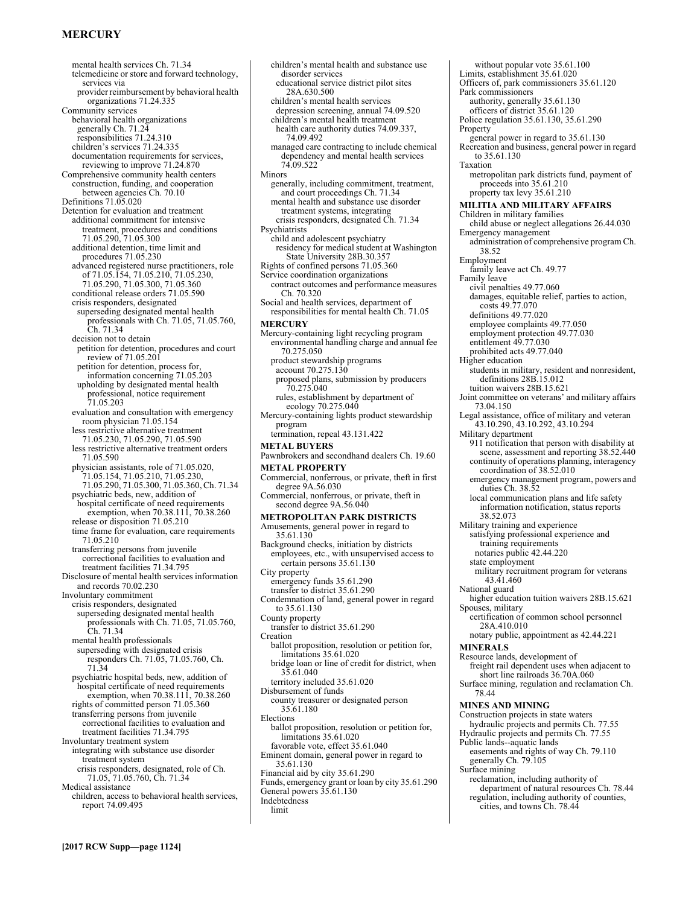# **MERCURY**

mental health services Ch. 71.34 telemedicine or store and forward technology, services via provider reimbursement by behavioral health organizations 71.24.335 Community services behavioral health organizations generally Ch. 71.24 responsibilities 71.24.310 children's services 71.24.335 documentation requirements for services, reviewing to improve 71.24.870 Comprehensive community health centers construction, funding, and cooperation between agencies Ch. 70.10 Definitions 71.05.020 Detention for evaluation and treatment additional commitment for intensive treatment, procedures and conditions 71.05.290, 71.05.300 additional detention, time limit and procedures 71.05.230 advanced registered nurse practitioners, role of 71.05.154, 71.05.210, 71.05.230, 71.05.290, 71.05.300, 71.05.360 conditional release orders 71.05.590 crisis responders, designated superseding designated mental health professionals with Ch. 71.05, 71.05.760, Ch. 71.34 decision not to detain petition for detention, procedures and court review of 71.05.201 petition for detention, process for, information concerning 71.05.203 upholding by designated mental health professional, notice requirement 71.05.203 evaluation and consultation with emergency room physician 71.05.154 less restrictive alternative treatment 71.05.230, 71.05.290, 71.05.590 less restrictive alternative treatment orders 71.05.590 physician assistants, role of 71.05.020, 71.05.154, 71.05.210, 71.05.230, 71.05.290, 71.05.300, 71.05.360, Ch. 71.34 psychiatric beds, new, addition of hospital certificate of need requirements exemption, when 70.38.111, 70.38.260 release or disposition 71.05.210 time frame for evaluation, care requirements 71.05.210 transferring persons from juvenile correctional facilities to evaluation and treatment facilities 71.34.795 Disclosure of mental health services information and records 70.02.230 Involuntary commitment crisis responders, designated superseding designated mental health professionals with Ch. 71.05, 71.05.760, Ch. 71.34 mental health professionals superseding with designated crisis responders Ch. 71.05, 71.05.760, Ch. 71.34 psychiatric hospital beds, new, addition of hospital certificate of need requirements exemption, when 70.38.111, 70.38.260 rights of committed person 71.05.360 transferring persons from juvenile correctional facilities to evaluation and treatment facilities 71.34.795 Involuntary treatment system integrating with substance use disorder treatment system crisis responders, designated, role of Ch. 71.05, 71.05.760, Ch. 71.34 Medical assistance children, access to behavioral health services, report 74.09.495

children's mental health and substance use disorder services educational service district pilot sites 28A.630.500 children's mental health services depression screening, annual 74.09.520 children's mental health treatment health care authority duties 74.09.337, 74.09.492 managed care contracting to include chemical dependency and mental health services 74.09.522 Minors generally, including commitment, treatment, and court proceedings Ch. 71.34 mental health and substance use disorder treatment systems, integrating crisis responders, designated Ch. 71.34 Psychiatrists child and adolescent psychiatry residency for medical student at Washington State University 28B.30.357 Rights of confined persons 71.05.360 Service coordination organizations contract outcomes and performance measures Ch. 70.320 Social and health services, department of responsibilities for mental health Ch. 71.05 **MERCURY**  Mercury-containing light recycling program environmental handling charge and annual fee 70.275.050 product stewardship programs account 70.275.130 proposed plans, submission by producers 70.275.040 rules, establishment by department of ecology 70.275.040 Mercury-containing lights product stewardship program termination, repeal 43.131.422 **METAL BUYERS**  Pawnbrokers and secondhand dealers Ch. 19.60 **METAL PROPERTY**  Commercial, nonferrous, or private, theft in first degree 9A.56.030 Commercial, nonferrous, or private, theft in second degree 9A.56.040 **METROPOLITAN PARK DISTRICTS**  Amusements, general power in regard to 35.61.130 Background checks, initiation by districts employees, etc., with unsupervised access to certain persons 35.61.130 City property emergency funds 35.61.290 transfer to district 35.61.290 Condemnation of land, general power in regard to 35.61.130 County property transfer to district 35.61.290 Creation ballot proposition, resolution or petition for, limitations 35.61.020 bridge loan or line of credit for district, when 35.61.040 territory included 35.61.020 Disbursement of funds county treasurer or designated person 35.61.180 Elections ballot proposition, resolution or petition for, limitations 35.61.020 favorable vote, effect 35.61.040 Eminent domain, general power in regard to 35.61.130 Financial aid by city 35.61.290 Funds, emergency grant or loan by city 35.61.290 General powers 35.61.130 Indebtedness limit

without popular vote 35.61.100 Limits, establishment 35.61.020 Officers of, park commissioners 35.61.120 Park commissioners authority, generally 35.61.130 officers of district 35.61.120 Police regulation 35.61.130, 35.61.290 Property general power in regard to 35.61.130 Recreation and business, general power in regard to 35.61.130 Taxation metropolitan park districts fund, payment of proceeds into 35.61.210 property tax levy 35.61.210 **MILITIA AND MILITARY AFFAIRS**  Children in military families child abuse or neglect allegations 26.44.030 Emergency management administration of comprehensive program Ch. 38.52 Employment family leave act Ch. 49.77 Family leave civil penalties 49.77.060 damages, equitable relief, parties to action, costs 49.77.070 definitions 49.77.020 employee complaints 49.77.050 employment protection 49.77.030 entitlement 49.77.030 prohibited acts 49.77.040 Higher education students in military, resident and nonresident, definitions 28B.15.012 tuition waivers 28B.15.621 Joint committee on veterans' and military affairs 73.04.150 Legal assistance, office of military and veteran 43.10.290, 43.10.292, 43.10.294 Military department 911 notification that person with disability at scene, assessment and reporting 38.52.440 continuity of operations planning, interagency coordination of 38.52.010 emergency management program, powers and duties Ch. 38.52 local communication plans and life safety information notification, status reports 38.52.073 Military training and experience satisfying professional experience and training requirements notaries public 42.44.220 state employment military recruitment program for veterans 43.41.460 National guard higher education tuition waivers 28B.15.621 Spouses, military certification of common school personnel 28A.410.010 notary public, appointment as 42.44.221 **MINERALS**  Resource lands, development of freight rail dependent uses when adjacent to short line railroads 36.70A.060 Surface mining, regulation and reclamation Ch. 78.44 **MINES AND MINING**  Construction projects in state waters hydraulic projects and permits Ch. 77.55 Hydraulic projects and permits Ch. 77.55 Public lands--aquatic lands easements and rights of way Ch. 79.110 generally Ch. 79.105 Surface mining reclamation, including authority of department of natural resources Ch. 78.44 regulation, including authority of counties,

cities, and towns Ch. 78.44

**[2017 RCW Supp—page 1124]**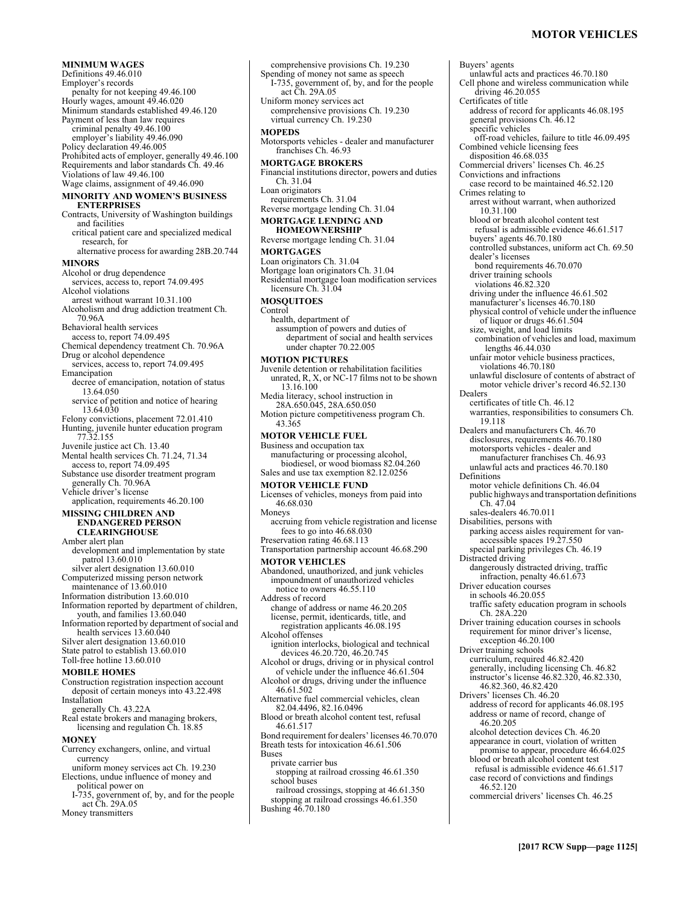# **MOTOR VEHICLES**

**MINIMUM WAGES**  Definitions 49.46.010 Employer's records penalty for not keeping 49.46.100 Hourly wages, amount 49.46.020 Minimum standards established 49.46.120 Payment of less than law requires criminal penalty 49.46.100 employer's liability 49.46.090 Policy declaration 49.46.005 Prohibited acts of employer, generally 49.46.100 Requirements and labor standards Ch. 49.46 Violations of law 49.46.100 Wage claims, assignment of 49.46.090 **MINORITY AND WOMEN'S BUSINESS ENTERPRISES**  Contracts, University of Washington buildings and facilities critical patient care and specialized medical research, for alternative process for awarding 28B.20.744 **MINORS**  Alcohol or drug dependence services, access to, report 74.09.495 Alcohol violations arrest without warrant 10.31.100 Alcoholism and drug addiction treatment Ch. 70.96A Behavioral health services access to, report 74.09.495 Chemical dependency treatment Ch. 70.96A Drug or alcohol dependence services, access to, report 74.09.495 Emancipation decree of emancipation, notation of status 13.64.050 service of petition and notice of hearing 13.64.030 Felony convictions, placement 72.01.410 Hunting, juvenile hunter education program 77.32.155 Juvenile justice act Ch. 13.40 Mental health services Ch. 71.24, 71.34 access to, report 74.09.495 Substance use disorder treatment program generally Ch. 70.96A Vehicle driver's license application, requirements 46.20.100 **MISSING CHILDREN AND ENDANGERED PERSON CLEARINGHOUSE**  Amber alert plan development and implementation by state patrol 13.60.010 silver alert designation 13.60.010 Computerized missing person network maintenance of 13.60.010 Information distribution 13.60.010 Information reported by department of children, youth, and families 13.60.040 Information reported by department of social and health services 13.60.040 Silver alert designation 13.60.010 State patrol to establish 13.60.010 Toll-free hotline 13.60.010 **MOBILE HOMES**  Construction registration inspection account deposit of certain moneys into 43.22.498 Installation generally Ch. 43.22A Real estate brokers and managing brokers, licensing and regulation Ch. 18.85 **MONEY**  Currency exchangers, online, and virtual

currency uniform money services act Ch. 19.230

- Elections, undue influence of money and political power on I-735, government of, by, and for the people
- act Ch. 29A.05

Money transmitters

comprehensive provisions Ch. 19.230 Spending of money not same as speech I-735, government of, by, and for the people act Ch. 29A.05 Uniform money services act comprehensive provisions Ch. 19.230 virtual currency Ch. 19.230 **MOPEDS**  Motorsports vehicles - dealer and manufacturer franchises Ch. 46.93 **MORTGAGE BROKERS**  Financial institutions director, powers and duties Ch. 31.04 Loan originators requirements Ch. 31.04 Reverse mortgage lending Ch. 31.04 **MORTGAGE LENDING AND HOMEOWNERSHIP**  Reverse mortgage lending Ch. 31.04 **MORTGAGES**  Loan originators Ch. 31.04 Mortgage loan originators Ch. 31.04 Residential mortgage loan modification services licensure Ch. 31.04 **MOSQUITOES**  Control health, department of assumption of powers and duties of department of social and health services under chapter 70.22.005 **MOTION PICTURES**  Juvenile detention or rehabilitation facilities unrated, R, X, or NC-17 films not to be shown 13.16.100 Media literacy, school instruction in 28A.650.045, 28A.650.050 Motion picture competitiveness program Ch. 43.365 **MOTOR VEHICLE FUEL**  Business and occupation tax manufacturing or processing alcohol, biodiesel, or wood biomass 82.04.260 Sales and use tax exemption 82.12.0256 **MOTOR VEHICLE FUND**  Licenses of vehicles, moneys from paid into 46.68.030 Moneys accruing from vehicle registration and license fees to go into  $46.68.\overline{0}30$ Preservation rating 46.68.113 Transportation partnership account 46.68.290 **MOTOR VEHICLES**  Abandoned, unauthorized, and junk vehicles impoundment of unauthorized vehicles notice to owners 46.55.110 Address of record change of address or name 46.20.205 license, permit, identicards, title, and registration applicants 46.08.195 Alcohol offenses ignition interlocks, biological and technical devices 46.20.720, 46.20.745 Alcohol or drugs, driving or in physical control of vehicle under the influence 46.61.504 Alcohol or drugs, driving under the influence 46.61.502 Alternative fuel commercial vehicles, clean 82.04.4496, 82.16.0496 Blood or breath alcohol content test, refusal 46.61.517 Bond requirement for dealers' licenses 46.70.070 Breath tests for intoxication 46.61.506 Buses private carrier bus stopping at railroad crossing 46.61.350 school buses railroad crossings, stopping at 46.61.350 stopping at railroad crossings 46.61.350 Bushing 46.70.180

Buyers' agents unlawful acts and practices 46.70.180 Cell phone and wireless communication while driving 46.20.055 Certificates of title address of record for applicants 46.08.195 general provisions Ch. 46.12 specific vehicles off-road vehicles, failure to title 46.09.495 Combined vehicle licensing fees disposition 46.68.035 Commercial drivers' licenses Ch. 46.25 Convictions and infractions case record to be maintained 46.52.120 Crimes relating to arrest without warrant, when authorized 10.31.100 blood or breath alcohol content test refusal is admissible evidence 46.61.517 buyers' agents 46.70.180 controlled substances, uniform act Ch. 69.50 dealer's licenses bond requirements 46.70.070 driver training schools violations 46.82.320 driving under the influence 46.61.502 manufacturer's licenses 46.70.180 physical control of vehicle under the influence of liquor or drugs 46.61.504 size, weight, and load limits combination of vehicles and load, maximum lengths 46.44.030 unfair motor vehicle business practices, violations 46.70.180 unlawful disclosure of contents of abstract of motor vehicle driver's record 46.52.130 Dealers certificates of title Ch. 46.12 warranties, responsibilities to consumers Ch. 19.118 Dealers and manufacturers Ch. 46.70 disclosures, requirements 46.70.180 motorsports vehicles - dealer and manufacturer franchises Ch. 46.93 unlawful acts and practices 46.70.180 Definitions motor vehicle definitions Ch. 46.04 public highways and transportation definitions  $Ch. 47.04$ sales-dealers 46.70.011 Disabilities, persons with parking access aisles requirement for vanaccessible spaces 19.27.550 special parking privileges Ch. 46.19 Distracted driving dangerously distracted driving, traffic infraction, penalty 46.61.673 Driver education courses in schools 46.20.055 traffic safety education program in schools Ch. 28A.220 Driver training education courses in schools requirement for minor driver's license, exception 46.20.100 Driver training schools curriculum, required 46.82.420 generally, including licensing Ch. 46.82 instructor's license 46.82.320, 46.82.330, 46.82.360, 46.82.420 Drivers' licenses Ch. 46.20 address of record for applicants 46.08.195 address or name of record, change of 46.20.205 alcohol detection devices Ch. 46.20 appearance in court, violation of written promise to appear, procedure 46.64.025 blood or breath alcohol content test refusal is admissible evidence 46.61.517 case record of convictions and findings 46.52.120 commercial drivers' licenses Ch. 46.25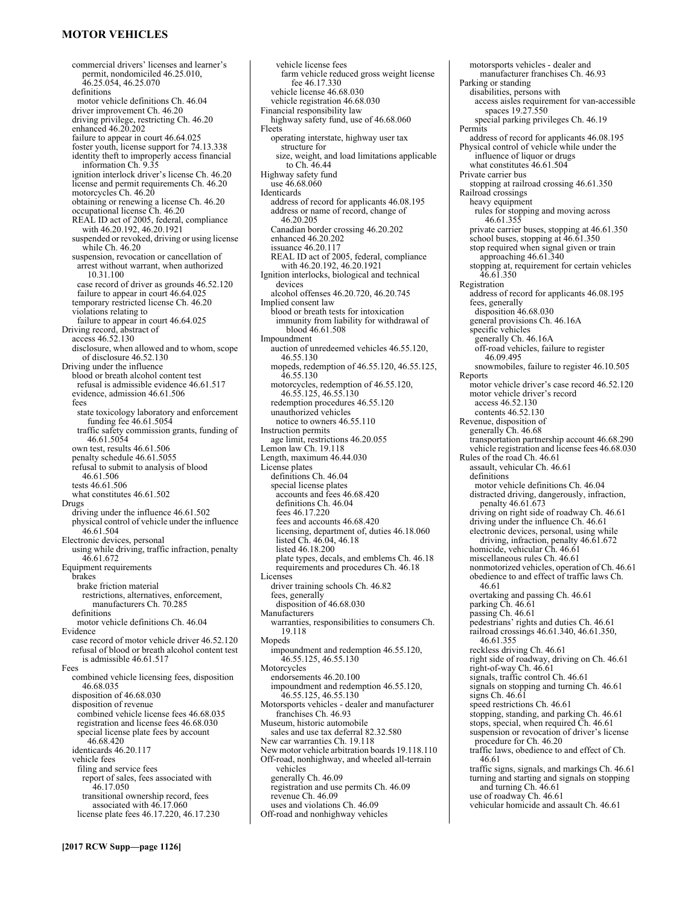# **MOTOR VEHICLES**

commercial drivers' licenses and learner's permit, nondomiciled 46.25.010, 46.25.054, 46.25.070 definitions motor vehicle definitions Ch. 46.04 driver improvement Ch. 46.20 driving privilege, restricting Ch. 46.20 enhanced 46.20.202 failure to appear in court 46.64.025 foster youth, license support for 74.13.338 identity theft to improperly access financial information Ch. 9.35 ignition interlock driver's license Ch. 46.20 license and permit requirements Ch. 46.20 motorcycles Ch. 46.20 obtaining or renewing a license Ch. 46.20 occupational license Ch. 46.20 REAL ID act of 2005, federal, compliance with 46.20.192, 46.20.1921 suspended or revoked, driving or using license while Ch. 46.20 suspension, revocation or cancellation of arrest without warrant, when authorized 10.31.100 case record of driver as grounds 46.52.120 failure to appear in court 46.64.025 temporary restricted license Ch. 46.20 violations relating to failure to appear in court 46.64.025 Driving record, abstract of access 46.52.130 disclosure, when allowed and to whom, scope of disclosure 46.52.130 Driving under the influence blood or breath alcohol content test refusal is admissible evidence 46.61.517 evidence, admission 46.61.506 fees state toxicology laboratory and enforcement funding fee 46.61.5054 traffic safety commission grants, funding of 46.61.5054 own test, results 46.61.506 penalty schedule 46.61.5055 refusal to submit to analysis of blood 46.61.506 tests 46.61.506 what constitutes 46.61.502 Drugs driving under the influence 46.61.502 physical control of vehicle under the influence 46.61.504 Electronic devices, personal using while driving, traffic infraction, penalty 46.61.672 Equipment requirements brakes brake friction material restrictions, alternatives, enforcement, manufacturers Ch. 70.285 definitions motor vehicle definitions Ch. 46.04 Evidence case record of motor vehicle driver 46.52.120 refusal of blood or breath alcohol content test is admissible 46.61.517 Fees combined vehicle licensing fees, disposition 46.68.035 disposition of 46.68.030 disposition of revenue combined vehicle license fees 46.68.035 registration and license fees 46.68.030 special license plate fees by account 46.68.420 identicards 46.20.117 vehicle fees filing and service fees report of sales, fees associated with 46.17.050 transitional ownership record, fees associated with 46.17.060 license plate fees 46.17.220, 46.17.230

vehicle license fees farm vehicle reduced gross weight license fee 46.17.330 vehicle license 46.68.030 vehicle registration 46.68.030 Financial responsibility law highway safety fund, use of 46.68.060 Fleets operating interstate, highway user tax structure for size, weight, and load limitations applicable to Ch. 46.44 Highway safety fund use 46.68.060 Identicards address of record for applicants 46.08.195 address or name of record, change of 46.20.205 Canadian border crossing 46.20.202 enhanced 46.20.202 issuance 46.20.117 REAL ID act of 2005, federal, compliance with 46.20.192, 46.20.1921 Ignition interlocks, biological and technical devices alcohol offenses 46.20.720, 46.20.745 Implied consent law blood or breath tests for intoxication immunity from liability for withdrawal of blood 46.61.508 Impoundment auction of unredeemed vehicles 46.55.120, 46.55.130 mopeds, redemption of 46.55.120, 46.55.125, 46.55.130 motorcycles, redemption of 46.55.120, 46.55.125, 46.55.130 redemption procedures 46.55.120 unauthorized vehicles notice to owners 46.55.110 Instruction permits age limit, restrictions 46.20.055 Lemon law Ch. 19.118 Length, maximum 46.44.030 License plates definitions Ch. 46.04 special license plates accounts and fees 46.68.420 definitions Ch. 46.04 fees 46.17.220 fees and accounts 46.68.420 licensing, department of, duties 46.18.060 listed Ch. 46.04, 46.18 listed 46.18.200 plate types, decals, and emblems Ch. 46.18 requirements and procedures Ch. 46.18 Licenses driver training schools Ch. 46.82 fees, generally disposition of 46.68.030 Manufacturers warranties, responsibilities to consumers Ch. 19.118 Mopeds impoundment and redemption 46.55.120, 46.55.125, 46.55.130 Motorcycles endorsements 46.20.100 impoundment and redemption 46.55.120, 46.55.125, 46.55.130 Motorsports vehicles - dealer and manufacturer franchises Ch. 46.93 Museum, historic automobile sales and use tax deferral 82.32.580 New car warranties Ch. 19.118 New motor vehicle arbitration boards 19.118.110 Off-road, nonhighway, and wheeled all-terrain vehicles generally Ch. 46.09 registration and use permits Ch. 46.09 revenue Ch. 46.09 uses and violations Ch. 46.09

Off-road and nonhighway vehicles

disabilities, persons with access aisles requirement for van-accessible spaces 19.27.550 special parking privileges Ch. 46.19 Permits address of record for applicants 46.08.195 Physical control of vehicle while under the influence of liquor or drugs what constitutes 46.61.504 Private carrier bus stopping at railroad crossing 46.61.350 Railroad crossings heavy equipment rules for stopping and moving across 46.61.355 private carrier buses, stopping at 46.61.350 school buses, stopping at 46.61.350 stop required when signal given or train approaching 46.61.340 stopping at, requirement for certain vehicles 46.61.350 Registration address of record for applicants 46.08.195 fees, generally disposition 46.68.030 general provisions Ch. 46.16A specific vehicles generally Ch. 46.16A off-road vehicles, failure to register  $46.09.495$ snowmobiles, failure to register 46.10.505 Reports motor vehicle driver's case record 46.52.120 motor vehicle driver's record access 46.52.130 contents 46.52.130 Revenue, disposition of generally Ch. 46.68 transportation partnership account 46.68.290 vehicle registration and license fees 46.68.030 Rules of the road Ch. 46.61 assault, vehicular Ch. 46.61 definitions motor vehicle definitions Ch. 46.04 distracted driving, dangerously, infraction, penalty 46.61.673 driving on right side of roadway Ch. 46.61 driving under the influence Ch. 46.61 electronic devices, personal, using while driving, infraction, penalty 46.61.672 homicide, vehicular Ch. 46.61 miscellaneous rules Ch. 46.61 nonmotorized vehicles, operation of Ch. 46.61 obedience to and effect of traffic laws Ch. 46.61 overtaking and passing Ch. 46.61 parking Ch. 46.61 passing Ch. 46.61 pedestrians' rights and duties Ch. 46.61 railroad crossings 46.61.340, 46.61.350, 46.61.355 reckless driving Ch. 46.61 right side of roadway, driving on Ch. 46.61 right-of-way Ch. 46.61 signals, traffic control Ch. 46.61 signals on stopping and turning Ch. 46.61 signs Ch. 46.61 speed restrictions Ch. 46.61 stopping, standing, and parking Ch. 46.61 stops, special, when required Ch. 46.61 suspension or revocation of driver's license procedure for Ch. 46.20 traffic laws, obedience to and effect of Ch. 46.61 traffic signs, signals, and markings Ch. 46.61 turning and starting and signals on stopping and turning Ch. 46.61 use of roadway Ch. 46.61 vehicular homicide and assault Ch. 46.61

motorsports vehicles - dealer and manufacturer franchises Ch. 46.93

Parking or standing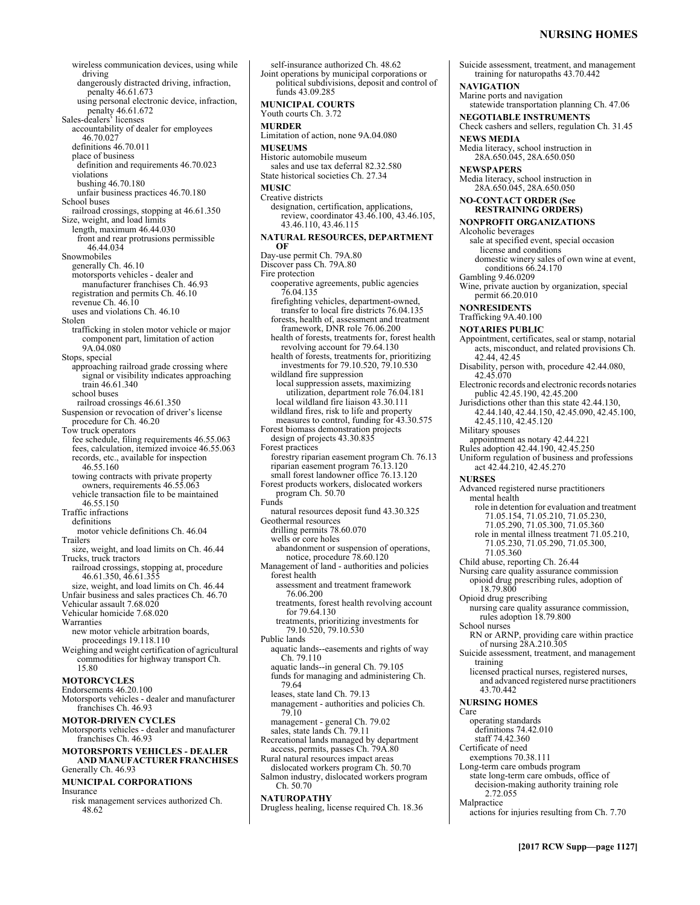# **NURSING HOMES**

wireless communication devices, using while driving dangerously distracted driving, infraction, penalty 46.61.673 using personal electronic device, infraction, penalty 46.61.672 Sales-dealers' licenses accountability of dealer for employees 46.70.027 definitions 46.70.011 place of business definition and requirements 46.70.023 violations bushing 46.70.180 unfair business practices 46.70.180 School buses railroad crossings, stopping at 46.61.350 Size, weight, and load limits length, maximum 46.44.030 front and rear protrusions permissible 46.44.034 Snowmobiles generally Ch. 46.10 motorsports vehicles - dealer and manufacturer franchises Ch. 46.93 registration and permits Ch. 46.10 revenue Ch. 46.10 uses and violations Ch. 46.10 Stolen trafficking in stolen motor vehicle or major component part, limitation of action 9A.04.080 Stops, special approaching railroad grade crossing where signal or visibility indicates approaching train 46.61.340 school buses railroad crossings 46.61.350 Suspension or revocation of driver's license procedure for Ch. 46.20 Tow truck operators fee schedule, filing requirements 46.55.063 fees, calculation, itemized invoice 46.55.063 records, etc., available for inspection 46.55.160 towing contracts with private property owners, requirements 46.55.063 vehicle transaction file to be maintained 46.55.150 Traffic infractions definitions motor vehicle definitions Ch. 46.04 Trailers size, weight, and load limits on Ch. 46.44 Trucks, truck tractors railroad crossings, stopping at, procedure 46.61.350, 46.61.355 size, weight, and load limits on Ch. 46.44 Unfair business and sales practices Ch. 46.70 Vehicular assault 7.68.020 Vehicular homicide 7.68.020 Warranties new motor vehicle arbitration boards, proceedings 19.118.110 Weighing and weight certification of agricultural commodities for highway transport Ch. 15.80 **MOTORCYCLES**  Endorsements 46.20.100 Motorsports vehicles - dealer and manufacturer franchises Ch. 46.93 **MOTOR-DRIVEN CYCLES**  Motorsports vehicles - dealer and manufacturer franchises Ch. 46.93 **MOTORSPORTS VEHICLES - DEALER AND MANUFACTURER FRANCHISES**  Generally Ch. 46.93 **MUNICIPAL CORPORATIONS**  Insurance risk management services authorized Ch. 48.62

self-insurance authorized Ch. 48.62 Joint operations by municipal corporations or political subdivisions, deposit and control of funds 43.09.285 **MUNICIPAL COURTS**  Youth courts Ch. 3.72 **MURDER**  Limitation of action, none 9A.04.080 **MUSEUMS**  Historic automobile museum sales and use tax deferral 82.32.580 State historical societies Ch. 27.34 **MUSIC**  Creative districts designation, certification, applications, review, coordinator 43.46.100, 43.46.105, 43.46.110, 43.46.115 **NATURAL RESOURCES, DEPARTMENT OF**  Day-use permit Ch. 79A.80 Discover pass Ch. 79A.80 Fire protection cooperative agreements, public agencies 76.04.135 firefighting vehicles, department-owned, transfer to local fire districts 76.04.135 forests, health of, assessment and treatment framework, DNR role 76.06.200 health of forests, treatments for, forest health revolving account for 79.64.130 health of forests, treatments for, prioritizing investments for 79.10.520, 79.10.530 wildland fire suppression local suppression assets, maximizing utilization, department role 76.04.181 local wildland fire liaison 43.30.111 wildland fires, risk to life and property measures to control, funding for 43.30.575 Forest biomass demonstration projects design of projects 43.30.835 Forest practices forestry riparian easement program Ch. 76.13 riparian easement program 76.13.120 small forest landowner office 76.13.120 Forest products workers, dislocated workers program Ch. 50.70 Funds natural resources deposit fund 43.30.325 Geothermal resources drilling permits 78.60.070 wells or core holes abandonment or suspension of operations, notice, procedure 78.60.120 Management of land - authorities and policies forest health assessment and treatment framework 76.06.200 treatments, forest health revolving account for 79.64.130 treatments, prioritizing investments for 79.10.520, 79.10.530 Public lands aquatic lands--easements and rights of way Ch. 79.110 aquatic lands--in general Ch. 79.105 funds for managing and administering Ch. 79.64 leases, state land Ch. 79.13 management - authorities and policies Ch. 79.10 management - general Ch. 79.02 sales, state lands Ch. 79.11 Recreational lands managed by department access, permits, passes Ch. 79A.80 Rural natural resources impact areas dislocated workers program Ch. 50.70 Salmon industry, dislocated workers program Ch. 50.70 **NATUROPATHY**  Drugless healing, license required Ch. 18.36

Suicide assessment, treatment, and management training for naturopaths 43.70.442 **NAVIGATION**  Marine ports and navigation statewide transportation planning Ch. 47.06 **NEGOTIABLE INSTRUMENTS**  Check cashers and sellers, regulation Ch. 31.45 **NEWS MEDIA**  Media literacy, school instruction in 28A.650.045, 28A.650.050 **NEWSPAPERS**  Media literacy, school instruction in 28A.650.045, 28A.650.050 **NO-CONTACT ORDER (See RESTRAINING ORDERS) NONPROFIT ORGANIZATIONS**  Alcoholic beverages sale at specified event, special occasion license and conditions domestic winery sales of own wine at event, conditions 66.24.170 Gambling 9.46.0209 Wine, private auction by organization, special permit 66.20.010 **NONRESIDENTS**  Trafficking 9A.40.100 **NOTARIES PUBLIC**  Appointment, certificates, seal or stamp, notarial acts, misconduct, and related provisions Ch. 42.44, 42.45 Disability, person with, procedure 42.44.080, 42.45.070 Electronic records and electronic records notaries public 42.45.190, 42.45.200 Jurisdictions other than this state 42.44.130, 42.44.140, 42.44.150, 42.45.090, 42.45.100, 42.45.110, 42.45.120 Military spouses appointment as notary 42.44.221 Rules adoption 42.44.190, 42.45.250 Uniform regulation of business and professions act 42.44.210, 42.45.270 **NURSES**  Advanced registered nurse practitioners mental health role in detention for evaluation and treatment 71.05.154, 71.05.210, 71.05.230, 71.05.290, 71.05.300, 71.05.360 role in mental illness treatment 71.05.210, 71.05.230, 71.05.290, 71.05.300, 71.05.360 Child abuse, reporting Ch. 26.44 Nursing care quality assurance commission opioid drug prescribing rules, adoption of 18.79.800 Opioid drug prescribing nursing care quality assurance commission, rules adoption 18.79.800 School nurses RN or ARNP, providing care within practice of nursing 28A.210.305 Suicide assessment, treatment, and management training licensed practical nurses, registered nurses, and advanced registered nurse practitioners 43.70.442 **NURSING HOMES**  Care operating standards definitions 74.42.010 staff 74.42.360 Certificate of need exemptions 70.38.111 Long-term care ombuds program state long-term care ombuds, office of decision-making authority training role 2.72.055

Malpractice

actions for injuries resulting from Ch. 7.70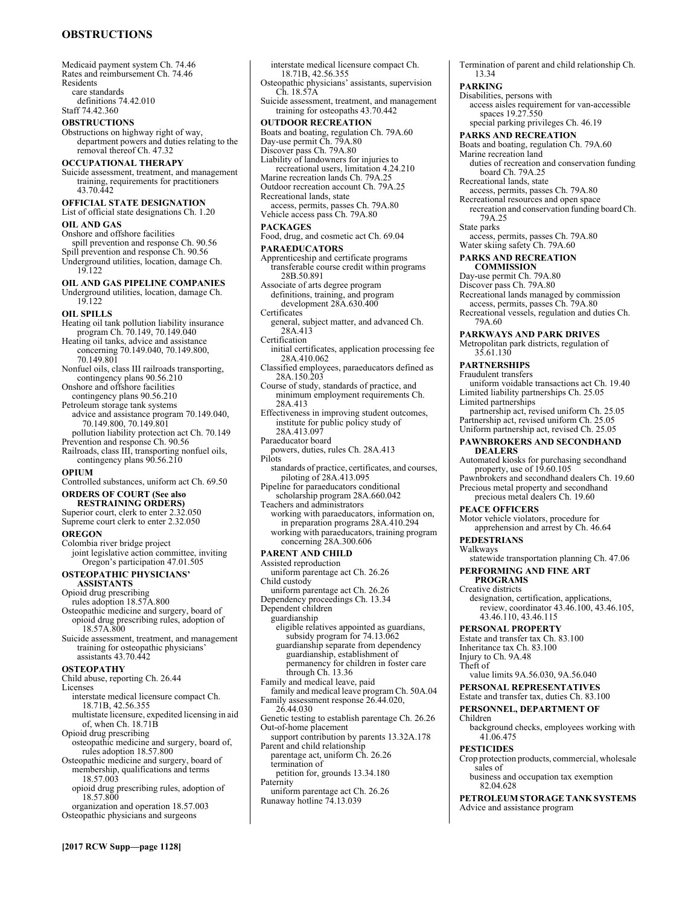# **OBSTRUCTIONS**

Medicaid payment system Ch. 74.46 Rates and reimbursement Ch. 74.46 Residents care standards definitions 74.42.010

Staff 74.42.360

# **OBSTRUCTIONS**

Obstructions on highway right of way, department powers and duties relating to the removal thereof Ch. 47.32

### **OCCUPATIONAL THERAPY**

Suicide assessment, treatment, and management training, requirements for practitioners 43.70.442

### **OFFICIAL STATE DESIGNATION**

List of official state designations Ch. 1.20 **OIL AND GAS** 

Onshore and offshore facilities spill prevention and response Ch. 90.56 Spill prevention and response Ch. 90.56 Underground utilities, location, damage Ch. 19.122

### **OIL AND GAS PIPELINE COMPANIES**  Underground utilities, location, damage Ch.

19.122

### **OIL SPILLS**

- Heating oil tank pollution liability insurance program Ch. 70.149, 70.149.040
- Heating oil tanks, advice and assistance concerning 70.149.040, 70.149.800, 70.149.801
- Nonfuel oils, class III railroads transporting, contingency plans 90.56.210
- Onshore and offshore facilities

### contingency plans 90.56.210 Petroleum storage tank systems

- advice and assistance program 70.149.040, 70.149.800, 70.149.801
- pollution liability protection act Ch. 70.149 Prevention and response Ch. 90.56
- Railroads, class III, transporting nonfuel oils, contingency plans 90.56.210

### **OPIUM**

Controlled substances, uniform act Ch. 69.50 **ORDERS OF COURT (See also** 

# **RESTRAINING ORDERS)**

Superior court, clerk to enter 2.32.050 Supreme court clerk to enter 2.32.050

### **OREGON**

Colombia river bridge project joint legislative action committee, inviting Oregon's participation 47.01.505

# **OSTEOPATHIC PHYSICIANS'**

- **ASSISTANTS**  Opioid drug prescribing rules adoption 18.57A.800 Osteopathic medicine and surgery, board of
- opioid drug prescribing rules, adoption of 18.57A.800
- Suicide assessment, treatment, and management training for osteopathic physicians' assistants 43.70.442

### **OSTEOPATHY**

- Child abuse, reporting Ch. 26.44
- Licenses
- interstate medical licensure compact Ch. 18.71B, 42.56.355
- multistate licensure, expedited licensing in aid of, when Ch. 18.71B
- Opioid drug prescribing
- osteopathic medicine and surgery, board of, rules adoption 18.57.800
- Osteopathic medicine and surgery, board of membership, qualifications and terms
- 18.57.003 opioid drug prescribing rules, adoption of 18.57.800
- organization and operation 18.57.003 Osteopathic physicians and surgeons

interstate medical licensure compact Ch. 18.71B, 42.56.355 Osteopathic physicians' assistants, supervision Ch. 18.57A Suicide assessment, treatment, and management training for osteopaths 43.70.442 **OUTDOOR RECREATION**  Boats and boating, regulation Ch. 79A.60 Day-use permit Ch. 79A.80 Discover pass Ch. 79A.80 Liability of landowners for injuries to recreational users, limitation 4.24.210 Marine recreation lands Ch. 79A.25 Outdoor recreation account Ch. 79A.25 Recreational lands, state access, permits, passes Ch. 79A.80 Vehicle access pass Ch. 79A.80 **PACKAGES**  Food, drug, and cosmetic act Ch. 69.04 **PARAEDUCATORS**  Apprenticeship and certificate programs transferable course credit within programs 28B.50.891 Associate of arts degree program definitions, training, and program development 28A.630.400 **Certificates** general, subject matter, and advanced Ch. 28A.413 Certification initial certificates, application processing fee 28A.410.062 Classified employees, paraeducators defined as 28A.150.203 Course of study, standards of practice, and minimum employment requirements Ch. 28A.413 Effectiveness in improving student outcomes, institute for public policy study of 28A.413.097 Paraeducator board powers, duties, rules Ch. 28A.413 Pilots standards of practice, certificates, and courses, piloting of 28A.413.095 Pipeline for paraeducators conditional scholarship program 28A.660.042 Teachers and administrators working with paraeducators, information on, in preparation programs 28A.410.294 working with paraeducators, training program concerning 28A.300.606 **PARENT AND CHILD**  Assisted reproduction uniform parentage act Ch. 26.26 Child custody uniform parentage act Ch. 26.26 Dependency proceedings Ch. 13.34 Dependent children guardianship eligible relatives appointed as guardians, subsidy program for 74.13.062 guardianship separate from dependency guardianship, establishment of permanency for children in foster care through Ch. 13.36 Family and medical leave, paid family and medical leave program Ch. 50A.04 Family assessment response 26.44.020, 26.44.030 Genetic testing to establish parentage Ch. 26.26 Out-of-home placement support contribution by parents 13.32A.178 Parent and child relationship parentage act, uniform Ch. 26.26 termination of petition for, grounds 13.34.180 **Paternity** uniform parentage act Ch. 26.26 Runaway hotline 74.13.039

Termination of parent and child relationship Ch. 13.34

### **PARKING**

# Disabilities, persons with

access aisles requirement for van-accessible spaces 19.27.550

special parking privileges Ch. 46.19

**PARKS AND RECREATION** 

Boats and boating, regulation Ch. 79A.60

Marine recreation land

duties of recreation and conservation funding board Ch. 79A.25

- Recreational lands, state
- access, permits, passes Ch. 79A.80
- Recreational resources and open space recreation and conservation funding board Ch.
	- 79A.25
- State parks
- access, permits, passes Ch. 79A.80 Water skiing safety Ch. 79A.60

# **PARKS AND RECREATION**

- **COMMISSION**
- Day-use permit Ch. 79A.80 Discover pass Ch. 79A.80
- 

Recreational lands managed by commission

access, permits, passes Ch. 79A.80 Recreational vessels, regulation and duties Ch. 79A.60

### **PARKWAYS AND PARK DRIVES**

Metropolitan park districts, regulation of 35.61.130

### **PARTNERSHIPS**

Fraudulent transfers

uniform voidable transactions act Ch. 19.40 Limited liability partnerships Ch. 25.05

- Limited partnerships partnership act, revised uniform Ch. 25.05 Partnership act, revised uniform Ch. 25.05
- Uniform partnership act, revised Ch. 25.05 **PAWNBROKERS AND SECONDHAND**
- **DEALERS**
- Automated kiosks for purchasing secondhand property, use of 19.60.105
- Pawnbrokers and secondhand dealers Ch. 19.60 Precious metal property and secondhand precious metal dealers Ch. 19.60

### **PEACE OFFICERS**

Motor vehicle violators, procedure for

apprehension and arrest by Ch. 46.64

### **PEDESTRIANS**

Walkways statewide transportation planning Ch. 47.06

# **PERFORMING AND FINE ART**

**PROGRAMS** 

Creative districts

designation, certification, applications, review, coordinator 43.46.100, 43.46.105, 43.46.110, 43.46.115

# **PERSONAL PROPERTY**

Estate and transfer tax Ch. 83.100 Inheritance tax Ch. 83.100

Injury to Ch. 9A.48 Theft of

value limits 9A.56.030, 9A.56.040

# **PERSONAL REPRESENTATIVES**

# Estate and transfer tax, duties Ch. 83.100

#### **PERSONNEL, DEPARTMENT OF**  Children

background checks, employees working with 41.06.475

#### **PESTICIDES**

Crop protection products, commercial, wholesale sales of

business and occupation tax exemption 82.04.628

**PETROLEUM STORAGE TANK SYSTEMS**  Advice and assistance program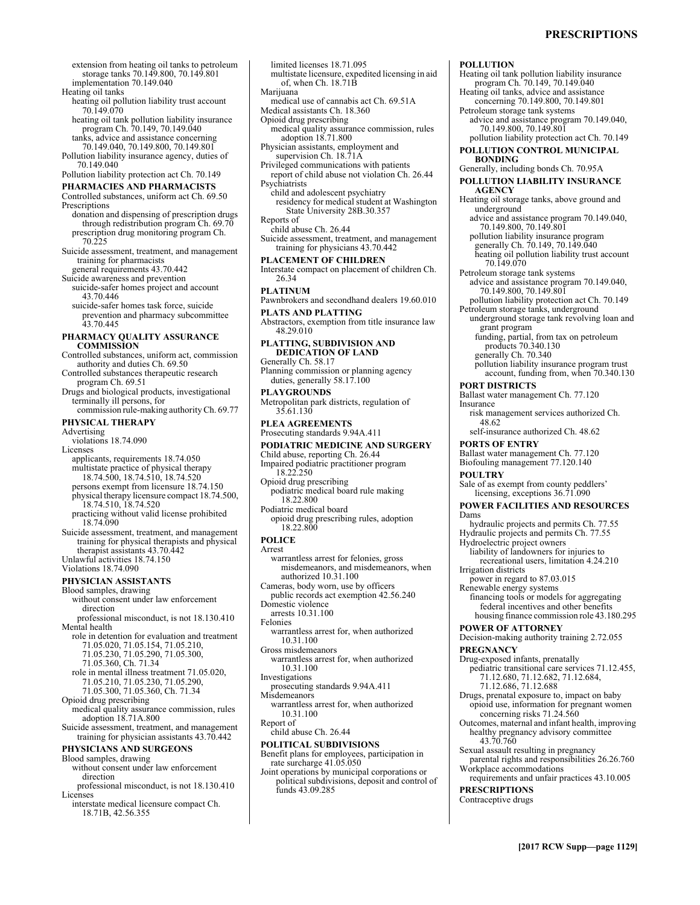# **PRESCRIPTIONS**

Heating oil tank pollution liability insurance program Ch. 70.149, 70.149.040 Heating oil tanks, advice and assistance concerning 70.149.800, 70.149.801

advice and assistance program 70.149.040,

pollution liability protection act Ch. 70.149 **POLLUTION CONTROL MUNICIPAL** 

Petroleum storage tank systems

70.149.800, 70.149.801

Generally, including bonds Ch. 70.95A **POLLUTION LIABILITY INSURANCE** 

Heating oil storage tanks, above ground and

advice and assistance program 70.149.040, 70.149.800, 70.149.801

pollution liability insurance program generally Ch. 70.149, 70.149.040 heating oil pollution liability trust account

advice and assistance program 70.149.040,

pollution liability protection act Ch. 70.149 Petroleum storage tanks, underground

underground storage tank revolving loan and

pollution liability insurance program trust account, funding from, when 70.340.130

risk management services authorized Ch.

funding, partial, from tax on petroleum

**POLLUTION** 

**BONDING** 

**AGENCY** 

underground

70.149.070 Petroleum storage tank systems

grant program

**PORT DISTRICTS** 

**PORTS OF ENTRY** 

Hydroelectric project owners

**POWER OF ATTORNEY** 

power in regard to 87.03.015 Renewable energy systems

Irrigation districts

48.62

**POULTRY** 

Dams

Insurance

70.149.800, 70.149.801

products 70.340.130 generally Ch. 70.340

Ballast water management Ch. 77.120

self-insurance authorized Ch. 48.62

Ballast water management Ch. 77.120 Biofouling management 77.120.140

Sale of as exempt from county peddlers' licensing, exceptions 36.71.090 **POWER FACILITIES AND RESOURCES** 

hydraulic projects and permits Ch. 77.55 Hydraulic projects and permits Ch. 77.55

liability of landowners for injuries to recreational users, limitation 4.24.210

extension from heating oil tanks to petroleum storage tanks 70.149.800, 70.149.801 implementation 70.149.040 Heating oil tanks

- heating oil pollution liability trust account 70.149.070
- heating oil tank pollution liability insurance program Ch. 70.149, 70.149.040 tanks, advice and assistance concerning
- 70.149.040, 70.149.800, 70.149.801 Pollution liability insurance agency, duties of 70.149.040

Pollution liability protection act Ch. 70.149

### **PHARMACIES AND PHARMACISTS**  Controlled substances, uniform act Ch. 69.50

- Prescriptions donation and dispensing of prescription drugs through redistribution program Ch. 69.70
- prescription drug monitoring program Ch. 70.225 Suicide assessment, treatment, and management
- training for pharmacists general requirements 43.70.442
- Suicide awareness and prevention
- suicide-safer homes project and account 43.70.446
- suicide-safer homes task force, suicide prevention and pharmacy subcommittee 43.70.445

### **PHARMACY QUALITY ASSURANCE COMMISSION**

- Controlled substances, uniform act, commission authority and duties Ch. 69.50
- Controlled substances therapeutic research program Ch. 69.51
- Drugs and biological products, investigational terminally ill persons, for commission rule-making authority Ch. 69.77
- **PHYSICAL THERAPY**

Advertising

- violations 18.74.090 Licenses
- applicants, requirements 18.74.050 multistate practice of physical therapy 18.74.500, 18.74.510, 18.74.520
- persons exempt from licensure 18.74.150 physical therapy licensure compact 18.74.500, 18.74.510, 18.74.520
- practicing without valid license prohibited 18.74.090
- Suicide assessment, treatment, and management training for physical therapists and physical therapist assistants 43.70.442 Unlawful activities 18.74.150
- Violations 18.74.090

### **PHYSICIAN ASSISTANTS**

- Blood samples, drawing without consent under law enforcement direction professional misconduct, is not 18.130.410 Mental health
- role in detention for evaluation and treatment 71.05.020, 71.05.154, 71.05.210, 71.05.230, 71.05.290, 71.05.300,
	-
	- 71.05.360, Ch. 71.34
	- role in mental illness treatment 71.05.020,
	- 71.05.210, 71.05.230, 71.05.290, 71.05.300, 71.05.360, Ch. 71.34
- Opioid drug prescribing
- medical quality assurance commission, rules adoption 18.71A.800
- Suicide assessment, treatment, and management training for physician assistants 43.70.442

### **PHYSICIANS AND SURGEONS**

- Blood samples, drawing
- without consent under law enforcement
- direction professional misconduct, is not 18.130.410 Licenses
- interstate medical licensure compact Ch. 18.71B, 42.56.355
- limited licenses 18.71.095 multistate licensure, expedited licensing in aid of, when Ch. 18.71B Marijuana medical use of cannabis act Ch. 69.51A Medical assistants Ch. 18.360 Opioid drug prescribing medical quality assurance commission, rules adoption 18.71.800 Physician assistants, employment and supervision Ch. 18.71A Privileged communications with patients report of child abuse not violation Ch. 26.44 Psychiatrists child and adolescent psychiatry residency for medical student at Washington State University 28B.30.357 Reports of child abuse Ch. 26.44 Suicide assessment, treatment, and management training for physicians 43.70.442 **PLACEMENT OF CHILDREN**  Interstate compact on placement of children Ch. 26.34 **PLATINUM**  Pawnbrokers and secondhand dealers 19.60.010 **PLATS AND PLATTING**  Abstractors, exemption from title insurance law 48.29.010 **PLATTING, SUBDIVISION AND DEDICATION OF LAND**  Generally Ch. 58.17 Planning commission or planning agency duties, generally 58.17.100 **PLAYGROUNDS**  Metropolitan park districts, regulation of 35.61.130 **PLEA AGREEMENTS**  Prosecuting standards 9.94A.411 **PODIATRIC MEDICINE AND SURGERY**  Child abuse, reporting Ch. 26.44 Impaired podiatric practitioner program 18.22.250 Opioid drug prescribing podiatric medical board rule making 18.22.800 Podiatric medical board opioid drug prescribing rules, adoption 18.22.800 **POLICE**  Arrest warrantless arrest for felonies, gross misdemeanors, and misdemeanors, when authorized 10.31.100 Cameras, body worn, use by officers public records act exemption 42.56.240 Domestic violence arrests 10.31.100
- Felonies
- warrantless arrest for, when authorized 10.31.100
- Gross misdemeanors warrantless arrest for, when authorized 10.31.100
- Investigations
- prosecuting standards 9.94A.411 **Misdemeanors**
- warrantless arrest for, when authorized 10.31.100
- Report of
- child abuse Ch. 26.44

### **POLITICAL SUBDIVISIONS**

- Benefit plans for employees, participation in rate surcharge 41.05.050
- Joint operations by municipal corporations or political subdivisions, deposit and control of funds 43.09.285
- **PRESCRIPTIONS**

Decision-making authority training 2.72.055 **PREGNANCY** 

financing tools or models for aggregating federal incentives and other benefits housing finance commission role 43.180.295

- Drug-exposed infants, prenatally pediatric transitional care services 71.12.455, 71.12.680, 71.12.682, 71.12.684,
- 71.12.686, 71.12.688
- Drugs, prenatal exposure to, impact on baby opioid use, information for pregnant women concerning risks 71.24.560
- Outcomes, maternal and infant health, improving healthy pregnancy advisory committee 43.70.760
- Sexual assault resulting in pregnancy
- parental rights and responsibilities 26.26.760 Workplace accommodations
- requirements and unfair practices 43.10.005
- Contraceptive drugs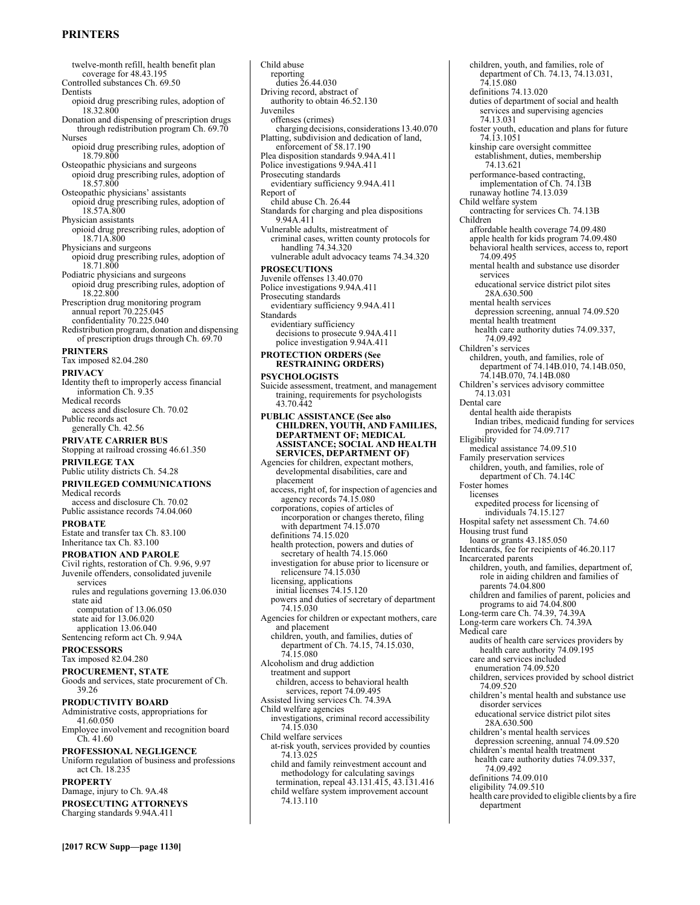# **PRINTERS**

twelve-month refill, health benefit plan coverage for 48.43.195 Controlled substances Ch. 69.50 Dentists opioid drug prescribing rules, adoption of 18.32.800 Donation and dispensing of prescription drugs through redistribution program Ch. 69.70 Nurses opioid drug prescribing rules, adoption of 18.79.800 Osteopathic physicians and surgeons opioid drug prescribing rules, adoption of 18.57.800 Osteopathic physicians' assistants opioid drug prescribing rules, adoption of 18.57A.800 Physician assistants opioid drug prescribing rules, adoption of 18.71A.800 Physicians and surgeons opioid drug prescribing rules, adoption of 18.71.800 Podiatric physicians and surgeons opioid drug prescribing rules, adoption of 18.22.800 Prescription drug monitoring program annual report 70.225.045 confidentiality 70.225.040 Redistribution program, donation and dispensing of prescription drugs through Ch. 69.70 **PRINTERS**  Tax imposed 82.04.280 **PRIVACY**  Identity theft to improperly access financial information Ch. 9.35 Medical records access and disclosure Ch. 70.02 Public records act generally Ch. 42.56 **PRIVATE CARRIER BUS**  Stopping at railroad crossing 46.61.350 **PRIVILEGE TAX**  Public utility districts Ch. 54.28 **PRIVILEGED COMMUNICATIONS**  Medical records

access and disclosure Ch. 70.02 Public assistance records 74.04.060

**PROBATE**  Estate and transfer tax Ch. 83.100 Inheritance tax Ch. 83.100

# **PROBATION AND PAROLE**

Civil rights, restoration of Ch. 9.96, 9.97 Juvenile offenders, consolidated juvenile services rules and regulations governing 13.06.030 state aid computation of 13.06.050 state aid for 13.06.020 application 13.06.040

Sentencing reform act Ch. 9.94A **PROCESSORS** 

# Tax imposed 82.04.280

**PROCUREMENT, STATE**  Goods and services, state procurement of Ch. 39.26

### **PRODUCTIVITY BOARD**

Administrative costs, appropriations for 41.60.050 Employee involvement and recognition board

Ch. 41.60 **PROFESSIONAL NEGLIGENCE**  Uniform regulation of business and professions

act Ch. 18.235

# **PROPERTY**

Damage, injury to Ch. 9A.48

**PROSECUTING ATTORNEYS**  Charging standards 9.94A.411

Child abuse reporting duties 26.44.030 Driving record, abstract of authority to obtain 46.52.130 Juveniles offenses (crimes) charging decisions, considerations 13.40.070 Platting, subdivision and dedication of land, enforcement of 58.17.190 Plea disposition standards 9.94A.411 Police investigations 9.94A.411 Prosecuting standards evidentiary sufficiency 9.94A.411 Report of child abuse Ch. 26.44 Standards for charging and plea dispositions 9.94A.411 Vulnerable adults, mistreatment of criminal cases, written county protocols for handling 74.34.320 vulnerable adult advocacy teams 74.34.320 **PROSECUTIONS**  Juvenile offenses 13.40.070 Police investigations 9.94A.411 Prosecuting standards evidentiary sufficiency 9.94A.411 Standards evidentiary sufficiency decisions to prosecute 9.94A.411 police investigation 9.94A.411 **PROTECTION ORDERS (See RESTRAINING ORDERS) PSYCHOLOGISTS**  Suicide assessment, treatment, and management training, requirements for psychologists 43.70.442 **PUBLIC ASSISTANCE (See also CHILDREN, YOUTH, AND FAMILIES, DEPARTMENT OF; MEDICAL ASSISTANCE; SOCIAL AND HEALTH SERVICES, DEPARTMENT OF)** Agencies for children, expectant mothers, developmental disabilities, care and placement access, right of, for inspection of agencies and agency records 74.15.080 corporations, copies of articles of incorporation or changes thereto, filing with department 74.15.070 definitions 74.15.020 health protection, powers and duties of secretary of health 74.15.060 investigation for abuse prior to licensure or relicensure 74.15.030 licensing, applications initial licenses 74.15.120 powers and duties of secretary of department 74.15.030 Agencies for children or expectant mothers, care and placement children, youth, and families, duties of department of Ch. 74.15, 74.15.030, 74.15.080 Alcoholism and drug addiction treatment and support children, access to behavioral health services, report 74.09.495 Assisted living services Ch. 74.39A Child welfare agencies investigations, criminal record accessibility 74.15.030 Child welfare services at-risk youth, services provided by counties 74.13.025 child and family reinvestment account and methodology for calculating savings termination, repeal 43.131.415, 43.131.416 child welfare system improvement account 74.13.110

children, youth, and families, role of department of Ch. 74.13, 74.13.031, 74.15.080 definitions 74.13.020 duties of department of social and health services and supervising agencies 74.13.031 foster youth, education and plans for future 74.13.1051 kinship care oversight committee establishment, duties, membership 74.13.621 performance-based contracting, implementation of Ch. 74.13B runaway hotline 74.13.039 Child welfare system contracting for services Ch. 74.13B Children affordable health coverage 74.09.480 apple health for kids program 74.09.480 behavioral health services, access to, report 74.09.495 mental health and substance use disorder services educational service district pilot sites 28A.630.500 mental health services depression screening, annual 74.09.520 mental health treatment health care authority duties 74.09.337, 74.09.492 Children's services children, youth, and families, role of department of 74.14B.010, 74.14B.050, 74.14B.070, 74.14B.080 Children's services advisory committee 74.13.031 Dental care dental health aide therapists Indian tribes, medicaid funding for services provided for 74.09.717 Eligibility medical assistance 74.09.510 Family preservation services children, youth, and families, role of department of Ch. 74.14C Foster homes licenses expedited process for licensing of individuals 74.15.127 Hospital safety net assessment Ch. 74.60 Housing trust fund loans or grants 43.185.050 Identicards, fee for recipients of 46.20.117 Incarcerated parents children, youth, and families, department of, role in aiding children and families of parents 74.04.800 children and families of parent, policies and programs to aid 74.04.800 Long-term care Ch. 74.39, 74.39A Long-term care workers Ch. 74.39A Medical care audits of health care services providers by health care authority 74.09.195 care and services included enumeration 74.09.520 children, services provided by school district 74.09.520 children's mental health and substance use disorder services educational service district pilot sites 28A.630.500 children's mental health services depression screening, annual 74.09.520 children's mental health treatment health care authority duties 74.09.337, 74.09.492 definitions 74.09.010 eligibility 74.09.510 health care provided to eligible clients by a fire department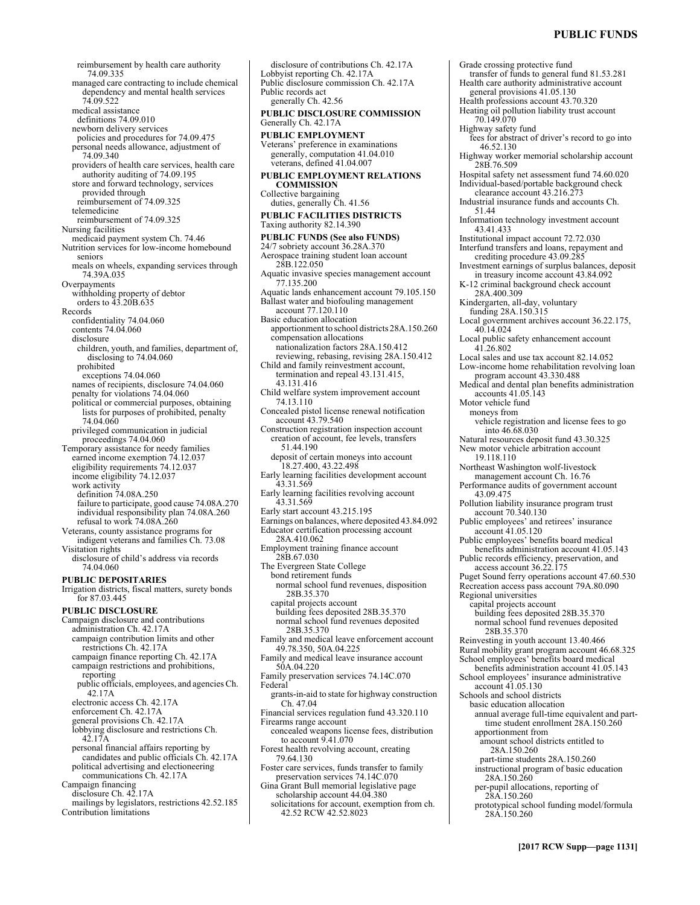# **PUBLIC FUNDS**

reimbursement by health care authority 74.09.335 managed care contracting to include chemical dependency and mental health services 74.09.522 medical assistance definitions 74.09.010 newborn delivery services policies and procedures for 74.09.475 personal needs allowance, adjustment of 74.09.340 providers of health care services, health care authority auditing of 74.09.195 store and forward technology, services provided through reimbursement of 74.09.325 telemedicine reimbursement of 74.09.325 Nursing facilities medicaid payment system Ch. 74.46 Nutrition services for low-income homebound seniors meals on wheels, expanding services through 74.39A.035 **Overpayments** withholding property of debtor orders to 43.20B.635 Records confidentiality 74.04.060 contents 74.04.060 disclosure children, youth, and families, department of, disclosing to 74.04.060 prohibited exceptions 74.04.060 names of recipients, disclosure 74.04.060 penalty for violations 74.04.060 political or commercial purposes, obtaining lists for purposes of prohibited, penalty 74.04.060 privileged communication in judicial proceedings 74.04.060 Temporary assistance for needy families earned income exemption 74.12.037 eligibility requirements 74.12.037 income eligibility 74.12.037 work activity definition 74.08A.250 failure to participate, good cause 74.08A.270 individual responsibility plan 74.08A.260 refusal to work 74.08A.260 Veterans, county assistance programs for indigent veterans and families Ch. 73.08 Visitation rights disclosure of child's address via records 74.04.060 **PUBLIC DEPOSITARIES**  Irrigation districts, fiscal matters, surety bonds for 87.03.445 **PUBLIC DISCLOSURE**  Campaign disclosure and contributions administration Ch. 42.17A campaign contribution limits and other restrictions Ch. 42.17A campaign finance reporting Ch. 42.17A campaign restrictions and prohibitions, reporting public officials, employees, and agencies Ch. 42.17A electronic access Ch. 42.17A enforcement Ch. 42.17A general provisions Ch. 42.17A lobbying disclosure and restrictions Ch. 42.17A personal financial affairs reporting by candidates and public officials Ch. 42.17A political advertising and electioneering communications Ch. 42.17A Campaign financing disclosure Ch. 42.17A mailings by legislators, restrictions 42.52.185 Contribution limitations

disclosure of contributions Ch. 42.17A Lobbyist reporting Ch. 42.17A Public disclosure commission Ch. 42.17A Public records act generally Ch. 42.56 **PUBLIC DISCLOSURE COMMISSION**  Generally Ch. 42.17A **PUBLIC EMPLOYMENT**  Veterans' preference in examinations generally, computation 41.04.010 veterans, defined 41.04.007 **PUBLIC EMPLOYMENT RELATIONS COMMISSION**  Collective bargaining duties, generally Ch. 41.56 **PUBLIC FACILITIES DISTRICTS**  Taxing authority 82.14.390 **PUBLIC FUNDS (See also FUNDS)** 24/7 sobriety account 36.28A.370 Aerospace training student loan account 28B.122.050 Aquatic invasive species management account 77.135.200 Aquatic lands enhancement account 79.105.150 Ballast water and biofouling management account 77.120.110 Basic education allocation apportionment to school districts 28A.150.260 compensation allocations nationalization factors 28A.150.412 reviewing, rebasing, revising 28A.150.412 Child and family reinvestment account, termination and repeal 43.131.415, 43.131.416 Child welfare system improvement account 74.13.110 Concealed pistol license renewal notification account 43.79.540 Construction registration inspection account creation of account, fee levels, transfers 51.44.190 deposit of certain moneys into account 18.27.400, 43.22.498 Early learning facilities development account 43.31.569 Early learning facilities revolving account 43.31.569 Early start account 43.215.195 Earnings on balances, where deposited 43.84.092 Educator certification processing account 28A.410.062 Employment training finance account 28B.67.030 The Evergreen State College bond retirement funds normal school fund revenues, disposition 28B.35.370 capital projects account building fees deposited 28B.35.370 normal school fund revenues deposited 28B.35.370 Family and medical leave enforcement account 49.78.350, 50A.04.225 Family and medical leave insurance account 50A.04.220 Family preservation services 74.14C.070 Federal grants-in-aid to state for highway construction Ch. 47.04 Financial services regulation fund 43.320.110 Firearms range account concealed weapons license fees, distribution to account 9.41.070 Forest health revolving account, creating 79.64.130 Foster care services, funds transfer to family preservation services 74.14C.070 Gina Grant Bull memorial legislative page scholarship account 44.04.380 solicitations for account, exemption from ch. 42.52 RCW 42.52.8023

Grade crossing protective fund transfer of funds to general fund 81.53.281 Health care authority administrative account general provisions 41.05.130 Health professions account 43.70.320 Heating oil pollution liability trust account 70.149.070 Highway safety fund fees for abstract of driver's record to go into 46.52.130 Highway worker memorial scholarship account 28B.76.509 Hospital safety net assessment fund 74.60.020 Individual-based/portable background check clearance account 43.216.273 Industrial insurance funds and accounts Ch. 51.44 Information technology investment account 43.41.433 Institutional impact account 72.72.030 Interfund transfers and loans, repayment and crediting procedure 43.09.285 Investment earnings of surplus balances, deposit in treasury income account 43.84.092 K-12 criminal background check account 28A.400.309 Kindergarten, all-day, voluntary funding 28A.150.315 Local government archives account 36.22.175, 40.14.024 Local public safety enhancement account 41.26.802 Local sales and use tax account 82.14.052 Low-income home rehabilitation revolving loan program account 43.330.488 Medical and dental plan benefits administration accounts 41.05.143 Motor vehicle fund moneys from vehicle registration and license fees to go into 46.68.030 Natural resources deposit fund 43.30.325 New motor vehicle arbitration account 19.118.110 Northeast Washington wolf-livestock management account Ch. 16.76 Performance audits of government account 43.09.475 Pollution liability insurance program trust account 70.340.130 Public employees' and retirees' insurance account 41.05.120 Public employees' benefits board medical benefits administration account 41.05.143 Public records efficiency, preservation, and access account 36.22.175 Puget Sound ferry operations account 47.60.530 Recreation access pass account 79A.80.090 Regional universities capital projects account building fees deposited 28B.35.370 normal school fund revenues deposited 28B.35.370 Reinvesting in youth account 13.40.466 Rural mobility grant program account 46.68.325 School employees' benefits board medical benefits administration account 41.05.143 School employees' insurance administrative account 41.05.130 Schools and school districts basic education allocation annual average full-time equivalent and parttime student enrollment 28A.150.260 apportionment from amount school districts entitled to 28A.150.260 part-time students 28A.150.260 instructional program of basic education 28A.150.260 per-pupil allocations, reporting of 28A.150.260 prototypical school funding model/formula 28A.150.260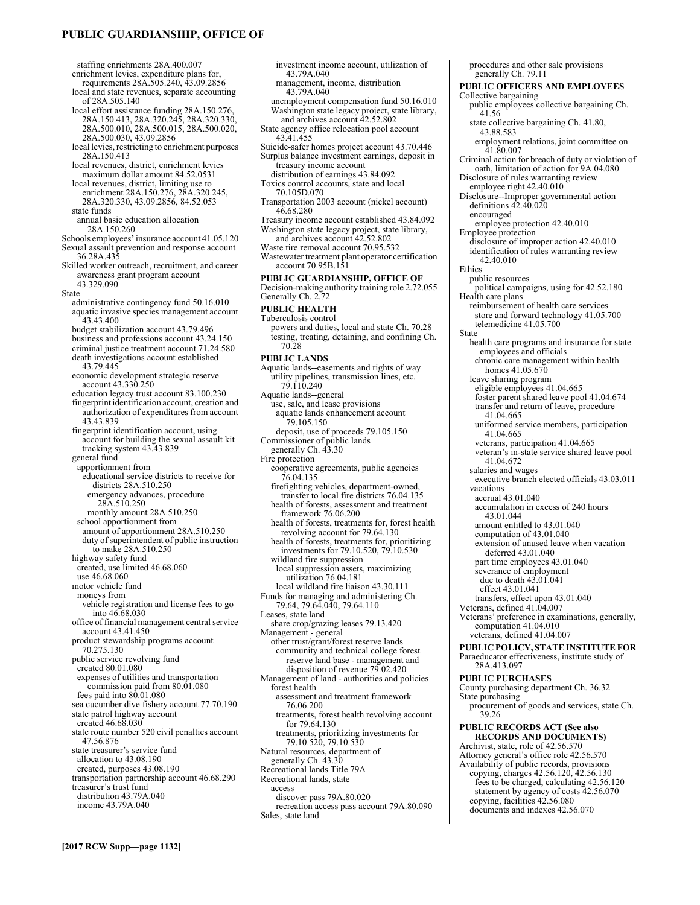# **PUBLIC GUARDIANSHIP, OFFICE OF**

staffing enrichments 28A.400.007 enrichment levies, expenditure plans for,<br>requirements 28A.505.240, 43.09.2856 local and state revenues, separate accounting of 28A.505.140 local effort assistance funding 28A.150.276, 28A.150.413, 28A.320.245, 28A.320.330, 28A.500.010, 28A.500.015, 28A.500.020, 28A.500.030, 43.09.2856 local levies, restricting to enrichment purposes 28A.150.413 local revenues, district, enrichment levies maximum dollar amount 84.52.0531 local revenues, district, limiting use to enrichment 28A.150.276, 28A.320.245, 28A.320.330, 43.09.2856, 84.52.053 state funds annual basic education allocation 28A.150.260 Schools employees' insurance account 41.05.120 Sexual assault prevention and response account 36.28A.435 Skilled worker outreach, recruitment, and career awareness grant program account 43.329.090 State administrative contingency fund 50.16.010 aquatic invasive species management account 43.43.400 budget stabilization account 43.79.496 business and professions account 43.24.150 criminal justice treatment account 71.24.580 death investigations account established 43.79.445 economic development strategic reserve account 43.330.250 education legacy trust account 83.100.230 fingerprint identification account, creation and authorization of expenditures from account 43.43.839 fingerprint identification account, using account for building the sexual assault kit tracking system 43.43.839 general fund apportionment from educational service districts to receive for districts 28A.510.250 emergency advances, procedure 28A.510.250 monthly amount 28A.510.250 school apportionment from amount of apportionment 28A.510.250 duty of superintendent of public instruction to make 28A.510.250 highway safety fund created, use limited 46.68.060 use 46.68.060 motor vehicle fund moneys from vehicle registration and license fees to go into 46.68.030 office of financial management central service account 43.41.450 product stewardship programs account 70.275.130 public service revolving fund created 80.01.080 expenses of utilities and transportation commission paid from 80.01.080 fees paid into 80.01.080 sea cucumber dive fishery account 77.70.190 state patrol highway account created 46.68.030 state route number 520 civil penalties account 47.56.876 state treasurer's service fund allocation to 43.08.190 created, purposes 43.08.190 transportation partnership account 46.68.290 treasurer's trust fund distribution 43.79A.040 income 43.79A.040 investment income account, utilization of 43.79A.040 management, income, distribution 43.79A.040 unemployment compensation fund 50.16.010 Washington state legacy project, state library, and archives account 42.52.802 State agency office relocation pool account 43.41.455 Suicide-safer homes project account 43.70.446 Surplus balance investment earnings, deposit in treasury income account distribution of earnings 43.84.092 Toxics control accounts, state and local 70.105D.070 Transportation 2003 account (nickel account) 46.68.280 Treasury income account established 43.84.092 Washington state legacy project, state library, and archives account 42.52.802 Waste tire removal account 70.95.532 Wastewater treatment plant operator certification account 70.95B.151 **PUBLIC GUARDIANSHIP, OFFICE OF**  Decision-making authority training role 2.72.055 Generally Ch. 2.72 **PUBLIC HEALTH**  Tuberculosis control powers and duties, local and state Ch. 70.28 testing, treating, detaining, and confining Ch. 70.28 **PUBLIC LANDS**  Aquatic lands--easements and rights of way utility pipelines, transmission lines, etc. 79.110.240 Aquatic lands--general use, sale, and lease provisions aquatic lands enhancement account 79.105.150 deposit, use of proceeds 79.105.150 Commissioner of public lands generally Ch. 43.30 Fire protection cooperative agreements, public agencies 76.04.135 firefighting vehicles, department-owned, transfer to local fire districts 76.04.135 health of forests, assessment and treatment framework 76.06.200 health of forests, treatments for, forest health revolving account for 79.64.130 health of forests, treatments for, prioritizing investments for 79.10.520, 79.10.530 wildland fire suppression local suppression assets, maximizing utilization 76.04.181 local wildland fire liaison 43.30.111 Funds for managing and administering Ch. 79.64, 79.64.040, 79.64.110 Leases, state land share crop/grazing leases 79.13.420 Management - general other trust/grant/forest reserve lands community and technical college forest reserve land base - management and disposition of revenue 79.02.420 Management of land - authorities and policies forest health assessment and treatment framework 76.06.200 treatments, forest health revolving account for 79.64.130 treatments, prioritizing investments for 79.10.520, 79.10.530 Natural resources, department of generally Ch. 43.30 Recreational lands Title 79A Recreational lands, state access discover pass 79A.80.020 recreation access pass account 79A.80.090

procedures and other sale provisions generally Ch. 79.11 **PUBLIC OFFICERS AND EMPLOYEES**  Collective bargaining public employees collective bargaining Ch. 41.56 state collective bargaining Ch. 41.80, 43.88.583 employment relations, joint committee on 41.80.007 Criminal action for breach of duty or violation of oath, limitation of action for 9A.04.080 Disclosure of rules warranting review employee right 42.40.010 Disclosure--Improper governmental action definitions 42.40.020 encouraged employee protection 42.40.010 Employee protection disclosure of improper action 42.40.010 identification of rules warranting review 42.40.010 Ethics public resources political campaigns, using for 42.52.180 Health care plans reimbursement of health care services store and forward technology 41.05.700 telemedicine 41.05.700 State health care programs and insurance for state employees and officials chronic care management within health homes 41.05.670 leave sharing program eligible employees 41.04.665 foster parent shared leave pool 41.04.674 transfer and return of leave, procedure 41.04.665 uniformed service members, participation 41.04.665 veterans, participation 41.04.665 veteran's in-state service shared leave pool 41.04.672 salaries and wages executive branch elected officials 43.03.011 vacations accrual 43.01.040 accumulation in excess of 240 hours 43.01.044 amount entitled to 43.01.040 computation of 43.01.040 extension of unused leave when vacation deferred 43.01.040 part time employees 43.01.040 severance of employment due to death 43.01.041 effect 43.01.041 transfers, effect upon 43.01.040 Veterans, defined 41.04.007 Veterans' preference in examinations, generally, computation 41.04.010 veterans, defined 41.04.007 **PUBLIC POLICY, STATE INSTITUTE FOR**  Paraeducator effectiveness, institute study of 28A.413.097 **PUBLIC PURCHASES**  County purchasing department Ch. 36.32 State purchasing procurement of goods and services, state Ch. 39.26 **PUBLIC RECORDS ACT (See also RECORDS AND DOCUMENTS)** Archivist, state, role of 42.56.570 Attorney general's office role 42.56.570 Availability of public records, provisions copying, charges 42.56.120, 42.56.130 fees to be charged, calculating 42.56.120 statement by agency of costs 42.56.070 copying, facilities 42.56.080 documents and indexes 42.56.070

Sales, state land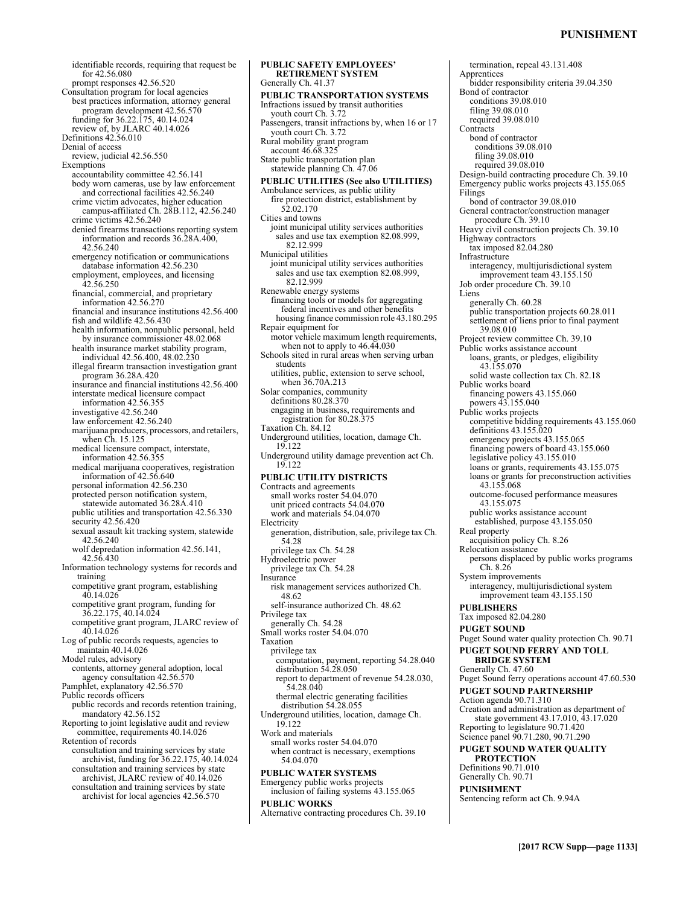# **PUNISHMENT**

identifiable records, requiring that request be for 42.56.080 prompt responses 42.56.520 Consultation program for local agencies best practices information, attorney general program development 42.56.570 funding for 36.22.175, 40.14.024 review of, by JLARC 40.14.026 Definitions 42.56.010 Denial of access review, judicial 42.56.550 **Exemptions** accountability committee 42.56.141 body worn cameras, use by law enforcement and correctional facilities 42.56.240 crime victim advocates, higher education campus-affiliated Ch. 28B.112, 42.56.240 crime victims 42.56.240 denied firearms transactions reporting system information and records 36.28A.400, 42.56.240 emergency notification or communications database information 42.56.230 employment, employees, and licensing 42.56.250 financial, commercial, and proprietary information 42.56.270 financial and insurance institutions 42.56.400 fish and wildlife 42.56.430 health information, nonpublic personal, held by insurance commissioner 48.02.068 health insurance market stability program, individual 42.56.400, 48.02.230 illegal firearm transaction investigation grant program 36.28A.420 insurance and financial institutions 42.56.400 interstate medical licensure compact information 42.56.355 investigative 42.56.240 law enforcement 42.56.240 marijuana producers, processors, and retailers, when Ch. 15.125 medical licensure compact, interstate, information 42.56.355 medical marijuana cooperatives, registration information of 42.56.640 personal information 42.56.230 protected person notification system, statewide automated 36.28A.410 public utilities and transportation 42.56.330 security 42.56.420 sexual assault kit tracking system, statewide 42.56.240 wolf depredation information 42.56.141, 42.56.430 Information technology systems for records and training competitive grant program, establishing  $40.14.026$ competitive grant program, funding for 36.22.175, 40.14.024 competitive grant program, JLARC review of 40.14.026 Log of public records requests, agencies to maintain 40.14.026 Model rules, advisory contents, attorney general adoption, local agency consultation 42.56.570 Pamphlet, explanatory 42.56.570 Public records officers public records and records retention training, mandatory 42.56.152 Reporting to joint legislative audit and review committee, requirements 40.14.026 Retention of records consultation and training services by state archivist, funding for 36.22.175, 40.14.024 consultation and training services by state archivist, JLARC review of 40.14.026 consultation and training services by state archivist for local agencies 42.56.570 **PUBLIC SAFETY EMPLOYEES'** 

**RETIREMENT SYSTEM**  Generally Ch. 41.37 **PUBLIC TRANSPORTATION SYSTEMS**  Infractions issued by transit authorities youth court Ch. 3.72 Passengers, transit infractions by, when 16 or 17 youth court Ch. 3.72 Rural mobility grant program account 46.68.325 State public transportation plan statewide planning Ch. 47.06 **PUBLIC UTILITIES (See also UTILITIES)** Ambulance services, as public utility fire protection district, establishment by 52.02.170 Cities and towns joint municipal utility services authorities sales and use tax exemption 82.08.999, 82.12.999 Municipal utilities joint municipal utility services authorities sales and use tax exemption 82.08.999, 82.12.999 Renewable energy systems financing tools or models for aggregating federal incentives and other benefits housing finance commission role 43.180.295 Repair equipment for motor vehicle maximum length requirements, when not to apply to  $46.44.030$ Schools sited in rural areas when serving urban students utilities, public, extension to serve school, when 36.70A.213 Solar companies, community definitions 80.28.370 engaging in business, requirements and registration for 80.28.375 Taxation Ch. 84.12 Underground utilities, location, damage Ch. 19.122 Underground utility damage prevention act Ch. 19.122 **PUBLIC UTILITY DISTRICTS**  Contracts and agreements small works roster 54.04.070 unit priced contracts 54.04.070 work and materials 54.04.070 Electricity generation, distribution, sale, privilege tax Ch. 54.28 privilege tax Ch. 54.28 Hydroelectric power privilege tax Ch. 54.28 Insurance risk management services authorized Ch. 48.62 self-insurance authorized Ch. 48.62 Privilege tax generally Ch. 54.28 Small works roster 54.04.070 Taxation privilege tax computation, payment, reporting 54.28.040 distribution 54.28.050 report to department of revenue 54.28.030, 54.28.040 thermal electric generating facilities distribution 54.28.055 Underground utilities, location, damage Ch. 19.122 Work and materials small works roster 54.04.070 when contract is necessary, exemptions 54.04.070 **PUBLIC WATER SYSTEMS**  Emergency public works projects inclusion of failing systems 43.155.065 **PUBLIC WORKS**  Alternative contracting procedures Ch. 39.10

termination, repeal 43.131.408 Apprentices bidder responsibility criteria 39.04.350 Bond of contractor conditions 39.08.010 filing 39.08.010 required 39.08.010 **Contracts** bond of contractor conditions 39.08.010 filing 39.08.010 required 39.08.010 Design-build contracting procedure Ch. 39.10 Emergency public works projects 43.155.065 Filings bond of contractor 39.08.010 General contractor/construction manager procedure Ch. 39.10 Heavy civil construction projects Ch. 39.10 Highway contractors tax imposed 82.04.280 Infrastructure interagency, multijurisdictional system improvement team 43.155.150 Job order procedure Ch. 39.10 Liens generally Ch. 60.28 public transportation projects 60.28.011 settlement of liens prior to final payment 39.08.010 Project review committee Ch. 39.10 Public works assistance account loans, grants, or pledges, eligibility 43.155.070 solid waste collection tax Ch. 82.18 Public works board financing powers 43.155.060 powers 43.155.040 Public works projects competitive bidding requirements 43.155.060 definitions 43.155.020 emergency projects 43.155.065 financing powers of board 43.155.060 legislative policy 43.155.010 loans or grants, requirements 43.155.075 loans or grants for preconstruction activities 43.155.068 outcome-focused performance measures 43.155.075 public works assistance account established, purpose 43.155.050 Real property acquisition policy Ch. 8.26 Relocation assistance persons displaced by public works programs Ch. 8.26 System improvements interagency, multijurisdictional system improvement team 43.155.150 **PUBLISHERS**  Tax imposed 82.04.280 **PUGET SOUND**  Puget Sound water quality protection Ch. 90.71 **PUGET SOUND FERRY AND TOLL BRIDGE SYSTEM**  Generally Ch. 47.60 Puget Sound ferry operations account 47.60.530 **PUGET SOUND PARTNERSHIP**  Action agenda 90.71.310 Creation and administration as department of state government 43.17.010, 43.17.020 Reporting to legislature 90.71.420 Science panel 90.71.280, 90.71.290 **PUGET SOUND WATER QUALITY PROTECTION**  Definitions 90.71.010 Generally Ch. 90.71 **PUNISHMENT**  Sentencing reform act Ch. 9.94A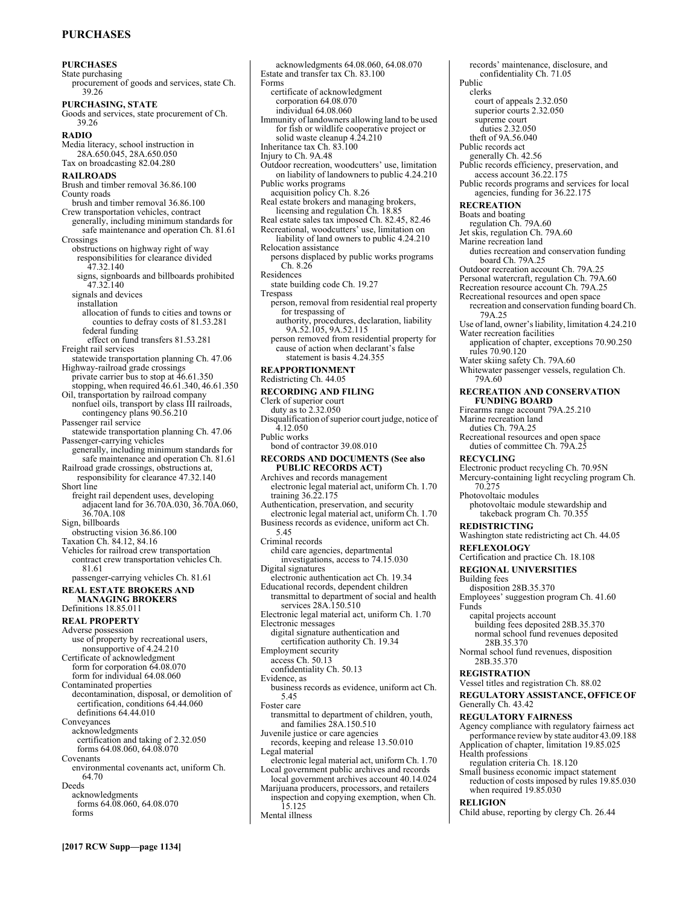# **PURCHASES**

**PURCHASES**  State purchasing procurement of goods and services, state Ch. 39.26 **PURCHASING, STATE**  Goods and services, state procurement of Ch. 39.26 **RADIO**  Media literacy, school instruction in 28A.650.045, 28A.650.050 Tax on broadcasting 82.04.280 **RAILROADS**  Brush and timber removal 36.86.100 County roads brush and timber removal 36.86.100 Crew transportation vehicles, contract generally, including minimum standards for safe maintenance and operation Ch. 81.61 Crossings obstructions on highway right of way responsibilities for clearance divided 47.32.140 signs, signboards and billboards prohibited 47.32.140 signals and devices installation allocation of funds to cities and towns or counties to defray costs of 81.53.281 federal funding effect on fund transfers 81.53.281 Freight rail services statewide transportation planning Ch. 47.06 Highway-railroad grade crossings private carrier bus to stop at 46.61.350 stopping, when required  $46.61.340, 46.61.350$ Oil, transportation by railroad company nonfuel oils, transport by class III railroads, contingency plans 90.56.210 Passenger rail service statewide transportation planning Ch. 47.06 Passenger-carrying vehicles generally, including minimum standards for safe maintenance and operation Ch. 81.61 Railroad grade crossings, obstructions at, responsibility for clearance 47.32.140 Short line freight rail dependent uses, developing adjacent land for 36.70A.030, 36.70A.060, 36.70A.108 Sign, billboards obstructing vision 36.86.100 Taxation Ch. 84.12, 84.16 Vehicles for railroad crew transportation contract crew transportation vehicles Ch. 81.61 passenger-carrying vehicles Ch. 81.61 **REAL ESTATE BROKERS AND MANAGING BROKERS**  Definitions 18.85.011 **REAL PROPERTY**  Adverse possession use of property by recreational users, nonsupportive of 4.24.210 Certificate of acknowledgment form for corporation 64.08.070 form for individual 64.08.060 Contaminated properties decontamination, disposal, or demolition of certification, conditions 64.44.060 definitions 64.44.010 Conveyances acknowledgments certification and taking of 2.32.050 forms 64.08.060, 64.08.070 Covenants environmental covenants act, uniform Ch. 64.70 Deeds acknowledgments forms 64.08.060, 64.08.070 forms

acknowledgments 64.08.060, 64.08.070 Estate and transfer tax Ch. 83.100 Forms certificate of acknowledgment corporation 64.08.070 individual 64.08.060 Immunity of landowners allowing land to be used for fish or wildlife cooperative project or solid waste cleanup 4.24.210 Inheritance tax Ch. 83.100 Injury to Ch. 9A.48 Outdoor recreation, woodcutters' use, limitation on liability of landowners to public 4.24.210 Public works programs acquisition policy Ch. 8.26 Real estate brokers and managing brokers, licensing and regulation Ch. 18.85 Real estate sales tax imposed Ch. 82.45, 82.46 Recreational, woodcutters' use, limitation on liability of land owners to public 4.24.210 Relocation assistance persons displaced by public works programs Ch. 8.26 Residences state building code Ch. 19.27 Trespass person, removal from residential real property for trespassing of authority, procedures, declaration, liability 9A.52.105, 9A.52.115 person removed from residential property for cause of action when declarant's false statement is basis 4.24.355 **REAPPORTIONMENT**  Redistricting Ch. 44.05 **RECORDING AND FILING**  Clerk of superior court duty as to 2.32.050 Disqualification of superior court judge, notice of 4.12.050 Public works bond of contractor 39.08.010 **RECORDS AND DOCUMENTS (See also PUBLIC RECORDS ACT)** Archives and records management electronic legal material act, uniform Ch. 1.70 training 36.22.175 Authentication, preservation, and security electronic legal material act, uniform Ch. 1.70 Business records as evidence, uniform act Ch. 5.45 Criminal records child care agencies, departmental investigations, access to 74.15.030 Digital signatures electronic authentication act Ch. 19.34 Educational records, dependent children transmittal to department of social and health services 28A.150.510 Electronic legal material act, uniform Ch. 1.70 Electronic messages digital signature authentication and certification authority Ch. 19.34 Employment security access Ch. 50.13 confidentiality Ch. 50.13 Evidence, as business records as evidence, uniform act Ch. 5.45 Foster care transmittal to department of children, youth, and families 28A.150.510 Juvenile justice or care agencies records, keeping and release 13.50.010 Legal material electronic legal material act, uniform Ch. 1.70 Local government public archives and records local government archives account 40.14.024 Marijuana producers, processors, and retailers

inspection and copying exemption, when Ch. 15.125 Mental illness

records' maintenance, disclosure, and confidentiality Ch. 71.05 Public clerks court of appeals 2.32.050 superior courts 2.32.050 supreme court duties 2.32.050 theft of 9A.56.040 Public records act generally Ch. 42.56 Public records efficiency, preservation, and access account 36.22.175 Public records programs and services for local agencies, funding for 36.22.175 **RECREATION**  Boats and boating regulation Ch. 79A.60 Jet skis, regulation Ch. 79A.60 Marine recreation land duties recreation and conservation funding board Ch. 79A.25 Outdoor recreation account Ch. 79A.25 Personal watercraft, regulation Ch. 79A.60 Recreation resource account Ch. 79A.25 Recreational resources and open space recreation and conservation funding board Ch. 79A.25 Use of land, owner's liability, limitation 4.24.210 Water recreation facilities application of chapter, exceptions 70.90.250 rules 70.90.120 Water skiing safety Ch. 79A.60 Whitewater passenger vessels, regulation Ch. 79A.60 **RECREATION AND CONSERVATION FUNDING BOARD**  Firearms range account 79A.25.210 Marine recreation land duties Ch. 79A.25 Recreational resources and open space duties of committee Ch. 79A.25 **RECYCLING**  Electronic product recycling Ch. 70.95N Mercury-containing light recycling program Ch. 70.275 Photovoltaic modules photovoltaic module stewardship and takeback program Ch. 70.355 **REDISTRICTING**  Washington state redistricting act Ch. 44.05 **REFLEXOLOGY**  Certification and practice Ch. 18.108 **REGIONAL UNIVERSITIES**  Building fees disposition 28B.35.370 Employees' suggestion program Ch. 41.60 Funds capital projects account building fees deposited 28B.35.370 normal school fund revenues deposited 28B.35.370 Normal school fund revenues, disposition 28B.35.370 **REGISTRATION**  Vessel titles and registration Ch. 88.02 **REGULATORY ASSISTANCE, OFFICE OF**  Generally Ch. 43.42 **REGULATORY FAIRNESS**  Agency compliance with regulatory fairness act performance review by state auditor 43.09.188 Application of chapter, limitation 19.85.025 Health professions regulation criteria Ch. 18.120 Small business economic impact statement reduction of costs imposed by rules 19.85.030

when required 19.85.030 **RELIGION** 

Child abuse, reporting by clergy Ch. 26.44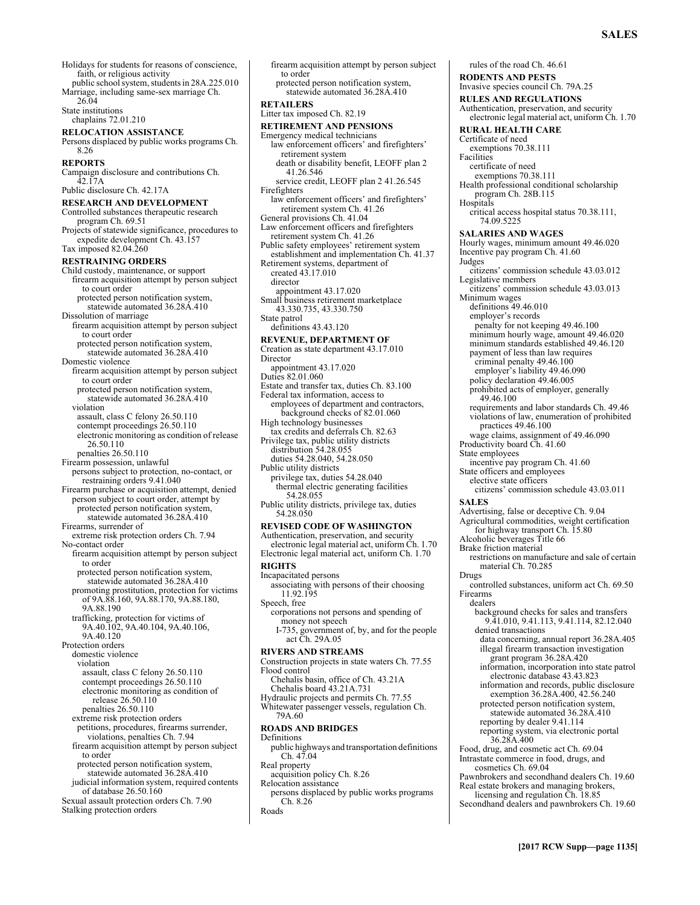Holidays for students for reasons of conscience, faith, or religious activity public school system, students in 28A.225.010 Marriage, including same-sex marriage Ch. 26.04 State institutions chaplains 72.01.210 **RELOCATION ASSISTANCE**  Persons displaced by public works programs Ch. 8.26 **REPORTS**  Campaign disclosure and contributions Ch. 42.17A Public disclosure Ch. 42.17A **RESEARCH AND DEVELOPMENT**  Controlled substances therapeutic research program Ch. 69.51 Projects of statewide significance, procedures to expedite development Ch. 43.157 Tax imposed 82.04.260 **RESTRAINING ORDERS**  Child custody, maintenance, or support firearm acquisition attempt by person subject to court order protected person notification system, statewide automated 36.28A.410 Dissolution of marriage firearm acquisition attempt by person subject to court order protected person notification system, statewide automated 36.28A.410 Domestic violence firearm acquisition attempt by person subject to court order protected person notification system, statewide automated 36.28A.410 violation assault, class C felony 26.50.110 contempt proceedings 26.50.110 electronic monitoring as condition of release 26.50.110 penalties 26.50.110 Firearm possession, unlawful persons subject to protection, no-contact, or restraining orders 9.41.040 Firearm purchase or acquisition attempt, denied person subject to court order, attempt by protected person notification system, statewide automated 36.28A.410 Firearms, surrender of extreme risk protection orders Ch. 7.94 No-contact order firearm acquisition attempt by person subject to order protected person notification system, statewide automated 36.28A.410 promoting prostitution, protection for victims of 9A.88.160, 9A.88.170, 9A.88.180, 9A.88.190 trafficking, protection for victims of 9A.40.102, 9A.40.104, 9A.40.106, 9A.40.120 Protection orders domestic violence violation assault, class C felony 26.50.110 contempt proceedings 26.50.110 electronic monitoring as condition of release 26.50.110 penalties 26.50.110 extreme risk protection orders petitions, procedures, firearms surrender, violations, penalties Ch. 7.94 firearm acquisition attempt by person subject to order protected person notification system, statewide automated 36.28A.410 judicial information system, required contents of database 26.50.160 Sexual assault protection orders Ch. 7.90 Stalking protection orders firearm acquisition attempt by person subject to order Firefighters director State patrol Director **RIGHTS**  Speech, free 79A.60 Definitions Roads

protected person notification system, statewide automated 36.28A.410 **RETAILERS**  Litter tax imposed Ch. 82.19 **RETIREMENT AND PENSIONS**  Emergency medical technicians law enforcement officers' and firefighters' retirement system death or disability benefit, LEOFF plan 2 41.26.546 service credit, LEOFF plan 2 41.26.545 law enforcement officers' and firefighters' retirement system Ch. 41.26 General provisions Ch. 41.04 Law enforcement officers and firefighters retirement system Ch. 41.26 Public safety employees' retirement system establishment and implementation Ch. 41.37 Retirement systems, department of created 43.17.010 appointment 43.17.020 Small business retirement marketplace 43.330.735, 43.330.750 definitions 43.43.120 **REVENUE, DEPARTMENT OF**  Creation as state department 43.17.010 appointment 43.17.020 Duties 82.01.060 Estate and transfer tax, duties Ch. 83.100 Federal tax information, access to employees of department and contractors, background checks of 82.01.060 High technology businesses tax credits and deferrals Ch. 82.63 Privilege tax, public utility districts distribution 54.28.055 duties 54.28.040, 54.28.050 Public utility districts privilege tax, duties 54.28.040 thermal electric generating facilities 54.28.055 Public utility districts, privilege tax, duties 54.28.050 **REVISED CODE OF WASHINGTON**  Authentication, preservation, and security electronic legal material act, uniform Ch. 1.70 Electronic legal material act, uniform Ch. 1.70 Incapacitated persons associating with persons of their choosing 11.92.195 corporations not persons and spending of money not speech I-735, government of, by, and for the people act Ch. 29A.05 **RIVERS AND STREAMS**  Construction projects in state waters Ch. 77.55 Flood control Chehalis basin, office of Ch. 43.21A Chehalis board 43.21A.731 Hydraulic projects and permits Ch. 77.55 Whitewater passenger vessels, regulation Ch. **ROADS AND BRIDGES**  public highways and transportation definitions Ch. 47.04 Real property acquisition policy Ch. 8.26 Relocation assistance persons displaced by public works programs Ch. 8.26

Invasive species council Ch. 79A.25 **RULES AND REGULATIONS**  Authentication, preservation, and security electronic legal material act, uniform Ch. 1.70 **RURAL HEALTH CARE**  Certificate of need exemptions 70.38.111 Facilities certificate of need exemptions 70.38.111 Health professional conditional scholarship program Ch. 28B.115 Hospitals critical access hospital status 70.38.111, 74.09.5225 **SALARIES AND WAGES**  Hourly wages, minimum amount 49.46.020 Incentive pay program Ch. 41.60 Judges citizens' commission schedule 43.03.012 Legislative members citizens' commission schedule 43.03.013 Minimum wages definitions 49.46.010 employer's records penalty for not keeping 49.46.100 minimum hourly wage, amount 49.46.020 minimum standards established 49.46.120 payment of less than law requires criminal penalty 49.46.100 employer's liability 49.46.090 policy declaration 49.46.005 prohibited acts of employer, generally 49.46.100 requirements and labor standards Ch. 49.46 violations of law, enumeration of prohibited practices 49.46.100 wage claims, assignment of 49.46.090 Productivity board Ch. 41.60 State employees incentive pay program Ch. 41.60 State officers and employees elective state officers citizens' commission schedule 43.03.011 **SALES**  Advertising, false or deceptive Ch. 9.04 Agricultural commodities, weight certification for highway transport Ch. 15.80 Alcoholic beverages Title 66 Brake friction material restrictions on manufacture and sale of certain material Ch. 70.285 Drugs controlled substances, uniform act Ch. 69.50 Firearms dealers background checks for sales and transfers 9.41.010, 9.41.113, 9.41.114, 82.12.040 denied transactions data concerning, annual report 36.28A.405 illegal firearm transaction investigation grant program 36.28A.420 information, incorporation into state patrol electronic database 43.43.823 information and records, public disclosure exemption 36.28A.400, 42.56.240 protected person notification system, statewide automated 36.28A.410 reporting by dealer 9.41.114 reporting system, via electronic portal 36.28A.400 Food, drug, and cosmetic act Ch. 69.04 Intrastate commerce in food, drugs, and cosmetics Ch. 69.04 Pawnbrokers and secondhand dealers Ch. 19.60 Real estate brokers and managing brokers, licensing and regulation Ch. 18.85 Secondhand dealers and pawnbrokers Ch. 19.60

rules of the road Ch. 46.61 **RODENTS AND PESTS**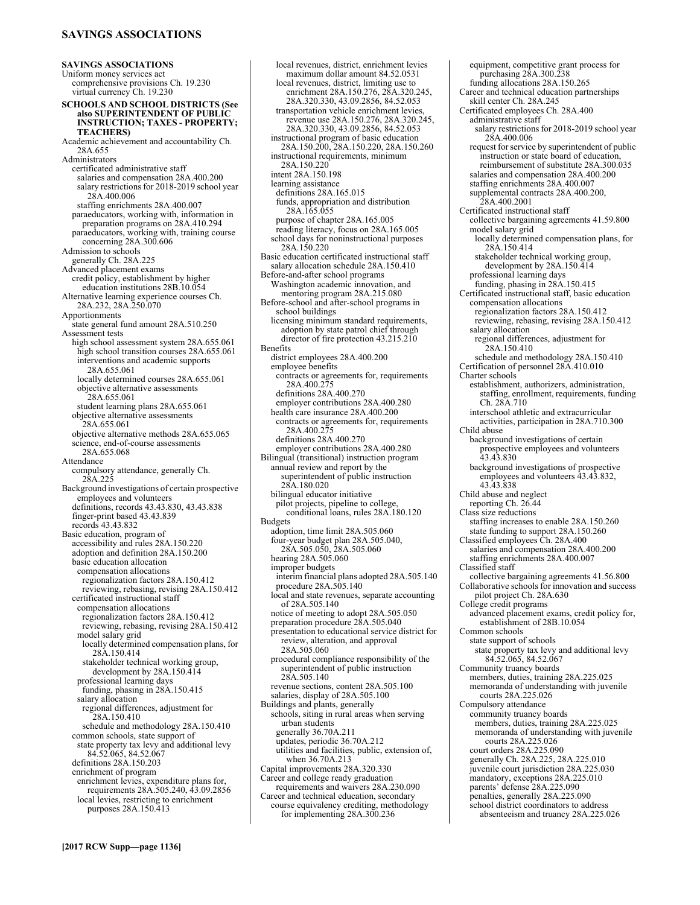# **SAVINGS ASSOCIATIONS**

**SAVINGS ASSOCIATIONS**  Uniform money services act comprehensive provisions Ch. 19.230 virtual currency Ch. 19.230 **SCHOOLS AND SCHOOL DISTRICTS (See also SUPERINTENDENT OF PUBLIC INSTRUCTION; TAXES - PROPERTY; TEACHERS)** Academic achievement and accountability Ch. 28A.655 Administrators certificated administrative staff salaries and compensation 28A.400.200 salary restrictions for 2018-2019 school year 28A.400.006 staffing enrichments 28A.400.007 paraeducators, working with, information in preparation programs on 28A.410.294 paraeducators, working with, training course concerning 28A.300.606 Admission to schools generally Ch. 28A.225 Advanced placement exams credit policy, establishment by higher education institutions 28B.10.054 Alternative learning experience courses Ch. 28A.232, 28A.250.070 Apportionments state general fund amount 28A.510.250 Assessment tests high school assessment system 28A.655.061 high school transition courses 28A.655.061 interventions and academic supports 28A.655.061 locally determined courses 28A.655.061 objective alternative assessments 28A.655.061 student learning plans 28A.655.061 objective alternative assessments 28A.655.061 objective alternative methods 28A.655.065 science, end-of-course assessments 28A.655.068 Attendance compulsory attendance, generally Ch. 28A.225 Background investigations of certain prospective employees and volunteers definitions, records 43.43.830, 43.43.838 finger-print based 43.43.839 records 43.43.832 Basic education, program of accessibility and rules 28A.150.220 adoption and definition 28A.150.200 basic education allocation compensation allocations regionalization factors 28A.150.412 reviewing, rebasing, revising 28A.150.412 certificated instructional staff compensation allocations regionalization factors 28A.150.412 reviewing, rebasing, revising 28A.150.412 model salary grid locally determined compensation plans, for 28A.150.414 stakeholder technical working group, development by 28A.150.414 professional learning days funding, phasing in 28A.150.415 salary allocation regional differences, adjustment for 28A.150.410 schedule and methodology 28A.150.410 common schools, state support of state property tax levy and additional levy 84.52.065, 84.52.067 definitions 28A.150.203 enrichment of program enrichment levies, expenditure plans for, requirements 28A.505.240, 43.09.2856 local levies, restricting to enrichment purposes 28A.150.413

local revenues, district, enrichment levies maximum dollar amount 84.52.0531 local revenues, district, limiting use to enrichment 28A.150.276, 28A.320.245, 28A.320.330, 43.09.2856, 84.52.053 transportation vehicle enrichment levies, revenue use 28A.150.276, 28A.320.245, 28A.320.330, 43.09.2856, 84.52.053 instructional program of basic education 28A.150.200, 28A.150.220, 28A.150.260 instructional requirements, minimum 28A.150.220 intent 28A.150.198 learning assistance definitions 28A.165.015 funds, appropriation and distribution 28A.165.055 purpose of chapter 28A.165.005 reading literacy, focus on 28A.165.005 school days for noninstructional purposes 28A.150.220 Basic education certificated instructional staff salary allocation schedule 28A.150.410 Before-and-after school programs Washington academic innovation, and mentoring program 28A.215.080 Before-school and after-school programs in school buildings licensing minimum standard requirements, adoption by state patrol chief through director of fire protection 43.215.210 Benefits district employees 28A.400.200 employee benefits contracts or agreements for, requirements 28A.400.275 definitions 28A.400.270 employer contributions 28A.400.280 health care insurance 28A.400.200 contracts or agreements for, requirements 28A.400.275 definitions 28A.400.270 employer contributions 28A.400.280 Bilingual (transitional) instruction program annual review and report by the superintendent of public instruction 28A.180.020 bilingual educator initiative pilot projects, pipeline to college, conditional loans, rules 28A.180.120 **Budgets** adoption, time limit 28A.505.060 four-year budget plan 28A.505.040, 28A.505.050, 28A.505.060 hearing 28A.505.060 improper budgets interim financial plans adopted 28A.505.140 procedure 28A.505.140 local and state revenues, separate accounting of 28A.505.140 notice of meeting to adopt 28A.505.050 preparation procedure 28A.505.040 presentation to educational service district for review, alteration, and approval 28A.505.060 procedural compliance responsibility of the superintendent of public instruction 28A.505.140 revenue sections, content 28A.505.100 salaries, display of 28A.505.100 Buildings and plants, generally schools, siting in rural areas when serving urban students generally 36.70A.211 updates, periodic 36.70A.212 utilities and facilities, public, extension of, when 36.70A.213 Capital improvements 28A.320.330 Career and college ready graduation requirements and waivers 28A.230.090 Career and technical education, secondary course equivalency crediting, methodology

for implementing 28A.300.236

equipment, competitive grant process for purchasing 28A.300.238 funding allocations 28A.150.265 Career and technical education partnerships skill center Ch. 28A.245 Certificated employees Ch. 28A.400 administrative staff salary restrictions for 2018-2019 school year 28A.400.006 request for service by superintendent of public instruction or state board of education, reimbursement of substitute 28A.300.035 salaries and compensation 28A.400.200 staffing enrichments 28A.400.007 supplemental contracts 28A.400.200, 28A.400.2001 Certificated instructional staff collective bargaining agreements 41.59.800 model salary grid locally determined compensation plans, for 28A.150.414 stakeholder technical working group, development by 28A.150.414 professional learning days funding, phasing in 28A.150.415 Certificated instructional staff, basic education compensation allocations regionalization factors 28A.150.412 reviewing, rebasing, revising 28A.150.412 salary allocation regional differences, adjustment for 28A.150.410 schedule and methodology 28A.150.410 Certification of personnel 28A.410.010 Charter schools establishment, authorizers, administration, staffing, enrollment, requirements, funding Ch. 28A.710 interschool athletic and extracurricular activities, participation in 28A.710.300 Child abuse background investigations of certain prospective employees and volunteers 43.43.830 background investigations of prospective employees and volunteers 43.43.832, 43.43.838 Child abuse and neglect reporting Ch. 26.44 Class size reductions staffing increases to enable 28A.150.260 state funding to support 28A.150.260 Classified employees Ch. 28A.400 salaries and compensation 28A.400.200 staffing enrichments 28A.400.007 Classified staff collective bargaining agreements 41.56.800 Collaborative schools for innovation and success pilot project Ch. 28A.630 College credit programs advanced placement exams, credit policy for, establishment of 28B.10.054 Common schools state support of schools state property tax levy and additional levy 84.52.065, 84.52.067 Community truancy boards members, duties, training 28A.225.025 memoranda of understanding with juvenile courts 28A.225.026 Compulsory attendance community truancy boards members, duties, training 28A.225.025 memoranda of understanding with juvenile courts 28A.225.026 court orders 28A.225.090 generally Ch. 28A.225, 28A.225.010 juvenile court jurisdiction 28A.225.030 mandatory, exceptions 28A.225.010 parents' defense 28A.225.090 penalties, generally 28A.225.090 school district coordinators to address

absenteeism and truancy 28A.225.026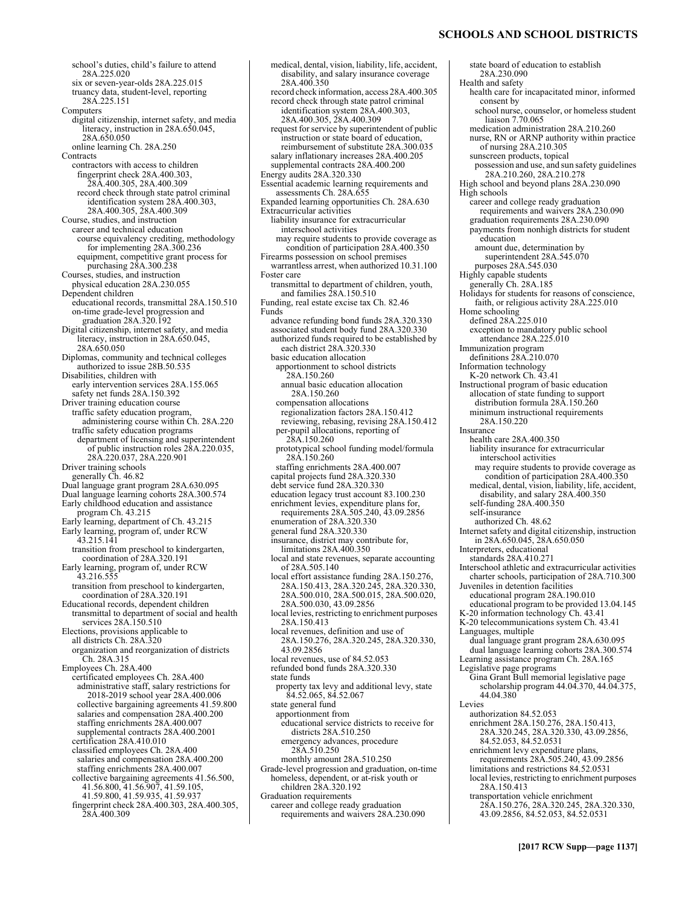# **SCHOOLS AND SCHOOL DISTRICTS**

school's duties, child's failure to attend 28A.225.020 six or seven-year-olds 28A.225.015 truancy data, student-level, reporting 28A.225.151 Computers digital citizenship, internet safety, and media literacy, instruction in 28A.650.045, 28A.650.050 online learning Ch. 28A.250 **Contracts** contractors with access to children fingerprint check 28A.400.303, 28A.400.305, 28A.400.309 record check through state patrol criminal identification system 28A.400.303, 28A.400.305, 28A.400.309 Course, studies, and instruction career and technical education course equivalency crediting, methodology for implementing 28A.300.236 equipment, competitive grant process for purchasing 28A.300.238<br>Courses, studies, and instruction physical education 28A.230.055 Dependent children educational records, transmittal 28A.150.510 on-time grade-level progression and graduation 28A.320.192 Digital citizenship, internet safety, and media literacy, instruction in 28A.650.045, 28A.650.050 Diplomas, community and technical colleges authorized to issue 28B.50.535 Disabilities, children with early intervention services 28A.155.065 safety net funds 28A.150.392 Driver training education course traffic safety education program, administering course within Ch. 28A.220 traffic safety education programs department of licensing and superintendent of public instruction roles 28A.220.035, 28A.220.037, 28A.220.901 Driver training schools generally Ch. 46.82 Dual language grant program 28A.630.095 Dual language learning cohorts 28A.300.574 Early childhood education and assistance program Ch. 43.215 Early learning, department of Ch. 43.215 Early learning, program of, under RCW 43.215.141 transition from preschool to kindergarten, coordination of 28A.320.191 Early learning, program of, under RCW 43.216.555 transition from preschool to kindergarten, coordination of 28A.320.191 Educational records, dependent children transmittal to department of social and health services 28A.150.510 Elections, provisions applicable to all districts Ch. 28A.320 organization and reorganization of districts Ch. 28A.315 Employees Ch. 28A.400 certificated employees Ch. 28A.400 administrative staff, salary restrictions for 2018-2019 school year 28A.400.006 collective bargaining agreements 41.59.800 salaries and compensation 28A.400.200 staffing enrichments 28A.400.007 supplemental contracts 28A.400.2001 certification 28A.410.010 classified employees Ch. 28A.400 salaries and compensation 28A.400.200 staffing enrichments 28A.400.007 collective bargaining agreements 41.56.500, 41.56.800, 41.56.907, 41.59.105, 41.59.800, 41.59.935, 41.59.937 fingerprint check 28A.400.303, 28A.400.305, 28A.400.309

medical, dental, vision, liability, life, accident, disability, and salary insurance coverage 28A.400.350 record check information, access 28A.400.305 record check through state patrol criminal identification system 28A.400.303, 28A.400.305, 28A.400.309 request for service by superintendent of public instruction or state board of education, reimbursement of substitute 28A.300.035 salary inflationary increases 28A.400.205 supplemental contracts 28A.400.200 Energy audits 28A.320.330 Essential academic learning requirements and assessments Ch. 28A.655 Expanded learning opportunities Ch. 28A.630 Extracurricular activities liability insurance for extracurricular interschool activities may require students to provide coverage as condition of participation 28A.400.350 Firearms possession on school premises warrantless arrest, when authorized 10.31.100 Foster care transmittal to department of children, youth, and families 28A.150.510 Funding, real estate excise tax Ch. 82.46 Funds advance refunding bond funds 28A.320.330 associated student body fund 28A.320.330 authorized funds required to be established by each district 28A.320.330 basic education allocation apportionment to school districts 28A.150.260 annual basic education allocation 28A.150.260 compensation allocations regionalization factors 28A.150.412 reviewing, rebasing, revising 28A.150.412 per-pupil allocations, reporting of 28A.150.260 prototypical school funding model/formula 28A.150.260 staffing enrichments 28A.400.007 capital projects fund 28A.320.330 debt service fund 28A.320.330 education legacy trust account 83.100.230 enrichment levies, expenditure plans for,<br>requirements 28A.505.240, 43.09.2856 enumeration of 28A.320.330 general fund 28A.320.330 insurance, district may contribute for, limitations 28A.400.350 local and state revenues, separate accounting of 28A.505.140 local effort assistance funding 28A.150.276, 28A.150.413, 28A.320.245, 28A.320.330, 28A.500.010, 28A.500.015, 28A.500.020, 28A.500.030, 43.09.2856 local levies, restricting to enrichment purposes 28A.150.413 local revenues, definition and use of 28A.150.276, 28A.320.245, 28A.320.330, 43.09.2856 local revenues, use of 84.52.053 refunded bond funds 28A.320.330 state funds property tax levy and additional levy, state 84.52.065, 84.52.067 state general fund apportionment from educational service districts to receive for districts 28A.510.250 emergency advances, procedure 28A.510.250 monthly amount 28A.510.250 Grade-level progression and graduation, on-time homeless, dependent, or at-risk youth or children 28A.320.192 Graduation requirements career and college ready graduation requirements and waivers 28A.230.090

state board of education to establish 28A.230.090 Health and safety health care for incapacitated minor, informed consent by school nurse, counselor, or homeless student liaison 7.70.065 medication administration 28A.210.260 nurse, RN or ARNP authority within practice of nursing 28A.210.305 sunscreen products, topical possession and use, and sun safety guidelines 28A.210.260, 28A.210.278 High school and beyond plans 28A.230.090 High schools career and college ready graduation requirements and waivers 28A.230.090 graduation requirements 28A.230.090 payments from nonhigh districts for student education amount due, determination by superintendent 28A.545.070 purposes 28A.545.030 Highly capable students generally Ch. 28A.185 Holidays for students for reasons of conscience, faith, or religious activity 28A.225.010 Home schooling defined 28A.225.010 exception to mandatory public school attendance 28A.225.010 Immunization program definitions 28A.210.070 Information technology K-20 network Ch. 43.41 Instructional program of basic education allocation of state funding to support distribution formula 28A.150.260 minimum instructional requirements 28A.150.220 Insurance health care 28A.400.350 liability insurance for extracurricular interschool activities may require students to provide coverage as condition of participation 28A.400.350 medical, dental, vision, liability, life, accident, disability, and salary 28A.400.350 self-funding 28A.400.350 self-insurance authorized Ch. 48.62 Internet safety and digital citizenship, instruction in 28A.650.045, 28A.650.050 Interpreters, educational standards 28A.410.271 Interschool athletic and extracurricular activities charter schools, participation of 28A.710.300 Juveniles in detention facilities educational program 28A.190.010 educational program to be provided 13.04.145 K-20 information technology Ch. 43.41 K-20 telecommunications system Ch. 43.41 Languages, multiple dual language grant program 28A.630.095 dual language learning cohorts 28A.300.574 Learning assistance program Ch. 28A.165 Legislative page programs Gina Grant Bull memorial legislative page scholarship program 44.04.370, 44.04.375, 44.04.380 Levies authorization 84.52.053 enrichment 28A.150.276, 28A.150.413, 28A.320.245, 28A.320.330, 43.09.2856, 84.52.053, 84.52.0531 enrichment levy expenditure plans, requirements 28A.505.240, 43.09.2856 limitations and restrictions 84.52.0531 local levies, restricting to enrichment purposes 28A.150.413 transportation vehicle enrichment 28A.150.276, 28A.320.245, 28A.320.330, 43.09.2856, 84.52.053, 84.52.0531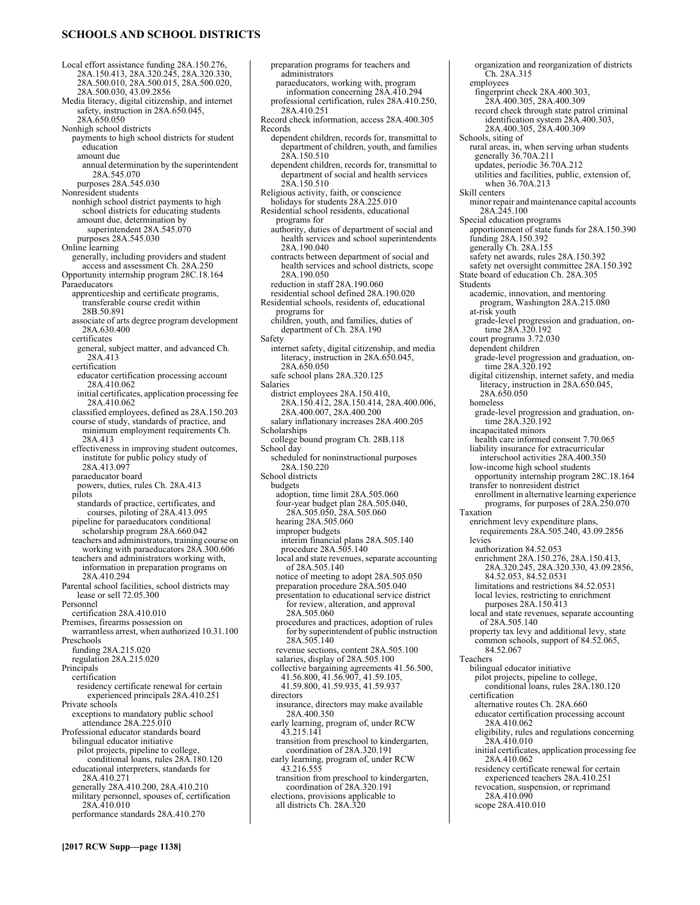# **SCHOOLS AND SCHOOL DISTRICTS**

Local effort assistance funding 28A.150.276, 28A.150.413, 28A.320.245, 28A.320.330, 28A.500.010, 28A.500.015, 28A.500.020, 28A.500.030, 43.09.2856 Media literacy, digital citizenship, and internet safety, instruction in 28A.650.045, 28A.650.050 Nonhigh school districts payments to high school districts for student education amount due annual determination by the superintendent 28A.545.070 purposes 28A.545.030 Nonresident students nonhigh school district payments to high school districts for educating students amount due, determination by superintendent 28A.545.070 purposes 28A.545.030 Online learning generally, including providers and student access and assessment Ch. 28A.250 Opportunity internship program 28C.18.164 Paraeducators apprenticeship and certificate programs, transferable course credit within 28B.50.891 associate of arts degree program development 28A.630.400 certificates general, subject matter, and advanced Ch. 28A.413 certification educator certification processing account 28A.410.062 initial certificates, application processing fee 28A.410.062 classified employees, defined as 28A.150.203 course of study, standards of practice, and minimum employment requirements Ch. 28A.413 effectiveness in improving student outcomes, institute for public policy study of 28A.413.097 paraeducator board powers, duties, rules Ch. 28A.413 pilots standards of practice, certificates, and courses, piloting of 28A.413.095 pipeline for paraeducators conditional scholarship program 28A.660.042 teachers and administrators, training course on working with paraeducators 28A.300.606 teachers and administrators working with, information in preparation programs on 28A.410.294 Parental school facilities, school districts may lease or sell 72.05.300 Personnel certification 28A.410.010 Premises, firearms possession on warrantless arrest, when authorized 10.31.100 Preschools funding 28A.215.020 regulation 28A.215.020 Principals certification residency certificate renewal for certain experienced principals 28A.410.251 Private schools exceptions to mandatory public school attendance 28A.225.010 Professional educator standards board bilingual educator initiative pilot projects, pipeline to college, conditional loans, rules 28A.180.120 educational interpreters, standards for 28A.410.271 generally 28A.410.200, 28A.410.210 military personnel, spouses of, certification 28A.410.010 performance standards 28A.410.270

preparation programs for teachers and administrators paraeducators, working with, program information concerning 28A.410.294 professional certification, rules 28A.410.250, 28A.410.251 Record check information, access 28A.400.305 Records dependent children, records for, transmittal to department of children, youth, and families 28A.150.510 dependent children, records for, transmittal to department of social and health services 28A.150.510 Religious activity, faith, or conscience holidays for students 28A.225.010 Residential school residents, educational programs for authority, duties of department of social and health services and school superintendents 28A.190.040 contracts between department of social and health services and school districts, scope 28A.190.050 reduction in staff 28A.190.060 residential school defined 28A.190.020 Residential schools, residents of, educational programs for children, youth, and families, duties of department of Ch. 28A.190 Safety internet safety, digital citizenship, and media literacy, instruction in 28A.650.045, 28A.650.050 safe school plans 28A.320.125 Salaries district employees 28A.150.410, 28A.150.412, 28A.150.414, 28A.400.006, 28A.400.007, 28A.400.200 salary inflationary increases 28A.400.205 Scholarships college bound program Ch. 28B.118 School day scheduled for noninstructional purposes 28A.150.220 School districts budgets adoption, time limit 28A.505.060 four-year budget plan 28A.505.040, 28A.505.050, 28A.505.060 hearing 28A.505.060 improper budgets interim financial plans 28A.505.140 procedure 28A.505.140 local and state revenues, separate accounting of 28A.505.140 notice of meeting to adopt 28A.505.050 preparation procedure 28A.505.040 presentation to educational service district for review, alteration, and approval 28A.505.060 procedures and practices, adoption of rules for by superintendent of public instruction 28A.505.140 revenue sections, content 28A.505.100 salaries, display of 28A.505.100 collective bargaining agreements 41.56.500, 41.56.800, 41.56.907, 41.59.105, 41.59.800, 41.59.935, 41.59.937 directors insurance, directors may make available 28A.400.350 early learning, program of, under RCW 43.215.141 transition from preschool to kindergarten, coordination of 28A.320.191 early learning, program of, under RCW 43.216.555 transition from preschool to kindergarten, coordination of 28A.320.191 elections, provisions applicable to all districts Ch. 28A.320

organization and reorganization of districts Ch. 28A.315 employees fingerprint check 28A.400.303, 28A.400.305, 28A.400.309 record check through state patrol criminal identification system 28A.400.303, 28A.400.305, 28A.400.309 Schools, siting of rural areas, in, when serving urban students generally 36.70A.211 updates, periodic 36.70A.212 utilities and facilities, public, extension of, when 36.70A.213 Skill centers minor repair and maintenance capital accounts 28A.245.100 Special education programs apportionment of state funds for 28A.150.390 funding 28A.150.392 generally Ch. 28A.155 safety net awards, rules 28A.150.392 safety net oversight committee 28A.150.392 State board of education Ch. 28A.305 Students academic, innovation, and mentoring program, Washington 28A.215.080 at-risk youth grade-level progression and graduation, on-time 28A.320.192 court programs 3.72.030 dependent children grade-level progression and graduation, ontime 28A.320.192 digital citizenship, internet safety, and media literacy, instruction in 28A.650.045, 28A.650.050 homeless grade-level progression and graduation, ontime 28A.320.192 incapacitated minors health care informed consent 7.70.065 liability insurance for extracurricular interschool activities 28A.400.350 low-income high school students opportunity internship program 28C.18.164 transfer to nonresident district enrollment in alternative learning experience programs, for purposes of 28A.250.070 Taxation enrichment levy expenditure plans, requirements 28A.505.240, 43.09.2856 levies authorization 84.52.053 enrichment 28A.150.276, 28A.150.413, 28A.320.245, 28A.320.330, 43.09.2856, 84.52.053, 84.52.0531 limitations and restrictions 84.52.0531 local levies, restricting to enrichment purposes 28A.150.413 local and state revenues, separate accounting of 28A.505.140 property tax levy and additional levy, state common schools, support of 84.52.065, 84.52.067 Teachers bilingual educator initiative pilot projects, pipeline to college conditional loans, rules 28A.180.120 certification alternative routes Ch. 28A.660 educator certification processing account 28A.410.062 eligibility, rules and regulations concerning 28A.410.010 initial certificates, application processing fee 28A.410.062 residency certificate renewal for certain experienced teachers 28A.410.251 revocation, suspension, or reprimand 28A.410.090 scope 28A.410.010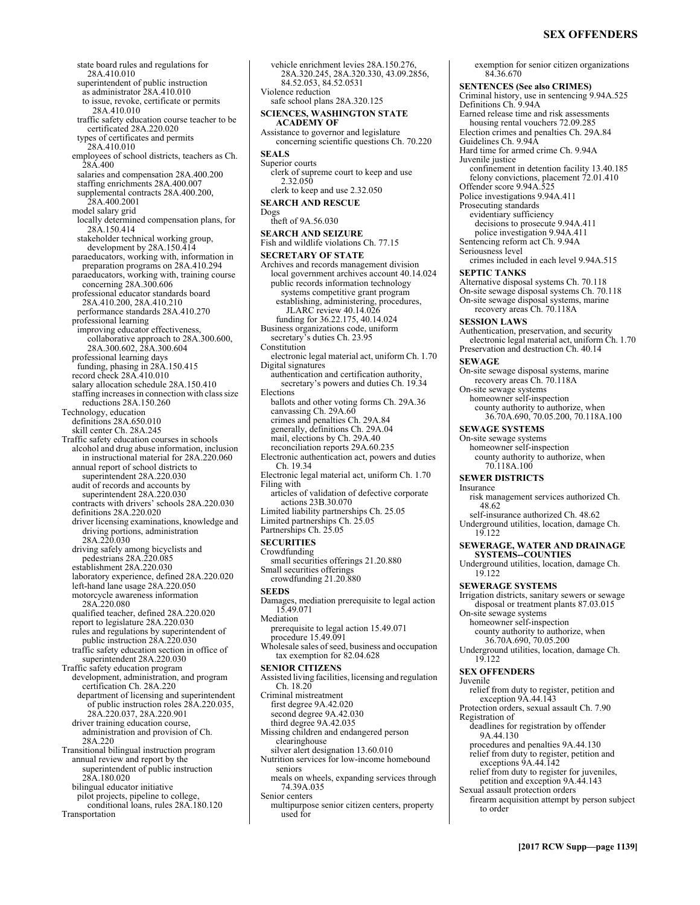# **SEX OFFENDERS**

state board rules and regulations for 28A.410.010 superintendent of public instruction as administrator 28A.410.010 to issue, revoke, certificate or permits 28A.410.010 traffic safety education course teacher to be certificated 28A.220.020 types of certificates and permits 28A.410.010 employees of school districts, teachers as Ch. 28A.400 salaries and compensation 28A.400.200 staffing enrichments 28A.400.007 supplemental contracts 28A.400.200, 28A.400.2001 model salary grid locally determined compensation plans, for 28A.150.414 stakeholder technical working group, development by 28A.150.414 paraeducators, working with, information in preparation programs on 28A.410.294 paraeducators, working with, training course concerning 28A.300.606 professional educator standards board 28A.410.200, 28A.410.210 performance standards 28A.410.270 professional learning improving educator effectiveness, collaborative approach to 28A.300.600, 28A.300.602, 28A.300.604 professional learning days funding, phasing in 28A.150.415 record check 28A.410.010 salary allocation schedule 28A.150.410 staffing increases in connection with class size reductions 28A.150.260 Technology, education definitions 28A.650.010 skill center Ch. 28A.245 Traffic safety education courses in schools alcohol and drug abuse information, inclusion in instructional material for 28A.220.060 annual report of school districts to superintendent 28A.220.030 audit of records and accounts by superintendent 28A.220.030 contracts with drivers' schools 28A.220.030 definitions 28A.220.020 driver licensing examinations, knowledge and driving portions, administration 28A.220.030 driving safely among bicyclists and pedestrians 28A.220.085 establishment 28A.220.030 laboratory experience, defined 28A.220.020 left-hand lane usage 28A.220.050 motorcycle awareness information 28A.220.080 qualified teacher, defined 28A.220.020 report to legislature 28A.220.030 rules and regulations by superintendent of public instruction 28A.220.030 traffic safety education section in office of superintendent 28A.220.030 Traffic safety education program development, administration, and program certification Ch. 28A.220 department of licensing and superintendent of public instruction roles 28A.220.035, 28A.220.037, 28A.220.901 driver training education course, administration and provision of Ch. 28A.220 Transitional bilingual instruction program annual review and report by the superintendent of public instruction 28A.180.020 bilingual educator initiative pilot projects, pipeline to college, conditional loans, rules 28A.180.120 Transportation

vehicle enrichment levies 28A.150.276, 28A.320.245, 28A.320.330, 43.09.2856, 84.52.053, 84.52.0531 Violence reduction safe school plans 28A.320.125 **SCIENCES, WASHINGTON STATE ACADEMY OF**  Assistance to governor and legislature concerning scientific questions Ch. 70.220 **SEALS**  Superior courts clerk of supreme court to keep and use 2.32.050 clerk to keep and use 2.32.050 **SEARCH AND RESCUE**  Dogs theft of 9A.56.030 **SEARCH AND SEIZURE**  Fish and wildlife violations Ch. 77.15 **SECRETARY OF STATE**  Archives and records management division local government archives account 40.14.024 public records information technology systems competitive grant program establishing, administering, procedures, JLARC review 40.14.026 funding for 36.22.175, 40.14.024 Business organizations code, uniform secretary's duties Ch. 23.95 Constitution electronic legal material act, uniform Ch. 1.70 Digital signatures authentication and certification authority, secretary's powers and duties Ch. 19.34 Elections ballots and other voting forms Ch. 29A.36 canvassing Ch. 29A.60 crimes and penalties Ch. 29A.84 generally, definitions Ch. 29A.04 mail, elections by Ch. 29A.40 reconciliation reports 29A.60.235 Electronic authentication act, powers and duties Ch. 19.34 Electronic legal material act, uniform Ch. 1.70 Filing with articles of validation of defective corporate actions 23B.30.070 Limited liability partnerships Ch. 25.05 Limited partnerships Ch. 25.05 Partnerships Ch. 25.05 **SECURITIES**  Crowdfunding small securities offerings 21.20.880 Small securities offerings crowdfunding 21.20.880 **SEEDS**  Damages, mediation prerequisite to legal action 15.49.071 Mediation prerequisite to legal action 15.49.071 procedure 15.49.091 Wholesale sales of seed, business and occupation tax exemption for 82.04.628 **SENIOR CITIZENS**  Assisted living facilities, licensing and regulation Ch. 18.20 Criminal mistreatment first degree 9A.42.020 second degree 9A.42.030 third degree 9A.42.035 Missing children and endangered person clearinghouse silver alert designation 13.60.010 Nutrition services for low-income homebound seniors meals on wheels, expanding services through 74.39A.035 Senior centers multipurpose senior citizen centers, property used for

exemption for senior citizen organizations 84.36.670 **SENTENCES (See also CRIMES)** Criminal history, use in sentencing 9.94A.525 Definitions Ch. 9.94A Earned release time and risk assessments housing rental vouchers 72.09.285 Election crimes and penalties Ch. 29A.84 Guidelines Ch. 9.94A Hard time for armed crime Ch. 9.94A Juvenile justice confinement in detention facility 13.40.185 felony convictions, placement 72.01.410 Offender score 9.94A.525 Police investigations 9.94A.411 Prosecuting standards evidentiary sufficiency decisions to prosecute 9.94A.411 police investigation 9.94A.411 Sentencing reform act Ch. 9.94A Seriousness level crimes included in each level 9.94A.515 **SEPTIC TANKS**  Alternative disposal systems Ch. 70.118 On-site sewage disposal systems Ch. 70.118 On-site sewage disposal systems, marine recovery areas Ch. 70.118A **SESSION LAWS**  Authentication, preservation, and security electronic legal material act, uniform Ch. 1.70 Preservation and destruction Ch. 40.14 **SEWAGE**  On-site sewage disposal systems, marine recovery areas Ch. 70.118A On-site sewage systems homeowner self-inspection county authority to authorize, when 36.70A.690, 70.05.200, 70.118A.100 **SEWAGE SYSTEMS**  On-site sewage systems homeowner self-inspection county authority to authorize, when 70.118A.100 **SEWER DISTRICTS**  Insurance risk management services authorized Ch. 48.62 self-insurance authorized Ch. 48.62 Underground utilities, location, damage Ch. 19.122 **SEWERAGE, WATER AND DRAINAGE SYSTEMS--COUNTIES**  Underground utilities, location, damage Ch. 19.122 **SEWERAGE SYSTEMS**  Irrigation districts, sanitary sewers or sewage disposal or treatment plants 87.03.015 On-site sewage systems homeowner self-inspection county authority to authorize, when 36.70A.690, 70.05.200 Underground utilities, location, damage Ch. 19.122 **SEX OFFENDERS**  Juvenile relief from duty to register, petition and exception 9A.44.143 Protection orders, sexual assault Ch. 7.90 Registration of deadlines for registration by offender 9A.44.130 procedures and penalties 9A.44.130 relief from duty to register, petition and exceptions  $9A.44.142$ relief from duty to register for juveniles, petition and exception 9A.44.143 Sexual assault protection orders firearm acquisition attempt by person subject to order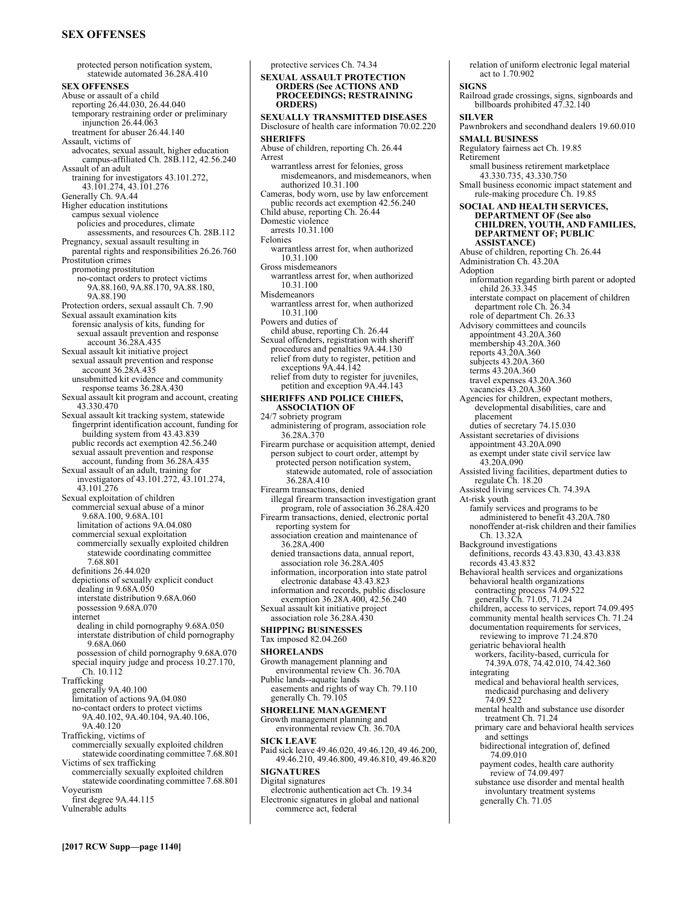# **SEX OFFENSES**

protected person notification system, statewide automated 36.28A.410 **SEX OFFENSES**  Abuse or assault of a child reporting 26.44.030, 26.44.040 temporary restraining order or preliminary injunction 26.44.063 treatment for abuser 26.44.140 Assault, victims of advocates, sexual assault, higher education campus-affiliated Ch. 28B.112, 42.56.240 Assault of an adult training for investigators 43.101.272, 43.101.274, 43.101.276 Generally Ch. 9A.44 Higher education institutions campus sexual violence policies and procedures, climate assessments, and resources Ch. 28B.112 Pregnancy, sexual assault resulting in parental rights and responsibilities 26.26.760 Prostitution crimes promoting prostitution no-contact orders to protect victims 9A.88.160, 9A.88.170, 9A.88.180, 9A.88.190 Protection orders, sexual assault Ch. 7.90 Sexual assault examination kits forensic analysis of kits, funding for sexual assault prevention and response account 36.28A.435 Sexual assault kit initiative project sexual assault prevention and response account 36.28A.435 unsubmitted kit evidence and community response teams 36.28A.430 Sexual assault kit program and account, creating 43.330.470 Sexual assault kit tracking system, statewide fingerprint identification account, funding for building system from 43.43.839 public records act exemption 42.56.240 sexual assault prevention and response account, funding from 36.28A.435 Sexual assault of an adult, training for investigators of 43.101.272, 43.101.274, 43.101.276 Sexual exploitation of children commercial sexual abuse of a minor 9.68A.100, 9.68A.101 limitation of actions 9A.04.080 commercial sexual exploitation commercially sexually exploited children statewide coordinating committee 7.68.801 definitions 26.44.020 depictions of sexually explicit conduct dealing in 9.68A.050 interstate distribution 9.68A.060 possession 9.68A.070 internet dealing in child pornography 9.68A.050 interstate distribution of child pornography 9.68A.060 possession of child pornography 9.68A.070 special inquiry judge and process 10.27.170, Ch. 10.112 Trafficking generally 9A.40.100 limitation of actions 9A.04.080 no-contact orders to protect victims 9A.40.102, 9A.40.104, 9A.40.106, 9A.40.120 Trafficking, victims of commercially sexually exploited children statewide coordinating committee 7.68.801 Victims of sex trafficking commercially sexually exploited children statewide coordinating committee 7.68.801 Voyeurism first degree 9A.44.115 Vulnerable adults

protective services Ch. 74.34 **SEXUAL ASSAULT PROTECTION ORDERS (See ACTIONS AND PROCEEDINGS; RESTRAINING ORDERS) SEXUALLY TRANSMITTED DISEASES**  Disclosure of health care information 70.02.220 **SHERIFFS**  Abuse of children, reporting Ch. 26.44 Arrest warrantless arrest for felonies, gross misdemeanors, and misdemeanors, when authorized 10.31.100 Cameras, body worn, use by law enforcement public records act exemption 42.56.240 Child abuse, reporting Ch. 26.44 Domestic violence arrests 10.31.100 Felonies warrantless arrest for, when authorized 10.31.100 Gross misdemeanors warrantless arrest for, when authorized 10.31.100 Misdemeanors warrantless arrest for, when authorized 10.31.100 Powers and duties of child abuse, reporting Ch. 26.44 Sexual offenders, registration with sheriff procedures and penalties 9A.44.130 relief from duty to register, petition and exceptions 9A.44.142 relief from duty to register for juveniles, petition and exception 9A.44.143 **SHERIFFS AND POLICE CHIEFS, ASSOCIATION OF**  24/7 sobriety program administering of program, association role 36.28A.370 Firearm purchase or acquisition attempt, denied person subject to court order, attempt by protected person notification system, statewide automated, role of association 36.28A.410 Firearm transactions, denied illegal firearm transaction investigation grant program, role of association 36.28A.420 Firearm transactions, denied, electronic portal reporting system for association creation and maintenance of 36.28A.400 denied transactions data, annual report, association role 36.28A.405 information, incorporation into state patrol electronic database 43.43.823 information and records, public disclosure exemption 36.28A.400, 42.56.240 Sexual assault kit initiative project association role 36.28A.430 **SHIPPING BUSINESSES**  Tax imposed 82.04.260 **SHORELANDS**  Growth management planning and environmental review Ch. 36.70A Public lands--aquatic lands easements and rights of way Ch. 79.110 generally Ch. 79.105 **SHORELINE MANAGEMENT**  Growth management planning and environmental review Ch. 36.70A **SICK LEAVE**  Paid sick leave 49.46.020, 49.46.120, 49.46.200, 49.46.210, 49.46.800, 49.46.810, 49.46.820 **SIGNATURES**  Digital signatures electronic authentication act Ch. 19.34 Electronic signatures in global and national

commerce act, federal

relation of uniform electronic legal material act to 1.70.902 **SIGNS**  Railroad grade crossings, signs, signboards and billboards prohibited 47.32.140 **SILVER**  Pawnbrokers and secondhand dealers 19.60.010 **SMALL BUSINESS**  Regulatory fairness act Ch. 19.85 Retirement small business retirement marketplace 43.330.735, 43.330.750 Small business economic impact statement and rule-making procedure Ch. 19.85 **SOCIAL AND HEALTH SERVICES, DEPARTMENT OF (See also CHILDREN, YOUTH, AND FAMILIES, DEPARTMENT OF; PUBLIC ASSISTANCE)** Abuse of children, reporting Ch. 26.44 Administration Ch. 43.20A Adoption information regarding birth parent or adopted child 26.33.345 interstate compact on placement of children department role Ch. 26.34 role of department Ch. 26.33 Advisory committees and councils appointment 43.20A.360 membership 43.20A.360 reports 43.20A.360 subjects 43.20A.360 terms 43.20A.360 travel expenses 43.20A.360 vacancies 43.20A.360 Agencies for children, expectant mothers, developmental disabilities, care and placement duties of secretary 74.15.030 Assistant secretaries of divisions appointment 43.20A.090 as exempt under state civil service law 43.20A.090 Assisted living facilities, department duties to regulate Ch. 18.20 Assisted living services Ch. 74.39A At-risk youth family services and programs to be administered to benefit 43.20A.780 nonoffender at-risk children and their families Ch. 13.32A Background investigations definitions, records 43.43.830, 43.43.838 records 43.43.832 Behavioral health services and organizations behavioral health organizations contracting process 74.09.522 generally Ch. 71.05, 71.24 children, access to services, report 74.09.495 community mental health services Ch. 71.24 documentation requirements for services, reviewing to improve 71.24.870 geriatric behavioral health workers, facility-based, curricula for 74.39A.078, 74.42.010, 74.42.360 integrating medical and behavioral health services, medicaid purchasing and delivery 74.09.522 mental health and substance use disorder treatment Ch. 71.24 primary care and behavioral health services and settings bidirectional integration of, defined 74.09.010 payment codes, health care authority review of 74.09.497 substance use disorder and mental health involuntary treatment systems generally Ch. 71.05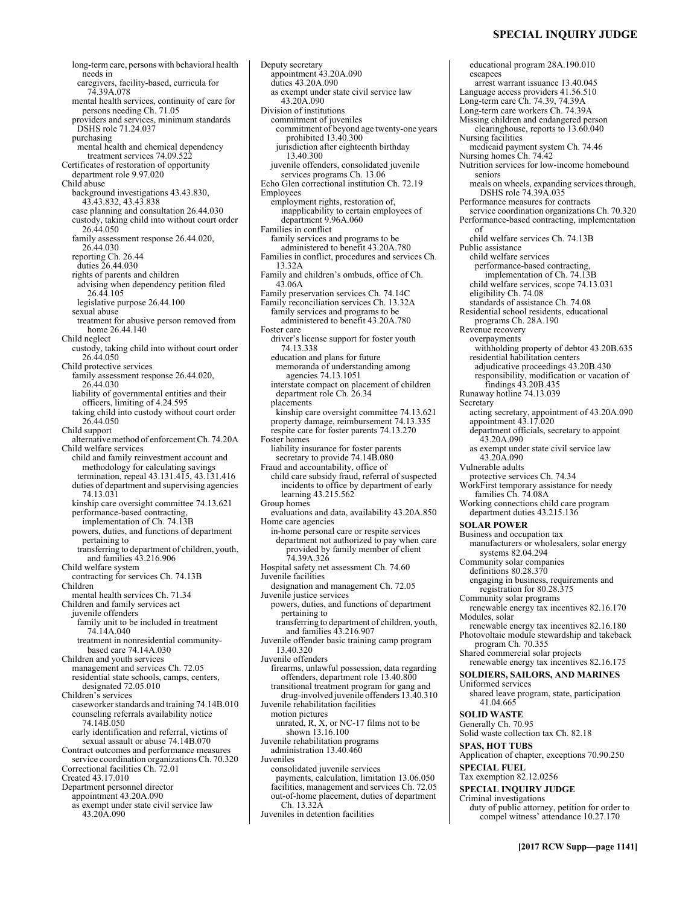### **SPECIAL INQUIRY JUDGE**

long-term care, persons with behavioral health needs in caregivers, facility-based, curricula for 74.39A.078 mental health services, continuity of care for persons needing Ch. 71.05 providers and services, minimum standards DSHS role 71.24.037 purchasing mental health and chemical dependency treatment services 74.09.52 Certificates of restoration of opportunity department role 9.97.020 Child abuse background investigations 43.43.830, 43.43.832, 43.43.838 case planning and consultation 26.44.030 custody, taking child into without court order 26.44.050 family assessment response 26.44.020, 26.44.030 reporting Ch. 26.44 duties 26.44.030 rights of parents and children advising when dependency petition filed 26.44.105 legislative purpose 26.44.100 sexual abuse treatment for abusive person removed from home 26.44.140 Child neglect custody, taking child into without court order 26.44.050 Child protective services family assessment response 26.44.020, 26.44.030 liability of governmental entities and their officers, limiting of 4.24.595 taking child into custody without court order 26.44.050 Child support alternative method of enforcement Ch. 74.20A Child welfare services child and family reinvestment account and methodology for calculating savings termination, repeal 43.131.415, 43.131.416 duties of department and supervising agencies 74.13.031 kinship care oversight committee 74.13.621 performance-based contracting, implementation of Ch. 74.13B powers, duties, and functions of department pertaining to transferring to department of children, youth, and families 43.216.906 Child welfare system contracting for services Ch. 74.13B Children mental health services Ch. 71.34 Children and family services act juvenile offenders family unit to be included in treatment 74.14A.040 treatment in nonresidential communitybased care 74.14A.030 Children and youth services management and services Ch. 72.05 residential state schools, camps, centers, designated 72.05.010 Children's services caseworker standards and training 74.14B.010 counseling referrals availability notice 74.14B.050 early identification and referral, victims of sexual assault or abuse 74.14B.070 Contract outcomes and performance measures service coordination organizations Ch. 70.320 Correctional facilities Ch. 72.01 Created 43.17.010 Department personnel director appointment 43.20A.090 as exempt under state civil service law 43.20A.090

Deputy secretary appointment 43.20A.090 duties 43.20A.090 as exempt under state civil service law 43.20A.090 Division of institutions commitment of juveniles commitment of beyond age twenty-one years prohibited 13.40.300 jurisdiction after eighteenth birthday 13.40.300 juvenile offenders, consolidated juvenile services programs Ch. 13.06 Echo Glen correctional institution Ch. 72.19 Employees employment rights, restoration of, inapplicability to certain employees of department 9.96A.060 Families in conflict family services and programs to be administered to benefit 43.20A.780 Families in conflict, procedures and services Ch. 13.32A Family and children's ombuds, office of Ch. 43.06A Family preservation services Ch. 74.14C Family reconciliation services Ch. 13.32A family services and programs to be administered to benefit 43.20A.780 Foster care driver's license support for foster youth 74.13.338 education and plans for future memoranda of understanding among agencies 74.13.1051 interstate compact on placement of children department role Ch. 26.34 placements kinship care oversight committee 74.13.621 property damage, reimbursement 74.13.335 respite care for foster parents 74.13.270 Foster homes liability insurance for foster parents secretary to provide 74.14B.080 Fraud and accountability, office of child care subsidy fraud, referral of suspected incidents to office by department of early learning 43.215.562 Group homes evaluations and data, availability 43.20A.850 Home care agencies in-home personal care or respite services department not authorized to pay when care provided by family member of client 74.39A.326 Hospital safety net assessment Ch. 74.60 Juvenile facilities designation and management Ch. 72.05 Juvenile justice services powers, duties, and functions of department pertaining to transferring to department of children, youth, and families 43.216.907 Juvenile offender basic training camp program 13.40.320 Juvenile offenders firearms, unlawful possession, data regarding offenders, department role 13.40.800 transitional treatment program for gang and drug-involved juvenile offenders 13.40.310 Juvenile rehabilitation facilities motion pictures unrated, R, X, or NC-17 films not to be shown 13.16.100 Juvenile rehabilitation programs administration 13.40.460 Juveniles consolidated juvenile services payments, calculation, limitation 13.06.050 facilities, management and services Ch. 72.05 out-of-home placement, duties of department Ch. 13.32A Juveniles in detention facilities

educational program 28A.190.010 escapees arrest warrant issuance 13.40.045 Language access providers 41.56.510 Long-term care Ch. 74.39, 74.39A Long-term care workers Ch. 74.39A Missing children and endangered person clearinghouse, reports to 13.60.040 Nursing facilities medicaid payment system Ch. 74.46 Nursing homes Ch. 74.42 Nutrition services for low-income homebound seniors meals on wheels, expanding services through, DSHS role 74.39A.035 Performance measures for contracts service coordination organizations Ch. 70.320 Performance-based contracting, implementation of child welfare services Ch. 74.13B Public assistance child welfare services performance-based contracting, implementation of Ch. 74.13B child welfare services, scope 74.13.031 eligibility Ch. 74.08 standards of assistance Ch. 74.08 Residential school residents, educational programs Ch. 28A.190 Revenue recovery overpayments withholding property of debtor 43.20B.635 residential habilitation centers adjudicative proceedings 43.20B.430 responsibility, modification or vacation of findings 43.20B.435 Runaway hotline 74.13.039 **Secretary** acting secretary, appointment of 43.20A.090 appointment 43.17.020 department officials, secretary to appoint  $43.20A.090$ as exempt under state civil service law 43.20A.090 Vulnerable adults protective services Ch. 74.34 WorkFirst temporary assistance for needy families Ch. 74.08A Working connections child care program department duties 43.215.136 **SOLAR POWER**  Business and occupation tax manufacturers or wholesalers, solar energy systems 82.04.294 Community solar companies definitions 80.28.370 engaging in business, requirements and registration for 80.28.375 Community solar programs renewable energy tax incentives 82.16.170 Modules, solar renewable energy tax incentives 82.16.180 Photovoltaic module stewardship and takeback program Ch. 70.355 Shared commercial solar projects renewable energy tax incentives 82.16.175 **SOLDIERS, SAILORS, AND MARINES**  Uniformed services shared leave program, state, participation 41.04.665 **SOLID WASTE**  Generally Ch. 70.95 Solid waste collection tax Ch. 82.18 **SPAS, HOT TUBS**  Application of chapter, exceptions 70.90.250 **SPECIAL FUEL**  Tax exemption 82.12.0256 **SPECIAL INQUIRY JUDGE**  Criminal investigations duty of public attorney, petition for order to compel witness' attendance 10.27.170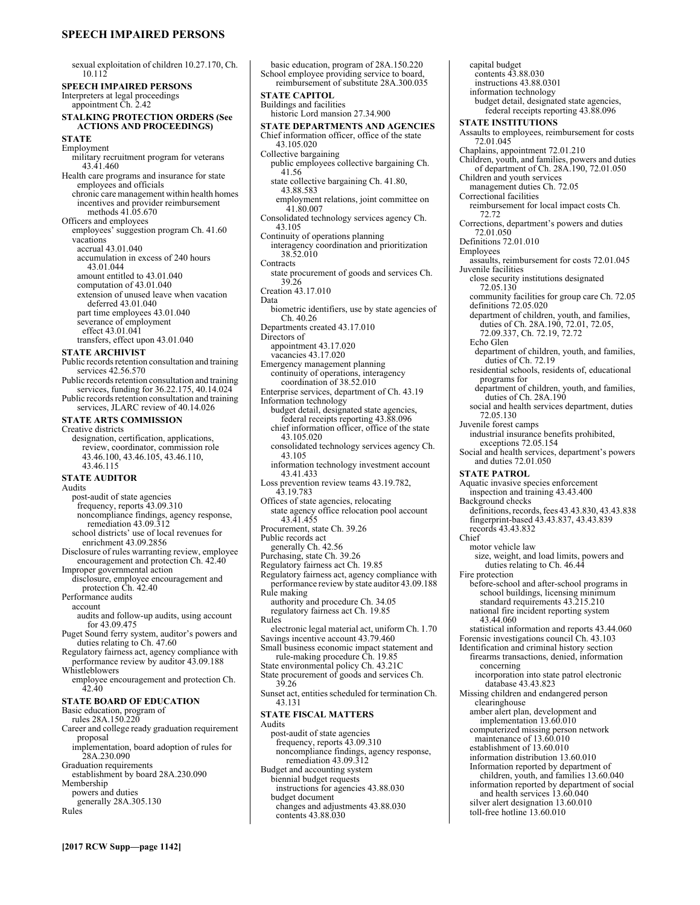# **SPEECH IMPAIRED PERSONS**

**[2017 RCW Supp—page 1142]** sexual exploitation of children 10.27.170, Ch. 10.112 **SPEECH IMPAIRED PERSONS**  Interpreters at legal proceedings appointment Ch. 2.42 **STALKING PROTECTION ORDERS (See ACTIONS AND PROCEEDINGS) STATE**  Employment military recruitment program for veterans 43.41.460 Health care programs and insurance for state employees and officials chronic care management within health homes incentives and provider reimbursement methods 41.05.670 Officers and employees employees' suggestion program Ch. 41.60 vacations accrual 43.01.040 accumulation in excess of 240 hours 43.01.044 amount entitled to 43.01.040 computation of 43.01.040 extension of unused leave when vacation deferred 43.01.040 part time employees 43.01.040 severance of employment effect 43.01.041 transfers, effect upon 43.01.040 **STATE ARCHIVIST**  Public records retention consultation and training services 42.56.570 Public records retention consultation and training services, funding for 36.22.175, 40.14.024 Public records retention consultation and training services, JLARC review of 40.14.026 **STATE ARTS COMMISSION**  Creative districts designation, certification, applications, review, coordinator, commission role 43.46.100, 43.46.105, 43.46.110, 43.46.115 **STATE AUDITOR**  Audits post-audit of state agencies frequency, reports 43.09.310 noncompliance findings, agency response, remediation 43.09.312 school districts' use of local revenues for enrichment 43.09.2856 Disclosure of rules warranting review, employee encouragement and protection Ch. 42.40 Improper governmental action disclosure, employee encouragement and protection Ch. 42.40 Performance audits account audits and follow-up audits, using account for 43.09.475 Puget Sound ferry system, auditor's powers and duties relating to Ch. 47.60 Regulatory fairness act, agency compliance with performance review by auditor 43.09.188 Whistleblowers employee encouragement and protection Ch. 42.40 **STATE BOARD OF EDUCATION**  Basic education, program of rules 28A.150.220 Career and college ready graduation requirement proposal implementation, board adoption of rules for 28A.230.090 Graduation requirements establishment by board 28A.230.090 Membership powers and duties generally 28A.305.130 Rules School employee providing service to board,

**STATE CAPITOL**  Buildings and facilities historic Lord mansion 27.34.900 **STATE DEPARTMENTS AND AGENCIES**  Chief information officer, office of the state 43.105.020 Collective bargaining public employees collective bargaining Ch. 41.56 state collective bargaining Ch. 41.80, 43.88.583 employment relations, joint committee on 41.80.007 Consolidated technology services agency Ch. 43.105 Continuity of operations planning interagency coordination and prioritization 38.52.010 **Contracts** state procurement of goods and services Ch. 39.26 Creation 43.17.010 Data biometric identifiers, use by state agencies of Ch. 40.26 Departments created 43.17.010 Directors of appointment 43.17.020 vacancies 43.17.020 Emergency management planning continuity of operations, interagency coordination of 38.52.010 Enterprise services, department of Ch. 43.19 Information technology budget detail, designated state agencies, federal receipts reporting 43.88.096 chief information officer, office of the state 43.105.020 consolidated technology services agency Ch. 43.105 information technology investment account 43.41.433 Loss prevention review teams 43.19.782, 43.19.783 Offices of state agencies, relocating state agency office relocation pool account 43.41.455 Procurement, state Ch. 39.26 Public records act generally Ch. 42.56 Purchasing, state Ch. 39.26 Regulatory fairness act Ch. 19.85 Regulatory fairness act, agency compliance with performance review by state auditor 43.09.188 Rule making authority and procedure Ch. 34.05 regulatory fairness act Ch. 19.85 Rules electronic legal material act, uniform Ch. 1.70 Savings incentive account 43.79.460 Small business economic impact statement and rule-making procedure Ch. 19.85 State environmental policy Ch. 43.21C State procurement of goods and services Ch. 39.26 Sunset act, entities scheduled for termination Ch. 43.131 **STATE FISCAL MATTERS**  Audits post-audit of state agencies frequency, reports 43.09.310 noncompliance findings, agency response, remediation 43.09.312 Budget and accounting system biennial budget requests instructions for agencies 43.88.030 budget document changes and adjustments 43.88.030 contents 43.88.030

basic education, program of 28A.150.220

reimbursement of substitute 28A.300.035

capital budget contents 43.88.030 instructions 43.88.0301 information technology budget detail, designated state agencies, federal receipts reporting 43.88.096 **STATE INSTITUTIONS**  Assaults to employees, reimbursement for costs 72.01.045 Chaplains, appointment 72.01.210 Children, youth, and families, powers and duties of department of Ch. 28A.190, 72.01.050 Children and youth services management duties Ch. 72.05 Correctional facilities reimbursement for local impact costs Ch. 72.72 Corrections, department's powers and duties 72.01.050 Definitions 72.01.010 Employees assaults, reimbursement for costs 72.01.045 Juvenile facilities close security institutions designated 72.05.130 community facilities for group care Ch. 72.05 definitions 72.05.020 department of children, youth, and families, duties of Ch. 28A.190, 72.01, 72.05, 72.09.337, Ch. 72.19, 72.72 Echo Glen department of children, youth, and families, duties of Ch. 72.19 residential schools, residents of, educational programs for department of children, youth, and families, duties of Ch. 28A.190 social and health services department, duties 72.05.130 Juvenile forest camps industrial insurance benefits prohibited, exceptions 72.05.154 Social and health services, department's powers and duties 72.01.050 **STATE PATROL**  Aquatic invasive species enforcement inspection and training 43.43.400 Background checks definitions, records, fees 43.43.830, 43.43.838 fingerprint-based 43.43.837, 43.43.839 records 43.43.832 Chief motor vehicle law size, weight, and load limits, powers and duties relating to Ch. 46.44 Fire protection before-school and after-school programs in school buildings, licensing minimum standard requirements 43.215.210 national fire incident reporting system 43.44.060 statistical information and reports 43.44.060 Forensic investigations council Ch. 43.103 Identification and criminal history section firearms transactions, denied, information concerning incorporation into state patrol electronic database 43.43.823 Missing children and endangered person clearinghouse amber alert plan, development and implementation 13.60.010 computerized missing person network maintenance of 13.60.010 establishment of 13.60.010 information distribution 13.60.010 Information reported by department of children, youth, and families 13.60.040 information reported by department of social and health services 13.60.040 silver alert designation 13.60.010

toll-free hotline 13.60.010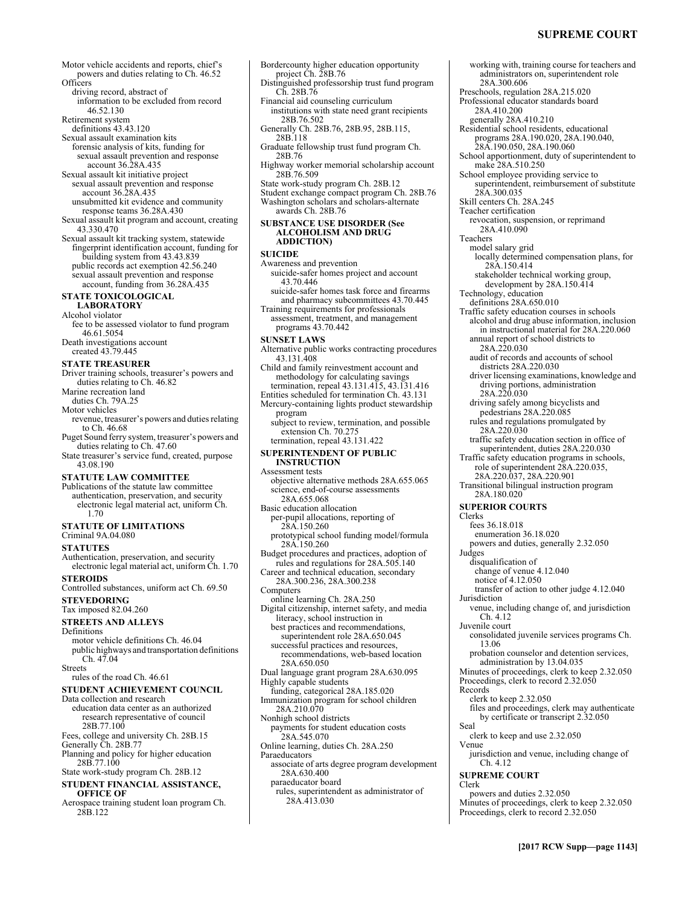working with, training course for teachers and administrators on, superintendent role

28A.300.606

28A.410.200 generally 28A.410.210

28A.300.035 Skill centers Ch. 28A.245

make 28A.510.250 School employee providing service to

Preschools, regulation 28A.215.020 Professional educator standards board

Residential school residents, educational programs 28A.190.020, 28A.190.040, 28A.190.050, 28A.190.060

School apportionment, duty of superintendent to

superintendent, reimbursement of substitute

- Motor vehicle accidents and reports, chief's powers and duties relating to Ch. 46.52 Officers driving record, abstract of information to be excluded from record 46.52.130 Retirement system definitions 43.43.120 Bordercounty higher education opportunity Distinguished professorship trust fund program
- Sexual assault examination kits forensic analysis of kits, funding for sexual assault prevention and response account 36.28A.435
- Sexual assault kit initiative project sexual assault prevention and response account 36.28A.435
- unsubmitted kit evidence and community response teams 36.28A.430 Sexual assault kit program and account, creating
- 43.330.470
- Sexual assault kit tracking system, statewide fingerprint identification account, funding for building system from 43.43.839 public records act exemption 42.56.240 sexual assault prevention and response account, funding from 36.28A.435

# **STATE TOXICOLOGICAL LABORATORY**

### Alcohol violator

fee to be assessed violator to fund program 46.61.5054

Death investigations account created 43.79.445

# **STATE TREASURER**

- Driver training schools, treasurer's powers and duties relating to Ch. 46.82 Marine recreation land
- duties Ch. 79A.25
- Motor vehicles
- revenue, treasurer's powers and duties relating to Ch. 46.68
- Puget Sound ferry system, treasurer's powers and duties relating to Ch. 47.60
- State treasurer's service fund, created, purpose 43.08.190

### **STATUTE LAW COMMITTEE**

Publications of the statute law committee authentication, preservation, and security electronic legal material act, uniform Ch. 1.70

# **STATUTE OF LIMITATIONS**

- Criminal 9A.04.080 **STATUTES**
- 
- Authentication, preservation, and security electronic legal material act, uniform Ch. 1.70 **STEROIDS**
- Controlled substances, uniform act Ch. 69.50 **STEVEDORING**
- Tax imposed 82.04.260

# **STREETS AND ALLEYS**

- Definitions
- motor vehicle definitions Ch. 46.04 public highways and transportation definitions  $Ch. 47.04$
- **Streets**

rules of the road Ch. 46.61

# **STUDENT ACHIEVEMENT COUNCIL**

- Data collection and research education data center as an authorized research representative of council
- 28B.77.100
- Fees, college and university Ch. 28B.15 Generally Ch. 28B.77
- Planning and policy for higher education
- 28B.77.100 State work-study program Ch. 28B.12
- **STUDENT FINANCIAL ASSISTANCE,**

# **OFFICE OF**

Aerospace training student loan program Ch. 28B.122

- Financial aid counseling curriculum institutions with state need grant recipients 28B.76.502 Generally Ch. 28B.76, 28B.95, 28B.115, 28B.118 Graduate fellowship trust fund program Ch. 28B.76 Highway worker memorial scholarship account 28B.76.509 State work-study program Ch. 28B.12 Student exchange compact program Ch. 28B.76 Washington scholars and scholars-alternate
- awards Ch. 28B.76

project Ch. 28B.76

Ch. 28B.76

### **SUBSTANCE USE DISORDER (See ALCOHOLISM AND DRUG ADDICTION)**

### **SUICIDE**

- Awareness and prevention suicide-safer homes project and account 43.70.446
- suicide-safer homes task force and firearms and pharmacy subcommittees 43.70.445
- Training requirements for professionals assessment, treatment, and management programs 43.70.442
- **SUNSET LAWS**
- Alternative public works contracting procedures 43.131.408
- Child and family reinvestment account and methodology for calculating savings
- termination, repeal 43.131.415, 43.131.416 Entities scheduled for termination Ch. 43.131
- Mercury-containing lights product stewardship program
	- subject to review, termination, and possible extension Ch. 70.275 termination, repeal 43.131.422

### **SUPERINTENDENT OF PUBLIC INSTRUCTION**

- Assessment tests
- objective alternative methods 28A.655.065 science, end-of-course assessments 28A.655.068
- Basic education allocation
- per-pupil allocations, reporting of 28A.150.260
- prototypical school funding model/formula 28A.150.260
- Budget procedures and practices, adoption of rules and regulations for 28A.505.140
- Career and technical education, secondary 28A.300.236, 28A.300.238 Computers
- online learning Ch. 28A.250
- Digital citizenship, internet safety, and media literacy, school instruction in
- best practices and recommendations, superintendent role 28A.650.045 successful practices and resources,
- recommendations, web-based location 28A.650.050
- Dual language grant program 28A.630.095 Highly capable students
- funding, categorical 28A.185.020 Immunization program for school children
- 28A.210.070 Nonhigh school districts
- payments for student education costs 28A.545.070
- Online learning, duties Ch. 28A.250
- Paraeducators associate of arts degree program development
- 28A.630.400 paraeducator board
	- rules, superintendent as administrator of 28A.413.030
- Teacher certification revocation, suspension, or reprimand 28A.410.090 Teachers model salary grid locally determined compensation plans, for 28A.150.414 stakeholder technical working group, development by 28A.150.414 Technology, education definitions 28A.650.010 Traffic safety education courses in schools alcohol and drug abuse information, inclusion in instructional material for 28A.220.060 annual report of school districts to 28A.220.030 audit of records and accounts of school districts 28A.220.030 driver licensing examinations, knowledge and driving portions, administration 28A.220.030 driving safely among bicyclists and pedestrians 28A.220.085 rules and regulations promulgated by 28A.220.030 traffic safety education section in office of superintendent, duties 28A.220.030 Traffic safety education programs in schools, role of superintendent 28A.220.035, 28A.220.037, 28A.220.901 Transitional bilingual instruction program 28A.180.020 **SUPERIOR COURTS**  Clerks fees 36.18.018 enumeration 36.18.020 powers and duties, generally 2.32.050 Judges disqualification of change of venue 4.12.040 notice of 4.12.050 transfer of action to other judge 4.12.040 Jurisdiction venue, including change of, and jurisdiction Ch. 4.12 Juvenile court consolidated juvenile services programs Ch. 13.06 probation counselor and detention services, administration by 13.04.035 Minutes of proceedings, clerk to keep 2.32.050 Proceedings, clerk to record 2.32.050 Records clerk to keep 2.32.050 files and proceedings, clerk may authenticate by certificate or transcript 2.32.050 Seal clerk to keep and use 2.32.050 Venue jurisdiction and venue, including change of Ch. 4.12 **SUPREME COURT**  Clerk powers and duties 2.32.050 Minutes of proceedings, clerk to keep 2.32.050 Proceedings, clerk to record 2.32.050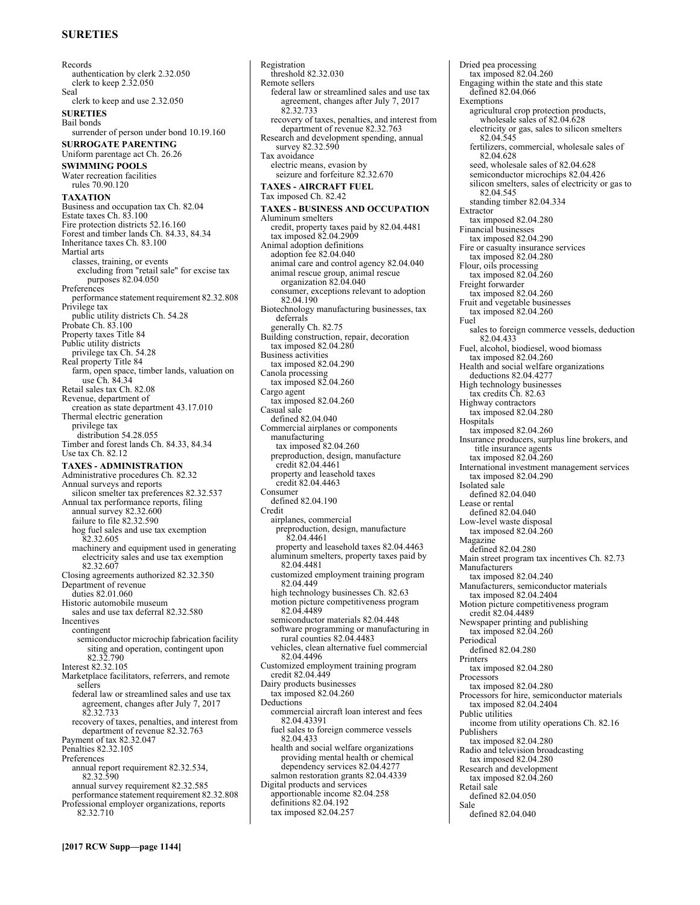# **SURETIES**

Records authentication by clerk 2.32.050 clerk to keep 2.32.050 Seal clerk to keep and use 2.32.050 **SURETIES**  Bail bonds surrender of person under bond 10.19.160 **SURROGATE PARENTING**  Uniform parentage act Ch. 26.26 **SWIMMING POOLS**  Water recreation facilities rules 70.90.120 **TAXATION**  Business and occupation tax Ch. 82.04 Estate taxes Ch. 83.100 Fire protection districts 52.16.160 Forest and timber lands Ch. 84.33, 84.34 Inheritance taxes Ch. 83.100 Martial arts classes, training, or events excluding from "retail sale" for excise tax purposes 82.04.050 **Preferences** performance statement requirement 82.32.808 Privilege tax public utility districts Ch. 54.28 Probate Ch. 83.100 Property taxes Title 84 Public utility districts privilege tax Ch. 54.28 Real property Title 84 farm, open space, timber lands, valuation on use Ch. 84.34 Retail sales tax Ch. 82.08 Revenue, department of creation as state department 43.17.010 Thermal electric generation privilege tax distribution 54.28.055 Timber and forest lands Ch. 84.33, 84.34 Use tax Ch. 82.12 **TAXES - ADMINISTRATION**  Administrative procedures Ch. 82.32 Annual surveys and reports silicon smelter tax preferences 82.32.537 Annual tax performance reports, filing annual survey 82.32.600 failure to file 82.32.590 hog fuel sales and use tax exemption 82.32.605 machinery and equipment used in generating electricity sales and use tax exemption 82.32.607 Closing agreements authorized 82.32.350 Department of revenue duties 82.01.060 Historic automobile museum sales and use tax deferral 82.32.580 Incentives contingent semiconductor microchip fabrication facility siting and operation, contingent upon 82.32.790 Interest 82.32.105 Marketplace facilitators, referrers, and remote sellers federal law or streamlined sales and use tax agreement, changes after July 7, 2017 82.32.733 recovery of taxes, penalties, and interest from department of revenue 82.32.763 Payment of tax 82.32.047 Penalties 82.32.105 Preferences annual report requirement 82.32.534, 82.32.590 annual survey requirement 82.32.585 performance statement requirement 82.32.808 Professional employer organizations, reports 82.32.710

Registration threshold 82.32.030 Remote sellers federal law or streamlined sales and use tax agreement, changes after July 7, 2017 82.32.733 recovery of taxes, penalties, and interest from department of revenue 82.32.763 Research and development spending, annual survey 82.32.590 Tax avoidance electric means, evasion by seizure and forfeiture 82.32.670 **TAXES - AIRCRAFT FUEL**  Tax imposed Ch. 82.42 **TAXES - BUSINESS AND OCCUPATION**  Aluminum smelters credit, property taxes paid by 82.04.4481 tax imposed 82.04.2909 Animal adoption definitions adoption fee 82.04.040 animal care and control agency 82.04.040 animal rescue group, animal rescue organization 82.04.040 consumer, exceptions relevant to adoption 82.04.190 Biotechnology manufacturing businesses, tax deferrals generally Ch. 82.75 Building construction, repair, decoration tax imposed 82.04.280 Business activities tax imposed 82.04.290 Canola processing tax imposed 82.04.260 Cargo agent tax imposed 82.04.260 Casual sale defined 82.04.040 Commercial airplanes or components manufacturing tax imposed 82.04.260 preproduction, design, manufacture credit 82.04.4461 property and leasehold taxes credit 82.04.4463 Consumer defined 82.04.190 Credit airplanes, commercial preproduction, design, manufacture 82.04.4461 property and leasehold taxes 82.04.4463 aluminum smelters, property taxes paid by 82.04.4481 customized employment training program 82.04.449 high technology businesses Ch. 82.63 motion picture competitiveness program 82.04.4489 semiconductor materials 82.04.448 software programming or manufacturing in rural counties 82.04.4483 vehicles, clean alternative fuel commercial 82.04.4496 Customized employment training program credit 82.04.449 Dairy products businesses tax imposed 82.04.260 **Deductions** commercial aircraft loan interest and fees 82.04.43391 fuel sales to foreign commerce vessels 82.04.433 health and social welfare organizations providing mental health or chemical dependency services 82.04.4277 salmon restoration grants 82.04.4339 Digital products and services apportionable income 82.04.258 definitions 82.04.192 tax imposed 82.04.257

Dried pea processing tax imposed  $82.04.260$ Engaging within the state and this state defined 82.04.066 Exemptions agricultural crop protection products, wholesale sales of 82.04.628 electricity or gas, sales to silicon smelters 82.04.545 fertilizers, commercial, wholesale sales of 82.04.628 seed, wholesale sales of 82.04.628 semiconductor microchips 82.04.426 silicon smelters, sales of electricity or gas to 82.04.545 standing timber 82.04.334 Extractor tax imposed 82.04.280 Financial businesses tax imposed 82.04.290 Fire or casualty insurance services tax imposed 82.04.280 Flour, oils processing tax imposed 82.04.260 Freight forwarder tax imposed 82.04.260 Fruit and vegetable businesses tax imposed 82.04.260 Fuel sales to foreign commerce vessels, deduction 82.04.433 Fuel, alcohol, biodiesel, wood biomass tax imposed 82.04.260 Health and social welfare organizations deductions 82.04.4277 High technology businesses tax credits Ch. 82.63 Highway contractors tax imposed 82.04.280 **Hospitals** tax imposed 82.04.260 Insurance producers, surplus line brokers, and title insurance agents tax imposed 82.04.260 International investment management services tax imposed 82.04.290 Isolated sale defined 82.04.040 Lease or rental defined 82.04.040 Low-level waste disposal tax imposed 82.04.260 Magazine defined 82.04.280 Main street program tax incentives Ch. 82.73 **Manufacturers** tax imposed 82.04.240 Manufacturers, semiconductor materials tax imposed 82.04.2404 Motion picture competitiveness program credit 82.04.4489 Newspaper printing and publishing tax imposed 82.04.260 Periodical defined 82.04.280 Printers tax imposed 82.04.280 Processors tax imposed 82.04.280 Processors for hire, semiconductor materials tax imposed 82.04.2404 Public utilities income from utility operations Ch. 82.16 Publishers tax imposed 82.04.280 Radio and television broadcasting tax imposed 82.04.280 Research and development tax imposed 82.04.260 Retail sale defined 82.04.050 Sale defined 82.04.040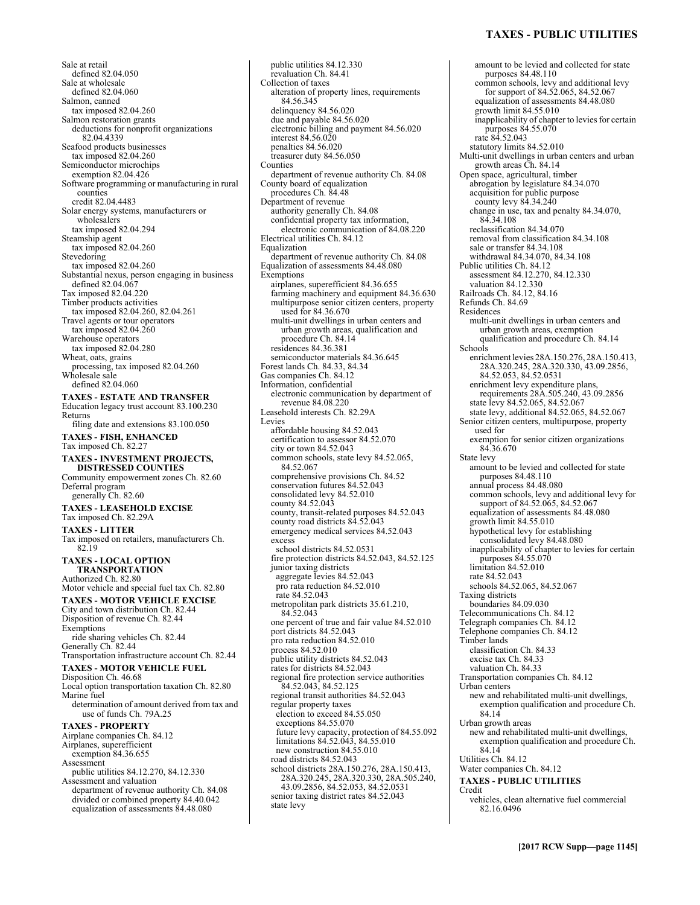# **TAXES - PUBLIC UTILITIES**

Sale at retail defined 82.04.050 Sale at wholesale defined 82.04.060 Salmon, canned tax imposed 82.04.260 Salmon restoration grants deductions for nonprofit organizations 82.04.4339 Seafood products businesses tax imposed 82.04.260 Semiconductor microchips exemption 82.04.426 Software programming or manufacturing in rural counties credit 82.04.4483 Solar energy systems, manufacturers or wholesalers tax imposed 82.04.294 Steamship agent tax imposed 82.04.260 **Stevedoring** tax imposed 82.04.260 Substantial nexus, person engaging in business defined 82.04.067 Tax imposed 82.04.220 Timber products activities tax imposed 82.04.260, 82.04.261 Travel agents or tour operators tax imposed 82.04.260 Warehouse operators tax imposed 82.04.280 Wheat, oats, grains processing, tax imposed 82.04.260 Wholesale sale defined 82.04.060 **TAXES - ESTATE AND TRANSFER**  Education legacy trust account 83.100.230 Returns filing date and extensions 83.100.050 **TAXES - FISH, ENHANCED**  Tax imposed Ch. 82.27 **TAXES - INVESTMENT PROJECTS, DISTRESSED COUNTIES**  Community empowerment zones Ch. 82.60 Deferral program generally Ch. 82.60 **TAXES - LEASEHOLD EXCISE**  Tax imposed Ch. 82.29A **TAXES - LITTER**  Tax imposed on retailers, manufacturers Ch. 82.19 **TAXES - LOCAL OPTION TRANSPORTATION**  Authorized Ch. 82.80 Motor vehicle and special fuel tax Ch. 82.80 **TAXES - MOTOR VEHICLE EXCISE**  City and town distribution Ch. 82.44 Disposition of revenue Ch. 82.44 Exemptions ride sharing vehicles Ch. 82.44 Generally Ch. 82.44 Transportation infrastructure account Ch. 82.44 **TAXES - MOTOR VEHICLE FUEL**  Disposition Ch. 46.68 Local option transportation taxation Ch. 82.80 Marine fuel determination of amount derived from tax and use of funds Ch. 79A.25 **TAXES - PROPERTY**  Airplane companies Ch. 84.12 Airplanes, superefficient exemption 84.36.655 Assessment public utilities 84.12.270, 84.12.330 Assessment and valuation department of revenue authority Ch. 84.08 divided or combined property 84.40.042 equalization of assessments 84.48.080

public utilities 84.12.330 revaluation Ch. 84.41 Collection of taxes alteration of property lines, requirements 84.56.345 delinquency 84.56.020 due and payable 84.56.020 electronic billing and payment 84.56.020 interest 84.56.020 penalties 84.56.020 treasurer duty 84.56.050 Counties department of revenue authority Ch. 84.08 County board of equalization procedures Ch. 84.48 Department of revenue authority generally Ch. 84.08 confidential property tax information, electronic communication of 84.08.220 Electrical utilities Ch. 84.12 Equalization department of revenue authority Ch. 84.08 Equalization of assessments 84.48.080 **Exemptions** airplanes, superefficient 84.36.655 farming machinery and equipment 84.36.630 multipurpose senior citizen centers, property used for 84.36.670 multi-unit dwellings in urban centers and urban growth areas, qualification and procedure Ch. 84.14 residences 84.36.381 semiconductor materials 84.36.645 Forest lands Ch. 84.33, 84.34 Gas companies Ch. 84.12 Information, confidential electronic communication by department of revenue 84.08.220 Leasehold interests Ch. 82.29A Levies affordable housing 84.52.043 certification to assessor 84.52.070 city or town 84.52.043 common schools, state levy 84.52.065, 84.52.067 comprehensive provisions Ch. 84.52 conservation futures 84.52.043 consolidated levy 84.52.010 county 84.52.043 county, transit-related purposes 84.52.043 county road districts 84.52.043 emergency medical services 84.52.043 excess school districts 84.52.0531 fire protection districts 84.52.043, 84.52.125 junior taxing districts aggregate levies 84.52.043 pro rata reduction 84.52.010 rate 84.52.043 metropolitan park districts 35.61.210, 84.52.043 one percent of true and fair value 84.52.010 port districts 84.52.043 pro rata reduction 84.52.010 process 84.52.010 public utility districts 84.52.043 rates for districts 84.52.043 regional fire protection service authorities 84.52.043, 84.52.125 regional transit authorities 84.52.043 regular property taxes election to exceed 84.55.050 exceptions 84.55.070 future levy capacity, protection of 84.55.092 limitations 84.52.043, 84.55.010 new construction 84.55.010 road districts 84.52.043 school districts 28A.150.276, 28A.150.413, 28A.320.245, 28A.320.330, 28A.505.240, 43.09.2856, 84.52.053, 84.52.0531 senior taxing district rates 84.52.043 state levy

amount to be levied and collected for state purposes 84.48.110 common schools, levy and additional levy for support of 84.52.065, 84.52.067 equalization of assessments 84.48.080 growth limit 84.55.010 inapplicability of chapter to levies for certain purposes 84.55.070 rate 84.52.043 statutory limits 84.52.010 Multi-unit dwellings in urban centers and urban growth areas Ch. 84.14 Open space, agricultural, timber abrogation by legislature 84.34.070 acquisition for public purpose county levy 84.34.240 change in use, tax and penalty 84.34.070, 84.34.108 reclassification 84.34.070 removal from classification 84.34.108 sale or transfer 84.34.108 withdrawal 84.34.070, 84.34.108 Public utilities Ch. 84.12 assessment 84.12.270, 84.12.330 valuation 84.12.330 Railroads Ch. 84.12, 84.16 Refunds Ch. 84.69 Residences multi-unit dwellings in urban centers and urban growth areas, exemption qualification and procedure Ch. 84.14 Schools enrichment levies 28A.150.276, 28A.150.413, 28A.320.245, 28A.320.330, 43.09.2856, 84.52.053, 84.52.0531 enrichment levy expenditure plans, requirements 28A.505.240, 43.09.2856 state levy 84.52.065, 84.52.067 state levy, additional 84.52.065, 84.52.067 Senior citizen centers, multipurpose, property used for exemption for senior citizen organizations 84.36.670 State levy amount to be levied and collected for state purposes 84.48.110 annual process 84.48.080 common schools, levy and additional levy for support of 84.52.065, 84.52.067 equalization of assessments 84.48.080 growth limit 84.55.010 hypothetical levy for establishing consolidated levy 84.48.080 inapplicability of chapter to levies for certain purposes 84.55.070 limitation 84.52.010 rate 84.52.043 schools 84.52.065, 84.52.067 Taxing districts boundaries 84.09.030 Telecommunications Ch. 84.12 Telegraph companies Ch. 84.12 Telephone companies Ch. 84.12 Timber lands classification Ch. 84.33 excise tax Ch. 84.33 valuation Ch. 84.33 Transportation companies Ch. 84.12 Urban centers new and rehabilitated multi-unit dwellings, exemption qualification and procedure Ch. 84.14 Urban growth areas new and rehabilitated multi-unit dwellings, exemption qualification and procedure Ch. 84.14 Utilities Ch. 84.12 Water companies Ch. 84.12 **TAXES - PUBLIC UTILITIES**  Credit vehicles, clean alternative fuel commercial 82.16.0496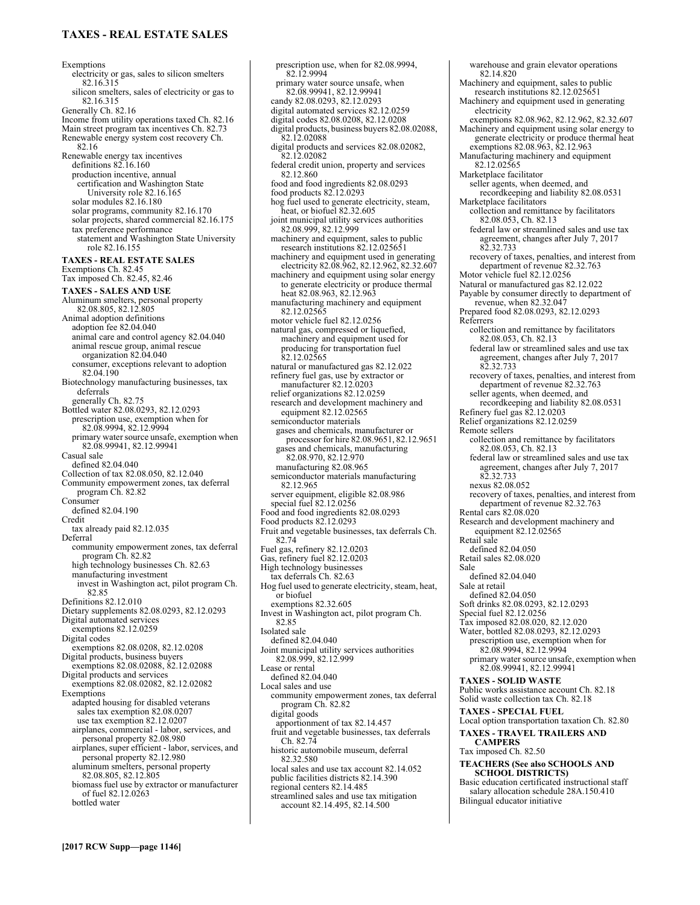# **TAXES - REAL ESTATE SALES**

Exemptions electricity or gas, sales to silicon smelters 82.16.315 silicon smelters, sales of electricity or gas to 82.16.315 Generally Ch. 82.16 Income from utility operations taxed Ch. 82.16 Main street program tax incentives Ch. 82.73 Renewable energy system cost recovery Ch. 82.16 Renewable energy tax incentives definitions 82.16.160 production incentive, annual certification and Washington State University role 82.16.165 solar modules 82.16.180 solar programs, community 82.16.170 solar projects, shared commercial 82.16.175 tax preference performance statement and Washington State University role 82.16.155 **TAXES - REAL ESTATE SALES**  Exemptions Ch. 82.45 Tax imposed Ch. 82.45, 82.46 **TAXES - SALES AND USE**  Aluminum smelters, personal property 82.08.805, 82.12.805 Animal adoption definitions adoption fee 82.04.040 animal care and control agency 82.04.040 animal rescue group, animal rescue organization 82.04.040 consumer, exceptions relevant to adoption 82.04.190 Biotechnology manufacturing businesses, tax deferrals generally Ch. 82.75 Bottled water 82.08.0293, 82.12.0293 prescription use, exemption when for 82.08.9994, 82.12.9994 primary water source unsafe, exemption when 82.08.99941, 82.12.99941 Casual sale defined 82.04.040 Collection of tax 82.08.050, 82.12.040 Community empowerment zones, tax deferral program Ch. 82.82 Consumer defined 82.04.190 Credit tax already paid 82.12.035 Deferral community empowerment zones, tax deferral program Ch. 82.82 high technology businesses Ch. 82.63 manufacturing investment invest in Washington act, pilot program Ch. 82.85 Definitions 82.12.010 Dietary supplements 82.08.0293, 82.12.0293 Digital automated services exemptions 82.12.0259 Digital codes exemptions 82.08.0208, 82.12.0208 Digital products, business buyers exemptions 82.08.02088, 82.12.02088 Digital products and services exemptions 82.08.02082, 82.12.02082 Exemptions adapted housing for disabled veterans sales tax exemption 82.08.0207 use tax exemption 82.12.0207 airplanes, commercial - labor, services, and personal property 82.08.980 airplanes, super efficient - labor, services, and personal property 82.12.980 aluminum smelters, personal property 82.08.805, 82.12.805 biomass fuel use by extractor or manufacturer of fuel 82.12.0263 bottled water

prescription use, when for 82.08.9994, 82.12.9994 primary water source unsafe, when 82.08.99941, 82.12.99941 candy 82.08.0293, 82.12.0293 digital automated services 82.12.0259 digital codes 82.08.0208, 82.12.0208 digital products, business buyers 82.08.02088, 82.12.02088 digital products and services 82.08.02082, 82.12.02082 federal credit union, property and services 82.12.860 food and food ingredients 82.08.0293 food products 82.12.0293 hog fuel used to generate electricity, steam, heat, or biofuel 82.32.605 joint municipal utility services authorities 82.08.999, 82.12.999 machinery and equipment, sales to public<br>research institutions  $82.12.025651$ machinery and equipment used in generating electricity 82.08.962, 82.12.962, 82.32.607 machinery and equipment using solar energy to generate electricity or produce thermal heat 82.08.963, 82.12.963 manufacturing machinery and equipment 82.12.02565 motor vehicle fuel 82.12.0256 natural gas, compressed or liquefied, machinery and equipment used for producing for transportation fuel 82.12.02565 natural or manufactured gas 82.12.022 refinery fuel gas, use by extractor or manufacturer 82.12.0203 relief organizations 82.12.0259 research and development machinery and equipment 82.12.02565 semiconductor materials gases and chemicals, manufacturer or processor for hire 82.08.9651, 82.12.9651 gases and chemicals, manufacturing 82.08.970, 82.12.970 manufacturing 82.08.965 semiconductor materials manufacturing 82.12.965 server equipment, eligible 82.08.986 special fuel 82.12.0256 Food and food ingredients 82.08.0293 Food products 82.12.0293 Fruit and vegetable businesses, tax deferrals Ch. 82.74 Fuel gas, refinery 82.12.0203 Gas, refinery fuel 82.12.0203 High technology businesses tax deferrals Ch. 82.63 Hog fuel used to generate electricity, steam, heat, or biofuel exemptions 82.32.605 Invest in Washington act, pilot program Ch. 82.85 Isolated sale defined 82.04.040 Joint municipal utility services authorities 82.08.999, 82.12.999 Lease or rental defined 82.04.040 Local sales and use community empowerment zones, tax deferral program Ch. 82.82 digital goods apportionment of tax 82.14.457 fruit and vegetable businesses, tax deferrals Ch. 82.74 historic automobile museum, deferral 82.32.580 local sales and use tax account 82.14.052 public facilities districts 82.14.390 regional centers 82.14.485 streamlined sales and use tax mitigation account 82.14.495, 82.14.500

warehouse and grain elevator operations 82.14.820 Machinery and equipment, sales to public research institutions 82.12.025651 Machinery and equipment used in generating electricity exemptions 82.08.962, 82.12.962, 82.32.607 Machinery and equipment using solar energy to generate electricity or produce thermal heat exemptions 82.08.963, 82.12.963 Manufacturing machinery and equipment 82.12.02565 Marketplace facilitator seller agents, when deemed, and recordkeeping and liability 82.08.0531 Marketplace facilitators collection and remittance by facilitators 82.08.053, Ch. 82.13 federal law or streamlined sales and use tax agreement, changes after July 7, 2017 82.32.733 recovery of taxes, penalties, and interest from department of revenue 82.32.763 Motor vehicle fuel 82.12.0256 Natural or manufactured gas 82.12.022 Payable by consumer directly to department of revenue, when 82.32.047 Prepared food 82.08.0293, 82.12.0293 Referrers collection and remittance by facilitators 82.08.053, Ch. 82.13 federal law or streamlined sales and use tax agreement, changes after July 7, 2017 82.32.733 recovery of taxes, penalties, and interest from department of revenue 82.32.763 seller agents, when deemed, and recordkeeping and liability 82.08.0531 Refinery fuel gas 82.12.0203 Relief organizations 82.12.0259 Remote sellers collection and remittance by facilitators 82.08.053, Ch. 82.13 federal law or streamlined sales and use tax agreement, changes after July 7, 2017 82.32.733 nexus 82.08.052 recovery of taxes, penalties, and interest from department of revenue 82.32.763 Rental cars 82.08.020 Research and development machinery and equipment 82.12.02565 Retail sale defined 82.04.050 Retail sales 82.08.020 Sale defined 82.04.040 Sale at retail defined 82.04.050 Soft drinks 82.08.0293, 82.12.0293 Special fuel 82.12.0256 Tax imposed 82.08.020, 82.12.020 Water, bottled 82.08.0293, 82.12.0293 prescription use, exemption when for 82.08.9994, 82.12.9994 primary water source unsafe, exemption when 82.08.99941, 82.12.99941 **TAXES - SOLID WASTE**  Public works assistance account Ch. 82.18 Solid waste collection tax Ch. 82.18 **TAXES - SPECIAL FUEL**  Local option transportation taxation Ch. 82.80 **TAXES - TRAVEL TRAILERS AND CAMPERS**  Tax imposed Ch. 82.50 **TEACHERS (See also SCHOOLS AND SCHOOL DISTRICTS)** Basic education certificated instructional staff salary allocation schedule 28A.150.410 Bilingual educator initiative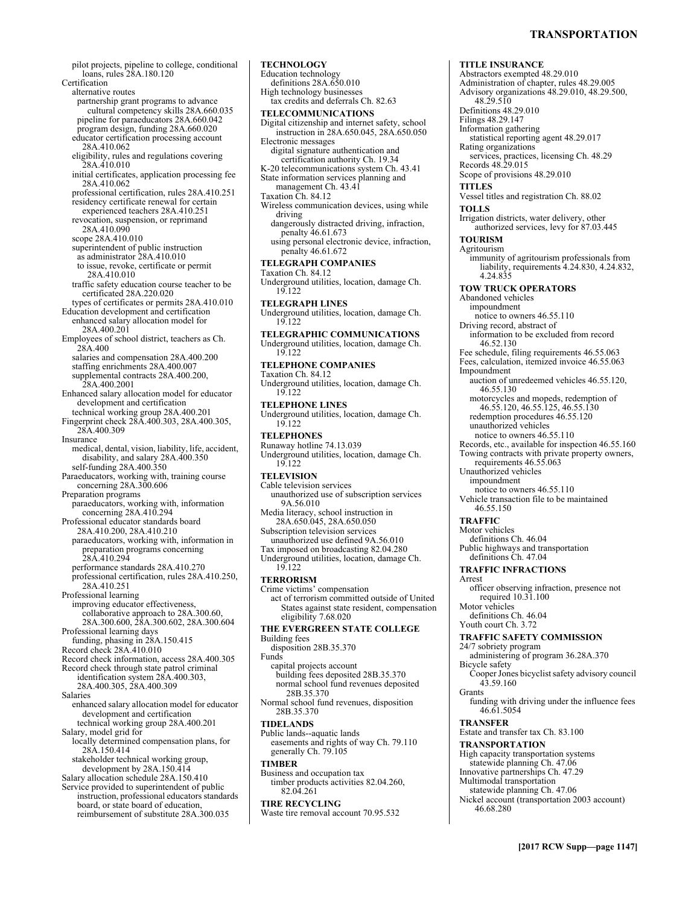pilot projects, pipeline to college, conditional loans, rules 28A.180.120 Certification alternative routes partnership grant programs to advance cultural competency skills 28A.660.035 pipeline for paraeducators 28A.660.042 program design, funding 28A.660.020 educator certification processing account 28A.410.062 eligibility, rules and regulations covering 28A.410.010 initial certificates, application processing fee 28A.410.062 professional certification, rules 28A.410.251 residency certificate renewal for certain experienced teachers 28A.410.251 revocation, suspension, or reprimand 28A.410.090 scope 28A.410.010 superintendent of public instruction as administrator 28A.410.010 to issue, revoke, certificate or permit 28A.410.010 traffic safety education course teacher to be certificated 28A.220.020 types of certificates or permits 28A.410.010 Education development and certification enhanced salary allocation model for 28A.400.201 Employees of school district, teachers as Ch. 28A.400 salaries and compensation 28A.400.200 staffing enrichments 28A.400.007 supplemental contracts 28A.400.200, 28A.400.2001 Enhanced salary allocation model for educator development and certification technical working group 28A.400.201 Fingerprint check 28A.400.303, 28A.400.305, 28A.400.309 Insurance medical, dental, vision, liability, life, accident, disability, and salary 28A.400.350 self-funding 28A.400.350 Paraeducators, working with, training course concerning 28A.300.606 Preparation programs paraeducators, working with, information concerning 28A.410.294 Professional educator standards board 28A.410.200, 28A.410.210 paraeducators, working with, information in preparation programs concerning 28A.410.294 performance standards 28A.410.270 professional certification, rules 28A.410.250, 28A.410.251 Professional learning improving educator effectiveness, collaborative approach to 28A.300.60, 28A.300.600, 28A.300.602, 28A.300.604 Professional learning days funding, phasing in 28A.150.415 Record check 28A.410.010 Record check information, access 28A.400.305 Record check through state patrol criminal identification system 28A.400.303, 28A.400.305, 28A.400.309 Salaries enhanced salary allocation model for educator development and certification technical working group 28A.400.201 Salary, model grid for locally determined compensation plans, for 28A.150.414 stakeholder technical working group, development by 28A.150.414 Salary allocation schedule 28A.150.410 Service provided to superintendent of public instruction, professional educators standards board, or state board of education,

reimbursement of substitute 28A.300.035

**TECHNOLOGY**  Education technology definitions 28A.650.010 High technology businesses tax credits and deferrals Ch. 82.63 **TELECOMMUNICATIONS**  Digital citizenship and internet safety, school instruction in 28A.650.045, 28A.650.050 Electronic messages digital signature authentication and certification authority Ch. 19.34 K-20 telecommunications system Ch. 43.41 State information services planning and management Ch. 43.41 Taxation Ch. 84.12 Wireless communication devices, using while driving dangerously distracted driving, infraction, penalty 46.61.673 using personal electronic device, infraction, penalty 46.61.672 **TELEGRAPH COMPANIES**  Taxation Ch. 84.12 Underground utilities, location, damage Ch. 19.122 **TELEGRAPH LINES**  Underground utilities, location, damage Ch. 19.122 **TELEGRAPHIC COMMUNICATIONS**  Underground utilities, location, damage Ch. 19.122 **TELEPHONE COMPANIES**  Taxation Ch. 84.12 Underground utilities, location, damage Ch. 19.122 **TELEPHONE LINES**  Underground utilities, location, damage Ch. 19.122 **TELEPHONES**  Runaway hotline 74.13.039 Underground utilities, location, damage Ch. 19.122 **TELEVISION**  Cable television services unauthorized use of subscription services 9A.56.010 Media literacy, school instruction in 28A.650.045, 28A.650.050 Subscription television services unauthorized use defined 9A.56.010 Tax imposed on broadcasting 82.04.280 Underground utilities, location, damage Ch. 19.122 **TERRORISM**  Crime victims' compensation act of terrorism committed outside of United States against state resident, compensation eligibility 7.68.020 **THE EVERGREEN STATE COLLEGE**  Building fees disposition 28B.35.370 Funds capital projects account building fees deposited 28B.35.370 normal school fund revenues deposited 28B.35.370 Normal school fund revenues, disposition 28B.35.370 **TIDELANDS** 

Public lands--aquatic lands easements and rights of way Ch. 79.110 generally Ch. 79.105

### **TIMBER**

Business and occupation tax timber products activities 82.04.260, 82.04.261

# **TIRE RECYCLING**

Waste tire removal account 70.95.532

**TITLE INSURANCE**  Abstractors exempted 48.29.010 Administration of chapter, rules 48.29.005 Advisory organizations 48.29.010, 48.29.500, 48.29.510 Definitions 48.29.010 Filings 48.29.147 Information gathering statistical reporting agent 48.29.017 Rating organizations services, practices, licensing Ch. 48.29 Records 48.29.015 Scope of provisions 48.29.010 **TITLES**  Vessel titles and registration Ch. 88.02 **TOLLS**  Irrigation districts, water delivery, other authorized services, levy for 87.03.445 **TOURISM**  Agritourism immunity of agritourism professionals from liability, requirements 4.24.830, 4.24.832, 4.24.835 **TOW TRUCK OPERATORS**  Abandoned vehicles impoundment notice to owners 46.55.110 Driving record, abstract of information to be excluded from record 46.52.130 Fee schedule, filing requirements 46.55.063 Fees, calculation, itemized invoice 46.55.063 Impoundment auction of unredeemed vehicles 46.55.120, 46.55.130 motorcycles and mopeds, redemption of 46.55.120, 46.55.125, 46.55.130 redemption procedures 46.55.120 unauthorized vehicles notice to owners 46.55.110 Records, etc., available for inspection 46.55.160 Towing contracts with private property owners, requirements 46.55.063 Unauthorized vehicles impoundment notice to owners 46.55.110 Vehicle transaction file to be maintained 46.55.150 **TRAFFIC**  Motor vehicles definitions Ch. 46.04 Public highways and transportation definitions Ch. 47.04 **TRAFFIC INFRACTIONS**  Arrest officer observing infraction, presence not required 10.31.100 Motor vehicles definitions Ch. 46.04 Youth court Ch. 3.72 **TRAFFIC SAFETY COMMISSION**  24/7 sobriety program administering of program 36.28A.370 Bicycle safety Cooper Jones bicyclist safety advisory council 43.59.160 Grants funding with driving under the influence fees 46.61.5054 **TRANSFER**  Estate and transfer tax Ch. 83.100 **TRANSPORTATION**  High capacity transportation systems statewide planning Ch. 47.06 Innovative partnerships Ch. 47.29 Multimodal transportation statewide planning Ch. 47.06 Nickel account (transportation 2003 account) 46.68.280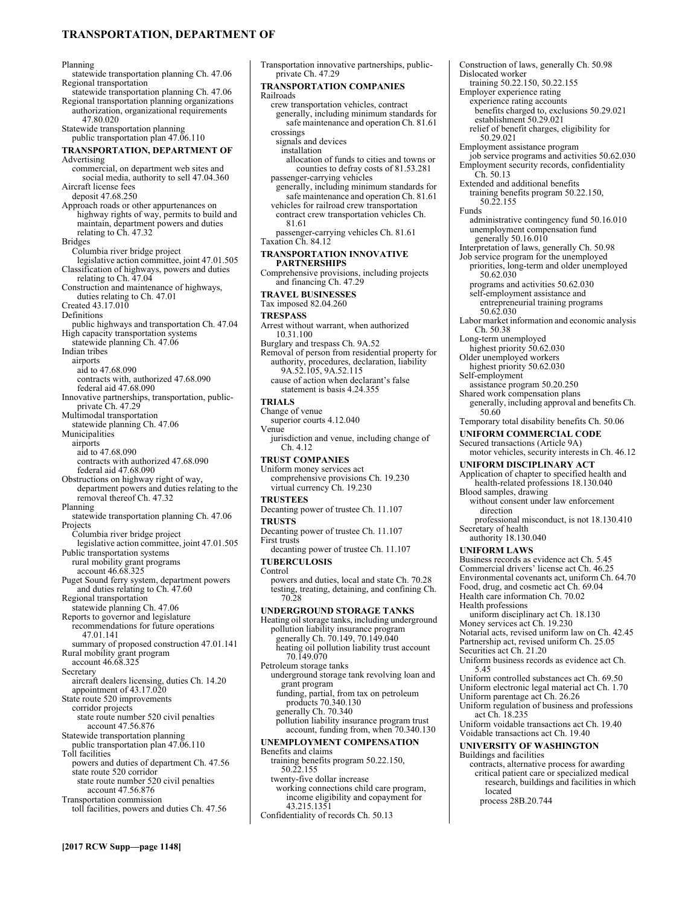# **TRANSPORTATION, DEPARTMENT OF**

Planning statewide transportation planning Ch. 47.06 Regional transportation statewide transportation planning Ch. 47.06 Regional transportation planning organizations authorization, organizational requirements 47.80.020 Statewide transportation planning public transportation plan 47.06.110 **TRANSPORTATION, DEPARTMENT OF**  Advertising commercial, on department web sites and social media, authority to sell 47.04.360 Aircraft license fees deposit 47.68.250 Approach roads or other appurtenances on highway rights of way, permits to build and maintain, department powers and duties relating to Ch. 47.32 Bridges Columbia river bridge project legislative action committee, joint 47.01.505 Classification of highways, powers and duties relating to Ch. 47.04 Construction and maintenance of highways, duties relating to Ch. 47.01 Created 43.17.010 Definitions public highways and transportation Ch. 47.04 High capacity transportation systems statewide planning Ch. 47.06 Indian tribes airports aid to 47.68.090 contracts with, authorized 47.68.090 federal aid 47.68.090 Innovative partnerships, transportation, publicprivate Ch. 47.29 Multimodal transportation statewide planning Ch. 47.06 Municipalities airports aid to 47.68.090 contracts with authorized 47.68.090 federal aid 47.68.090 Obstructions on highway right of way, department powers and duties relating to the removal thereof Ch. 47.32 Planning statewide transportation planning Ch. 47.06 Projects Columbia river bridge project legislative action committee, joint 47.01.505 Public transportation systems rural mobility grant programs account 46.68.325 Puget Sound ferry system, department powers and duties relating to Ch. 47.60 Regional transportation statewide planning Ch. 47.06 Reports to governor and legislature recommendations for future operations 47.01.141 summary of proposed construction 47.01.141 Rural mobility grant program account 46.68.325 Secretary aircraft dealers licensing, duties Ch. 14.20 appointment of 43.17.020 State route 520 improvements corridor projects state route number 520 civil penalties account 47.56.876 Statewide transportation planning public transportation plan 47.06.110 Toll facilities powers and duties of department Ch. 47.56 state route 520 corridor state route number 520 civil penalties account 47.56.876 Transportation commission toll facilities, powers and duties Ch. 47.56

Transportation innovative partnerships, publicprivate Ch. 47.29 **TRANSPORTATION COMPANIES**  Railroads crew transportation vehicles, contract generally, including minimum standards for safe maintenance and operation Ch. 81.61 crossings signals and devices installation allocation of funds to cities and towns or counties to defray costs of 81.53.281 passenger-carrying vehicles generally, including minimum standards for safe maintenance and operation Ch. 81.61 vehicles for railroad crew transportation contract crew transportation vehicles Ch. 81.61 passenger-carrying vehicles Ch. 81.61 Taxation Ch. 84.12 **TRANSPORTATION INNOVATIVE PARTNERSHIPS**  Comprehensive provisions, including projects and financing Ch. 47.29 **TRAVEL BUSINESSES**  Tax imposed 82.04.260 **TRESPASS**  Arrest without warrant, when authorized 10.31.100 Burglary and trespass Ch. 9A.52 Removal of person from residential property for authority, procedures, declaration, liability 9A.52.105, 9A.52.115 cause of action when declarant's false statement is basis 4.24.355 **TRIALS**  Change of venue superior courts 4.12.040 Venue jurisdiction and venue, including change of Ch. 4.12 **TRUST COMPANIES**  Uniform money services act comprehensive provisions Ch. 19.230 virtual currency Ch. 19.230 **TRUSTEES**  Decanting power of trustee Ch. 11.107 **TRUSTS**  Decanting power of trustee Ch. 11.107 First trusts decanting power of trustee Ch. 11.107 **TUBERCULOSIS**  Control powers and duties, local and state Ch. 70.28 testing, treating, detaining, and confining Ch. 70.28 **UNDERGROUND STORAGE TANKS**  Heating oil storage tanks, including underground pollution liability insurance program generally Ch. 70.149, 70.149.040 heating oil pollution liability trust account 70.149.070 Petroleum storage tanks underground storage tank revolving loan and grant program funding, partial, from tax on petroleum products 70.340.130 generally Ch. 70.340 pollution liability insurance program trust account, funding from, when 70.340.130 **UNEMPLOYMENT COMPENSATION**  Benefits and claims training benefits program 50.22.150, 50.22.155 twenty-five dollar increase working connections child care program, income eligibility and copayment for 43.215.1351

Confidentiality of records Ch. 50.13

Construction of laws, generally Ch. 50.98 Dislocated worker training 50.22.150, 50.22.155 Employer experience rating experience rating accounts benefits charged to, exclusions 50.29.021 establishment 50.29.021 relief of benefit charges, eligibility for 50.29.021 Employment assistance program job service programs and activities 50.62.030 Employment security records, confidentiality Ch. 50.13 Extended and additional benefits training benefits program 50.22.150, 50.22.155 Funds administrative contingency fund 50.16.010 unemployment compensation fund generally 50.16.010 Interpretation of laws, generally Ch. 50.98 Job service program for the unemployed priorities, long-term and older unemployed 50.62.030 programs and activities 50.62.030 self-employment assistance and entrepreneurial training programs 50.62.030 Labor market information and economic analysis Ch. 50.38 Long-term unemployed highest priority 50.62.030 Older unemployed workers highest priority 50.62.030 Self-employment assistance program 50.20.250 Shared work compensation plans generally, including approval and benefits Ch. 50.60 Temporary total disability benefits Ch. 50.06 **UNIFORM COMMERCIAL CODE**  Secured transactions (Article 9A) motor vehicles, security interests in Ch. 46.12 **UNIFORM DISCIPLINARY ACT**  Application of chapter to specified health and health-related professions 18.130.040 Blood samples, drawing without consent under law enforcement direction professional misconduct, is not 18.130.410 Secretary of health authority 18.130.040 **UNIFORM LAWS**  Business records as evidence act Ch. 5.45 Commercial drivers' license act Ch. 46.25 Environmental covenants act, uniform Ch. 64.70 Food, drug, and cosmetic act Ch. 69.04 Health care information Ch. 70.02 Health professions uniform disciplinary act Ch. 18.130 Money services act Ch. 19.230 Notarial acts, revised uniform law on Ch. 42.45 Partnership act, revised uniform Ch. 25.05 Securities act Ch. 21.20 Uniform business records as evidence act Ch. 5.45 Uniform controlled substances act Ch. 69.50 Uniform electronic legal material act Ch. 1.70 Uniform parentage act Ch. 26.26 Uniform regulation of business and professions act Ch. 18.235 Uniform voidable transactions act Ch. 19.40 Voidable transactions act Ch. 19.40 **UNIVERSITY OF WASHINGTON**  Buildings and facilities contracts, alternative process for awarding critical patient care or specialized medical research, buildings and facilities in which located process 28B.20.744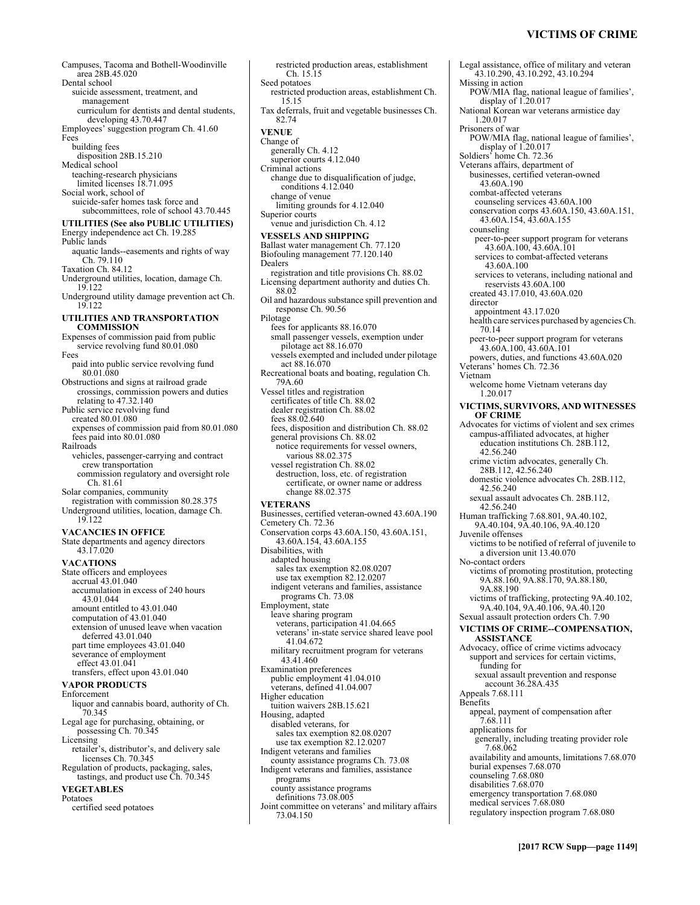Campuses, Tacoma and Bothell-Woodinville area 28B.45.020 Dental school suicide assessment, treatment, and management curriculum for dentists and dental students, developing 43.70.447 Employees' suggestion program Ch. 41.60 Fees building fees disposition 28B.15.210 Medical school teaching-research physicians limited licenses 18.71.095 Social work, school of suicide-safer homes task force and subcommittees, role of school 43.70.445 **UTILITIES (See also PUBLIC UTILITIES)** Energy independence act Ch. 19.285 Public lands aquatic lands--easements and rights of way Ch. 79.110 Taxation Ch. 84.12 Underground utilities, location, damage Ch.<br>19.122 19.122 Underground utility damage prevention act Ch. 19.122 **UTILITIES AND TRANSPORTATION COMMISSION**  Expenses of commission paid from public service revolving fund 80.01.080 Fees paid into public service revolving fund 80.01.080 Obstructions and signs at railroad grade crossings, commission powers and duties relating to 47.32.140 Public service revolving fund created 80.01.080 expenses of commission paid from 80.01.080 fees paid into 80.01.080 Railroads vehicles, passenger-carrying and contract crew transportation commission regulatory and oversight role Ch. 81.61 Solar companies, community registration with commission 80.28.375 Underground utilities, location, damage Ch. 19.122 **VACANCIES IN OFFICE**  State departments and agency directors 43.17.020 **VACATIONS**  State officers and employees accrual 43.01.040 accumulation in excess of 240 hours 43.01.044 amount entitled to 43.01.040 computation of 43.01.040 extension of unused leave when vacation deferred 43.01.040 part time employees 43.01.040 severance of employment effect 43.01.041 transfers, effect upon 43.01.040 **VAPOR PRODUCTS**  Enforcement liquor and cannabis board, authority of Ch. 70.345 Legal age for purchasing, obtaining, or possessing Ch. 70.345 Licensing retailer's, distributor's, and delivery sale licenses Ch. 70.345 Regulation of products, packaging, sales, tastings, and product use Ch. 70.345 **VEGETABLES**  Potatoes Dealers Pilotage

certified seed potatoes

restricted production areas, establishment Ch. 15.15 Seed potatoes restricted production areas, establishment Ch. 15.15 Tax deferrals, fruit and vegetable businesses Ch. 82.74 **VENUE**  Change of generally Ch. 4.12 superior courts 4.12.040 Criminal actions change due to disqualification of judge, conditions 4.12.040 change of venue limiting grounds for 4.12.040 Superior courts venue and jurisdiction Ch. 4.12 **VESSELS AND SHIPPING**  Ballast water management Ch. 77.120 Biofouling management 77.120.140 registration and title provisions Ch. 88.02 Licensing department authority and duties Ch. 88.02 Oil and hazardous substance spill prevention and response Ch. 90.56 fees for applicants 88.16.070 small passenger vessels, exemption under pilotage act 88.16.070 vessels exempted and included under pilotage act 88.16.070 Recreational boats and boating, regulation Ch. 79A.60 Vessel titles and registration certificates of title Ch. 88.02 dealer registration Ch. 88.02 fees 88.02.640 fees, disposition and distribution Ch. 88.02 general provisions Ch. 88.02 notice requirements for vessel owners, various 88.02.375 vessel registration Ch. 88.02 destruction, loss, etc. of registration certificate, or owner name or address change 88.02.375 **VETERANS**  Businesses, certified veteran-owned 43.60A.190 Cemetery Ch. 72.36 Conservation corps 43.60A.150, 43.60A.151, 43.60A.154, 43.60A.155 Disabilities, with adapted housing sales tax exemption 82.08.0207 use tax exemption 82.12.0207 indigent veterans and families, assistance programs Ch. 73.08 Employment, state leave sharing program veterans, participation 41.04.665 veterans' in-state service shared leave pool 41.04.672 military recruitment program for veterans 43.41.460 Examination preferences public employment 41.04.010 veterans, defined 41.04.007 Higher education tuition waivers 28B.15.621 Housing, adapted disabled veterans, for sales tax exemption 82.08.0207 use tax exemption 82.12.0207 Indigent veterans and families county assistance programs Ch. 73.08 Indigent veterans and families, assistance programs county assistance programs definitions 73.08.005 Joint committee on veterans' and military affairs 73.04.150

Legal assistance, office of military and veteran 43.10.290, 43.10.292, 43.10.294 Missing in action POW/MIA flag, national league of families', display of 1.20.017 National Korean war veterans armistice day 1.20.017 Prisoners of war POW/MIA flag, national league of families', display of 1.20.017 Soldiers' home Ch. 72.36 Veterans affairs, department of businesses, certified veteran-owned 43.60A.190 combat-affected veterans counseling services 43.60A.100 conservation corps 43.60A.150, 43.60A.151, 43.60A.154, 43.60A.155 counseling peer-to-peer support program for veterans 43.60A.100, 43.60A.101 services to combat-affected veterans 43.60A.100 services to veterans, including national and reservists 43.60A.100 created 43.17.010, 43.60A.020 director appointment 43.17.020 health care services purchased by agencies Ch. 70.14 peer-to-peer support program for veterans 43.60A.100, 43.60A.101 powers, duties, and functions 43.60A.020 Veterans' homes Ch. 72.36 Vietnam welcome home Vietnam veterans day 1.20.017 **VICTIMS, SURVIVORS, AND WITNESSES OF CRIME**  Advocates for victims of violent and sex crimes campus-affiliated advocates, at higher education institutions Ch. 28B.112, 42.56.240 crime victim advocates, generally Ch. 28B.112, 42.56.240 domestic violence advocates Ch. 28B.112, 42.56.240 sexual assault advocates Ch. 28B.112, 42.56.240 Human trafficking 7.68.801, 9A.40.102, 9A.40.104, 9A.40.106, 9A.40.120 Juvenile offenses victims to be notified of referral of juvenile to a diversion unit 13.40.070 No-contact orders victims of promoting prostitution, protecting 9A.88.160, 9A.88.170, 9A.88.180, 9A.88.190 victims of trafficking, protecting 9A.40.102, 9A.40.104, 9A.40.106, 9A.40.120 Sexual assault protection orders Ch. 7.90 **VICTIMS OF CRIME--COMPENSATION, ASSISTANCE**  Advocacy, office of crime victims advocacy support and services for certain victims, funding for sexual assault prevention and response account 36.28A.435 Appeals 7.68.111 Benefits appeal, payment of compensation after 7.68.111 applications for generally, including treating provider role 7.68.062 availability and amounts, limitations 7.68.070 burial expenses 7.68.070 counseling 7.68.080 disabilities 7.68.070 emergency transportation 7.68.080 medical services 7.68.080 regulatory inspection program 7.68.080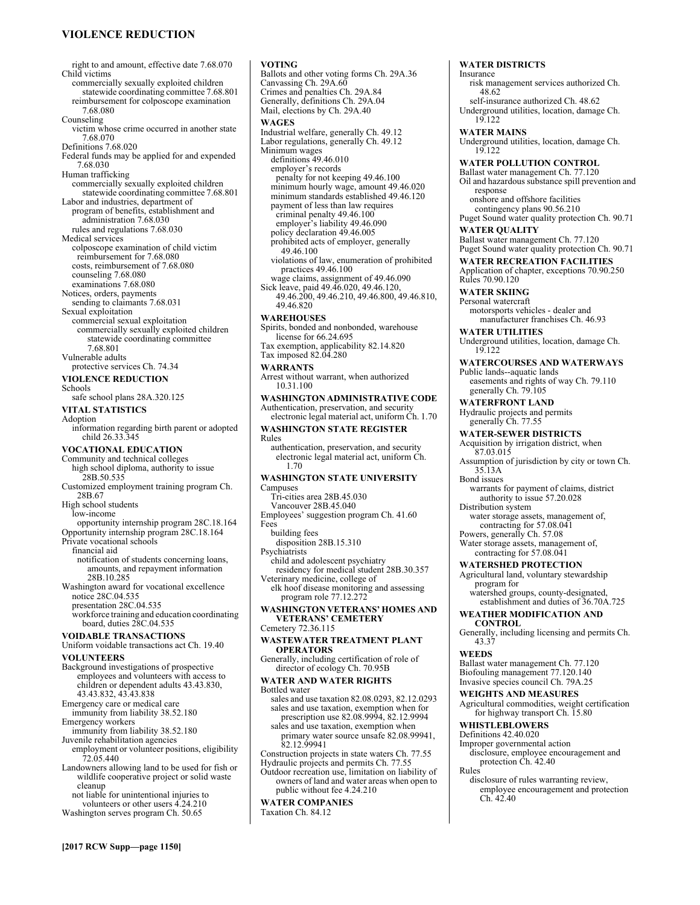# **VIOLENCE REDUCTION**

right to and amount, effective date 7.68.070 Child victims commercially sexually exploited children statewide coordinating committee 7.68.801 reimbursement for colposcope examination 7.68.080 Counseling victim whose crime occurred in another state 7.68.070 Definitions 7.68.020 Federal funds may be applied for and expended 7.68.030 Human trafficking commercially sexually exploited children statewide coordinating committee 7.68.801 Labor and industries, department of program of benefits, establishment and administration 7.68.030 rules and regulations 7.68.030 Medical services colposcope examination of child victim reimbursement for 7.68.080 costs, reimbursement of 7.68.080 counseling 7.68.080 examinations 7.68.080 Notices, orders, payments sending to claimants 7.68.031 Sexual exploitation commercial sexual exploitation commercially sexually exploited children statewide coordinating committee 7.68.801 Vulnerable adults protective services Ch. 74.34 **VIOLENCE REDUCTION**  Schools safe school plans 28A.320.125 **VITAL STATISTICS**  Adoption information regarding birth parent or adopted child 26.33.345 **VOCATIONAL EDUCATION**  Community and technical colleges high school diploma, authority to issue 。<br>28B.50.535 Customized employment training program Ch. 28B.67 High school students low-income opportunity internship program 28C.18.164 Opportunity internship program 28C.18.164 Private vocational schools financial aid notification of students concerning loans, amounts, and repayment information 28B.10.285 Washington award for vocational excellence notice 28C.04.535 presentation 28C.04.535 workforce training and education coordinating board, duties 28C.04.535 **VOIDABLE TRANSACTIONS**  Uniform voidable transactions act Ch. 19.40 **VOLUNTEERS**  Background investigations of prospective employees and volunteers with access to children or dependent adults 43.43.830, 43.43.832, 43.43.838 Emergency care or medical care immunity from liability 38.52.180 Emergency workers immunity from liability 38.52.180 Juvenile rehabilitation agencies employment or volunteer positions, eligibility 72.05.440 Landowners allowing land to be used for fish or wildlife cooperative project or solid waste cleanup

not liable for unintentional injuries to volunteers or other users 4.24.210 Washington serves program Ch. 50.65

# **VOTING**

Ballots and other voting forms Ch. 29A.36 Canvassing Ch. 29A.60 Crimes and penalties Ch. 29A.84 Generally, definitions Ch. 29A.04 Mail, elections by Ch. 29A.40 **WAGES**  Industrial welfare, generally Ch. 49.12 Labor regulations, generally Ch. 49.12 Minimum wages definitions 49.46.010 employer's records penalty for not keeping 49.46.100 minimum hourly wage, amount 49.46.020 minimum standards established 49.46.120 payment of less than law requires criminal penalty 49.46.100 employer's liability 49.46.090 policy declaration 49.46.005 prohibited acts of employer, generally 49.46.100 violations of law, enumeration of prohibited practices 49.46.100 wage claims, assignment of 49.46.090 Sick leave, paid 49.46.020, 49.46.120, 49.46.200, 49.46.210, 49.46.800, 49.46.810, 49.46.820 **WAREHOUSES**  Spirits, bonded and nonbonded, warehouse license for 66.24.695 Tax exemption, applicability 82.14.820 Tax imposed 82.04.280 **WARRANTS**  Arrest without warrant, when authorized 10.31.100 **WASHINGTON ADMINISTRATIVE CODE**  Authentication, preservation, and security electronic legal material act, uniform Ch. 1.70 **WASHINGTON STATE REGISTER**  Rules authentication, preservation, and security electronic legal material act, uniform Ch. 1.70 **WASHINGTON STATE UNIVERSITY**  Campuses Tri-cities area 28B.45.030 Vancouver 28B.45.040 Employees' suggestion program Ch. 41.60 Fees building fees disposition 28B.15.310 **Psychiatrists** child and adolescent psychiatry residency for medical student 28B.30.357 Veterinary medicine, college of elk hoof disease monitoring and assessing program role 77.12.272 **WASHINGTON VETERANS' HOMES AND VETERANS' CEMETERY**  Cemetery 72.36.115 **WASTEWATER TREATMENT PLANT OPERATORS**  Generally, including certification of role of director of ecology Ch. 70.95B **WATER AND WATER RIGHTS**  Bottled water sales and use taxation 82.08.0293, 82.12.0293

sales and use taxation, exemption when for prescription use 82.08.9994, 82.12.9994 sales and use taxation, exemption when

Construction projects in state waters Ch. 77.55 Hydraulic projects and permits Ch. 77.55

public without fee 4.24.210 **WATER COMPANIES**  Taxation Ch. 84.12

82.12.99941

primary water source unsafe 82.08.99941, **WATER DISTRICTS**  Insurance risk management services authorized Ch. 48.62 self-insurance authorized Ch. 48.62 Underground utilities, location, damage Ch. 19.122 **WATER MAINS**  Underground utilities, location, damage Ch. 19.122 **WATER POLLUTION CONTROL**  Ballast water management Ch. 77.120 Oil and hazardous substance spill prevention and response onshore and offshore facilities contingency plans 90.56.210 Puget Sound water quality protection Ch. 90.71 **WATER QUALITY**  Ballast water management Ch. 77.120 Puget Sound water quality protection Ch. 90.71 **WATER RECREATION FACILITIES**  Application of chapter, exceptions 70.90.250 Rules 70.90.120 **WATER SKIING**  Personal watercraft motorsports vehicles - dealer and manufacturer franchises Ch. 46.93 **WATER UTILITIES**  Underground utilities, location, damage Ch. 19.122 **WATERCOURSES AND WATERWAYS**  Public lands--aquatic lands easements and rights of way Ch. 79.110 generally Ch. 79.105 **WATERFRONT LAND**  Hydraulic projects and permits generally Ch. 77.55 **WATER-SEWER DISTRICTS**  Acquisition by irrigation district, when 87.03.015 Assumption of jurisdiction by city or town Ch. 35.13A Bond issues warrants for payment of claims, district authority to issue 57.20.028 Distribution system water storage assets, management of, contracting for 57.08.041 Powers, generally Ch. 57.08 Water storage assets, management of, contracting for 57.08.041 **WATERSHED PROTECTION**  Agricultural land, voluntary stewardship program for watershed groups, county-designated, establishment and duties of 36.70A.725 **WEATHER MODIFICATION AND CONTROL**  Generally, including licensing and permits Ch. 43.37 **WEEDS**  Ballast water management Ch. 77.120 Biofouling management 77.120.140 Invasive species council Ch. 79A.25 **WEIGHTS AND MEASURES**  Agricultural commodities, weight certification for highway transport Ch. 15.80 **WHISTLEBLOWERS**  Definitions 42.40.020 Improper governmental action disclosure, employee encouragement and protection Ch. 42.40 Rules

> disclosure of rules warranting review, employee encouragement and protection Ch. 42.40

Outdoor recreation use, limitation on liability of owners of land and water areas when open to